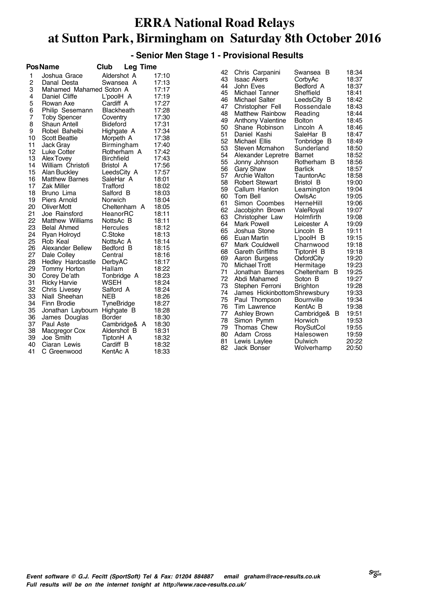#### **- Senior Men Stage 1 - Provisional Results**

|    | <b>PosName</b>          | Club<br><b>Leg Time</b> |       |          |                              |                   |                |
|----|-------------------------|-------------------------|-------|----------|------------------------------|-------------------|----------------|
| 1  | Joshua Grace            | Aldershot A             | 17:10 | 42       | Chris Carpanini              | Swansea B         | 18:34          |
| 2  | Danal Desta             | Swansea A               | 17:13 | 43       | <b>Isaac Akers</b>           | CorbyAc           | 18:37          |
| 3  | Mahamed Mahamed Soton A |                         | 17:17 | 44       | John Eves                    | Bedford A         | 18:37          |
| 4  | Daniel Cliffe           | L'poolH A               | 17:19 | 45       | Michael Tanner               | Sheffield         | 18:41          |
| 5  | Rowan Axe               | Cardiff A               | 17:27 | 46       | Michael Salter               | LeedsCity B       | 18:42          |
| 6  | Philip Sesemann         | <b>Blackheath</b>       | 17:28 | 47       | Christopher Fell             | Rossendale        | 18:43          |
| 7  | <b>Toby Spencer</b>     | Coventry                | 17:30 | 48       | <b>Matthew Rainbow</b>       | Reading           | 18:44          |
| 8  | Shaun Antell            | <b>Bideford</b>         | 17:31 | 49       | <b>Anthony Valentine</b>     | <b>Bolton</b>     | 18:45          |
| 9  | Robel Bahelbi           | Highgate A              | 17:34 | 50       | Shane Robinson               | Lincoln A         | 18:46          |
| 10 | <b>Scott Beattie</b>    | Morpeth A               | 17:38 | 51       | Daniel Kashi                 | SaleHar B         | 18:47          |
| 11 | Jack Gray               | Birmingham              | 17:40 | 52       | Michael Ellis                | Tonbridge B       | 18:49          |
| 12 | Luke Cotter             | Rotherham A             | 17:42 | 53       | Steven Mcmahon               | Sunderland        | 18:50          |
| 13 | Alex Tovey              | <b>Birchfield</b>       | 17:43 | 54       | Alexander Lepretre           | <b>Barnet</b>     | 18:52          |
| 14 | William Christofi       | Bristol A               | 17:56 | 55       | Jonny Johnson                | Rotherham B       | 18:56          |
| 15 | Alan Buckley            | LeedsCity A             | 17:57 | 56       | <b>Gary Shaw</b>             | <b>Barlick</b>    | 18:57          |
| 16 | <b>Matthew Barnes</b>   | SaleHar A               | 18:01 | 57       | Archie Walton                | TauntonAc         | 18:58          |
| 17 | <b>Zak Miller</b>       | Trafford                | 18:02 | 58       | <b>Robert Stewart</b>        | Bristol B         | 19:00          |
| 18 | Bruno Lima              | Salford B               | 18:03 | 59       | Callum Hanlon                | Leamington        | 19:04          |
| 19 | Piers Arnold            | Norwich                 | 18:04 | 60       | Tom Bell                     | OwlsAc            | 19:05          |
| 20 | Oliver Mott             | Cheltenham A            | 18:05 | 61       | Simon Coombes                | HerneHill         | 19:06          |
| 21 | Joe Rainsford           | HeanorRC                | 18:11 | 62       | Jacobiohn Brown              | ValeRoyal         | 19:07          |
| 22 | <b>Matthew Williams</b> | NottsAc B               | 18:11 | 63       | Christopher Law              | Holmfirth         | 19:08          |
| 23 | <b>Belal Ahmed</b>      | <b>Hercules</b>         | 18:12 | 64       | <b>Mark Powell</b>           | Leicester A       | 19:09          |
| 24 | Ryan Holroyd            | C.Stoke                 | 18:13 | 65       | Joshua Stone                 | Lincoln B         | 19:11          |
| 25 | Rob Keal                | NottsAc A               | 18:14 | 66       | Euan Martin                  | L'poolH B         | 19:15          |
| 26 | Alexander Bellew        | Bedford B               | 18:15 | 67       | Mark Couldwell               | Charnwood         | 19:18          |
| 27 | Dale Colley             | Central                 | 18:16 | 68       | <b>Gareth Griffiths</b>      | TiptonH B         | 19:18          |
| 28 | Hedley Hardcastle       | DerbyAC                 | 18:17 | 69       | Aaron Burgess                | OxfordCity        | 19:20          |
| 29 | Tommy Horton            | Hallam                  | 18:22 | 70       | <b>Michael Trott</b>         | Hermitage         | 19:23          |
| 30 | Corey De'ath            | Tonbridge A             | 18:23 | 71       | Jonathan Barnes              | Cheltenham B      | 19:25          |
| 31 | <b>Ricky Harvie</b>     | WSEH                    | 18:24 | 72       | Abdi Mahamed                 | Soton B           | 19:27          |
| 32 | Chris Livesey           | Salford A               | 18:24 | 73<br>74 | Stephen Ferroni              | <b>Brighton</b>   | 19:28          |
| 33 | Niall Sheehan           | <b>NEB</b>              | 18:26 | 75       | James HickinbottomShrewsbury |                   | 19:33<br>19:34 |
| 34 | Finn Brodie             | TyneBridge              | 18:27 |          | Paul Thompson                | <b>Bournville</b> |                |
| 35 | Jonathan Laybourn       | Highgate B              | 18:28 | 76<br>77 | Tim Lawrence                 | KentAc B          | 19:38          |
| 36 | James Douglas           | Border                  | 18:30 | 78       | Ashley Brown                 | Cambridge& B      | 19:51          |
| 37 | Paul Aste               | Cambridge& A            | 18:30 | 79       | Simon Pymm                   | Horwich           | 19:53          |
| 38 | Macgregor Cox           | Aldershot B             | 18:31 |          | Thomas Chew                  | RoySutCol         | 19:55          |
| 39 | Joe Smith               | TiptonH A               | 18:32 | 80       | Adam Cross                   | Halesowen         | 19:59          |
| 40 | Ciaran Lewis            | Cardiff B               | 18:32 | 81       | Lewis Laylee                 | Dulwich           | 20:22          |
| 41 | C Greenwood             | KentAc A                | 18:33 | 82       | Jack Bonser                  | Wolverhamp        | 20:50          |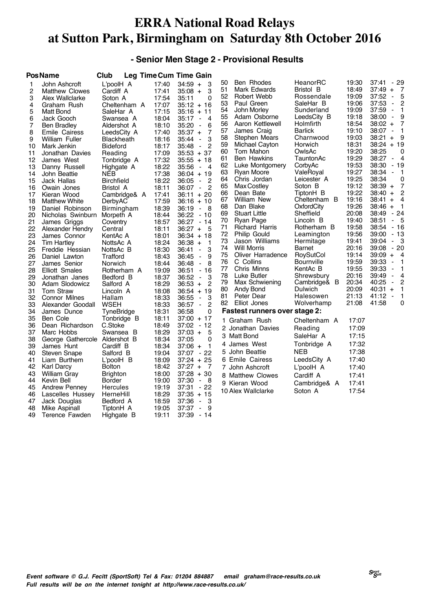#### **- Senior Men Stage 2 - Provisional Results**

|                                                                                                                                                                                           | Pos Name                                                                                                                                                                                                                                                                                                                                                                                                                                                                                                                                                                                          | Club                                                                                                                                                                                                                                                                                                                                                                                                                                                        |                                                                                                                                                                                                                                                                                                       | Leg Time Cum Time Gain                                                                                                                                                                                                                                                                                                                                                                                                                                                                                                                                                                                                                                                                                                                                                                                                                                          |                                                                                                                                                                                                    |                                                                                                                                                                                                                                                                                                                                                                                                                                                                                                                                                      |                                                                                                                                                                                                                                                                                                                                                                                                                                                          |                                                                                                                                                                                                                                                                                                       |                                                                                                                                                                                                                                                                                                                                                                                                                                                                                                                                                                                                                                                                                                                                                                                                                                                                                              |
|-------------------------------------------------------------------------------------------------------------------------------------------------------------------------------------------|---------------------------------------------------------------------------------------------------------------------------------------------------------------------------------------------------------------------------------------------------------------------------------------------------------------------------------------------------------------------------------------------------------------------------------------------------------------------------------------------------------------------------------------------------------------------------------------------------|-------------------------------------------------------------------------------------------------------------------------------------------------------------------------------------------------------------------------------------------------------------------------------------------------------------------------------------------------------------------------------------------------------------------------------------------------------------|-------------------------------------------------------------------------------------------------------------------------------------------------------------------------------------------------------------------------------------------------------------------------------------------------------|-----------------------------------------------------------------------------------------------------------------------------------------------------------------------------------------------------------------------------------------------------------------------------------------------------------------------------------------------------------------------------------------------------------------------------------------------------------------------------------------------------------------------------------------------------------------------------------------------------------------------------------------------------------------------------------------------------------------------------------------------------------------------------------------------------------------------------------------------------------------|----------------------------------------------------------------------------------------------------------------------------------------------------------------------------------------------------|------------------------------------------------------------------------------------------------------------------------------------------------------------------------------------------------------------------------------------------------------------------------------------------------------------------------------------------------------------------------------------------------------------------------------------------------------------------------------------------------------------------------------------------------------|----------------------------------------------------------------------------------------------------------------------------------------------------------------------------------------------------------------------------------------------------------------------------------------------------------------------------------------------------------------------------------------------------------------------------------------------------------|-------------------------------------------------------------------------------------------------------------------------------------------------------------------------------------------------------------------------------------------------------------------------------------------------------|----------------------------------------------------------------------------------------------------------------------------------------------------------------------------------------------------------------------------------------------------------------------------------------------------------------------------------------------------------------------------------------------------------------------------------------------------------------------------------------------------------------------------------------------------------------------------------------------------------------------------------------------------------------------------------------------------------------------------------------------------------------------------------------------------------------------------------------------------------------------------------------------|
| 1<br>2<br>3<br>4<br>5<br>6<br>7<br>8<br>9<br>10<br>11<br>12<br>13<br>14<br>15<br>16<br>17<br>18<br>19<br>20<br>21<br>22<br>23<br>24<br>25<br>26<br>27<br>28<br>29<br>30<br>31<br>32<br>33 | John Ashcroft<br><b>Matthew Clowes</b><br>Alex Wallclarke<br>Graham Rush<br>Matt Bond<br>Jack Gooch<br><b>Ben Bradley</b><br>Emile Cairess<br>William Fuller<br>Mark Jenkin<br>Jonathan Davies<br>James West<br>Danny Russell<br>John Beattie<br>Jack Hallas<br>Owain Jones<br>Kieran Wood<br><b>Matthew White</b><br>Daniel Robinson<br>Nicholas Swinburn<br>James Griggs<br>Alexander Hendry<br>James Connor<br><b>Tim Hartley</b><br>Freddie Hessian<br>Daniel Lawton<br>James Senior<br>Elliott Smales<br>Jonathan Janes<br>Adam Slodowicz<br>Tom Straw<br>Connor Milnes<br>Alexander Goodall | L'poolH A<br>Cardiff A<br>Soton A<br>Cheltenham A<br>SaleHar A<br>Swansea A<br>Aldershot A<br>LeedsCity A<br><b>Blackheath</b><br><b>Bideford</b><br>Reading<br>Tonbridge A<br>Highgate A<br>NEB<br><b>Birchfield</b><br>Bristol A<br>Cambridge& A<br>DerbyAC<br>Birmingham<br>Morpeth A<br>Coventry<br>Central<br>KentAc A<br>NottsAc A<br>NottsAc B<br>Trafford<br>Norwich<br>Rotherham A<br>Bedford B<br>Salford A<br>Lincoln A<br>Hallam<br><b>WSEH</b> | 17:40<br>17:41<br>17:54<br>17:07<br>17:15<br>18:04<br>18:10<br>17:40<br>18:16<br>18:17<br>17:09<br>17:32<br>18:22<br>17:38<br>18:22<br>18:11<br>17:41<br>17:59<br>18:39<br>18:44<br>18:57<br>18:11<br>18:01<br>18:24<br>18:30<br>18:43<br>18:44<br>19:09<br>18:37<br>18:29<br>18:08<br>18:33<br>18:33 | $34:59 +$<br>3<br>$35:08 +$<br>3<br>$\Omega$<br>35:11<br>$35:12 + 16$<br>$35:16 + 11$<br>35:17<br>$\overline{4}$<br>$\overline{\phantom{a}}$<br>35:20<br>6<br>$\blacksquare$<br>$35:37 +$<br>7<br>3<br>35:44<br>$\blacksquare$<br>2<br>35:48<br>$\blacksquare$<br>$35:53 + 37$<br>$35:55 + 18$<br>35:56<br>$\blacksquare$<br>$\overline{a}$<br>$36:04 + 19$<br>36:05<br>$\blacksquare$<br>$\overline{c}$<br>36:07<br>$\blacksquare$<br>2<br>$36:11 + 20$<br>$36:16 + 10$<br>36:19<br>- 8<br>$\blacksquare$<br>36:22<br>- 10<br>$36:27 - 14$<br>$36:27 +$<br>- 5<br>$36:34 + 18$<br>$36:38 +$<br>$\mathbf{1}$<br>3<br>36:41<br>$\blacksquare$<br>9<br>36:45<br>$\blacksquare$<br>8<br>36:48<br>$\blacksquare$<br>$-16$<br>36:51<br>36:52<br>$\blacksquare$<br>3<br>$\overline{c}$<br>$36:53 +$<br>$36:54 + 19$<br>36:55<br>3<br>$\blacksquare$<br>2<br>$36:57 -$ | 50<br>51<br>52<br>53<br>54<br>55<br>56<br>57<br>58<br>59<br>60<br>61<br>62<br>63<br>64<br>65<br>66<br>67<br>68<br>69<br>70<br>71<br>72<br>73<br>74<br>75<br>76<br>77<br>78<br>79<br>80<br>81<br>82 | Ben Rhodes<br>Mark Edwards<br>Robert Webb<br>Paul Green<br>John Morley<br>Adam Osborne<br>Aaron Kettlewell<br>James Craig<br>Stephen Mears<br>Michael Cayton<br>Tom Mahon<br><b>Ben Hawkins</b><br>Luke Montgomery<br>Ryan Moore<br>Chris Jordan<br>Max Costley<br>Dean Bate<br>William New<br>Dan Blake<br><b>Stuart Little</b><br>Ryan Page<br>Richard Harris<br>Philip Gould<br>Jason Williams<br><b>Will Morris</b><br>Oliver Harradence<br>C Collins<br>Chris Minns<br>Luke Butler<br>Max Schwiening<br>Andy Bond<br>Peter Dear<br>Elliot Jones | HeanorRC<br>Bristol B<br>Rossendale<br>SaleHar B<br>Sunderland<br>LeedsCity B<br>Holmfirth<br><b>Barlick</b><br>Charnwood<br>Horwich<br>OwlsAc<br>TauntonAc<br>CorbyAc<br>ValeRoyal<br>Leicester A<br>Soton B<br>TiptonH B<br>Cheltenham B<br>OxfordCity<br>Sheffield<br>Lincoln B<br>Rotherham B<br>Leamington<br>Hermitage<br>Barnet<br>RoySutCol<br><b>Bournville</b><br>KentAc B<br>Shrewsbury<br>Cambridge& B<br>Dulwich<br>Halesowen<br>Wolverhamp | 19:30<br>18:49<br>19:09<br>19:06<br>19:09<br>19:18<br>18:54<br>19:10<br>19:03<br>18:31<br>19:20<br>19:29<br>19:53<br>19:27<br>19:25<br>19:12<br>19:22<br>19:16<br>19:26<br>20:08<br>19:40<br>19:58<br>19:56<br>19:41<br>20:16<br>19:14<br>19:59<br>19:55<br>20:16<br>20:34<br>20:09<br>21:13<br>21:08 | 37:41<br>- 29<br>$37:49 +$<br>- 7<br>37:52<br>5<br>$\blacksquare$<br>37:53<br>$\overline{c}$<br>$\blacksquare$<br>37:59<br>1<br>$\blacksquare$<br>9<br>38:00<br>$\blacksquare$<br>$\overline{7}$<br>38:02<br>$+$<br>38:07<br>$\mathbf{1}$<br>$\blacksquare$<br>38:21<br>9<br>$\ddot{}$<br>38:24<br>$+19$<br>38:25<br>0<br>38:27<br>$-4$<br>38:30<br>- 19<br>38:34<br>$\blacksquare$<br>- 1<br>38:34<br>0<br>$\overline{7}$<br>$38:39 +$<br>2<br>38:40 +<br>38:41<br>$+$<br>$\overline{a}$<br>$\overline{1}$<br>38:46 +<br>$-24$<br>38:49<br>$-5$<br>38:51<br>$-16$<br>38:54<br>- 13<br>39:00<br>$-3$<br>39:04<br>- 20<br>39:08<br>$39:09 +$<br>$\overline{4}$<br>$\mathbf{1}$<br>39:33<br>$\blacksquare$<br>39:33<br>$\blacksquare$<br>1<br>4<br>39:49<br>$\blacksquare$<br>40:25<br>2<br>$\blacksquare$<br>40:31<br>$\mathbf{1}$<br>$\ddot{}$<br>41:12<br>$\blacksquare$<br>1<br>41:58<br>0 |
| 34                                                                                                                                                                                        | James Dunce                                                                                                                                                                                                                                                                                                                                                                                                                                                                                                                                                                                       | TyneBridge                                                                                                                                                                                                                                                                                                                                                                                                                                                  | 18:31                                                                                                                                                                                                                                                                                                 | 0<br>36:58                                                                                                                                                                                                                                                                                                                                                                                                                                                                                                                                                                                                                                                                                                                                                                                                                                                      |                                                                                                                                                                                                    | <b>Fastest runners over stage 2:</b>                                                                                                                                                                                                                                                                                                                                                                                                                                                                                                                 |                                                                                                                                                                                                                                                                                                                                                                                                                                                          |                                                                                                                                                                                                                                                                                                       |                                                                                                                                                                                                                                                                                                                                                                                                                                                                                                                                                                                                                                                                                                                                                                                                                                                                                              |
| 35<br>36<br>37<br>38<br>39<br>40<br>41<br>42<br>43<br>44<br>45<br>46<br>47<br>48<br>49                                                                                                    | Ben Cole<br>Dean Richardson<br>Marc Hobbs<br>George Gathercole<br>James Hunt<br>Steven Snape<br>Liam Burthem<br>Karl Darcy<br><b>William Gray</b><br>Kevin Bell<br><b>Andrew Penney</b><br>Lascelles Hussey<br>Jack Douglas<br>Mike Aspinall<br>Terence Fawden                                                                                                                                                                                                                                                                                                                                    | Tonbridge B<br>C.Stoke<br>Swansea B<br>Aldershot B<br>Cardiff B<br>Salford B<br>L'poolH B<br><b>Bolton</b><br><b>Brighton</b><br>Border<br><b>Hercules</b><br>HerneHill<br>Bedford A<br>TiptonH A<br>Highgate B                                                                                                                                                                                                                                             | 18:11<br>18:49<br>18:29<br>18:34<br>18:34<br>19:04<br>18:09<br>18:42<br>18:00<br>19:00<br>19:19<br>18:29<br>18:59<br>19:05<br>19:11                                                                                                                                                                   | $37:00 + 17$<br>37:02<br>- 12<br>5<br>$37:03 +$<br>0<br>37:05<br>$37:06 +$<br>$\mathbf{1}$<br>37:07<br>$-22$<br>$37:24 + 25$<br>$37:27 +$<br>- 7<br>$37:28 + 30$<br>37:30<br>- 8<br>$\blacksquare$<br>$37:31 - 22$<br>$37:35 + 15$<br>37:36<br>3<br>$\blacksquare$<br>37:37<br>9<br>$\overline{\phantom{a}}$<br>37:39 - 14                                                                                                                                                                                                                                                                                                                                                                                                                                                                                                                                      | 4                                                                                                                                                                                                  | 1 Graham Rush<br>2 Jonathan Davies<br>3 Matt Bond<br>James West<br>5 John Beattie<br>6 Emile Cairess<br>7 John Ashcroft<br>8 Matthew Clowes<br>9 Kieran Wood<br>10 Alex Wallclarke                                                                                                                                                                                                                                                                                                                                                                   | Cheltenham A<br>Reading<br>SaleHar A<br>Tonbridge A<br>NEB<br>LeedsCity A<br>L'poolH A<br>Cardiff A<br>Cambridge& A<br>Soton A                                                                                                                                                                                                                                                                                                                           | 17:07<br>17:09<br>17:15<br>17:32<br>17:38<br>17:40<br>17:40<br>17:41<br>17:41<br>17:54                                                                                                                                                                                                                |                                                                                                                                                                                                                                                                                                                                                                                                                                                                                                                                                                                                                                                                                                                                                                                                                                                                                              |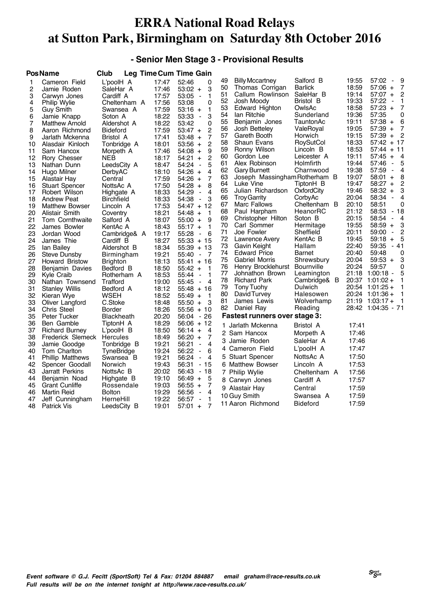#### **- Senior Men Stage 3 - Provisional Results**

|    | <b>PosName</b>          | Club          |       | <b>Leg Time Cum Time Gain</b>             |    |                               |                   |       |                                         |
|----|-------------------------|---------------|-------|-------------------------------------------|----|-------------------------------|-------------------|-------|-----------------------------------------|
| 1  | Cameron Field           | L'poolH A     | 17:47 | 52:46<br>0                                | 49 | <b>Billy Mccartney</b>        | Salford B         | 19:55 | 57:02<br>9<br>$\blacksquare$            |
| 2  | Jamie Roden             | SaleHar A     | 17:46 | 3<br>$53:02 +$                            | 50 | Thomas Corrigan               | <b>Barlick</b>    | 18:59 | 57:06<br>$\ddot{}$<br>7                 |
| 3  | Carwyn Jones            | Cardiff A     | 17:57 | 53:05<br>1<br>$\overline{a}$              | 51 | Callum Rowlinson              | SaleHar B         | 19:14 | $57:07 +$<br>2                          |
| 4  | Philip Wylie            | Cheltenham A  | 17:56 | 53:08<br>0                                | 52 | Josh Moody                    | Bristol B         | 19:33 | 57:22<br>1<br>$\overline{\phantom{a}}$  |
| 5  | <b>Guy Smith</b>        | Swansea A     | 17:59 | $53:16 +$<br>1                            | 53 | Edward Highton                | OwlsAc            | 18:58 | $57:23 +$<br>7                          |
| 6  | Jamie Knapp             | Soton A       | 18:22 | 53:33<br>3<br>$\overline{\phantom{a}}$    | 54 | lan Ritchie                   | Sunderland        | 19:36 | 57:35<br>0                              |
| 7  | Matthew Arnold          | Aldershot A   | 18:22 | 53:42<br>$\Omega$                         | 55 | Benjamin Jones                | TauntonAc         | 19:11 | $57:38 +$<br>6                          |
| 8  | Aaron Richmond          | Bideford      | 17:59 | 2<br>53:47 +                              | 56 | Josh Bettelev                 | ValeRoyal         | 19:05 | 57:39<br>7<br>$\ddot{}$                 |
| 9  | Jarlath Mckenna         | Bristol A     | 17:41 | 7<br>53:48 +                              | 57 | Gareth Booth                  | Horwich           | 19:15 | 57:39<br>2<br>$+$                       |
| 10 | Alasdair Kinloch        | Tonbridge A   | 18:01 | 2<br>53:56 +                              | 58 | Shaun Evans                   | RoySutCol         | 18:33 | 57:42<br>$+17$                          |
| 11 | Sam Hancox              | Morpeth A     | 17:46 | 54:08<br>9<br>$\ddot{}$                   | 59 | Ronny Wilson                  | Lincoln B         | 18:53 | 57:44<br>$+11$                          |
| 12 | Rory Chesser            | <b>NEB</b>    | 18:17 | 2<br>54:21<br>$+$                         | 60 | Gordon Lee                    | Leicester A       | 19:11 | $\overline{A}$<br>57:45<br>$+$          |
| 13 | Nathan Dunn             | LeedsCity A   | 18:47 | 54:24<br>5<br>$\blacksquare$              | 61 | Alex Robinson                 | Holmfirth         | 19:44 | 57:46<br>5<br>$\blacksquare$            |
| 14 | Hugo Milner             | DerbyAC       | 18:10 | $54:26 +$<br>4                            | 62 | <b>Gary Burnett</b>           | Charnwood         | 19:38 | 57:59<br>4<br>$\blacksquare$            |
| 15 | Alastair Hay            | Central       | 17:59 | 54:26<br>7<br>$\ddot{}$                   | 63 | Joseph Massingham Rotherham B |                   | 19:07 | 58:01<br>8<br>$\ddot{}$                 |
| 16 | <b>Stuart Spencer</b>   | NottsAc A     | 17:50 | 54:28<br>8<br>$+$                         | 64 | Luke Vine                     | TiptonH B         | 19:47 | 58:27<br>2<br>$\ddot{}$                 |
| 17 | Robert Wilson           | Highgate A    | 18:33 | 54:29<br>$\overline{4}$<br>$\overline{a}$ | 65 | Julian Richardson             | OxfordCity        | 19:46 | $58:32 +$<br>3                          |
| 18 | <b>Andrew Peat</b>      | Birchfield    | 18:33 | 54:38<br>3<br>$\overline{\phantom{a}}$    | 66 | <b>Troy Garrity</b>           | CorbyAc           | 20:04 | 58:34<br>4<br>$\overline{\phantom{a}}$  |
| 19 | <b>Matthew Bowser</b>   | Lincoln A     | 17:53 | $54:47 + 12$                              | 67 | Marc Fallows                  | Cheltenham B      | 20:10 | 58:51<br>0                              |
| 20 | Alistair Smith          | Coventry      | 18:21 | $54:48 +$<br>$\mathbf{1}$                 | 68 | Paul Harpham                  | HeanorRC          | 21:12 | 58:53<br>$-18$                          |
| 21 | Tom Cornthwaite         | Salford A     | 18:07 | 55:00<br>9<br>$\ddot{}$                   | 69 | Christopher Hilton            | Soton B           | 20:15 | 58:54<br>4<br>$\blacksquare$            |
| 22 | James Bowler            | KentAc A      | 18:43 | $55:17 +$<br>$\mathbf{1}$                 | 70 | Carl Sommer                   | Hermitage         | 19:55 | $58:59 +$<br>3                          |
| 23 | Jordan Wood             | Cambridge& A  | 19:17 | 55:28<br>6<br>$\blacksquare$              | 71 | Joe Fowler                    | Sheffield         | 20:11 | 2<br>59:00<br>$\blacksquare$            |
| 24 | James Thie              | Cardiff B     | 18:27 | $55:33 + 15$                              | 72 | Lawrence Avery                | KentAc B          | 19:45 | 5<br>59:18<br>$\ddot{}$                 |
| 25 | lan Bailey              | Aldershot B   | 18:34 | 55:39<br>$+13$                            | 73 | Gavin Keight                  | Hallam            | 22:40 | 59:35<br>- 41                           |
| 26 | <b>Steve Dunsby</b>     | Birmingham    | 19:21 | 55:40<br>$\overline{7}$<br>$\blacksquare$ | 74 | <b>Edward Price</b>           | Barnet            | 20:40 | 59:48<br>0                              |
| 27 | <b>Howard Bristow</b>   | Brighton      | 18:13 | 55:41 + 16                                | 75 | <b>Gabriel Morris</b>         | Shrewsbury        | 20:04 | $59:53 +$<br>3                          |
| 28 | Benjamin Davies         | Bedford B     | 18:50 | $55:42 +$<br>$\mathbf{1}$                 | 76 | Henry Brocklehurst            | <b>Bournville</b> | 20:24 | 59:57<br>0                              |
| 29 | Kyle Craib              | Rotherham A   | 18:53 | 55:44<br>1<br>$\blacksquare$              | 77 | Johnathon Brown               | Leamington        | 21:18 | 1:00:18<br>5<br>$\blacksquare$          |
| 30 | Nathan Townsend         | Trafford      | 19:00 | 55:45<br>4<br>$\blacksquare$              | 78 | <b>Richard Park</b>           | Cambridge& B      |       | $20:37$ 1:01:02 +                       |
| 31 | Stanley Willis          | Bedford A     | 18:12 | 55:48 + 16                                | 79 | Tony Tuohy                    | Dulwich           |       | $20:54$ 1:01:25 +                       |
| 32 | Kieran Wye              | WSEH          | 18:52 | 55:49<br>$\mathbf{1}$<br>$+$              | 80 | David Turvey                  | Halesowen         |       | 20:24 1:01:36 +<br>1<br>1               |
| 33 | Oliver Langford         | C.Stoke       | 18:48 | $55:50 +$<br>3                            | 81 | James Lewis                   | Wolverhamp        |       | $21:19$ 1:03:17 +<br>28:42 1:04:35 - 71 |
| 34 | <b>Chris Steel</b>      | Border        | 18:26 | 55:56 + 10                                | 82 | Daniel Ray                    | Reading           |       |                                         |
| 35 | Peter Tucker            | Blackheath    | 20:20 | 26<br>56:04<br>$\sim$                     |    | Fastest runners over stage 3: |                   |       |                                         |
| 36 | Ben Gamble              | TiptonH A     | 18:29 | 56:06 + 12                                |    | 1 Jarlath Mckenna             | Bristol A         | 17:41 |                                         |
| 37 | Richard Burney          | L'poolH B     | 18:50 | 56:14 +<br>4                              |    | 2 Sam Hancox                  | Morpeth A         | 17:46 |                                         |
| 38 | Frederick Slemeck       | Hercules      | 18:49 | $56:20 +$<br>7                            | 3  | Jamie Roden                   | SaleHar A         | 17:46 |                                         |
| 39 | Jamie Goodge            | Tonbridge B   | 19:21 | 56:21<br>4<br>$\blacksquare$              |    | 4 Cameron Field               | L'poolH A         | 17:47 |                                         |
| 40 | Tom Charlton            | TyneBridge    | 19:24 | 56:22<br>6<br>$\blacksquare$              |    | 5 Stuart Spencer              | NottsAc A         | 17:50 |                                         |
| 41 | <b>Phillip Matthews</b> | Swansea B     | 19:21 | 56:24<br>ä,<br>4                          |    |                               |                   |       |                                         |
| 42 | Spencer Goodall         | Norwich       | 19:43 | 56:31<br>- 15                             |    | 6 Matthew Bowser              | Lincoln A         | 17:53 |                                         |
| 43 | Jarratt Perkins         | NottsAc B     | 20:02 | 56:43<br>- 18                             |    | 7 Philip Wylie                | Cheltenham A      | 17:56 |                                         |
| 44 | Benjamin Noad           | Highgate B    | 19:10 | 56:49<br>5<br>$+$                         |    | 8 Carwyn Jones                | Cardiff A         | 17:57 |                                         |
| 45 | <b>Grant Cunliffe</b>   | Rossendale    | 19:03 | 7<br>56:55 +                              |    | 9 Alastair Hay                | Central           | 17:59 |                                         |
| 46 | Martin Reid             | <b>Bolton</b> | 19:29 | 56:56<br>4<br>$\overline{\phantom{a}}$    |    | 10 Guy Smith                  | Swansea A         | 17:59 |                                         |
| 47 | Jeff Cunningham         | HerneHill     | 19:22 | 56:57<br>1<br>$\overline{\phantom{a}}$    |    | 11 Aaron Richmond             | <b>Bideford</b>   | 17:59 |                                         |
| 48 | <b>Patrick Vis</b>      | LeedsCity B   | 19:01 | $57:01 +$<br>7                            |    |                               |                   |       |                                         |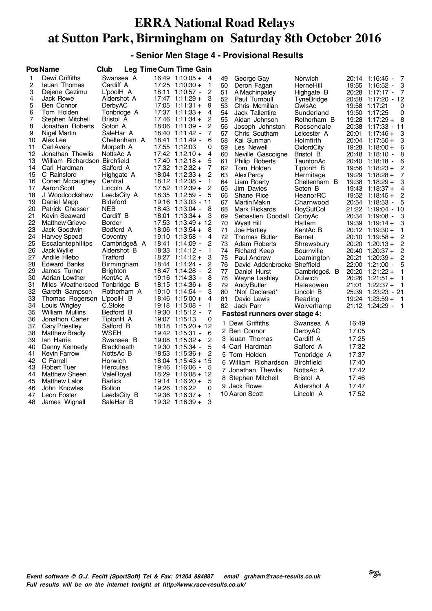#### **- Senior Men Stage 4 - Provisional Results**

|                                                                                                                                                                                           | <b>PosName</b>                                                                                                                                                                                                                                                                                                                                                                                                                                                                                                                                                                                                              | Club                                                                                                                                                                                                                                                                                                                                                                                                                  |       | <b>Leg Time Cum Time Gain</b>                                                                                                                                                                                                                                                                                                                                                                                                                                                                                                                                                                                                                                                                                                                                                                                                                  |                                                                                                                                                                                                    |                                                                                                                                                                                                                                                                                                                                                                                                                                                                                                                                                                                         |                                                                                                                                                                                                                                                                                                                                                                                                                                  |                                                                                        |                                                                                                                                                                                                                                                                                                                                                                                                                                                                                                                                                                                                                                                                                                                                                                                                                                                    |
|-------------------------------------------------------------------------------------------------------------------------------------------------------------------------------------------|-----------------------------------------------------------------------------------------------------------------------------------------------------------------------------------------------------------------------------------------------------------------------------------------------------------------------------------------------------------------------------------------------------------------------------------------------------------------------------------------------------------------------------------------------------------------------------------------------------------------------------|-----------------------------------------------------------------------------------------------------------------------------------------------------------------------------------------------------------------------------------------------------------------------------------------------------------------------------------------------------------------------------------------------------------------------|-------|------------------------------------------------------------------------------------------------------------------------------------------------------------------------------------------------------------------------------------------------------------------------------------------------------------------------------------------------------------------------------------------------------------------------------------------------------------------------------------------------------------------------------------------------------------------------------------------------------------------------------------------------------------------------------------------------------------------------------------------------------------------------------------------------------------------------------------------------|----------------------------------------------------------------------------------------------------------------------------------------------------------------------------------------------------|-----------------------------------------------------------------------------------------------------------------------------------------------------------------------------------------------------------------------------------------------------------------------------------------------------------------------------------------------------------------------------------------------------------------------------------------------------------------------------------------------------------------------------------------------------------------------------------------|----------------------------------------------------------------------------------------------------------------------------------------------------------------------------------------------------------------------------------------------------------------------------------------------------------------------------------------------------------------------------------------------------------------------------------|----------------------------------------------------------------------------------------|----------------------------------------------------------------------------------------------------------------------------------------------------------------------------------------------------------------------------------------------------------------------------------------------------------------------------------------------------------------------------------------------------------------------------------------------------------------------------------------------------------------------------------------------------------------------------------------------------------------------------------------------------------------------------------------------------------------------------------------------------------------------------------------------------------------------------------------------------|
| 1<br>2<br>3<br>4<br>5<br>6<br>7<br>8<br>9<br>10<br>11<br>12<br>13<br>14<br>15<br>16<br>17<br>18<br>19<br>20<br>21<br>22<br>23<br>24<br>25<br>26<br>27<br>28<br>29<br>30<br>31<br>32<br>33 | Dewi Griffiths<br>leuan Thomas<br>Dejene Gezimu<br>Jack Rowe<br>Ben Connor<br>Tom Holden<br>Stephen Mitchell<br>Jonathan Roberts<br>Nigel Martin<br>Alex Lee<br>Carl Avery<br>Jonathan Thewlis<br>William Richardson Birchfield<br>Carl Hardman<br>C Rainsford<br>Conan Mccaughey<br>Aaron Scott<br>J Woodcockshaw<br>Daniel Mapp<br>Patrick Chesser<br>Kevin Seaward<br><b>Matthew Grieve</b><br>Jack Goodwin<br>Harvey Speed<br>Escalantephillips<br>Jack Wyllie<br>Andile Hlebo<br><b>Edward Banks</b><br>James Turner<br>Adrian Lowther<br>Miles Weatherseed Tonbridge B<br>Gareth Sampson<br>Thomas Rogerson L'poolH B | Swansea A<br>Cardiff A<br>L'poolH A<br>Aldershot A<br>DerbyAC<br>Tonbridge A<br>Bristol A<br>Soton A<br>SaleHar A<br>Cheltenham A<br>Morpeth A<br>NottsAc A<br>Salford A<br>Highgate A<br>Central<br>Lincoln A<br>LeedsCity A<br><b>Bideford</b><br><b>NEB</b><br>Cardiff B<br>Border<br>Bedford A<br>Coventry<br>Cambridge& A<br>Aldershot B<br>Trafford<br>Birmingham<br><b>Brighton</b><br>KentAc A<br>Rotherham A | 18:01 | $16:49$ 1:10:05 +<br>- 4<br>17:25 1:10:30 +<br>$\mathbf{1}$<br>18:11 1:10:57 -<br>2<br>$17:47$ 1:11:29 +<br>3<br>$17:05$ 1:11:31 +<br>9<br>$17:37$ 1:11:33 +<br>4<br>$17:46$ 1:11:34 +<br>2<br>18:06 1:11:39 -<br>2<br>7<br>18:40 1:11:42 -<br>6<br>18:41 1:11:49 -<br>17:55 1:12:03<br>0<br>$17:42$ 1:12:10 +<br>4<br>$17:40$ 1:12:18 +<br>5<br>$17:32$ 1:12:32 +<br>7<br>$18:04$ 1:12:33 +<br>2<br>18:12 1:12:38 -<br>1<br>$17:52$ 1:12:39 +<br>2<br>18:35 1:12:59 -<br>5<br>19:16 1:13:03 - 11<br>18:43 1:13:04 -<br>8<br>$1:13:34+$<br>3<br>$17:53$ $1:13:49 + 12$<br>$18:06$ 1:13:54 +<br>8<br>19:10 1:13:58 -<br>4<br>2<br>18:41 1:14:09 -<br>$\mathbf{1}$<br>$18:27$ 1:14:12 +<br>З<br>2<br>18:44 1:14:24 -<br>2<br>18:47 1:14:28 -<br>19:16 1:14:33 -<br>8<br>8<br>$18:15$ 1:14:36 +<br>3<br>19:10 1:14:54 -<br>$18:46$ 1:15:00 +<br>4 | 49<br>50<br>51<br>52<br>53<br>54<br>55<br>56<br>57<br>58<br>59<br>60<br>61<br>62<br>63<br>64<br>65<br>66<br>67<br>68<br>69<br>70<br>71<br>72<br>73<br>74<br>75<br>76<br>77<br>78<br>79<br>80<br>81 | George Gay<br>Deron Fagan<br>A Machinpaley<br>Paul Turnbull<br>Chris Mcmillan<br>Jack Tallentire<br>Aidan Johnson<br>Joseph Johnston<br>Chris Southam<br>Kai Sunman<br>Les Newell<br>Neville Gascoigne<br>Philip Roberts<br>Tom Holden<br>Alex Percy<br>Liam Roarty<br>Jim Davies<br>Shane Rice<br>Martin Makin<br>Mark Rickards<br>Sebastien Goodall<br><b>Wyatt Hill</b><br>Joe Hartley<br>Thomas Butler<br>Adam Roberts<br>Richard Keep<br><b>Paul Andrew</b><br>David Addenbrooke Sheffield<br>Daniel Hurst<br>Wayne Lashley<br><b>Andy Butler</b><br>*Not Declared*<br>David Lewis | Norwich<br>HerneHill<br>Highgate B<br>TyneBridge<br>OwlsAc<br>Sunderland<br>Rotherham B<br>Rossendale<br>Leicester A<br>Holmfirth<br>OxfordCity<br>Bristol B<br>TauntonAc<br>TiptonH B<br>Hermitage<br>Cheltenham B<br>Soton B<br>HeanorRC<br>Charnwood<br>RoySutCol<br>CorbyAc<br>Hallam<br>KentAc B<br>Barnet<br>Shrewsbury<br><b>Bournville</b><br>Leamington<br>Cambridge& B<br>Dulwich<br>Halesowen<br>Lincoln B<br>Reading |                                                                                        | 20:14 1:16:45 -<br>- 7<br>3<br>19:55 1:16:52 -<br>20:28 1:17:17 -<br>- 7<br>20:58 1:17:20 - 12<br>19:58 1:17:21<br>0<br>19:50 1:17:25<br>0<br>$19:28$ 1:17:29 +<br>8<br>20:38 1:17:33 - 11<br>$20:01$ 1:17:46 +<br>3<br>20:04 1:17:50 +<br>3<br>$19:28$ 1:18:00 +<br>6<br>20:48 1:18:10 -<br>8<br>20:40 1:18:18 -<br>6<br>19:56 1:18:23 +<br>2<br>$19:29$ 1:18:28 +<br>7<br>3<br>$19:38$ 1:18:29 +<br>$19:43$ 1:18:37 +<br>4<br>$19:52$ 1:18:45 +<br>2<br>20:54 1:18:53<br>5<br>21:22 1:19:04 - 10<br>20:34 1:19:08 -<br>3<br>$19:39$ $1:19:14+$<br>3<br>20:12 1:19:30 +<br>1<br>2<br>$20:10$ 1:19:58 +<br>20:20 1:20:13 +<br>2<br>$20:40$ 1:20:37 +<br>2<br>20:21 1:20:39 +<br>2<br>22:00 1:21:00 -<br>5<br>20:20 1:21:22 +<br>1<br>$20:26$ 1:21:51 +<br>$\mathbf{1}$<br>$21:01$ 1:22:37 +<br>1<br>25:39 1:23:23 - 21<br>$19:24$ 1:23:59 +<br>- 1 |
| 34<br>35                                                                                                                                                                                  | Louis Wrigley<br>William Mullins                                                                                                                                                                                                                                                                                                                                                                                                                                                                                                                                                                                            | C.Stoke<br>Bedford B                                                                                                                                                                                                                                                                                                                                                                                                  |       | 19:18 1:15:08 -<br>1<br>19:30 1:15:12 -<br>7                                                                                                                                                                                                                                                                                                                                                                                                                                                                                                                                                                                                                                                                                                                                                                                                   | 82                                                                                                                                                                                                 | <b>Jack Parr</b>                                                                                                                                                                                                                                                                                                                                                                                                                                                                                                                                                                        | Wolverhamp                                                                                                                                                                                                                                                                                                                                                                                                                       |                                                                                        | 21:12 1:24:29 -<br>- 1                                                                                                                                                                                                                                                                                                                                                                                                                                                                                                                                                                                                                                                                                                                                                                                                                             |
| 36<br>37<br>38<br>39<br>40<br>41<br>42<br>43<br>44<br>45<br>46<br>47<br>48                                                                                                                | Jonathon Carter<br><b>Gary Priestley</b><br><b>Matthew Bradly</b><br>lan Harris<br>Danny Kennedy<br><b>Kevin Farrow</b><br>C Farrell<br><b>Robert Tuer</b><br><b>Matthew Sheen</b><br><b>Matthew Lalor</b><br>John Knowles<br>Leon Foster<br>James Wignall                                                                                                                                                                                                                                                                                                                                                                  | TiptonH A<br>Salford B<br>WSEH<br>Swansea B<br>Blackheath<br>NottsAc B<br>Horwich<br>Hercules<br>ValeRoyal<br><b>Barlick</b><br><b>Bolton</b><br>LeedsCity B<br>SaleHar B                                                                                                                                                                                                                                             |       | $\Omega$<br>19:07 1:15:13<br>18:18 1:15:20 + 12<br>19:42 1:15:31 -<br>6<br>19:08 1:15:32 +<br>2<br>19:30 1:15:34 -<br>5<br>$18:53$ 1:15:36 +<br>2<br>$18:04$ 1:15:43 + 15<br>5<br>19:46 1:16:06 -<br>$18:29$ 1:16:08 + 12<br>$19:14$ 1:16:20 +<br>5<br>19:26 1:16:22<br>0<br>19:36 1:16:37 +<br>$\mathbf{1}$<br>3<br>$19:32$ 1:16:39 +                                                                                                                                                                                                                                                                                                                                                                                                                                                                                                         |                                                                                                                                                                                                    | <b>Fastest runners over stage 4:</b><br>1 Dewi Griffiths<br>2 Ben Connor<br>3 Ieuan Thomas<br>4 Carl Hardman<br>5 Tom Holden<br>6 William Richardson<br>7 Jonathan Thewlis<br>8 Stephen Mitchell<br>9 Jack Rowe<br>10 Aaron Scott                                                                                                                                                                                                                                                                                                                                                       | Swansea A<br>DerbyAC<br>Cardiff A<br>Salford A<br>Tonbridge A<br><b>Birchfield</b><br>NottsAc A<br>Bristol A<br>Aldershot A<br>Lincoln A                                                                                                                                                                                                                                                                                         | 16:49<br>17:05<br>17:25<br>17:32<br>17:37<br>17:40<br>17:42<br>17:46<br>17:47<br>17:52 |                                                                                                                                                                                                                                                                                                                                                                                                                                                                                                                                                                                                                                                                                                                                                                                                                                                    |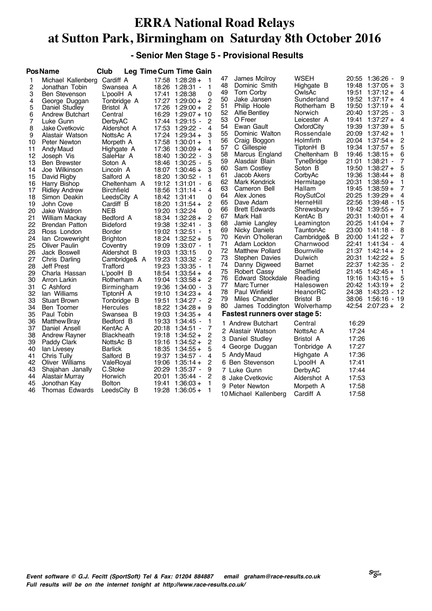#### **- Senior Men Stage 5 - Provisional Results**

|              | <b>PosName</b>        | Club              |       | Leg Time Cum Time Gain |                  |    |                                      |              |       |                        |      |
|--------------|-----------------------|-------------------|-------|------------------------|------------------|----|--------------------------------------|--------------|-------|------------------------|------|
| $\mathbf{1}$ | Michael Kallenberg    | Cardiff A         |       | $17:58$ 1:28:28 +      | -1               | 47 | James Mcilrov                        | <b>WSEH</b>  |       | 20:55 1:36:26 -        | 9    |
| 2            | Jonathan Tobin        | Swansea A         |       | 18:26 1:28:31 -        | 1                | 48 | Dominic Smith                        | Highgate B   |       | $19:48$ 1:37:05 +      | 3    |
| 3            | <b>Ben Stevenson</b>  | L'poolH A         |       | 17:41 1:28:38          | $\mathbf 0$      | 49 | Tom Corby                            | OwlsAc       |       | $19:51$ $1:37:12+$     | 4    |
| 4            | George Duggan         | Tonbridge A       |       | 17:27 1:29:00 +        | $\overline{2}$   | 50 | Jake Jansen                          | Sunderland   |       | $19:52$ $1:37:17+$     | 4    |
| 5            | Daniel Studley        | Bristol A         |       | 17:26 1:29:00 +        | 2                | 51 | Philip Hoole                         | Rotherham B  |       | $19:50$ $1:37:19+$     | 4    |
| 6            | Andrew Butchart       | Central           |       | 16:29 1:29:07 + 10     |                  | 52 | <b>Alfie Bentley</b>                 | Norwich      |       | 20:40 1:37:25 -        | 3    |
| 7            | Luke Gunn             | DerbyAC           |       | 17:44 1:29:15 -        | 2                | 53 | O Freer                              | Leicester A  | 19:41 | $1:37:27+$             | 4    |
| 8            | <b>Jake Cvetkovic</b> | Aldershot A       |       | 17:53 1:29:22 -        | $\boldsymbol{4}$ | 54 | Ewan Gault                           | OxfordCity   |       | 19:39 1:37:39 +        | 5    |
| 9            | Alastair Watson       | NottsAc A         |       | 17:24 1:29:34 +        | 3                | 55 | Dominic Walton                       | Rossendale   |       | 20:09 1:37:42 +        | 1    |
| 10           | Peter Newton          | Morpeth A         |       | $17:58$ 1:30:01 +      | 1                | 56 | Craig Boggon                         | Holmfirth    |       | 20:04 1:37:54 +        | 2    |
| 11           | Andy Maud             | Highgate A        |       | $17:36$ 1:30:09 +      | $\overline{4}$   | 57 | C Gillespie                          | TiptonH B    |       | $19:34$ 1:37:57 +      | 5    |
| 12           | Joseph Vis            | SaleHar A         |       | 18:40 1:30:22 -        | 3                | 58 | Marcus England                       | Cheltenham B |       | $19:46$ 1:38:15 +      | 6    |
| 13           | <b>Ben Brewster</b>   | Soton A           |       | 18:46 1:30:25 -        | 5                | 59 | Alasdair Blain                       | TyneBridge   | 21:01 | 1:38:21 -              | 7    |
| 14           | Joe Wilkinson         | Lincoln A         |       | $18:07$ 1:30:46 +      | 3                | 60 | Sam Costley                          | Soton B      |       | $19:50$ 1:38:27 +      | 5    |
| 15           | David Rigby           | Salford A         |       | 18:20 1:30:52 -        | 1                | 61 | Jacob Akers                          | CorbyAc      |       | $19:36$ 1:38:44 +      | 8    |
| 16           | Harry Bishop          | Cheltenham A      |       | 19:12 1:31:01 -        | 6                | 62 | Mark Kendrick                        | Hermitage    | 20:31 | $1:38:59+$             | 1    |
| 17           | <b>Ridley Andrew</b>  | <b>Birchfield</b> |       | 18:56 1:31:14 -        | 4                | 63 | Cameron Bell                         | Hallam       |       | $19:45$ 1:38:59 +      | 7    |
| 18           | Simon Deakin          | LeedsCity A       |       | 18:42 1:31:41          | 0                | 64 | Alex Jones                           | RoySutCol    |       | 20:25 1:39:29 +        | 4    |
| 19           | John Cove             | Cardiff B         |       | $18:20$ 1:31:54 +      | 2                | 65 | Dave Adam                            | HerneHill    |       | 22:56 1:39:48 - 15     |      |
| 20           | Jake Waldron          | <b>NEB</b>        |       | 19:20 1:32:24          | 0                | 66 | <b>Brett Edwards</b>                 | Shrewsbury   |       | $19:42$ 1:39:55 +      | 7    |
| 21           | <b>William Mackay</b> | Bedford A         |       | $18:34$ 1:32:28 +      | $\overline{2}$   | 67 | Mark Hall                            | KentAc B     | 20:31 | $1:40:01 +$            | 4    |
| 22           | Brendan Patton        | <b>Bideford</b>   |       | 19:38 1:32:41 -        | 3                | 68 | Jamie Langley                        | Leamington   |       | 20:25 1:41:04 +        | 7    |
| 23           | Ross London           | Border            |       | 19:02 1:32:51 -        | 1                | 69 | Nicky Daniels                        | TauntonAc    |       | 23:00 1:41:18 -        | 8    |
| 24           | lan Crowewright       | <b>Brighton</b>   |       | 18:24 1:32:52 +        | 5                | 70 | Kevin O'holleran                     | Cambridge& B |       | $20:00$ 1:41:22 +      |      |
| 25           | <b>Oliver Paulin</b>  | Coventry          |       | 19:09 1:33:07 -        | $\mathbf{1}$     | 71 | Adam Lockton                         | Charnwood    | 22:41 | - 1:41:34 -            | 4    |
| 26           | Jack Boswell          | Aldershot B       |       | 19:03 1:33:15          | $\mathbf 0$      | 72 | <b>Matthew Pollard</b>               | Bournville   |       | $21:37$ 1:42:14 +      | 2    |
| 27           | Chris Darling         | Cambridge& A      |       | 19:23 1:33:32 -        | 2                | 73 | Stephen Davies                       | Dulwich      |       | 20:31 1:42:22 +        | 5    |
| 28           | Jeff Prest            | Trafford          |       | 19:23 1:33:35 -        | 1                | 74 | Danny Digweed                        | Barnet       |       | 22:37 1:42:35 -        | 2    |
| 29           | Charla Hassan         | L'poolH B         |       | $18:54$ 1:33:54 +      | 4                | 75 | Robert Cassy                         | Sheffield    |       | $21:45$ 1:42:45 +      |      |
| 30           | Arron Larkin          | Rotherham A       |       | $19:04$ 1:33:58 +      | $\overline{c}$   | 76 | Edward Stockdale                     | Reading      |       | $19:16$ 1:43:15 +      | 5    |
| 31           | C Ashford             | Birmingham        |       | 19:36 1:34:00 -        | 3                | 77 | Marc Turner                          | Halesowen    |       | $20:42 \quad 1:43:19+$ |      |
| 32           | lan Williams          | TiptonH A         |       | $19:10$ $1:34:23 +$    | $\overline{4}$   | 78 | Paul Winfield                        | HeanorRC     |       | 24:38 1:43:23          | - 12 |
| 33           | <b>Stuart Brown</b>   | Tonbridge B       |       | 19:51 1:34:27 -        | 2                | 79 | Miles Chandler                       | Bristol B    |       | 38:06 1:56:16 - 19     |      |
| 34           | Ben Toomer            | Hercules          |       | 18:22 1:34:28 +        | 9                | 80 | James Toddington                     | Wolverhamp   |       | $42:54$ $2:07:23+$     | - 2  |
| 35           | Paul Tobin            | Swansea B         |       | $19:03$ 1:34:35 +      | 4                |    | <b>Fastest runners over stage 5:</b> |              |       |                        |      |
| 36           | <b>Matthew Bray</b>   | Bedford B         |       | 19:33 1:34:45 -        | 1                |    | 1 Andrew Butchart                    | Central      | 16:29 |                        |      |
| 37           | Daniel Ansell         | KentAc A          |       | 20:18 1:34:51 -        | 7                |    | 2 Alastair Watson                    | NottsAc A    | 17:24 |                        |      |
| 38           | <b>Andrew Rayner</b>  | Blackheath        |       | $19:18$ 1:34:52 +      | $\overline{2}$   |    | 3 Daniel Studley                     | Bristol A    | 17:26 |                        |      |
| 39           | Paddy Clark           | NottsAc B         |       | $19:16$ 1:34:52 +      | 2                |    | 4 George Duggan                      | Tonbridge A  | 17:27 |                        |      |
| 40           | lan Livesey           | <b>Barlick</b>    |       | $18:35$ 1:34:55 +      | 5                |    |                                      |              |       |                        |      |
| 41           | Chris Tully           | Salford B         |       | 19:37 1:34:57 -        | 4                |    | 5 Andy Maud                          | Highgate A   | 17:36 |                        |      |
| 42           | Oliver Williams       | ValeRoyal         |       | $19:06$ 1:35:14 +      | 2                |    | 6 Ben Stevenson                      | L'poolH A    | 17:41 |                        |      |
| 43           | Shajahan Janally      | C.Stoke           |       | 20:29 1:35:37 -        | 9                |    | 7 Luke Gunn                          | DerbyAC      | 17:44 |                        |      |
| 44           | Alastair Murray       | Horwich           |       | 20:01 1:35:44 -        | 2                |    | 8 Jake Cvetkovic                     | Aldershot A  | 17:53 |                        |      |
| 45           | Jonothan Kay          | <b>Bolton</b>     | 19:41 | $1:36:03+$             | 1                |    | 9 Peter Newton                       | Morpeth A    | 17:58 |                        |      |
| 46           | Thomas Edwards        | LeedsCity B       |       | $19:28$ 1:36:05 +      | 1                |    | 10 Michael Kallenberg                | Cardiff A    | 17:58 |                        |      |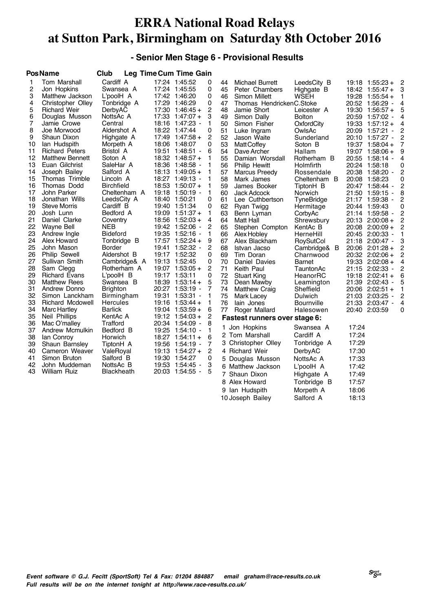#### **- Senior Men Stage 6 - Provisional Results**

|              | <b>PosName</b>                   | Club                   |               | Leg Time Cum Time Gain                 |        |          |                                |                       |       |                                           |                |
|--------------|----------------------------------|------------------------|---------------|----------------------------------------|--------|----------|--------------------------------|-----------------------|-------|-------------------------------------------|----------------|
| $\mathbf{1}$ | Tom Marshall                     | Cardiff A              |               | 17:24 1:45:52                          | 0      | 44       | Michael Burrett                | LeedsCity B           |       | $19:18$ 1:55:23 +                         | $\overline{c}$ |
| 2            | Jon Hopkins                      | Swansea A              |               | 17:24 1:45:55                          | 0      | 45       | Peter Chambers                 | Highgate B            |       | $18:42$ 1:55:47 +                         | 3              |
| 3            | Matthew Jackson                  | L'poolH A              |               | 17:42 1:46:20                          | 0      | 46       | Simon Millett                  | <b>WSEH</b>           |       | 19:28 1:55:54 +                           | 1              |
| 4            | Christopher Olley                | Tonbridge A            |               | 17:29 1:46:29                          | 0      | 47       | Thomas HendrickenC.Stoke       |                       |       | 20:52 1:56:29 -                           | 4              |
| 5            | <b>Richard Weir</b>              | DerbyAC                |               | $17:30$ 1:46:45 +                      | 2      | 48       | Jamie Short                    | Leicester A           |       | $19:30$ 1:56:57 +                         | 5              |
| 6            | Douglas Musson                   | NottsAc A              |               | $17:33$ $1:47:07 +$                    | 3      | 49       | Simon Dally                    | <b>Bolton</b>         |       | 20:59 1:57:02 -                           | 4              |
| 7            | Jamie Crowe                      | Central                |               | 18:16 1:47:23 -                        | 1      | 50       | Simon Fisher                   | OxfordCity            |       | $19:33$ $1:57:12 +$                       | 4              |
| 8            | Joe Morwood                      | Aldershot A            |               | 18:22 1:47:44                          | 0      | 51       | Luke Ingram                    | OwlsAc                |       | 20:09 1:57:21<br>$\overline{\phantom{a}}$ | 2              |
| 9            | Shaun Dixon                      | Highgate A             |               | $17:49$ 1:47:58 +                      | 2      | 52       | Jason Waite                    | Sunderland            |       | 20:10 1:57:27 -                           | 2              |
| 10           | lan Hudspith                     | Morpeth A              |               | 18:06 1:48:07                          | 0      | 53       | <b>MattCoffey</b>              | Soton B               |       | 19:37 1:58:04 +                           | 7              |
| 11           | <b>Richard Peters</b>            | Bristol A              |               | 19:51 1:48:51 -                        | 6      | 54       | Dave Archer                    | Hallam                |       | 19:07 1:58:06 +                           | 9              |
| 12           | <b>Matthew Bennett</b>           | Soton A                |               | $18:32$ 1:48:57 +                      | 1      | 55       | Damian Worsdall                | Rotherham B           |       | 20:55 1:58:14 -                           | 4              |
| 13           | Euan Gilchrist                   | SaleHar A              |               | 18:36 1:48:58 -                        | 1      | 56       | <b>Philip Hewitt</b>           | Holmfirth             |       | 20:24 1:58:18                             | 0              |
| 14           | Joseph Bailey                    | Salford A              |               | $18:13$ 1:49:05 +                      | 1      | 57       | Marcus Preedy                  | Rossendale            |       | 20:38 1:58:20 -                           | 2              |
| 15           | Thomas Trimble                   | Lincoln A              |               | 18:27 1:49:13 -                        | 1      | 58       | Mark James                     | Cheltenham B          |       | 20:08 1:58:23                             | 0              |
| 16           | Thomas Dodd                      | <b>Birchfield</b>      |               | $18:53$ 1:50:07 +                      | 1      | 59       | James Booker                   | TiptonH B             |       | 20:47 1:58:44 -                           | 2              |
| 17           | John Parker                      | Cheltenham A           |               | 19:18 1:50:19 -                        | 1      | 60       | Jack Adcock                    | Norwich               |       | 21:50 1:59:15 -                           | 8              |
| 18           | Jonathan Wills                   | LeedsCity A            |               | 18:40 1:50:21                          | 0      | 61       | Lee Cuthbertson                | TyneBridge            |       | 21:17 1:59:38 -                           | 2              |
| 19           | <b>Steve Morris</b>              | Cardiff B              |               | 19:40 1:51:34                          | 0      | 62       | Ryan Twigg                     | Hermitage             |       | 20:44 1:59:43                             | 0              |
| 20<br>21     | Josh Lunn<br>Daniel Clarke       | Bedford A              |               | $19:09$ 1:51:37 +<br>$18:56$ 1:52:03 + | 1<br>4 | 63       | Benn Lyman                     | CorbyAc               |       | 21:14 1:59:58 -                           | 2              |
| 22           |                                  | Coventry<br><b>NEB</b> |               | 19:42 1:52:06 -                        | 2      | 64<br>65 | Matt Hall                      | Shrewsbury            |       | 20:13 2:00:08 +                           | 2<br>2         |
| 23           | Wayne Bell<br>Andrew Ingle       | <b>Bideford</b>        |               | 19:35 1:52:16 -                        | 1      | 66       | Stephen Compton<br>Alex Hobley | KentAc B<br>HerneHill |       | 20:08 2:00:09 +<br>20:45 2:00:33 -        | 1              |
| 24           | Alex Howard                      | Tonbridge B            |               | 17:57 1:52:24 +                        | 9      | 67       | Alex Blackham                  | RoySutCol             |       | 21:18 2:00:47 -                           | 3              |
| 25           | John Mason                       | Border                 |               | 19:41 1:52:32 -                        | 2      | 68       | Istvan Jacso                   | B<br>Cambridge&       |       | $20:06$ $2:01:28 +$                       | 2              |
| 26           | <b>Philip Sewell</b>             | Aldershot B            |               | 19:17 1:52:32                          | 0      | 69       | Tim Doran                      | Charnwood             |       | 20:32 2:02:06 +                           | $\overline{2}$ |
| 27           | Sullivan Smith                   | Cambridge& A           |               | 19:13 1:52:45                          | 0      | 70       | Daniel Davies                  | Barnet                |       | 19:33 2:02:08 +                           | 4              |
| 28           | Sam Clegg                        | Rotherham A            |               | $19:07$ 1:53:05 +                      | 2      | 71       | Keith Paul                     | TauntonAc             |       | 21:15 2:02:33 -                           | 2              |
| 29           | <b>Richard Evans</b>             | L'poolH B              | 19:17 1:53:11 |                                        | 0      | 72       | <b>Stuart King</b>             | HeanorRC              |       | $19:18$ 2:02:41 +                         | 6              |
| 30           | <b>Matthew Rees</b>              | Swansea B              |               | $18:39$ 1:53:14 +                      | 5      | 73       | Dean Mawby                     | Leamington            |       | 21:39 2:02:43 -                           | 5              |
| 31           | Andrew Donno                     | <b>Brighton</b>        |               | 20:27 1:53:19 -                        | 7      | 74       | <b>Matthew Craig</b>           | Sheffield             |       | 20:06 2:02:51 +                           | 1              |
| 32           | Simon Lanckham                   | Birmingham             |               | 19:31 1:53:31 -                        | 1      | 75       | Mark Lacey                     | Dulwich               |       | 21:03 2:03:25 -                           | 2              |
| 33           | Richard Mcdowell                 | Hercules               |               | $19:16$ 1:53:44 +                      | 1      | 76       | lain Jones                     | Bournville            |       | 21:33 2:03:47 -                           | 4              |
| 34           | <b>Marc Hartley</b>              | <b>Barlick</b>         |               | $19:04$ 1:53:59 +                      | 6      | 77       | Roger Mallard                  | Halesowen             |       | 20:40 2:03:59                             | 0              |
| 35           | <b>Neil Phillips</b>             | KentAc A               |               | $19:12$ 1:54:03 +                      | 2      |          | Fastest runners over stage 6:  |                       |       |                                           |                |
| 36           | Mac O'malley                     | Trafford               |               | 20:34 1:54:09 -                        | 8      |          | 1 Jon Hopkins                  | Swansea A             | 17:24 |                                           |                |
| 37           | Andrew Mcmulkin                  | Bedford B              |               | 19:25 1:54:10 -                        | 1      |          | 2 Tom Marshall                 | Cardiff A             | 17:24 |                                           |                |
| 38           | lan Conroy                       | Horwich                |               | $18:27$ 1:54:11 +                      | 6      |          | 3 Christopher Olley            | Tonbridge A           | 17:29 |                                           |                |
| 39<br>40     | Shaun Barnsley<br>Cameron Weaver | TiptonH A              |               | 19:56 1:54:19 -<br>$19:13$ 1:54:27 +   | 7<br>2 |          | 4 Richard Weir                 | DerbyAC               | 17:30 |                                           |                |
| 41           | Simon Bruton                     | ValeRoyal<br>Salford B |               | 19:30 1:54:27                          | 0      |          | 5 Douglas Musson               | NottsAc A             | 17:33 |                                           |                |
| 42           | John Muddeman                    | NottsAc B              |               | 19:53 1:54:45 -                        | 3      |          |                                |                       |       |                                           |                |
| 43           | <b>William Ruiz</b>              | <b>Blackheath</b>      |               | 20:03 1:54:55 -                        | 5      |          | 6 Matthew Jackson              | L'poolH A             | 17:42 |                                           |                |
|              |                                  |                        |               |                                        |        |          | 7 Shaun Dixon                  | Highgate A            | 17:49 |                                           |                |
|              |                                  |                        |               |                                        |        | 8        | Alex Howard                    | Tonbridge B           | 17:57 |                                           |                |
|              |                                  |                        |               |                                        |        |          | 9 Ian Hudspith                 | Morpeth A             | 18:06 |                                           |                |

10 Joseph Bailey Salford A 18:13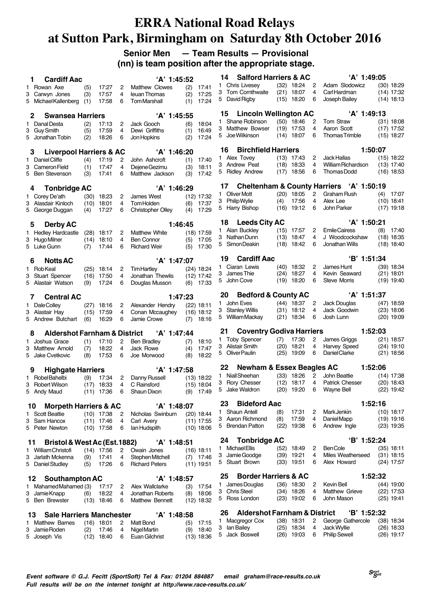#### **Senior Men — Team Results — Provisional (nn) is team position after the appropriate stage.**

|              | <b>Cardiff Aac</b><br>1.                     |      |                       |                     | 'A' 1:45:52                        |     |                             |         | <b>Salford Harriers &amp; AC</b><br>14          |      |                              |                | 'A' 1:49:05              |     |                              |
|--------------|----------------------------------------------|------|-----------------------|---------------------|------------------------------------|-----|-----------------------------|---------|-------------------------------------------------|------|------------------------------|----------------|--------------------------|-----|------------------------------|
| 1            | Rowan Axe                                    | (5)  | 17:27                 | 2                   | <b>Matthew Clowes</b>              | (2) | 17:41                       | 1.      | Chris Livesey                                   |      | $(32)$ 18:24                 | 2              | Adam Slodowicz           |     | $(30)$ 18:29                 |
| 3            | Carwyn Jones                                 | (3)  | 17:57                 | 4                   | leuan Thomas                       | (2) | 17:25                       | 3       | Tom Cornthwaite                                 | (21) | 18:07                        | 4              | Carl Hardman             |     | $(14)$ 17:32                 |
|              | 5 Michael Kallenberg                         | (1)  | 17:58                 | 6                   | <b>TomMarshall</b>                 | (1) | 17:24                       |         | 5 David Rigby                                   |      | $(15)$ 18:20                 | 6              | Joseph Bailey            |     | $(14)$ 18:13                 |
|              |                                              |      |                       |                     |                                    |     |                             |         |                                                 |      |                              |                | 'A' 1:49:13              |     |                              |
|              | <b>Swansea Harriers</b><br>2                 |      |                       |                     | 'A' 1:45:55                        |     |                             |         | <b>Lincoln Wellington AC</b><br>15              |      |                              |                |                          |     |                              |
| 1            | Danal Desta                                  | (2)  | 17:13                 | 2                   | Jack Gooch                         | (6) | 18:04                       | 1.<br>3 | Shane Robinson<br><b>Matthew Bowser</b>         |      | $(50)$ 18:46<br>$(19)$ 17:53 | 2<br>4         | Tom Straw<br>Aaron Scott |     | $(31)$ 18:08<br>$(17)$ 17:52 |
|              | 3 Guy Smith                                  | (5)  | 17:59                 | $\overline{4}$      | Dewi Griffiths                     | (1) | 16:49                       |         | 5 Joe Wilkinson                                 |      | $(14)$ 18:07                 | 6              | <b>Thomas Trimble</b>    |     | $(15)$ 18:27                 |
|              | 5 Jonathan Tobin                             | (2)  | 18:26                 | 6                   | Jon Hopkins                        | (2) | 17:24                       |         |                                                 |      |                              |                |                          |     |                              |
|              | <b>Liverpool Harriers &amp; AC</b><br>3      |      |                       |                     | 'A' 1:46:20                        |     |                             |         | <b>Birchfield Harriers</b><br>16                |      |                              |                | 1:50:07                  |     |                              |
| 1.           | Daniel Cliffe                                | (4)  | 17:19                 | 2                   | John Ashcroft                      | (1) | 17:40                       |         | 1 Alex Tovey                                    |      | $(13)$ 17:43                 | 2              | Jack Hallas              |     | $(15)$ 18:22                 |
| 3            | Cameron Field                                | (1)  | 17:47                 | 4                   | Dejene Gezimu                      | (3) | 18:11                       |         | 3 Andrew Peat                                   |      | $(18)$ 18:33                 | 4              | William Richardson       |     | $(13)$ 17:40                 |
|              | 5 Ben Stevenson                              | (3)  | 17:41                 | 6                   | Matthew Jackson                    | (3) | 17:42                       |         | 5 Ridley Andrew                                 |      | $(17)$ 18:56                 | 6              | <b>Thomas Dodd</b>       |     | $(16)$ 18:53                 |
|              |                                              |      |                       |                     |                                    |     |                             |         | <b>Cheltenham &amp; County Harriers</b><br>17   |      |                              |                | 'A' 1:50:19              |     |                              |
|              | <b>Tonbridge AC</b><br>4                     |      |                       |                     | 'A' 1:46:29                        |     |                             |         | 1 Oliver Mott                                   |      | $(20)$ 18:05                 | 2              | <b>Graham Rush</b>       | (4) | 17:07                        |
|              | 1 Corey De'ath                               | (30) | 18:23                 | 2                   | James West                         |     | $(12)$ 17:32                |         | 3 Philip Wylie                                  | (4)  | 17:56                        | 4              | Alex Lee                 |     | $(10)$ 18:41                 |
|              | 3 Alasdair Kinloch                           | (10) | 18:01                 | 4                   | <b>TomHolden</b>                   | (6) | 17:37                       |         | 5 Harry Bishop                                  |      | $(16)$ 19:12                 | 6              | John Parker              |     | $(17)$ 19:18                 |
|              | 5 George Duggan                              | (4)  | 17:27                 | 6                   | <b>Christopher Olley</b>           | (4) | 17:29                       |         |                                                 |      |                              |                |                          |     |                              |
|              | <b>Derby AC</b><br>5                         |      |                       |                     | 1:46:45                            |     |                             |         | <b>Leeds City AC</b><br>18                      |      |                              |                | 'A' 1:50:21              |     |                              |
|              | 1 Hedley Hardcastle                          |      | $(28)$ 18:17          | 2                   | Matthew White                      |     | $(18)$ 17:59                |         | 1 Alan Buckley                                  |      | $(15)$ 17:57                 | 2              | <b>Emile Cairess</b>     | (8) | 17:40                        |
|              | 3 Hugo Milner                                |      | $(14)$ 18:10          | 4                   | <b>Ben Connor</b>                  | (5) | 17:05                       |         | 3 Nathan Dunn                                   | (13) | 18:47                        | 4              | J Woodcockshaw           |     | $(18)$ 18:35                 |
| 5            | Luke Gunn                                    | (7)  | 17:44                 | 6                   | <b>Richard Weir</b>                | (5) | 17:30                       |         | 5 Simon Deakin                                  | (18) | 18:42                        | 6              | Jonathan Wills           |     | $(18)$ 18:40                 |
|              |                                              |      |                       |                     |                                    |     |                             |         | <b>Cardiff Aac</b><br>19                        |      |                              |                | B' 1:51:34               |     |                              |
|              | <b>Notts AC</b><br>6                         |      |                       |                     | 'A' 1:47:07                        |     |                             |         | 1 Ciaran Lewis                                  |      | $(40)$ 18:32                 | 2              | James Hunt               |     | $(39)$ 18:34                 |
| 1.           | <b>RobKeal</b>                               |      | $(25)$ 18:14          | 2                   | <b>Tim Hartley</b>                 |     | $(24)$ 18:24                |         | 3 James Thie                                    | (24) | 18:27                        | 4              | Kevin Seaward            |     | $(21)$ 18:01                 |
| З            | <b>Stuart Spencer</b><br>5 Alastair Watson   | (9)  | $(16)$ 17:50<br>17:24 | $\overline{4}$<br>6 | Jonathan Thewlis<br>Douglas Musson |     | $(12)$ 17:42<br>$(6)$ 17:33 |         | 5 John Cove                                     | (19) | 18:20                        | 6              | <b>Steve Morris</b>      |     | $(19)$ 19:40                 |
|              |                                              |      |                       |                     |                                    |     |                             |         |                                                 |      |                              |                |                          |     |                              |
|              | <b>Central AC</b><br>7                       |      |                       |                     | 1:47:23                            |     |                             |         | <b>Bedford &amp; County AC</b><br>20            |      |                              |                | 'A' 1:51:37              |     |                              |
| $\mathbf{1}$ | Dale Colley                                  | (27) | 18:16                 | 2                   | Alexander Hendry                   |     | $(22)$ 18:11                |         | 1 John Eves                                     |      | (44) 18:37                   | 2              | Jack Douglas             |     | $(47)$ 18:59                 |
|              | 3 Alastair Hay                               | (15) | 17:59                 | 4                   | Conan Mccaughey                    |     | (16) 18:12                  | 3       | <b>Stanley Willis</b>                           | (31) | 18:12                        | 4              | Jack Goodwin             |     | $(23)$ 18:06                 |
|              | 5 Andrew Butchart                            | (6)  | 16:29                 | 6                   | Jamie Crowe                        | (7) | 18:16                       |         | 5 William Mackay                                |      | $(21)$ 18:34                 | 6              | Josh Lunn                |     | $(20)$ 19:09                 |
|              | <b>Aldershot Farnham &amp; District</b><br>8 |      |                       |                     | 'A' 1:47:44                        |     |                             | 21      | <b>Coventry Godiva Harriers</b>                 |      |                              |                | 1:52:03                  |     |                              |
| 1.           | Joshua Grace                                 | (1)  | 17:10                 | 2                   | <b>Ben Bradley</b>                 | (7) | 18:10                       |         | 1 Toby Spencer                                  | (7)  | 17:30                        | 2              | James Griggs             |     | $(21)$ 18:57                 |
| 3            | Matthew Arnold                               | (7)  | 18:22                 | 4                   | Jack Rowe                          | (4) | 17:47                       |         | 3 Alistair Smith                                | (20) | 18:21                        | 4              | Harvey Speed             |     | $(24)$ 19:10                 |
|              | 5 Jake Cvetkovic                             | (8)  | 17:53                 | 6                   | Joe Morwood                        | (8) | 18:22                       |         | 5 Oliver Paulin                                 |      | $(25)$ 19:09                 | 6              | Daniel Clarke            |     | $(21)$ 18:56                 |
|              |                                              |      |                       |                     |                                    |     |                             |         |                                                 |      |                              |                |                          |     |                              |
|              | <b>Highgate Harriers</b><br>9                |      |                       |                     | 'A' 1:47:58                        |     |                             | 1.      | Newham & Essex Beagles AC<br>22<br>NiallSheehan |      | $(33)$ 18:26                 | $\overline{2}$ | 1:52:06<br>John Beattie  |     | $(14)$ 17:38                 |
| 1.           | Robel Bahelbi                                | (9)  | 17:34                 | 2                   | Danny Russell                      |     | $(13)$ 18:22                |         | 3 Rory Chesser                                  | (12) | 18:17                        | 4              | <b>Patrick Chesser</b>   |     | $(20)$ 18:43                 |
| 3            | <b>Robert Wilson</b>                         | (17) | 18:33<br>$(11)$ 17:36 | 4<br>6              | C Rainsford<br>Shaun Dixon         |     | $(15)$ 18:04<br>$(9)$ 17:49 |         | 5 Jake Waldron                                  |      | $(20)$ 19:20                 | 6              | Wayne Bell               |     | $(22)$ 19:42                 |
|              | 5 Andy Maud                                  |      |                       |                     |                                    |     |                             |         |                                                 |      |                              |                |                          |     |                              |
|              | <b>Morpeth Harriers &amp; AC</b><br>10       |      |                       |                     | 'A' 1:48:07                        |     |                             |         | <b>Bideford Aac</b><br>23                       |      |                              |                | 1:52:16                  |     |                              |
|              | 1 Scott Beattie                              |      | $(10)$ 17:38          | 2                   | Nicholas Swinburn                  |     | $(20)$ 18:44                | 1.      | <b>Shaun Antell</b>                             | (8)  | 17:31                        | 2              | <b>MarkJenkin</b>        |     | $(10)$ 18:17                 |
|              | 3 Sam Hancox                                 |      | $(11)$ 17:46          | 4                   | Carl Avery                         |     | $(11)$ 17:55                |         | 3 Aaron Richmond<br>5 Brendan Patton            | (8)  | 17:59                        | 4<br>6         | Daniel Mapp              |     | $(19)$ 19:16                 |
|              | 5 Peter Newton                               |      | $(10)$ 17:58          | 6                   | lan Hudspith                       |     | $(10)$ 18:06                |         |                                                 | (22) | 19:38                        |                | Andrew Ingle             |     | $(23)$ 19:35                 |
| 11           | Bristol & West Ac (Est. 1882)                |      |                       |                     | 'A' 1:48:51                        |     |                             |         | <b>Tonbridge AC</b><br>24                       |      |                              |                | 'B' 1:52:24              |     |                              |
| 1.           | William Christofi                            |      | $(14)$ 17:56          | $\overline{c}$      | Owain Jones                        |     | $(16)$ 18:11                |         | 1 Michael Ellis                                 |      | $(52)$ 18:49                 | 2              | <b>BenCole</b>           |     | $(35)$ 18:11                 |
|              | 3 Jarlath Mckenna                            | (9)  | 17:41                 | 4                   | Stephen Mitchell                   |     | $(7)$ 17:46                 |         | 3 Jamie Goodge                                  |      | $(39)$ 19:21                 | 4              | Miles Weatherseed        |     | $(31)$ 18:15                 |
|              | 5 Daniel Studley                             | (5)  | 17:26                 | 6                   | <b>Richard Peters</b>              |     | $(11)$ 19:51                |         | 5 Stuart Brown                                  |      | $(33)$ 19:51                 | 6              | Alex Howard              |     | $(24)$ 17:57                 |
|              |                                              |      |                       |                     |                                    |     |                             |         |                                                 |      |                              |                |                          |     |                              |
|              | Southampton AC<br>12                         |      |                       |                     | 'A' 1:48:57                        |     |                             |         | <b>Border Harriers &amp; AC</b><br>25           |      |                              |                | 1:52:32                  |     |                              |
| 1            | Mahamed Mahamed (3)                          |      | 17:17                 | 2                   | Alex Wallclarke                    |     | $(3)$ 17:54                 |         | 1 James Douglas                                 |      | $(36)$ 18:30                 | 2              | Kevin Bell               |     | $(44)$ 19:00                 |
|              | 3 Jamie Knapp                                | (6)  | 18:22                 | $\overline{4}$      | Jonathan Roberts                   |     | $(8)$ 18:06                 |         | 3 Chris Steel                                   |      | $(34)$ 18:26                 | 4<br>6         | Matthew Grieve           |     | $(22)$ 17:53                 |
|              | 5 Ben Brewster                               |      | $(13)$ 18:46          | 6                   | Matthew Bennett                    |     | $(12)$ 18:32                |         | 5 Ross London                                   |      | $(23)$ 19:02                 |                | John Mason               |     | $(25)$ 19:41                 |
|              | <b>Sale Harriers Manchester</b><br>13        |      |                       |                     | 'A' 1:48:58                        |     |                             |         | <b>Aldershot Farnham &amp; District</b><br>26   |      |                              |                | B' 1:52:32               |     |                              |
| 1.           | <b>Matthew Barnes</b>                        |      | $(16)$ 18:01          | 2                   | <b>Matt Bond</b>                   |     | $(5)$ 17:15                 |         | 1 Macgregor Cox                                 |      | $(38)$ 18:31                 | 2              | George Gathercole        |     | $(38)$ 18:34                 |
|              | 3 Jamie Roden                                | (2)  | 17:46                 | 4                   | Nigel Martin                       |     | $(9)$ 18:40                 |         | 3 Ian Bailey                                    |      | $(25)$ 18:34                 | 4              | Jack Wyllie              |     | $(26)$ 18:33                 |
|              | 5 Joseph Vis                                 |      | $(12)$ 18:40          | 6                   | Euan Gilchrist                     |     | $(13)$ 18:36                |         | 5 Jack Boswell                                  |      | $(26)$ 19:03                 | 6              | <b>Philip Sewell</b>     |     | $(26)$ 19:17                 |

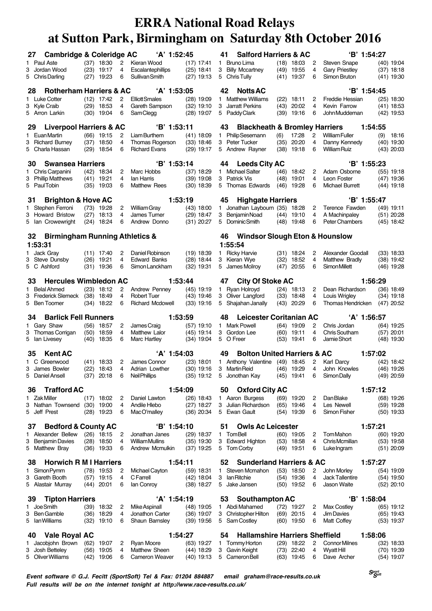|    | <b>Cambridge &amp; Coleridge AC</b><br>27                  |                              |          | 'A' 1:52:45                                    |                                           | 41              | <b>Salford Harriers &amp; AC</b>                        |      |                              |        |                                      | 'B' 1:54:27 |              |                              |
|----|------------------------------------------------------------|------------------------------|----------|------------------------------------------------|-------------------------------------------|-----------------|---------------------------------------------------------|------|------------------------------|--------|--------------------------------------|-------------|--------------|------------------------------|
|    | 1 Paul Aste                                                | $(37)$ 18:30                 | 2        | Kieran Wood                                    | (17) 17:41                                |                 | 1 Bruno Lima                                            |      | $(18)$ 18:03                 | 2      | Steven Snape                         |             |              | (40) 19:04                   |
|    | 3 Jordan Wood                                              | $(23)$ 19:17                 | 4        | Escalantephillips                              | $(25)$ 18:41                              |                 | 3 Billy Mccartney                                       |      | $(49)$ 19:55                 | 4      | <b>Gary Priestley</b>                |             |              | $(37)$ 18:18                 |
|    | 5 Chris Darling                                            | $(27)$ 19:23                 | 6        | Sullivan Smith                                 | $(27)$ 19:13                              |                 | 5 Chris Tully                                           |      | $(41)$ 19:37                 | 6      | Simon Bruton                         |             |              | $(41)$ 19:30                 |
|    | <b>Rotherham Harriers &amp; AC</b><br>28                   |                              |          | 'A' 1:53:05                                    |                                           | 42              | <b>Notts AC</b>                                         |      |                              |        |                                      | 'B' 1:54:45 |              |                              |
|    | 1 Luke Cotter                                              | $(12)$ 17:42                 | 2        | <b>Elliott Smales</b>                          | (28) 19:09                                |                 | 1 Matthew Williams                                      |      | $(22)$ 18:11                 | 2      | Freddie Hessian                      |             |              | $(25)$ 18:30                 |
|    | 3 Kyle Craib<br>5 Arron Larkin                             | $(29)$ 18:53<br>$(30)$ 19:04 | 4<br>6   | Gareth Sampson<br>SamClegg                     | $(32)$ 19:10<br>$(28)$ 19:07              |                 | 3 Jarratt Perkins<br>5 Paddy Clark                      | (43) | 20:02<br>(39) 19:16          | 4<br>6 | Kevin Farrow<br>John Muddeman        |             |              | (41) 18:53<br>$(42)$ 19:53   |
|    |                                                            |                              |          |                                                |                                           |                 |                                                         |      |                              |        |                                      |             |              |                              |
|    | <b>Liverpool Harriers &amp; AC</b><br>29                   |                              |          | 'B' 1:53:11                                    |                                           | 43              | <b>Blackheath &amp; Bromley Harriers</b>                |      |                              |        |                                      | 1:54:55     |              |                              |
|    | 1 Euan Martin                                              | $(66)$ 19:15                 | 2        | Liam Burthem                                   | $(41)$ 18:09                              |                 | 1 Philip Sesemann                                       | (6)  | 17:28                        | 2<br>4 | <b>William Fuller</b>                |             | (9)          | 18:16                        |
|    | 3 Richard Burney<br>5 Charla Hassan                        | $(37)$ 18:50<br>$(29)$ 18:54 | 4<br>6   | <b>Thomas Rogerson</b><br><b>Richard Evans</b> | $(33)$ 18:46<br>$(29)$ 19:17              |                 | 3 Peter Tucker<br>5 Andrew Rayner                       | (35) | 20:20<br>$(38)$ 19:18        | 6      | Danny Kennedy<br><b>William Ruiz</b> |             |              | (40) 19:30<br>(43) 20:03     |
|    |                                                            |                              |          |                                                |                                           |                 |                                                         |      |                              |        |                                      |             |              |                              |
|    | <b>Swansea Harriers</b><br>30<br>1 Chris Carpanini         | $(42)$ 18:34                 | 2        | 'B' 1:53:14<br>Marc Hobbs                      | $(37)$ 18:29                              | 44              | <b>Leeds City AC</b><br>1 Michael Salter                |      | $(46)$ 18:42                 | 2      | Adam Osborne                         | 'B' 1:55:23 |              | (55) 19:18                   |
|    | 3 Phillip Matthews                                         | $(41)$ 19:21                 | 4        | lan Harris                                     | $(39)$ 19:08                              |                 | 3 Patrick Vis                                           | (48) | 19:01                        | 4      | Leon Foster                          |             |              | (47) 19:36                   |
|    | 5 PaulTobin                                                | $(35)$ 19:03                 | 6        | Matthew Rees                                   | $(30)$ 18:39                              |                 | 5 Thomas Edwards                                        |      | $(46)$ 19:28                 | 6      | Michael Burrett                      |             |              | $(44)$ 19:18                 |
| 31 | <b>Brighton &amp; Hove AC</b>                              |                              |          | 1:53:19                                        |                                           | 45              | <b>Highgate Harriers</b>                                |      |                              |        |                                      | B' 1:55:47  |              |                              |
|    | 1 Stephen Ferroni                                          | $(73)$ 19:28                 | 2        | William Gray                                   | $(43)$ 18:00                              |                 | 1 Jonathan Laybourn (35) 18:28                          |      |                              | 2      | Terence Fawden                       |             |              | (49) 19:11                   |
|    | 3 Howard Bristow                                           | $(27)$ 18:13                 | 4        | James Turner                                   | $(29)$ 18:47                              |                 | 3 Benjamin Noad                                         |      | $(44)$ 19:10                 | 4      | A Machinpaley                        |             |              | $(51)$ 20:28                 |
|    | 5 Ian Crowewright                                          | $(24)$ 18:24                 | 6        | Andrew Donno                                   | $(31)$ 20:27                              |                 | 5 DominicSmith                                          |      | $(48)$ 19:48                 | 6      | Peter Chambers                       |             |              | (45) 18:42                   |
|    | <b>Birmingham Running Athletics &amp;</b><br>32            |                              |          |                                                |                                           | 46              | <b>Windsor Slough Eton &amp; Hounslow</b>               |      |                              |        |                                      |             |              |                              |
|    | 1:53:31                                                    |                              |          |                                                |                                           | 1:55:54         |                                                         |      |                              |        |                                      |             |              |                              |
|    | 1 Jack Gray                                                | $(11)$ 17:40                 | 2        | Daniel Robinson                                | $(19)$ 18:39                              |                 | 1 Ricky Harvie                                          |      | $(31)$ 18:24                 | 2<br>4 | Alexander Goodall                    |             |              | $(33)$ 18:33                 |
| 3  | Steve Dunsby<br>5 C Ashford                                | $(26)$ 19:21<br>$(31)$ 19:36 | 4<br>6   | <b>Edward Banks</b><br>Simon Lanckham          | $(28)$ 18:44<br>$(32)$ 19:31              |                 | 3 Kieran Wye<br>5 James Mcilroy                         |      | $(32)$ 18:52<br>$(47)$ 20:55 | 6      | Matthew Bradly<br>Simon Millett      |             |              | (38) 19:42<br>(46) 19:28     |
|    |                                                            |                              |          |                                                |                                           |                 |                                                         |      |                              |        |                                      |             |              |                              |
|    | <b>Hercules Wimbledon AC</b><br>33                         |                              |          | 1:53:44                                        |                                           | 47              | <b>City Of Stoke AC</b>                                 |      |                              |        |                                      | 1:56:29     |              |                              |
|    | 1 Belal Ahmed<br>3 Frederick Slemeck                       | $(23)$ 18:12<br>$(38)$ 18:49 | 2<br>4   | Andrew Penney<br><b>Robert Tuer</b>            | $(45)$ 19:19<br>$(43)$ 19:46              |                 | 1 Ryan Holroyd<br>3 Oliver Langford                     |      | $(24)$ 18:13<br>$(33)$ 18:48 | 2<br>4 | Dean Richardson<br>Louis Wrigley     |             |              | (36) 18:49<br>$(34)$ 19:18   |
|    | 5 Ben Toomer                                               | $(34)$ 18:22                 | 6        | <b>Richard Mcdowell</b>                        | $(33)$ 19:16                              |                 | 5 Shajahan Janally                                      |      | $(43)$ 20:29                 | 6      | Thomas Hendricken                    |             |              | $(47)$ 20:52                 |
|    | <b>Barlick Fell Runners</b><br>34                          |                              |          | 1:53:59                                        |                                           | 48              | <b>Leicester Coritanian AC</b>                          |      |                              |        |                                      | 'A' 1:56:57 |              |                              |
|    | 1 Gary Shaw                                                | $(56)$ 18:57                 | 2        | James Craig                                    | (57) 19:10                                |                 | 1 Mark Powell                                           |      | $(64)$ 19:09                 | 2      | Chris Jordan                         |             |              | (64) 19:25                   |
|    | 3 Thomas Corrigan                                          | $(50)$ 18:59                 | 4        | Matthew Lalor                                  | $(45)$ 19:14                              |                 | 3 Gordon Lee                                            |      | $(60)$ 19:11                 | 4      | Chris Southam                        |             |              | $(57)$ 20:01                 |
|    | 5 Ian Livesey                                              | $(40)$ 18:35                 | 6        | Marc Hartley                                   | $(34)$ 19:04                              | 5 O Freer       |                                                         |      | $(53)$ 19:41                 | 6      | Jamie Short                          |             |              | $(48)$ 19:30                 |
|    | <b>Kent AC</b><br>35                                       |                              |          | 'A' 1:54:03                                    |                                           | 49              | <b>Bolton United Harriers &amp; AC</b>                  |      |                              |        |                                      | 1:57:02     |              |                              |
|    | 1 C Greenwood                                              | $(41)$ 18:33                 | 2        | James Connor                                   | $(23)$ 18:01                              |                 | 1 Anthony Valentine                                     |      | $(49)$ 18:45                 | 2      | Karl Darcy                           |             |              | (42) 18:42                   |
|    | 3 James Bowler<br>5 Daniel Ansell                          | $(22)$ 18:43<br>$(37)$ 20:18 | 4<br>- 6 | Adrian Lowther<br>Neil Phillips                | $(30)$ 19:16<br>(35) 19:12 5 Jonothan Kay |                 | 3 Martin Reid                                           |      | $(46)$ 19:29<br>$(45)$ 19:41 | 4<br>6 | John Knowles<br>Simon Dally          |             |              | $(46)$ 19:26<br>$(49)$ 20:59 |
|    |                                                            |                              |          |                                                |                                           |                 |                                                         |      |                              |        |                                      |             |              |                              |
|    | <b>Trafford AC</b><br>36                                   |                              |          | 1:54:09                                        |                                           | 50              | <b>Oxford City AC</b>                                   |      |                              |        |                                      | 1:57:12     |              |                              |
|    | 1 Zak Miller<br>3 Nathan Townsend                          | $(17)$ 18:02                 | 2<br>4   | Daniel Lawton<br>Andile Hlebo                  | $(26)$ 18:43<br>$(27)$ 18:27              |                 | 1 Aaron Burgess<br>3 Julian Richardson                  |      | $(69)$ 19:20                 | 2<br>4 | Dan Blake<br>Les Newell              |             |              | $(68)$ 19:26                 |
|    | 5 Jeff Prest                                               | $(30)$ 19:00<br>$(28)$ 19:23 | 6        | MacO'malley                                    | $(36)$ 20:34                              |                 | 5 Ewan Gault                                            |      | $(65)$ 19:46<br>$(54)$ 19:39 | 6      | Simon Fisher                         |             |              | $(59)$ 19:28<br>$(50)$ 19:33 |
|    |                                                            |                              |          |                                                |                                           |                 |                                                         |      |                              |        |                                      |             |              |                              |
|    | <b>Bedford &amp; County AC</b><br>37<br>1 Alexander Bellew | $(26)$ 18:15                 | 2        | 'B' 1:54:10<br>Jonathan Janes                  | $(29)$ 18:37                              | 51<br>1 TomBell | <b>Owls Ac Leicester</b>                                |      | $(60)$ 19:05                 | 2      | TomMahon                             | 1:57:21     |              | $(60)$ 19:20                 |
| 3  |                                                            |                              |          | <b>William Mullins</b>                         |                                           |                 |                                                         |      |                              |        |                                      |             |              | $(53)$ 19:58                 |
|    |                                                            |                              | 4        |                                                |                                           |                 |                                                         |      |                              | 4      | Chris Mcmillan                       |             |              |                              |
|    | Benjamin Davies<br>5 Matthew Bray                          | $(28)$ 18:50<br>$(36)$ 19:33 | 6        | Andrew Mcmulkin                                | $(35)$ 19:30<br>$(37)$ 19:25              |                 | 3 Edward Highton<br>5 Tom Corby                         |      | $(53)$ 18:58<br>$(49)$ 19:51 | 6      | Luke Ingram                          |             | $(51)$ 20:09 |                              |
|    |                                                            |                              |          |                                                |                                           |                 |                                                         |      |                              |        |                                      |             |              |                              |
|    | <b>Horwich R M I Harriers</b><br>38<br>1 Simon Pymm        | $(78)$ 19:53                 | 2        | 1:54:11<br>Michael Cayton                      | $(59)$ 18:31                              | 52              | <b>Sunderland Harriers &amp; AC</b><br>1 Steven Mcmahon |      | $(53)$ 18:50                 | 2      | John Morley                          | 1:57:27     |              | (54) 19:09                   |
| 3  | Gareth Booth                                               | $(57)$ 19:15                 | 4        | C Farrell                                      | (42) 18:04                                |                 | 3 Ian Ritchie                                           |      | $(54)$ 19:36                 | 4      | <b>Jack Tallentire</b>               |             |              | $(54)$ 19:50                 |
|    | 5 Alastair Murray                                          | $(44)$ 20:01                 | 6        | lan Conroy                                     | $(38)$ 18:27                              |                 | 5 Jake Jansen                                           |      | $(50)$ 19:52                 | 6      | Jason Waite                          |             |              | $(52)$ 20:10                 |
|    | <b>Tipton Harriers</b><br>39                               |                              |          | 'A' 1:54:19                                    |                                           | 53              | <b>Southampton AC</b>                                   |      |                              |        |                                      | 'B' 1:58:04 |              |                              |
|    | 1 Joe Smith                                                | $(39)$ 18:32                 | 2        | Mike Aspinall                                  | $(48)$ 19:05                              |                 | 1 Abdi Mahamed                                          |      | $(72)$ 19:27                 | 2      | <b>Max Costley</b>                   |             |              | $(65)$ 19:12                 |
| 3  | Ben Gamble                                                 | $(36)$ 18:29                 | 4        | Jonathon Carter                                | $(36)$ 19:07                              |                 | 3 Christopher Hilton                                    |      | $(69)$ 20:15                 | 4      | <b>Jim Davies</b>                    |             |              | $(65)$ 19:43                 |
| 5  | lanWilliams                                                | $(32)$ 19:10                 | 6        | Shaun Barnsley                                 | $(39)$ 19:56                              |                 | 5 Sam Costley                                           |      | $(60)$ 19:50                 | 6      | Matt Coffey                          |             |              | $(53)$ 19:37                 |
|    | <b>Vale Royal AC</b><br>40                                 |                              |          | 1:54:27                                        |                                           | 54              | <b>Hallamshire Harriers Sheffield</b>                   |      |                              |        |                                      | 1:58:06     |              |                              |
|    | 1 Jacobjohn Brown                                          | $(62)$ 19:07                 | 2        | <b>Ryan Moore</b>                              | $(63)$ 19:27                              |                 | 1 Tommy Horton                                          |      | $(29)$ 18:22                 | 2      | <b>Connor Milnes</b>                 |             |              | $(32)$ 18:33                 |
|    | 3 Josh Betteley<br>5 Oliver Williams                       | $(56)$ 19:05<br>$(42)$ 19:06 | 4<br>6   | Matthew Sheen<br>Cameron Weaver                | $(44)$ 18:29<br>$(40)$ 19:13              |                 | 3 Gavin Keight<br>5 Cameron Bell                        |      | $(73)$ 22:40<br>$(63)$ 19:45 | 4<br>6 | Wyatt Hill<br>Dave Archer            |             |              | $(70)$ 19:39<br>$(54)$ 19:07 |

**Event software © G.J. Fecitt (SportSoft) Tel & Fax: 01204 884887 email graham@race-results.co.uk Full results will be on the internet tonight at http://www.race-results.co.uk/**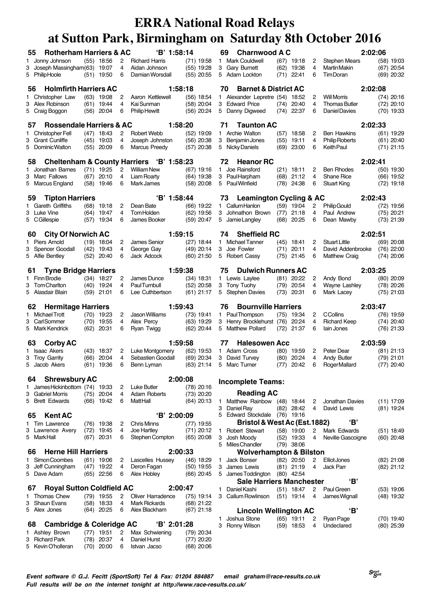| 55 | <b>Rotherham Harriers &amp; AC</b>    |      |                              |        | 'B' 1:58:14                               |                              |   | 69<br><b>Charnwood A C</b>                      |      |                              |                |                       | 2:02:06 |              |
|----|---------------------------------------|------|------------------------------|--------|-------------------------------------------|------------------------------|---|-------------------------------------------------|------|------------------------------|----------------|-----------------------|---------|--------------|
|    | 1 Jonny Johnson                       |      | $(55)$ 18:56                 | 2      | <b>Richard Harris</b>                     | $(71)$ 19:58                 |   | 1 Mark Couldwell                                |      | $(67)$ 19:18                 | 2              | <b>Stephen Mears</b>  |         | (58) 19:03   |
| 3  | Joseph Massingham(63) 19:07           |      |                              | 4      | Aidan Johnson                             | $(55)$ 19:28                 |   | 3 Gary Burnett                                  |      | $(62)$ 19:38                 | 4              | Martin Makin          |         | $(67)$ 20:54 |
|    | 5 PhilipHoole                         |      | $(51)$ 19:50                 | 6      | Damian Worsdall                           | $(55)$ 20:55                 |   | 5 Adam Lockton                                  |      | $(71)$ 22:41                 | 6              | Tim Doran             |         | $(69)$ 20:32 |
| 56 | <b>Holmfirth Harriers AC</b>          |      |                              |        |                                           | 1:58:18                      |   | <b>Barnet &amp; District AC</b><br>70           |      |                              |                |                       | 2:02:08 |              |
|    | 1 Christopher Law                     |      | $(63)$ 19:08                 | 2      | Aaron Kettlewell                          | $(56)$ 18:54                 |   | 1 Alexander Lepretre (54) 18:52                 |      |                              | 2              | <b>Will Morris</b>    |         | $(74)$ 20:16 |
| 3  | Alex Robinson                         |      | $(61)$ 19:44                 | 4      | Kai Sunman                                | $(58)$ 20:04                 |   | 3 Edward Price                                  |      | $(74)$ 20:40                 | 4              | <b>Thomas Butler</b>  |         | $(72)$ 20:10 |
|    | 5 Craig Boggon                        |      | $(56)$ 20:04                 | 6      | <b>Philip Hewitt</b>                      | $(56)$ 20:24                 |   | 5 Danny Digweed                                 |      | $(74)$ 22:37                 | 6              | Daniel Davies         |         | $(70)$ 19:33 |
| 57 | <b>Rossendale Harriers &amp; AC</b>   |      |                              |        |                                           | 1:58:20                      |   | <b>Taunton AC</b><br>71                         |      |                              |                |                       | 2:02:33 |              |
|    | 1 Christopher Fell                    |      | $(47)$ 18:43                 | 2      | Robert Webb                               | $(52)$ 19:09                 |   | 1 Archie Walton                                 |      | $(57)$ 18:58                 | 2              | <b>Ben Hawkins</b>    |         | $(61)$ 19:29 |
|    | 3 Grant Cunliffe                      |      | $(45)$ 19:03                 | 4      | Joseph Johnston                           | $(56)$ 20:38                 |   | 3 Benjamin Jones                                | (55) | 19:11                        | 4              | <b>Philip Roberts</b> |         | $(61)$ 20:40 |
|    | 5 Dominic Walton                      |      | $(55)$ 20:09                 | 6      | <b>Marcus Preedy</b>                      | $(57)$ 20:38                 |   | 5 Nicky Daniels                                 |      | $(69)$ 23:00                 | 6              | <b>Keith Paul</b>     |         | $(71)$ 21:15 |
| 58 |                                       |      |                              |        | Cheltenham & County Harriers 'B' 1:58:23  |                              |   | <b>Heanor RC</b><br>72                          |      |                              |                |                       | 2:02:41 |              |
|    | 1 Jonathan Barnes                     |      | $(71)$ 19:25                 | 2      | <b>William New</b>                        | $(67)$ 19:16                 |   | 1 Joe Rainsford                                 |      | $(21)$ 18:11                 | 2              | <b>Ben Rhodes</b>     |         | $(50)$ 19:30 |
| 3  | Marc Fallows                          |      | $(67)$ 20:10                 | 4      | Liam Roarty                               | $(64)$ 19:38                 |   | 3 Paul Harpham                                  |      | $(68)$ 21:12                 | 4              | Shane Rice            |         | $(66)$ 19:52 |
|    | 5 Marcus England                      |      | $(58)$ 19:46                 | 6      | Mark James                                | $(58)$ 20:08                 |   | 5 Paul Winfield                                 |      | $(78)$ 24:38                 | 6              | <b>Stuart King</b>    |         | $(72)$ 19:18 |
| 59 | <b>Tipton Harriers</b>                |      |                              |        | 'B' 1:58:44                               |                              |   | <b>Leamington Cycling &amp; AC</b><br>73        |      |                              |                |                       | 2:02:43 |              |
|    | 1 Gareth Griffiths                    |      | $(68)$ 19:18                 | 2      | Dean Bate                                 | $(66)$ 19:22                 |   | 1 Callum Hanlon                                 |      | $(59)$ 19:04                 | 2              | <b>Philip Gould</b>   |         | $(72)$ 19:56 |
|    | 3 Luke Vine                           |      | $(64)$ 19:47                 | 4      | <b>TomHolden</b>                          | $(62)$ 19:56                 |   | 3 Johnathon Brown                               | (77) | 21:18                        | 4              | Paul Andrew           |         | $(75)$ 20:21 |
|    | 5 CGillespie                          | (57) | 19:34                        | 6      | James Booker                              | $(59)$ 20:47                 |   | 5 Jamie Langley                                 | (68) | 20:25                        | 6              | Dean Mawby            |         | $(73)$ 21:39 |
| 60 | <b>City Of Norwich AC</b>             |      |                              |        |                                           | 1:59:15                      |   | <b>Sheffield RC</b><br>74                       |      |                              |                |                       | 2:02:51 |              |
|    | 1 Piers Arnold                        |      | $(19)$ 18:04                 | 2      | James Senior                              | $(27)$ 18:44                 |   | 1 Michael Tanner                                |      | $(45)$ 18:41                 | 2              | <b>Stuart Little</b>  |         | (69) 20:08   |
| 3  | Spencer Goodall                       | (42) | 19:43                        | 4      | George Gay                                | $(49)$ 20:14                 |   | 3 Joe Fowler                                    | (71) | 20:11                        | 4              | David Addenbrooke     |         | $(76)$ 22:00 |
|    | 5 Alfie Bentley                       | (52) | 20:40                        | 6      | Jack Adcock                               | $(60)$ 21:50                 |   | 5 Robert Cassy                                  |      | $(75)$ 21:45                 | 6              | <b>Matthew Craig</b>  |         | $(74)$ 20:06 |
| 61 | <b>Tyne Bridge Harriers</b>           |      |                              |        |                                           | 1:59:38                      |   | <b>Dulwich Runners AC</b><br>75                 |      |                              |                |                       | 2:03:25 |              |
|    | 1 Finn Brodie                         |      | $(34)$ 18:27                 | 2      | James Dunce                               | $(34)$ 18:31                 |   | 1 Lewis Laylee                                  |      | $(81)$ 20:22                 | 2              | Andy Bond             |         | $(80)$ 20:09 |
|    | 3 Tom Charlton                        |      | $(40)$ 19:24                 | 4      | PaulTurnbull                              | $(52)$ 20:58                 |   | 3 Tony Tuohy                                    |      | $(79)$ 20:54                 | 4              | Wayne Lashley         |         | $(78)$ 20:26 |
|    | 5 Alasdair Blain                      |      | $(59)$ 21:01                 | 6      | Lee Cuthbertson                           | $(61)$ 21:17                 |   | 5 Stephen Davies                                |      | $(73)$ 20:31                 | 6              | Mark Lacey            |         | $(75)$ 21:03 |
|    |                                       |      |                              |        |                                           |                              |   |                                                 |      |                              |                |                       |         |              |
| 62 | <b>Hermitage Harriers</b>             |      |                              |        |                                           | 1:59:43                      |   | <b>Bournville Harriers</b><br>76                |      |                              |                |                       | 2:03:47 |              |
|    | 1 Michael Trott                       |      | $(70)$ 19:23                 | 2      | Jason Williams                            | $(73)$ 19:41                 |   | 1 PaulThompson                                  |      | $(75)$ 19:34                 | 2              | <b>CCollins</b>       |         | (76) 19:59   |
| 3  | Carl Sommer                           |      | $(70)$ 19:55                 | 4      | Alex Percy                                | $(63)$ 19:29                 |   | 3 Henry Brocklehurst (76)                       |      | 20:24                        | 4              | <b>Richard Keep</b>   |         | $(74)$ 20:40 |
|    | 5 Mark Kendrick                       |      | $(62)$ 20:31                 | 6      | Ryan Twigg                                | $(62)$ 20:44                 |   | 5 Matthew Pollard                               |      | $(72)$ 21:37                 | 6              | lain Jones            |         | $(76)$ 21:33 |
| 63 | <b>Corby AC</b>                       |      |                              |        |                                           | 1:59:58                      |   | <b>Halesowen Acc</b><br>77                      |      |                              |                |                       | 2:03:59 |              |
|    | 1 Isaac Akers                         |      | $(43)$ 18:37                 | 2      | Luke Montgomery                           | $(62)$ 19:53                 |   | 1 Adam Cross                                    |      | $(80)$ 19:59                 | 2              | Peter Dear            |         | $(81)$ 21:13 |
|    | 3 Troy Garrity                        | (66) | 20:04                        | 4      | Sebastien Goodall                         | $(69)$ 20:34                 |   | 3 David Turvey                                  | (80) | 20:24                        | 4              | Andy Butler           |         | $(79)$ 21:01 |
|    | 5 Jacob Akers                         |      | $(61)$ 19:36                 | 6      | Benn Lyman                                | $(63)$ 21:14                 |   | 5 Marc Turner                                   | (77) | 20:42                        | 6              | Roger Mallard         |         | $(77)$ 20:40 |
| 64 | <b>Shrewsbury AC</b>                  |      |                              |        |                                           | 2:00:08                      |   |                                                 |      |                              |                |                       |         |              |
|    | 1 James Hickinbottom (74) 19:33       |      |                              | 2      | Luke Butler                               | $(78)$ 20:16                 |   | <b>Incomplete Teams:</b>                        |      |                              |                |                       |         |              |
|    | 3 Gabriel Morris                      |      | $(75)$ 20:04                 | 4      | <b>Adam Roberts</b>                       | $(73)$ 20:20                 |   | <b>Reading AC</b>                               |      |                              |                |                       |         |              |
|    | 5 Brett Edwards                       |      | $(66)$ 19:42                 | 6      | Matt Hall                                 | $(64)$ 20:13                 | 1 | Matthew Rainbow (48) 18:44                      |      |                              | 2              | Jonathan Davies       |         | $(11)$ 17:09 |
|    |                                       |      |                              |        |                                           |                              |   | 3 Daniel Ray                                    |      | $(82)$ 28:42                 | 4              | David Lewis           |         | $(81)$ 19:24 |
| 65 | <b>Kent AC</b><br>1 Tim Lawrence      |      |                              |        | 'B' 2:00:09<br><b>Chris Minns</b>         |                              |   | 5 Edward Stockdale (76) 19:16                   |      |                              |                | 'В'                   |         |              |
|    | 3 Lawrence Avery                      |      | $(76)$ 19:38<br>$(72)$ 19:45 | 2<br>4 | Joe Hartley                               | $(77)$ 19:55<br>$(71)$ 20:12 | 1 | Bristol & West Ac (Est. 1882)<br>Robert Stewart |      | $(58)$ 19:00                 | 2              | Mark Edwards          |         | $(51)$ 18:49 |
|    | 5 MarkHall                            |      | $(67)$ 20:31                 | 6      | Stephen Compton                           | $(65)$ 20:08                 | 3 | Josh Moody                                      |      | $(52)$ 19:33                 | 4              | Neville Gascoigne     |         | $(60)$ 20:48 |
|    |                                       |      |                              |        |                                           |                              |   | 5 Miles Chandler                                |      | $(79)$ 38:06                 |                |                       |         |              |
| 66 | <b>Herne Hill Harriers</b>            |      |                              |        |                                           | 2:00:33                      |   | <b>Wolverhampton &amp; Bilston</b>              |      |                              |                |                       |         |              |
|    | 1 Simon Coombes                       |      | $(61)$ 19:06                 | 2      | Lascelles Hussey                          | $(46)$ 18:29                 | 1 | Jack Bonser                                     |      | $(82)$ 20:50                 | 2              | Elliot Jones          |         | $(82)$ 21:08 |
|    | 3 Jeff Cunningham<br>5 Dave Adam      |      | $(47)$ 19:22<br>$(65)$ 22:56 | 4<br>6 | Deron Fagan<br>Alex Hobley                | $(50)$ 19:55<br>$(66)$ 20:45 |   | 3 James Lewis<br>5 James Toddington             |      | $(81)$ 21:19<br>$(80)$ 42:54 | 4              | Jack Parr             |         | $(82)$ 21:12 |
|    |                                       |      |                              |        |                                           |                              |   | <b>Sale Harriers Manchester</b>                 |      |                              |                | 'В'                   |         |              |
| 67 | <b>Royal Sutton Coldfield AC</b>      |      |                              |        |                                           | 2:00:47                      | 1 | Daniel Kashi                                    |      | $(51)$ 18:47                 | $\overline{2}$ | Paul Green            |         | $(53)$ 19:06 |
|    | 1 Thomas Chew<br>3 Shaun Evans        |      | $(79)$ 19:55                 | 2<br>4 | Oliver Harradence<br><b>Mark Rickards</b> | $(75)$ 19:14                 |   | 3 Callum Rowlinson                              |      | $(51)$ 19:14                 | 4              | James Wignall         |         | $(48)$ 19:32 |
|    | 5 Alex Jones                          |      | $(58)$ 18:33<br>$(64)$ 20:25 | 6      | Alex Blackham                             | $(68)$ 21:22<br>$(67)$ 21:18 |   | <b>Lincoln Wellington AC</b>                    |      |                              |                | 'В'                   |         |              |
|    |                                       |      |                              |        |                                           |                              | 1 | Joshua Stone                                    |      | $(65)$ 19:11                 | 2              | Ryan Page             |         | $(70)$ 19:40 |
| 68 | <b>Cambridge &amp; Coleridge AC</b>   |      |                              |        | 'B' 2:01:28                               |                              |   | 3 Ronny Wilson                                  |      | $(59)$ 18:53                 | 4              | Undeclared            |         | $(80)$ 25:39 |
| 3  | 1 Ashley Brown<br><b>Richard Park</b> |      | $(77)$ 19:51<br>$(78)$ 20:37 | 2<br>4 | Max Schwiening<br>Daniel Hurst            | $(79)$ 20:34<br>$(77)$ 20:20 |   |                                                 |      |                              |                |                       |         |              |

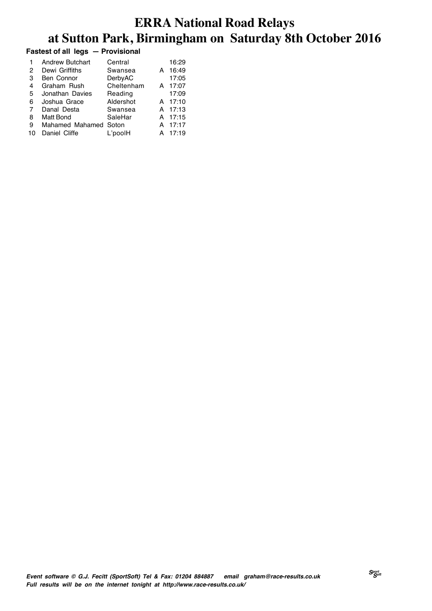#### **Fastest of all legs — Provisional**

| 1  | <b>Andrew Butchart</b> | Central    |   | 16:29 |
|----|------------------------|------------|---|-------|
| 2  | Dewi Griffiths         | Swansea    | А | 16:49 |
| З  | <b>Ben Connor</b>      | DerbyAC    |   | 17:05 |
| 4  | Graham Rush            | Cheltenham | А | 17:07 |
| 5  | Jonathan Davies        | Reading    |   | 17:09 |
| 6  | Joshua Grace           | Aldershot  | А | 17:10 |
| 7  | Danal Desta            | Swansea    | A | 17:13 |
| 8  | Matt Bond              | SaleHar    | A | 17:15 |
| 9  | Mahamed Mahamed Soton  |            | А | 17:17 |
| 10 | Daniel Cliffe          | L'poolH    |   | 17:19 |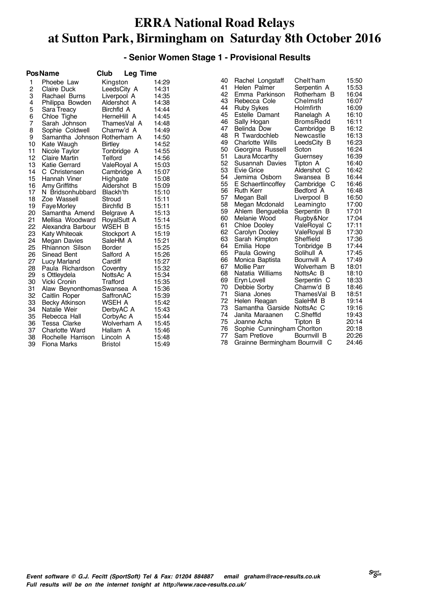#### **- Senior Women Stage 1 - Provisional Results**

|                | <b>PosName</b>               | Club<br><b>Leg Time</b> |       |
|----------------|------------------------------|-------------------------|-------|
| 1              | Phoebe Law                   | Kingston                | 14:29 |
| $\overline{c}$ | <b>Claire Duck</b>           | LeedsCity A             | 14:31 |
| 3              | Rachael Burns                | Liverpool A             | 14:35 |
| 4              | Philippa Bowden              | Aldershot A             | 14:38 |
| 5              | Sara Treacy                  | Birchfld A              | 14:44 |
| 6              | Chloe Tighe                  | HerneHill A             | 14:45 |
| $\overline{7}$ | Sarah Johnson                | ThamesVal A             | 14:48 |
| 8              | Sophie Coldwell              | Charnw'd A              | 14:49 |
| 9              | Samantha Johnson Rotherham A |                         | 14:50 |
| 10             | Kate Waugh                   | <b>Birtley</b>          | 14:52 |
| 11             | Nicole Taylor                | Tonbridge A             | 14:55 |
| 12             | <b>Claire Martin</b>         | Telford                 | 14:56 |
| 13             | Katie Gerrard                | ValeRoyal A             | 15:03 |
| 14             | C Christensen                | Cambridge A             | 15:07 |
| 15             | Hannah Viner                 | Highgate                | 15:08 |
| 16             | Amy Griffiths                | Aldershot B             | 15:09 |
| 17             | N Bridsonhubbard             | Blackh'th               | 15:10 |
| 18             | Zoe Wassell                  | Stroud                  | 15:11 |
| 19             | Faye Morley                  | Birchfld B              | 15:11 |
| 20             | Samantha Amend               | Belgrave A              | 15:13 |
| 21             | Mellisa Woodward             | RoyalSutt A             | 15:14 |
| 22             | Alexandra Barbour            | WSEH B                  | 15:15 |
| 23             | Katy Whiteoak                | Stockport A             | 15:19 |
| 24             | <b>Megan Davies</b>          | SaleHM A                | 15:21 |
| 25             | <b>Rhiannon Silson</b>       | Border                  | 15:25 |
| 26             | Sinead Bent                  | Salford A               | 15:26 |
| 27             | Lucy Marland                 | Cardiff                 | 15:27 |
| 28             | Paula Richardson             | Coventry                | 15:32 |
| 29             | s Ottleydela                 | NottsAc A               | 15:34 |
| 30             | Vicki Cronin                 | Trafford                | 15:35 |
| 31             | Alaw BeynonthomasSwansea A   |                         | 15:36 |
| 32             | Caitlin Roper                | SaffronAC               | 15:39 |
| 33             | <b>Becky Atkinson</b>        | WSEH A                  | 15:42 |
| 34             | Natalie Weir                 | DerbyAC A               | 15:43 |
| 35             | Rebecca Hall                 | CorbyAc A               | 15:44 |
| 36             | Tessa Clarke                 | Wolverham A             | 15:45 |
| 37             | Charlotte Ward               | Hallam A                | 15:46 |
| 38             | Rochelle Harrison            | Lincoln A               | 15:48 |
| 39             | <b>Fiona Marks</b>           | <b>Bristol</b>          | 15:49 |

| 40 | Rachel Longstaff             | Chelt'ham             | 15:50 |
|----|------------------------------|-----------------------|-------|
| 41 | Helen Palmer                 | Serpentin A           | 15:53 |
|    |                              |                       |       |
| 42 | Emma Parkinson               | Rotherham B           | 16:04 |
| 43 | Rebecca Cole                 | Chelmsfd              | 16:07 |
| 44 | <b>Ruby Sykes</b>            | Holmfirth             | 16:09 |
| 45 | Estelle Damant               | Ranelagh A            | 16:10 |
| 46 | Sally Hogan                  | <b>BromsRedd</b>      | 16:11 |
|    |                              |                       |       |
| 47 | <b>Belinda Dow</b>           | Cambridge B           | 16:12 |
| 48 | R Twardochleb                | Newcastle             | 16:13 |
| 49 | <b>Charlotte Wills</b>       | LeedsCity B           | 16:23 |
| 50 | Georgina Russell             | Soton                 | 16:24 |
| 51 | Laura Mccarthy               | Guernsey              | 16:39 |
| 52 | Susannah Davies              | Tipton A              | 16:40 |
| 53 | Evie Grice                   | Aldershot<br>С        | 16:42 |
| 54 | Jemima Osborn                | Swansea<br>в          | 16:44 |
| 55 | E Schaertlincoffey           | Cambridge<br>С        | 16:46 |
| 56 | <b>Ruth Kerr</b>             | Bedford A             | 16:48 |
| 57 | Megan Ball                   | Liverpool B           | 16:50 |
| 58 | Megan Mcdonald               | Leamingto             | 17:00 |
| 59 | Ahlem Bengueblia             | Serpentin<br>- B      | 17:01 |
| 60 | Melanie Wood                 | Rugby&Nor             | 17:04 |
| 61 | <b>Chloe Dooley</b>          | ValeRoyal<br>С        | 17:11 |
| 62 | Carolyn Dooley               | ValeRoyal B           | 17:30 |
| 63 | Sarah Kimpton                | Sheffield             | 17:36 |
| 64 | Emilia Hope                  | Tonbridge<br>в        | 17:44 |
| 65 |                              | Solihull A            | 17:45 |
|    | Paula Gowing                 |                       |       |
| 66 | Monica Baptista              | Bournvill A           | 17:49 |
| 67 | <b>Mollie Parr</b>           | Wolverham<br>- B      | 18:01 |
| 68 | Natatia Williams             | NottsAc B             | 18:10 |
| 69 | Eryn Lovell                  | Serpentin<br>С        | 18:33 |
| 70 | Debbie Sorby                 | Charnw'd B            | 18:46 |
| 71 | Siana Jones                  | ThamesVal<br><b>B</b> | 18:51 |
| 72 | Helen Reagan                 | SaleHM B              | 19:14 |
| 73 | Samantha Garside             | NottsAc C             | 19:16 |
| 74 | Janita Maraanen              | C.Sheffld             | 19:43 |
| 75 | Joanne Acha                  | Tipton B              | 20:14 |
| 76 |                              |                       | 20:18 |
|    | Sophie Cunningham Chorlton   |                       |       |
| 77 | Sam Pretlove                 | Bournvill B           | 20:26 |
| 78 | Grainne Bermingham Bournvill | С                     | 24:46 |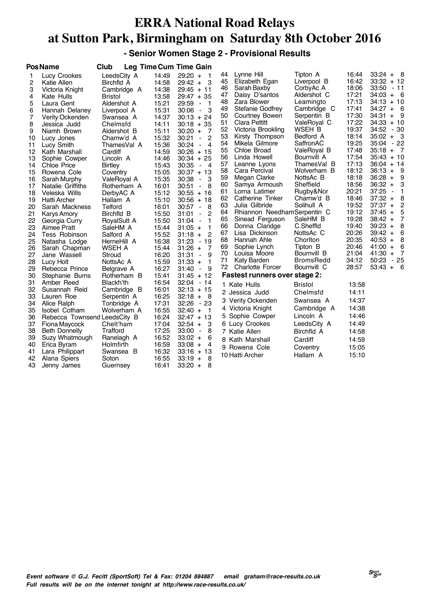**- Senior Women Stage 2 - Provisional Results**

|          | <b>PosName</b>               | Club                       |                | <b>Leg Time Cum Time Gain</b>             |          |                                      |                       |                |                                  |
|----------|------------------------------|----------------------------|----------------|-------------------------------------------|----------|--------------------------------------|-----------------------|----------------|----------------------------------|
| 1        | Lucy Crookes                 | LeedsCity A                | 14:49          | $29:20 +$<br>$\overline{1}$               | 44       | Lynne Hill                           | Tipton A              | 16:44          | $33:24 + 8$                      |
| 2        | Katie Allen                  | Birchfld A                 | 14:58          | - 3<br>$29:42 +$                          | 45       | Elizabeth Egan                       | Liverpool B           | 16:42          | $33:32 + 12$                     |
| 3        | Victoria Knight              | Cambridge A                | 14:38          | $29:45 + 11$                              | 46       | Sarah Baxby                          | CorbyAc A             | 18:06          | 33:50<br>- 11                    |
| 4        | Kate Hulls                   | Bristol                    | 13:58          | $29:47 + 35$                              | 47       | Daisy D'santos                       | Aldershot C           | 17:21          | $34:03 + 6$                      |
| 5        | Laura Gent                   | Aldershot A                | 15:21          | 29:59<br>- 1<br>$\blacksquare$            | 48       | Zara Blower                          | Leamingto             | 17:13          | $34:13 + 10$                     |
| 6        | Hannah Delaney               | Liverpool A                | 15:31          | З<br>30:06<br>$\blacksquare$              | 49       | Stefanie Godfrey                     | Cambridge C           | 17:41          | $34:27 + 6$                      |
| 7        | Verity Ockenden              | Swansea A                  | 14:37          | $30:13 + 24$                              | 50       | Courtney Bowen                       | Serpentin B           | 17:30          | 34:31<br>- 9<br>$+$              |
| 8        | Jessica Judd                 | Chelmsfd                   | 14:11          | $30:18 + 35$                              | 51       | Clara Pettitt                        | ValeRoyal C           | 17:22          | $34:33 + 10$                     |
| 9        | Niamh Brown                  | Aldershot B                | 15:11          | $30:20 +$<br>-7                           | 52       | Victoria Brookling                   | WSEH B                | 19:37          | 34:52<br>- 30                    |
| 10       | Lucy Jones                   | Charnw'd A                 | 15:32          | $\overline{c}$<br>30:21<br>$\blacksquare$ | 53       | Kirsty Thompson                      | Bedford A             | 18:14          | $35:02 +$<br>- 3                 |
| 11       | Lucy Smith                   | ThamesVal A                | 15:36          | $\overline{4}$<br>30:24<br>$\blacksquare$ | 54       | Mikela Gilmore                       | SaffronAC             | 19:25          | 35:04<br>- 22                    |
| 12       | Kath Marshall                | Cardiff                    | 14:59          | $30:26 + 15$                              | 55       | Chloe Broad                          | ValeRoyal B           | 17:48          | $35:18 +$<br>$\overline{7}$      |
| 13       | Sophie Cowper                | Lincoln A                  | 14:46          | $30:34 + 25$                              | 56       | Linda Howell                         | Bournvill A           | 17:54          | $35:43 + 10$                     |
| 14       | <b>Chloe Price</b>           | <b>Birtley</b>             | 15:43          | 30:35<br>$\overline{4}$<br>$\blacksquare$ | 57       | Leanne Lyons                         | ThamesVal B           | 17:13          | $36:04 + 14$                     |
| 15       | Rowena Cole                  | Coventry                   | 15:05          | $30:37 + 13$                              | 58       | Cara Percival                        | Wolverham B           | 18:12          | $36:13 +$<br>- 9                 |
| 16       | Sarah Murphy                 | ValeRoyal A                | 15:35          | 30:38<br>З<br>$\blacksquare$              | 59       | Megan Clarke                         | NottsAc B             | 18:18          | $36:28 +$<br>9                   |
| 17       | Natalie Griffiths            | Rotherham A                | 16:01          | 8<br>30:51<br>$\blacksquare$              | 60       | Samya Armoush                        | Sheffield             | 18:56          | $36:32 +$<br>3                   |
| 18       | Veleska Wills                | DerbyAC A                  | 15:12          | $30:55 + 16$                              | 61       | Lorna Latimer                        | Rugby&Nor             | 20:21          | 37:25<br>1<br>$\blacksquare$     |
| 19       | <b>Hatti Archer</b>          | Hallam A                   | 15:10          | $30:56 + 18$                              | 62       | Catherine Tinker                     | Charnw'd B            | 18:46          | $37:32 +$<br>8                   |
| 20       | Sarah Mackness               | Telford                    | 16:01          | 30:57<br>8<br>$\blacksquare$              | 63       | Julia Gilbride                       | Solihull A            | 19:52          | $\overline{c}$<br>$37:37 +$      |
| 21       | <b>Karys Amory</b>           | Birchfld B                 | 15:50          | $\overline{c}$<br>31:01<br>$\blacksquare$ | 64       | Rhiannon Needham Serpentin C         |                       | 19:12          | 5<br>$37:45 +$<br>$\overline{7}$ |
| 22       | Georgia Curry                | RoyalSutt A                | 15:50          | 1<br>31:04<br>$\blacksquare$              | 65       | Sinead Ferguson                      | SaleHM B<br>C.Sheffld | 19:28<br>19:40 | $38:42 +$<br>8<br>$39:23 +$      |
| 23       | Aimee Pratt                  | SaleHM A                   | 15:44          | $\mathbf{1}$<br>$31:05 +$                 | 66<br>67 | Donna Claridge<br>Lisa Dickinson     | NottsAc C             | 20:26          | 6<br>$39:42 +$                   |
| 24       | Tess Robinson                | Salford A                  | 15:52          | $\overline{2}$<br>$31:18 +$               | 68       | Hannah Ahle                          | Choriton              | 20:35          | 8<br>$40:53 +$                   |
| 25       | Natasha Lodge                | HerneHill A                | 16:38          | 31:23<br>$-19$                            | 69       | Sophie Lynch                         | Tipton B              | 20:46          | $41:00 +$<br>6                   |
| 26       | Sarah Chapman                | WSEH A                     | 15:44          | $31:26 +$<br>$\overline{7}$               | 70       | Louisa Moore                         | Bournvill B           | 21:04          | - 7<br>$41:30 +$                 |
| 27       | Jane Wassell                 | Stroud                     | 16:20          | 31:31<br>9<br>$\blacksquare$              | 71       | Katy Barden                          | <b>BromsRedd</b>      | 34:12          | $-25$<br>50:23                   |
| 28       | Lucy Holt                    | NottsAc A                  | 15:59          | 1<br>$31:33 +$                            | 72       | <b>Charlotte Forcer</b>              | Bournvill C           | 28:57          | $53:43 +$<br>- 6                 |
| 29       | Rebecca Prince               | Belgrave A                 | 16:27          | 9<br>31:40<br>$\overline{\phantom{a}}$    |          |                                      |                       |                |                                  |
| 30<br>31 | Stephanie Burns              | Rotherham B                | 15:41<br>16:54 | $31:45 + 12$                              |          | <b>Fastest runners over stage 2:</b> |                       |                |                                  |
| 32       | Amber Reed                   | Blackh'th                  | 16:01          | $32:04 - 14$<br>$32:13 + 15$              |          | 1 Kate Hulls                         | Bristol               | 13:58          |                                  |
| 33       | Susannah Reid<br>Lauren Roe  | Cambridge B<br>Serpentin A | 16:25          | $32:18 +$<br>- 8                          |          | 2 Jessica Judd                       | Chelmsfd              | 14:11          |                                  |
| 34       | Alice Ralph                  | Tonbridge A                | 17:31          | $32:26 - 23$                              |          | 3 Verity Ockenden                    | Swansea A             | 14:37          |                                  |
| 35       | <b>Isobel Cotham</b>         | Wolverham A                | 16:55          | $32:40 +$<br>- 1                          |          | 4 Victoria Knight                    | Cambridge A           | 14:38          |                                  |
| 36       | Rebecca Townsend LeedsCity B |                            | 16:24          | $32:47 + 13$                              |          | 5 Sophie Cowper                      | Lincoln A             | 14:46          |                                  |
| 37       | Fiona Maycock                | Chelt'ham                  | 17:04          | $32:54 +$<br>3                            |          | 6 Lucy Crookes                       | LeedsCity A           | 14:49          |                                  |
| 38       | <b>Beth Donnelly</b>         | Trafford                   | 17:25          | 33:00<br>8<br>$\overline{\phantom{a}}$    |          | 7 Katie Allen                        | Birchfld A            | 14:58          |                                  |
| 39       | Suzy Whatmough               | Ranelagh A                 | 16:52          | $33:02 +$<br>6                            |          |                                      |                       |                |                                  |
| 40       | Erica Byram                  | Holmfirth                  | 16:59          | $33:08 +$<br>4                            |          | 8 Kath Marshall                      | Cardiff               | 14:59          |                                  |
| 41       | Lara Philippart              | Swansea B                  | 16:32          | $33:16 + 13$                              |          | 9 Rowena Cole                        | Coventry              | 15:05          |                                  |
| 42       | Alana Spiers                 | Soton                      | 16:55          | $33:19 +$<br>8                            |          | 10 Hatti Archer                      | Hallam A              | 15:10          |                                  |
| 43       | Jenny James                  | Guernsey                   | 16:41          | $33:20 +$<br>8                            |          |                                      |                       |                |                                  |
|          |                              |                            |                |                                           |          |                                      |                       |                |                                  |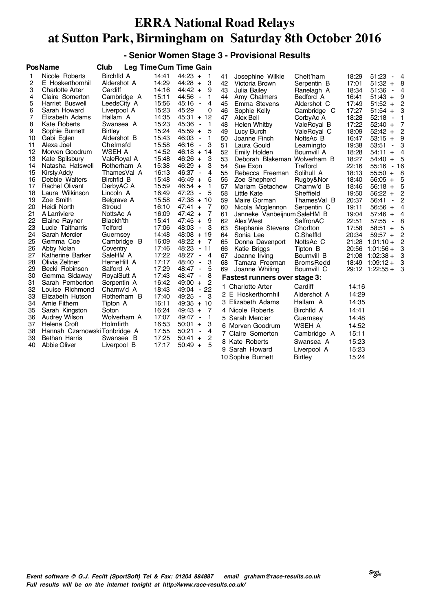#### **- Senior Women Stage 3 - Provisional Results**

|                                                                                                                                                       | <b>PosName</b>                                                                                                                                                                                                                                                                                                                                                                                                                                                        | Club                                                                                                                                                                                                                                                                                                                                                       |                                                                                                                                                                                                                                                 | Leg Time Cum Time Gain                                                                                                                                                                                                                                                                                                                                                                                                                                                                                                                                                                                                                                               |                                                                                                                                                          |                                                                                                                                                                                                                                                                                                                                                                                                                                                                           |                                                                                                                                                                                                                                                                                                                                      |                                                                                                                                                                                                                                        |                                                                                                                                                                                                                                                                                                                                                                                                                         |                                                                                                                                                                                                            |
|-------------------------------------------------------------------------------------------------------------------------------------------------------|-----------------------------------------------------------------------------------------------------------------------------------------------------------------------------------------------------------------------------------------------------------------------------------------------------------------------------------------------------------------------------------------------------------------------------------------------------------------------|------------------------------------------------------------------------------------------------------------------------------------------------------------------------------------------------------------------------------------------------------------------------------------------------------------------------------------------------------------|-------------------------------------------------------------------------------------------------------------------------------------------------------------------------------------------------------------------------------------------------|----------------------------------------------------------------------------------------------------------------------------------------------------------------------------------------------------------------------------------------------------------------------------------------------------------------------------------------------------------------------------------------------------------------------------------------------------------------------------------------------------------------------------------------------------------------------------------------------------------------------------------------------------------------------|----------------------------------------------------------------------------------------------------------------------------------------------------------|---------------------------------------------------------------------------------------------------------------------------------------------------------------------------------------------------------------------------------------------------------------------------------------------------------------------------------------------------------------------------------------------------------------------------------------------------------------------------|--------------------------------------------------------------------------------------------------------------------------------------------------------------------------------------------------------------------------------------------------------------------------------------------------------------------------------------|----------------------------------------------------------------------------------------------------------------------------------------------------------------------------------------------------------------------------------------|-------------------------------------------------------------------------------------------------------------------------------------------------------------------------------------------------------------------------------------------------------------------------------------------------------------------------------------------------------------------------------------------------------------------------|------------------------------------------------------------------------------------------------------------------------------------------------------------------------------------------------------------|
| 1<br>2<br>3<br>4<br>5<br>6<br>7<br>8<br>9<br>10<br>11<br>12<br>13<br>14<br>15<br>16<br>17<br>18<br>19<br>20<br>21<br>22<br>23<br>24<br>25<br>26<br>27 | Nicole Roberts<br>E Hoskerthornhil<br><b>Charlotte Arter</b><br>Claire Somerton<br>Harriet Buswell<br>Sarah Howard<br>Elizabeth Adams<br>Kate Roberts<br>Sophie Burnett<br>Gabi Eglen<br>Alexa Joel<br>Morven Goodrum<br>Kate Spilsbury<br>Natasha Hatswell<br><b>Kirsty Addy</b><br>Debbie Walters<br>Rachel Olivant<br>Laura Wilkinson<br>Zoe Smith<br>Heidi North<br>A Larriviere<br>Elaine Rayner<br>Lucie Taitharris<br>Sarah Mercier<br>Gemma Coe<br>Abby Nolan | Birchfld A<br>Aldershot A<br>Cardiff<br>Cambridge A<br>LeedsCity A<br>Liverpool A<br>Hallam A<br>Swansea A<br><b>Birtley</b><br>Aldershot B<br>Chelmsfd<br>WSEH A<br>ValeRoyal A<br>Rotherham A<br>ThamesVal A<br>Birchfld B<br>DerbyAC A<br>Lincoln A<br>Belgrave A<br>Stroud<br>NottsAc A<br>Blackh'th<br>Telford<br>Guernsey<br>Cambridge B<br>Coventry | 14:41<br>14:29<br>14:16<br>15:11<br>15:56<br>15:23<br>14:35<br>15:23<br>15:24<br>15:43<br>15:58<br>14:52<br>15:48<br>15:38<br>16:13<br>15:48<br>15:59<br>16:49<br>15:58<br>16:10<br>16:09<br>15:41<br>17:06<br>14:48<br>16:09<br>17:46<br>17:22 | $44:23 +$<br>-1<br>3<br>$44:28 +$<br>9<br>$44:42 +$<br>44:56<br>1<br>$\blacksquare$<br>45:16<br>4<br>$\blacksquare$<br>45:29<br>0<br>$45:31 + 12$<br>45:36<br>1<br>$\overline{\phantom{a}}$<br>5<br>45:59<br>$\ddot{}$<br>46:03<br>1<br>$\blacksquare$<br>3<br>46:16<br>$\overline{\phantom{a}}$<br>$46:18 + 14$<br>46:26<br>3<br>$+$<br>$46:29 +$<br>3<br>46:37<br>4<br>$\blacksquare$<br>$46:49 +$<br>5<br>$46:54 +$<br>1<br>47:23<br>5<br>$\overline{\phantom{a}}$<br>$47:38 + 10$<br>$47:41 +$<br>7<br>7<br>$47:42 +$<br>$47:45 +$<br>9<br>48:03<br>3<br>$\overline{\phantom{a}}$<br>$48:08 + 19$<br>$48:22 +$<br>$\overline{7}$<br>48:23<br>$-11$<br>48:27<br>4 | 41<br>42<br>43<br>44<br>45<br>46<br>47<br>48<br>49<br>50<br>51<br>52<br>53<br>54<br>55<br>56<br>57<br>58<br>59<br>60<br>61<br>62<br>63<br>64<br>65<br>66 | Josephine Wilkie<br>Victoria Brown<br>Julia Bailey<br>Amy Chalmers<br>Emma Stevens<br>Sophie Kelly<br>Alex Bell<br>Helen Whitby<br>Lucy Burch<br>Joanne Finch<br>Laura Gould<br>Emily Holden<br>Deborah Blakeman Wolverham B<br>Sue Exon<br>Rebecca Freeman<br>Zoe Shepherd<br>Mariam Getachew<br><b>Little Kate</b><br>Maire Gorman<br>Nicola Mcglennon<br>Janneke Vanbeijnum SaleHM B<br>Alex West<br>Stephanie Stevens<br>Sonia Lee<br>Donna Davenport<br>Katie Briggs | Chelt'ham<br>Serpentin B<br>Ranelagh A<br>Bedford A<br>Aldershot C<br>Cambridge C<br>CorbyAc A<br>ValeRoyal B<br>ValeRoyal C<br>NottsAc B<br>Leamingto<br>Bournvill A<br>Trafford<br>Solihull A<br>Rugby&Nor<br>Charnw'd B<br>Sheffield<br>ThamesVal B<br>Serpentin C<br>SaffronAC<br>Chorlton<br>C.Sheffld<br>NottsAc C<br>Tipton B | 18:29<br>17:01<br>18:34<br>16:41<br>17:49<br>17:27<br>18:28<br>17:22<br>18:09<br>16:47<br>19:38<br>18:28<br>18:27<br>22:16<br>18:13<br>18:40<br>18:46<br>19:50<br>20:37<br>19:11<br>19:04<br>22:51<br>17:58<br>20:34<br>21:28<br>20:56 | 51:23<br>$51:32 +$<br>51:36<br>$51:43 +$<br>$51:52 +$<br>51:54<br>$+$<br>52:18<br>$\blacksquare$<br>$52:40 +$<br>52:42<br>$\ddot{}$<br>$53:15 +$<br>53:51<br>$\blacksquare$<br>54:11<br>$\ddot{}$<br>54:40<br>$+$<br>55:16<br>$55:50 +$<br>$56:05 +$<br>$56:18 +$<br>$56:22 +$<br>56:41<br>$\blacksquare$<br>$56:56 +$<br>$57:46 +$<br>57:55<br>$\blacksquare$<br>58:51<br>$+$<br>$59:57 +$<br>$1:01:10+$<br>$1:01:56+$ | $\overline{4}$<br>- 8<br>$-4$<br>9<br>$\overline{c}$<br>3<br>$\mathbf{1}$<br>7<br>$\overline{c}$<br>9<br>3<br>4<br>- 5<br>$-16$<br>- 8<br>5<br>5<br>2<br>2<br>4<br>$\overline{4}$<br>8<br>5<br>2<br>2<br>3 |
| 28                                                                                                                                                    | Katherine Barker<br>Olivia Zeltner                                                                                                                                                                                                                                                                                                                                                                                                                                    | SaleHM A<br>HerneHill A                                                                                                                                                                                                                                                                                                                                    | 17:17                                                                                                                                                                                                                                           | $\overline{\phantom{a}}$<br>48:40<br>3<br>$\overline{\phantom{a}}$                                                                                                                                                                                                                                                                                                                                                                                                                                                                                                                                                                                                   | 67<br>68                                                                                                                                                 | Joanne Irving<br>Tamara Freeman                                                                                                                                                                                                                                                                                                                                                                                                                                           | Bournvill B<br><b>BromsRedd</b>                                                                                                                                                                                                                                                                                                      | 21:08<br>18:49                                                                                                                                                                                                                         | $1:02:38+$<br>$1:09:12+$                                                                                                                                                                                                                                                                                                                                                                                                | 3<br>3                                                                                                                                                                                                     |
| 29                                                                                                                                                    | Becki Robinson                                                                                                                                                                                                                                                                                                                                                                                                                                                        | Salford A                                                                                                                                                                                                                                                                                                                                                  | 17:29                                                                                                                                                                                                                                           | 5<br>48:47<br>$\blacksquare$                                                                                                                                                                                                                                                                                                                                                                                                                                                                                                                                                                                                                                         | 69                                                                                                                                                       | Joanne Whiting                                                                                                                                                                                                                                                                                                                                                                                                                                                            | Bournvill C                                                                                                                                                                                                                                                                                                                          |                                                                                                                                                                                                                                        | 29:12 1:22:55 +                                                                                                                                                                                                                                                                                                                                                                                                         | 3                                                                                                                                                                                                          |
| 30                                                                                                                                                    | Gemma Sidaway                                                                                                                                                                                                                                                                                                                                                                                                                                                         | RoyalSutt A                                                                                                                                                                                                                                                                                                                                                | 17:43                                                                                                                                                                                                                                           | 8<br>48:47<br>$\blacksquare$                                                                                                                                                                                                                                                                                                                                                                                                                                                                                                                                                                                                                                         |                                                                                                                                                          | Fastest runners over stage 3:                                                                                                                                                                                                                                                                                                                                                                                                                                             |                                                                                                                                                                                                                                                                                                                                      |                                                                                                                                                                                                                                        |                                                                                                                                                                                                                                                                                                                                                                                                                         |                                                                                                                                                                                                            |
| 31<br>32<br>33<br>34<br>35<br>36<br>37<br>38<br>39<br>40                                                                                              | Sarah Pemberton<br>Louise Richmond<br>Elizabeth Hutson<br>Amie Fithern<br>Sarah Kingston<br><b>Audrey Wilson</b><br>Helena Croft<br>Hannah Czarnowski Tonbridge A<br><b>Bethan Harris</b><br>Abbie Oliver                                                                                                                                                                                                                                                             | Serpentin A<br>Charnw'd A<br>Rotherham B<br>Tipton A<br>Soton<br>Wolverham A<br>Holmfirth<br>Swansea B<br>Liverpool B                                                                                                                                                                                                                                      | 16:42<br>18:43<br>17:40<br>16:11<br>16:24<br>17:07<br>16:53<br>17:55<br>17:25<br>17:17                                                                                                                                                          | 2<br>$49:00 +$<br>$-22$<br>49:04<br>49:25<br>3<br>$\blacksquare$<br>$49:35 + 10$<br>$49:43 +$<br>7<br>1<br>49:47<br>$\overline{\phantom{a}}$<br>3<br>50:01<br>$+$<br>50:21<br>4<br>$\overline{\phantom{a}}$<br>50:41<br>2<br>$\ddot{}$<br>5<br>$50:49 +$                                                                                                                                                                                                                                                                                                                                                                                                             | 1.<br>5<br>9                                                                                                                                             | <b>Charlotte Arter</b><br>2 E Hoskerthornhil<br>3 Elizabeth Adams<br>4 Nicole Roberts<br>Sarah Mercier<br>6 Morven Goodrum<br>7 Claire Somerton<br>8 Kate Roberts<br>Sarah Howard                                                                                                                                                                                                                                                                                         | Cardiff<br>Aldershot A<br>Hallam A<br>Birchfld A<br>Guernsey<br>WSEH A<br>Cambridge A<br>Swansea A<br>Liverpool A                                                                                                                                                                                                                    | 14:16<br>14:29<br>14:35<br>14:41<br>14:48<br>14:52<br>15:11<br>15:23<br>15:23                                                                                                                                                          |                                                                                                                                                                                                                                                                                                                                                                                                                         |                                                                                                                                                                                                            |
|                                                                                                                                                       |                                                                                                                                                                                                                                                                                                                                                                                                                                                                       |                                                                                                                                                                                                                                                                                                                                                            | 10 Sophie Burnett                                                                                                                                                                                                                               | <b>Birtley</b>                                                                                                                                                                                                                                                                                                                                                                                                                                                                                                                                                                                                                                                       | 15:24                                                                                                                                                    |                                                                                                                                                                                                                                                                                                                                                                                                                                                                           |                                                                                                                                                                                                                                                                                                                                      |                                                                                                                                                                                                                                        |                                                                                                                                                                                                                                                                                                                                                                                                                         |                                                                                                                                                                                                            |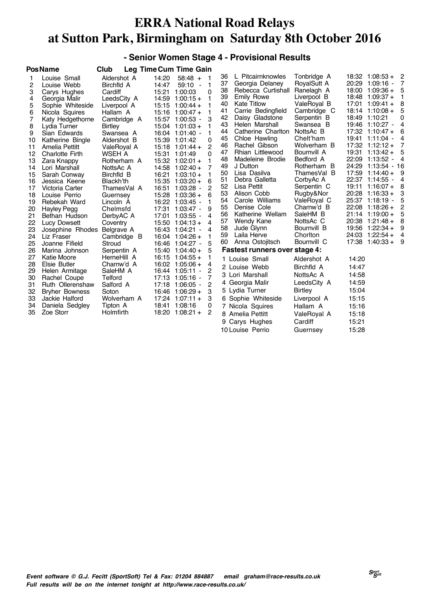#### **- Senior Women Stage 4 - Provisional Results**

|          | <b>PosName</b>               | Club                  |       | Leg Time Cum Time Gain  |              |          |                                |                          |       |                                 |                |
|----------|------------------------------|-----------------------|-------|-------------------------|--------------|----------|--------------------------------|--------------------------|-------|---------------------------------|----------------|
| 1        | Louise Small                 | Aldershot A           | 14:20 | $58:48 +$               | - 1          | 36       | L Pitcairnknowles              | Tonbridge A              |       | $18:32$ 1:08:53 +               | - 2            |
| 2        | Louise Webb                  | Birchfld A            | 14:47 | $59:10 -$               | $\mathbf 1$  | 37       | Georgia Delaney                | RoyalSutt A              |       | 20:29 1:09:16 -                 | 7              |
| 3        | Carys Hughes                 | Cardiff               | 15:21 | 1:00:03                 | 0            | 38       | Rebecca Curtishall             | Ranelagh A               | 18:00 | $1:09:36+$                      | 5              |
| 4        | Georgia Malir                | LeedsCity A           | 14:59 | $1:00:15+$              | 1            | 39       | Emily Rowe                     | Liverpool B              |       | $18:48$ 1:09:37 +               | 1              |
| 5        | Sophie Whiteside             | Liverpool A           |       | $15:15$ 1:00:44 +       | 1            | 40       | <b>Kate Titlow</b>             | ValeRoyal B              |       | $17:01$ 1:09:41 +               | 8              |
| 6        | Nicola Squires               | Hallam A              |       | $15:16$ 1:00:47 +       | 1            | 41       | Carrie Bedingfield             | Cambridge C              |       | $18:14$ 1:10:08 +               | 5              |
| 7        | Katy Hedgethorne             | Cambridge A           |       | 15:57 1:00:53 -         | 3            | 42       | Daisy Gladstone                | Serpentin B              |       | 18:49 1:10:21                   | 0              |
| 8        | Lydia Turner                 | Birtley               |       | $15:04$ 1:01:03 +       |              | 43       | Helen Marshall                 | Swansea B                |       | 19:46 1:10:27 -                 | 4              |
| 9        | Sian Edwards                 | Swansea A             |       | 16:04 1:01:40 -         |              | 44       | Catherine Charlton             | NottsAc B                |       | $17:32$ 1:10:47 +               | 6              |
| 10       | Katherine Bingle             | Aldershot B           |       | 15:39 1:01:42           | 0            | 45       | Chloe Hawling                  | Chelt'ham                |       | 19:41 1:11:04 -                 | 4              |
| 11       | Amelia Pettitt               | ValeRoyal A           | 15:18 | $1:01:44 +$             | 2            | 46       | Rachel Gibson                  | Wolverham B              |       | $17:32$ $1:12:12 +$             | 7              |
| 12       | <b>Charlotte Firth</b>       | WSEH A                |       | 15:31 1:01:49           | $\Omega$     | 47       | Rhian Littlewood               | Bournvill A              |       | $19:31$ 1:13:42 +               | 5              |
| 13       | Zara Knappy                  | Rotherham A           |       | $15:32$ 1:02:01 +       | 1            | 48       | Madeleine Brodie               | Bedford A                |       | 22:09 1:13:52<br>$\blacksquare$ | $\overline{4}$ |
| 14       | Lori Marshall                | NottsAc A             | 14:58 | $1:02:40+$              | 7            | 49       | J Dutton                       | Rotherham B              | 24:29 | $1:13:54 - 16$                  |                |
| 15       | Sarah Conway                 | Birchfld B            | 16:21 | $1:03:10 +$             | 1            | 50       | Lisa Dasilva<br>Debra Galletta | ThamesVal B              | 17:59 | $1:14:40+$<br>22:37 1:14:55     | 9              |
| 16       | Jessica Keene                | Blackh'th             |       | 15:35 1:03:20 +         | 6            | 51<br>52 | Lisa Pettit                    | CorbyAc A                | 19:11 | $1:16:07+$                      | 4<br>8         |
| 17       | Victoria Carter              | ThamesVal A           | 16:51 | $1:03:28 -$             | 2            | 53       | Alison Cobb                    | Serpentin C<br>Rugby&Nor | 20:28 | $1:16:33+$                      | 3              |
| 18       | Louise Perrio                | Guernsey              |       | $15:28$ 1:03:36 +       | 6            | 54       | Carole Williams                | ValeRoyal C              |       | 25:37 1:18:19 -                 | 5              |
| 19       | Rebekah Ward                 | Lincoln A             |       | 16:22 1:03:45 -         |              | 55       | Denise Cole                    | Charnw'd B               | 22:08 | $1:18:26+$                      | 2              |
| 20       | <b>Hayley Pegg</b>           | Chelmsfd              | 17:31 | $1:03:47 -$             | 9            | 56       | Katherine Wellam               | SaleHM B                 |       | $21:14$ 1:19:00 +               | 5              |
| 21       | Bethan Hudson                | DerbyAC A             | 17:01 | $1:03:55 -$             | 4            | 57       | Wendy Kane                     | NottsAc C                |       | 20:38 1:21:48 +                 | 8              |
| 22       | Lucy Dowsett                 | Coventry              |       | $15:50$ $1:04:13+$      | 4            | 58       | Jude Glynn                     | Bournvill B              |       | 19:56 1:22:34 +                 | 9              |
| 23       | Josephine Rhodes             | Belgrave A            | 16:04 | 16:43 1:04:21 -         | 4            | 59       | Laila Herve                    | Choriton                 |       | $24:03$ 1:22:54 +               | 4              |
| 24<br>25 | Liz Fraser<br>Joanne Fifield | Cambridge B<br>Stroud | 16:46 | $1:04:26+$<br>1:04:27 - | 1<br>5       | 60       | Anna Ostojitsch                | Bournvill C              | 17:38 | $1:40:33+$                      | - 9            |
| 26       | Marina Johnson               | Serpentin A           | 15:40 | $1:04:40+$              | 5            |          | Fastest runners over stage 4:  |                          |       |                                 |                |
| 27       | <b>Katie Moore</b>           | HerneHill A           | 16:15 | $1:04:55 +$             | $\mathbf{1}$ |          | 1 Louise Small                 | Aldershot A              | 14:20 |                                 |                |
| 28       | Elsie Butler                 | Charnw'd A            |       | $16:02$ 1:05:06 +       | 4            |          | 2 Louise Webb                  | Birchfld A               | 14:47 |                                 |                |
| 29       | Helen Armitage               | SaleHM A              | 16:44 | 1:05:11 -               | 2            |          |                                |                          |       |                                 |                |
| 30       | Rachel Coupe                 | Telford               | 17:13 | - 1:05:16 -             | 7            |          | 3 Lori Marshall                | NottsAc A                | 14:58 |                                 |                |
| 31       | Ruth Ollerenshaw             | Salford A             |       | 17:18 1:06:05 -         | 2            |          | 4 Georgia Malir                | LeedsCity A              | 14:59 |                                 |                |
| 32       | <b>Bryher Bowness</b>        | Soton                 |       | $16:46$ 1:06:29 +       | 3            |          | 5 Lydia Turner                 | <b>Birtley</b>           | 15:04 |                                 |                |
| 33       | Jackie Halford               | Wolverham A           |       | $17:24$ 1:07:11 +       | 3            |          | 6 Sophie Whiteside             | Liverpool A              | 15:15 |                                 |                |
| 34       | Daniela Sedgley              | Tipton A              | 18:41 | 1:08:16                 | 0            |          | 7 Nicola Squires               | Hallam A                 | 15:16 |                                 |                |
| 35       | Zoe Storr                    | Holmfirth             |       | $18:20$ 1:08:21 +       | 2            |          | 8 Amelia Pettitt               | ValeRoyal A              | 15:18 |                                 |                |
|          |                              |                       |       |                         |              |          | 9 Carys Hughes                 | Cardiff                  | 15:21 |                                 |                |
|          |                              |                       |       |                         |              |          | 10 Louise Perrio               | Guernsey                 | 15:28 |                                 |                |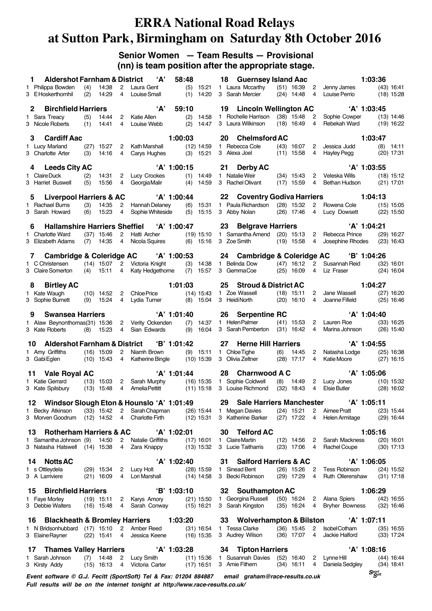#### **Senior Women — Team Results — Provisional (nn) is team position after the appropriate stage.**

| <b>Aldershot Farnham &amp; District</b><br>1.                                  |            |                              |                                  | 'А'                                          | 58:48         |                              |           | 18 Guernsey Island Aac                         |     |                                |                         |                                          | 1:03:36                        |                              |
|--------------------------------------------------------------------------------|------------|------------------------------|----------------------------------|----------------------------------------------|---------------|------------------------------|-----------|------------------------------------------------|-----|--------------------------------|-------------------------|------------------------------------------|--------------------------------|------------------------------|
| 1 Philippa Bowden<br>3 EHoskerthornhil                                         | (4)<br>(2) | 14:38<br>14:29               | $2^{\circ}$<br>4                 | Laura Gent<br>Louise Small                   | (1)           | $(5)$ 15:21<br>14:20         |           | 1 Laura Mccarthy<br>3 Sarah Mercier            |     | (51) 16:39<br>$(24)$ 14:48     | $\overline{2}$<br>4     | Jenny James<br>Louise Perrio             |                                | $(43)$ 16:41<br>$(18)$ 15:28 |
| <b>Birchfield Harriers</b><br>2.                                               |            |                              |                                  | 'А'                                          | 59:10         |                              |           | 19 Lincoln Wellington AC                       |     |                                |                         | $'A'$ 1:03:45                            |                                |                              |
| 1 Sara Treacy<br>3 Nicole Roberts                                              | (5)<br>(1) | 14:44<br>14:41               | $^{2}$<br>$\overline{4}$         | Katie Allen<br>Louise Webb                   | (2)           | 14:58<br>$(2)$ 14:47         |           | 1 Rochelle Harrison<br>3 Laura Wilkinson       |     | $(38)$ 15:48<br>$(18)$ 16:49   | 2<br>4                  | Sophie Cowper<br>Rebekah Ward            |                                | $(13)$ 14:46<br>$(19)$ 16:22 |
| 3<br><b>Cardiff Aac</b>                                                        |            |                              |                                  |                                              | 1:00:03       |                              | <b>20</b> | <b>Chelmsford AC</b>                           |     |                                |                         |                                          | 1:03:47                        |                              |
| 1 Lucy Marland<br>3 Charlotte Arter                                            | (3)        | $(27)$ 15:27<br>14:16        | $\overline{2}$<br>$\overline{4}$ | Kath Marshall<br>Carys Hughes                |               | $(12)$ 14:59<br>$(3)$ 15:21  |           | 1 Rebecca Cole<br>3 Alexa Joel                 |     | $(43)$ 16:07<br>$(11)$ 15:58   | $\overline{2}$<br>4     | Jessica Judd<br>Hayley Pegg              |                                | $(8)$ 14:11<br>$(20)$ 17:31  |
| 4 Leeds City AC                                                                |            |                              |                                  |                                              | 'A' 1:00:15   |                              |           | 21 Derby AC                                    |     |                                |                         | $'A'$ 1:03:55                            |                                |                              |
| 1 Claire Duck<br>3 Harriet Buswell                                             | (2)<br>(5) | 14:31<br>15:56               | 4                                | 2 Lucy Crookes<br>Georgia Malir              |               | $(1)$ 14:49<br>$(4)$ 14:59   |           | 1 Natalie Weir<br>3 Rachel Olivant             |     | $(34)$ 15:43<br>$(17)$ 15:59   | 2<br>4                  | Veleska Wills<br>Bethan Hudson           |                                | (18) 15:12<br>$(21)$ 17:01   |
| <b>Liverpool Harriers &amp; AC</b><br>5.                                       |            |                              |                                  |                                              | 'A' 1:00:44   |                              | 22        | <b>Coventry Godiva Harriers</b>                |     |                                |                         |                                          | 1:04:13                        |                              |
| 1 Rachael Burns<br>3 Sarah Howard                                              | (3)<br>(6) | 14:35<br>15:23               | $\overline{2}$<br>4              | Hannah Delaney<br>Sophie Whiteside           |               | $(6)$ 15:31<br>$(5)$ 15:15   |           | 1 Paula Richardson (28) 15:32<br>3 Abby Nolan  |     | $(26)$ 17:46                   | $2^{\circ}$<br>4        | Rowena Cole<br>Lucy Dowsett              |                                | $(15)$ 15:05<br>$(22)$ 15:50 |
| 6                                                                              |            |                              |                                  | Hallamshire Harriers Sheffiel 'A' 1:00:47    |               |                              |           | 23 Belgrave Harriers                           |     |                                |                         | 'A' 1:04:21                              |                                |                              |
| 1 Charlotte Ward<br>3 Elizabeth Adams                                          |            | $(37)$ 15:46<br>$(7)$ 14:35  | $\overline{2}$<br>$\overline{4}$ | Hatti Archer<br>Nicola Squires               |               | $(19)$ 15:10<br>$(6)$ 15:16  |           | 1 Samantha Amend<br>3 Zoe Smith                |     | $(20)$ 15:13<br>$(19)$ 15:58   | 2<br>4                  | Rebecca Prince<br>Josephine Rhodes       |                                | $(29)$ 16:27<br>$(23)$ 16:43 |
|                                                                                |            |                              |                                  |                                              |               |                              |           |                                                |     |                                |                         |                                          |                                |                              |
| <b>Cambridge &amp; Coleridge AC</b><br>7<br>1 C Christensen                    |            |                              |                                  | (14) 15:07 2 Victoria Knight                 | 'A' 1:00:53   | $(3)$ 14:38                  |           | 24 Cambridge & Coleridge AC<br>1 Belinda Dow   |     | $(47)$ 16:12 2                 |                         | "B" 1:04:26<br>Susannah Reid             |                                | $(32)$ 16:01                 |
| 3 Claire Somerton                                                              |            |                              |                                  | (4) 15:11 4 Katy Hedgethorne                 |               | $(7)$ 15:57                  |           | 3 GemmaCoe                                     |     | $(25)$ 16:09                   | $\overline{4}$          | Liz Fraser                               |                                | $(24)$ 16:04                 |
| <b>Birtley AC</b><br>8                                                         |            |                              |                                  |                                              | 1:01:03       |                              | 25        | <b>Stroud &amp; District AC</b>                |     |                                |                         |                                          | 1:04:27                        |                              |
| 1 Kate Waugh<br>3 Sophie Burnett                                               |            | $(10)$ 14:52<br>$(9)$ 15:24  | $\overline{4}$                   | 2 Chloe Price<br>Lydia Turner                |               | $(14)$ 15:43<br>$(8)$ 15:04  |           | 1 Zoe Wassell<br>3 HeidiNorth                  |     | $(18)$ 15:11<br>$(20)$ 16:10   | $\mathbf{2}$<br>4       | Jane Wassell<br>Joanne Fifield           |                                | $(27)$ 16:20<br>$(25)$ 16:46 |
| <b>Swansea Harriers</b><br>9                                                   |            |                              |                                  |                                              | 'A' 1:01:40   |                              |           | 26 Serpentine RC                               |     |                                |                         | 'A' 1:04:40                              |                                |                              |
| 1 Alaw Beynonthomas(31) 15:36                                                  |            |                              |                                  | 2 Verity Ockenden                            | (7)           | 14:37                        |           | 1 Helen Palmer                                 |     | $(41)$ 15:53                   | 2                       | Lauren Roe                               |                                | $(33)$ 16:25                 |
| 3 Kate Roberts                                                                 |            | $(8)$ 15:23                  | $\overline{4}$                   | Sian Edwards                                 | (9)           | 16:04                        |           | 3 Sarah Pemberton (31) 16:42                   |     |                                | 4                       | Marina Johnson                           |                                | $(26)$ 15:40                 |
| <b>Aldershot Farnham &amp; District</b><br>10                                  |            |                              |                                  |                                              | 'B' 1:01:42   |                              | 27        | <b>Herne Hill Harriers</b>                     |     |                                |                         | 'A' 1:04:55                              |                                |                              |
| 1 Amy Griffiths<br>3 Gabi Eglen                                                |            | $(16)$ 15:09<br>$(10)$ 15:43 | $\overline{2}$<br>$\overline{4}$ | Niamh Brown<br>Katherine Bingle              |               | $(9)$ 15:11<br>$(10)$ 15:39  |           | 1 Chloe Tighe<br>3 Olivia Zeltner              | (6) | 14:45<br>$(28)$ 17:17          | 2<br>$\overline{4}$     | Natasha Lodge<br>Katie Moore             |                                | $(25)$ 16:38<br>$(27)$ 16:15 |
| 11 Vale Royal AC                                                               |            |                              |                                  |                                              | $'A'$ 1:01:44 |                              | 28        | <b>Charnwood A C</b>                           |     |                                |                         | 'A' 1:05:06                              |                                |                              |
| 1 Katie Gerrard<br>3 Kate Spilsbury                                            |            | $(13)$ 15:03<br>$(13)$ 15:48 | $\overline{2}$                   | Sarah Murphy<br>4 Amelia Pettitt             |               | $(16)$ 15:35<br>(11) 15:18   |           | 1 Sophie Coldwell<br>3 Louise Richmond         |     | $(8)$ 14:49<br>$(32)$ 18:43    | $\overline{2}$<br>4     | Lucy Jones<br>Elsie Butler               |                                | $(10)$ 15:32<br>$(28)$ 16:02 |
| 12 Windsor Slough Eton & Hounslo 'A' 1:01:49                                   |            |                              |                                  |                                              |               |                              |           | 29 Sale Harriers Manchester                    |     |                                |                         | 'A' 1:05:11                              |                                |                              |
| 1 Becky Atkinson                                                               |            |                              |                                  | $(33)$ 15:42 2 Sarah Chapman                 |               | $(26)$ 15:44                 |           | 1 Megan Davies                                 |     | $(24)$ 15:21                   | 2                       | Aimee Pratt                              |                                | $(23)$ 15:44                 |
| 3 Morven Goodrum                                                               |            |                              |                                  | $(12)$ 14:52 4 Charlotte Firth               |               | $(12)$ 15:31                 |           | 3 Katherine Barker                             |     | $(27)$ 17:22                   | 4                       | Helen Armitage                           |                                | $(29)$ 16:44                 |
| 13 Rotherham Harriers & AC                                                     |            |                              |                                  |                                              | 'A' 1:02:01   |                              |           | 30 Telford AC                                  |     |                                |                         |                                          | 1:05:16                        |                              |
| 1 Samantha Johnson (9) 14:50<br>3 Natasha Hatswell (14) 15:38                  |            |                              | $\overline{2}$<br>$\overline{4}$ | Natalie Griffiths<br>Zara Knappy             |               | $(17)$ 16:01<br>$(13)$ 15:32 |           | 1 Claire Martin<br>3 Lucie Taitharris          |     | $(12)$ 14:56<br>$(23)$ 17:06 4 | $\overline{\mathbf{2}}$ | Sarah Mackness<br>Rachel Coupe           |                                | $(20)$ 16:01<br>$(30)$ 17:13 |
| <b>Notts AC</b><br>14                                                          |            |                              |                                  |                                              | 'A' 1:02:40   |                              | 31        | <b>Salford Harriers &amp; AC</b>               |     |                                |                         | $'A'$ 1:06:05                            |                                |                              |
| 1 s Ottleydela<br>3 A Larriviere                                               |            | (29) 15:34<br>$(21)$ 16:09   | 2<br>$\overline{4}$              | Lucy Holt<br>Lori Marshall                   |               | $(28)$ 15:59<br>$(14)$ 14:58 |           | 1 Sinead Bent<br>3 Becki Robinson              |     | $(26)$ 15:26<br>$(29)$ 17:29   | 2<br>4                  | <b>Tess Robinson</b><br>Ruth Ollerenshaw |                                | $(24)$ 15:52<br>$(31)$ 17:18 |
| 15<br><b>Birchfield Harriers</b>                                               |            |                              |                                  |                                              | 'B' 1:03:10   |                              |           | 32 Southampton AC                              |     |                                |                         |                                          | 1:06:29                        |                              |
| 1 Faye Morley                                                                  |            | $(19)$ 15:11                 | $^{2}$                           | Karys Amory                                  |               | $(21)$ 15:50                 |           | 1 Georgina Russell (50) 16:24 2                |     |                                |                         | Alana Spiers                             |                                | $(42)$ 16:55                 |
| 3 Debbie Walters                                                               |            | $(16)$ 15:48                 | 4                                | Sarah Conway                                 |               | (15) 16:21                   |           | 3 Sarah Kingston                               |     | $(35)$ 16:24 4                 |                         | <b>Bryher Bowness</b>                    |                                | $(32)$ 16:46                 |
| 16 Blackheath & Bromley Harriers<br>1 N Bridsonhubbard (17) 15:10 2 Amber Reed |            |                              |                                  |                                              | 1:03:20       | (31) 16:54                   |           | 33 Wolverhampton & Bilston<br>1 Tessa Clarke   |     | $(36)$ 15:45                   | $\overline{2}$          | 'A' 1:07:11<br>Isobel Cotham             |                                | $(35)$ 16:55                 |
| 3 Elaine Rayner                                                                |            |                              |                                  | $(22)$ 15:41 4 Jessica Keene                 |               | $(16)$ 15:35                 |           | 3 Audrey Wilson                                |     | $(36)$ 17:07                   | 4                       | Jackie Halford                           |                                | $(33)$ 17:24                 |
| 17 Thames Valley Harriers                                                      |            |                              |                                  |                                              | 'A' 1:03:28   |                              | 34.       | <b>Tipton Harriers</b>                         |     |                                |                         | 'A' 1:08:16                              |                                |                              |
| 1 Sarah Johnson<br>3 Kirsty Addy                                               |            | $(7)$ 14:48 2                |                                  | Lucy Smith<br>$(15)$ 16:13 4 Victoria Carter |               | $(11)$ 15:36<br>$(17)$ 16:51 |           | 1 Susannah Davies (52) 16:40<br>3 Amie Fithern |     | $(34)$ 16:11                   | $\overline{c}$<br>4     | Lynne Hill<br>Daniela Sedgley            |                                | $(44)$ 16:44<br>$(34)$ 18:41 |
| Event software © G.J. Fecitt (SportSoft) Tel & Fax: 01204 884887               |            |                              |                                  |                                              |               |                              |           | email graham@race-results.co.uk                |     |                                |                         |                                          | $S_{\mathcal{S}^{opt}}^{port}$ |                              |

**Full results will be on the internet tonight at http://www.race-results.co.uk/**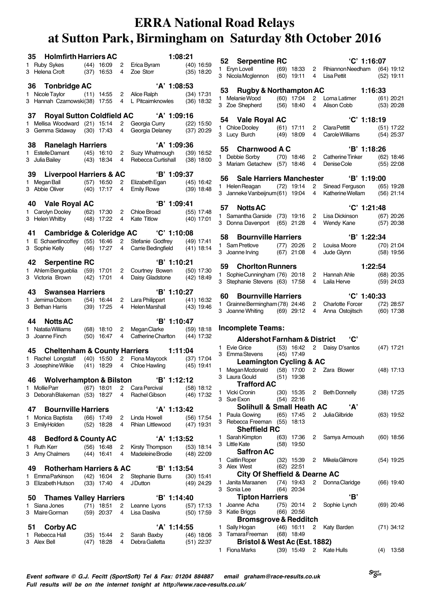| 35 Holmfirth Harriers AC                                                                                                                                             |  |  | 1:08:21            |  |
|----------------------------------------------------------------------------------------------------------------------------------------------------------------------|--|--|--------------------|--|
| 1 Ruby Sykes (44) 16:09 2 Erica Byram (40) 16:59<br>3 Helena Croft (37) 16:53 4 Zoe Storr (35) 18:20                                                                 |  |  |                    |  |
| 36 Tonbridge AC                                                                                                                                                      |  |  | 'A' 1:08:53        |  |
| 1 Nicole Taylor (11) 14:55 2 Alice Ralph (34) 17:31<br>3 Hannah Czarnowski(38) 17:55 4 L Pitcairnknowles (36) 18:32                                                  |  |  |                    |  |
|                                                                                                                                                                      |  |  |                    |  |
| 37 Royal Sutton Coldfield AC 'A' 1:09:16                                                                                                                             |  |  |                    |  |
|                                                                                                                                                                      |  |  |                    |  |
|                                                                                                                                                                      |  |  | 'A' 1:09:36        |  |
| <b>38 Ranelagh Harriers</b> 'A' 1:09:36<br>1 EstelleDamant (45) 16:10 2 Suzy Whatmough (39) 16:52                                                                    |  |  |                    |  |
| 3 Julia Bailey (43) 18:34 4 Rebecca Curtishall (38) 18:00                                                                                                            |  |  |                    |  |
|                                                                                                                                                                      |  |  |                    |  |
|                                                                                                                                                                      |  |  |                    |  |
| <b>39 Liverpool Harriers &amp; AC</b> ( <b>B' 1:09:37</b><br>1 MeganBall (57) 16:50 2 Elizabeth Egan (45) 16:42<br>3 Abbie Oliver (40) 17:17 4 Emily Rowe (39) 18:48 |  |  |                    |  |
|                                                                                                                                                                      |  |  |                    |  |
| 40 Vale Royal AC                                                                                                                                                     |  |  | <b>B</b> ' 1:09:41 |  |
| 1 Carolyn Dooley (62) 17:30 2 Chloe Broad (55) 17:48<br>3 Helen Whitby (48) 17:22 4 Kate Titlow (40) 17:01                                                           |  |  |                    |  |
|                                                                                                                                                                      |  |  |                    |  |
| 41 Cambridge & Coleridge AC 'C' 1:10:08                                                                                                                              |  |  |                    |  |
| 1 E Schaertlincoffey (55) 16:46 2 Stefanie Godfrey (49) 17:41<br>3 Sophie Kelly (46) 17:27 4 Carrie Bedingfield (41) 18:14                                           |  |  |                    |  |
|                                                                                                                                                                      |  |  |                    |  |
| <b>42 Serpentine RC</b> 'B' 1:10:21<br>1 Ahlem Bengueblia (59) 17:01 2 Courtney Bowen (50) 17:30                                                                     |  |  |                    |  |
|                                                                                                                                                                      |  |  |                    |  |
| 3 Victoria Brown (42) 17:01 4 Daisy Gladstone (42) 18:49                                                                                                             |  |  |                    |  |
| 43 Swansea Harriers                                                                                                                                                  |  |  | 'B' 1:10:27        |  |
| 1 JemimaOsborn (54) 16:44 2 Lara Philippart (41) 16:32                                                                                                               |  |  |                    |  |
| 3 Bethan Harris (39) 17:25 4 Helen Marshall (43) 19:46                                                                                                               |  |  |                    |  |
| 44 Notts AC                                                                                                                                                          |  |  | 'B' 1:10:47        |  |
| 1 Natatia Williams (68) 18:10  2 Megan Clarke (59) 18:18<br>3 Joanne Finch (50) 16:47  4 Catherine Charlton (44) 17:32                                               |  |  |                    |  |
|                                                                                                                                                                      |  |  |                    |  |
| 45 Cheltenham & County Harriers 1:11:04                                                                                                                              |  |  |                    |  |
| 1 Rachel Longstaff (40) 15:50 2 Fiona Maycock (37) 17:04<br>3 Josephine Wilkie (41) 18:29 4 Chloe Hawling (45) 19:41                                                 |  |  |                    |  |
|                                                                                                                                                                      |  |  |                    |  |
| 46 Wolverhampton & Bilston 'B' 1:12:12                                                                                                                               |  |  |                    |  |
| 1 Mollie Parr (67) 18:01 2 Cara Percival (58) 18:12                                                                                                                  |  |  |                    |  |
| 3 Deborah Blakeman $(53)$ 18:27 4 Rachel Gibson $(46)$ 17:32                                                                                                         |  |  |                    |  |
| 47 Bournville Harriers                                                                                                                                               |  |  | 'A' 1:13:42        |  |
| 1 Monica Baptista (66) 17:49 2 Linda Howell (56) 17:54                                                                                                               |  |  |                    |  |
| 3 Emily Holden (52) 18:28  4  Rhian Littlewood (47) 19:31                                                                                                            |  |  |                    |  |
|                                                                                                                                                                      |  |  |                    |  |
| 48 Bedford & County AC                                                                                                                                               |  |  | 'A' 1:13:52        |  |
| 1 Ruth Kerr (56) 16:48 2 Kirsty Thompson (53) 18:14<br>3 Amy Chalmers (44) 16:41 4 Madeleine Brodie (48) 22:09                                                       |  |  |                    |  |
|                                                                                                                                                                      |  |  |                    |  |
| 49 Rotherham Harriers & AC 'B' 1:13:54                                                                                                                               |  |  |                    |  |
| 1 Emma Parkinson (42) 16:04  2 Stephanie Burns (30) 15:41<br>3 Elizabeth Hutson (33) 17:40  4 J Dutton (49) 24:29                                                    |  |  |                    |  |
|                                                                                                                                                                      |  |  |                    |  |
| 50 Thames Valley Harriers <b>EXECUTE:</b> 1:14:40                                                                                                                    |  |  |                    |  |
| 1 Siana Jones (71) 18:51  2 Leanne Lyons (57) 17:13<br>3 Maire Gorman (59) 20:37  4 Lisa Dasilva (50) 17:59                                                          |  |  |                    |  |
|                                                                                                                                                                      |  |  |                    |  |
| 51 Corby AC                                                                                                                                                          |  |  | 'A' 1:14:55        |  |
| 1 Rebecca Hall (35) 15:44 2 Sarah Baxby (46) 18:06<br>3 Alex Bell (47) 18:28 4 Debra Galletta (51) 22:37                                                             |  |  |                    |  |
|                                                                                                                                                                      |  |  |                    |  |

|      | 52 Serpentine RC                                                                |              |                              |                | 'C' 1:16:07                                                                           |              |
|------|---------------------------------------------------------------------------------|--------------|------------------------------|----------------|---------------------------------------------------------------------------------------|--------------|
|      | 1 Eryn Lovell                                                                   |              |                              |                | (69) 18:33 2 Rhiannon Needham                                                         | $(64)$ 19:12 |
|      | 3 Nicola Mcglennon                                                              |              | $(60)$ 19:11                 |                | 4 Lisa Pettit                                                                         | $(52)$ 19:11 |
|      |                                                                                 |              |                              |                |                                                                                       |              |
|      | 53 Rugby & Northampton AC                                                       |              |                              |                |                                                                                       | 1:16:33      |
|      | 1 Melanie Wood                                                                  |              | $(60)$ 17:04<br>$(56)$ 18:40 |                | 2 Lorna Latimer                                                                       | (61) 20:21   |
|      | 3 Zoe Shepherd                                                                  |              |                              | $\overline{4}$ | Alison Cobb                                                                           | $(53)$ 20:28 |
|      | 54 Vale Royal AC                                                                |              |                              |                | 'C' 1:18:19                                                                           |              |
|      |                                                                                 |              |                              |                | 2 Clara Pettitt                                                                       | (51) 17:22   |
|      | 1 Chloe Dooley (61) 17:11<br>3 Lucy Burch (49) 18:09                            |              |                              | 4              | Clarametheut (31) 17.22<br>Carole Williams (54) 25:37                                 |              |
|      |                                                                                 |              |                              |                |                                                                                       |              |
|      | 55 Charnwood A C                                                                |              |                              |                | 'B' 1:18:26                                                                           |              |
|      | 1 Debbie Sorby                                                                  |              | $(70)$ 18:46                 |                | 2 Catherine Tinker                                                                    | $(62)$ 18:46 |
|      | 3 Mariam Getachew (57) 18:46                                                    |              |                              | $4 \square$    | Denise Cole                                                                           | $(55)$ 22:08 |
|      |                                                                                 |              |                              |                |                                                                                       |              |
|      |                                                                                 |              |                              |                | 56 Sale Harriers Manchester 'B' 1:19:00                                               |              |
|      | 3 Janneke Vanbeijnum(61) 19:04                                                  |              |                              | $\overline{4}$ | 1 Helen Reagan (72) 19:14 2 Sinead Ferguson (65) 19:28<br>Katherine Wellam (56) 21:14 |              |
|      |                                                                                 |              |                              |                |                                                                                       |              |
|      | 57 Notts AC                                                                     |              |                              |                | 'C' 1:21:48                                                                           |              |
|      | 1 Samantha Garside (73) 19:16                                                   |              |                              |                | 2 Lisa Dickinson                                                                      | $(67)$ 20:26 |
|      | 3 Donna Davenport                                                               |              | $(65)$ 21:28                 | $4 \square$    | Wendy Kane (57) 20:38                                                                 |              |
|      |                                                                                 |              |                              |                |                                                                                       |              |
|      | 58 Bournville Harriers                                                          |              |                              |                | B' 1:22:34                                                                            |              |
|      | 1 Sam Pretlove (77) 20:26                                                       |              |                              |                | 2 Louisa Moore                                                                        | $(70)$ 21:04 |
|      | 3 Joanne Irving                                                                 |              | $(67)$ 21:08                 | 4              | Jude Glynn                                                                            | $(58)$ 19:56 |
|      |                                                                                 |              |                              |                |                                                                                       |              |
|      | 59 Chorlton Runners                                                             |              |                              |                |                                                                                       | 1:22:54      |
|      | 1 Sophie Cunningham (76) 20:18<br>3 Stephanie Stevens (63) 17:58                |              |                              | $\overline{4}$ | 2 Hannah Ahle<br>Laila Herve                                                          | $(68)$ 20:35 |
|      |                                                                                 |              |                              |                |                                                                                       | $(59)$ 24:03 |
| 60 — | <b>Bournville Harriers</b>                                                      |              |                              |                | $°C'$ 1:40:33                                                                         |              |
|      | 1 Grainne Bermingham (78) 24:46                                                 |              |                              |                | 2 Charlotte Forcer                                                                    | $(72)$ 28:57 |
|      | 3 Joanne Whiting (69) 29:12                                                     |              |                              | $4 \square$    | Anna Ostojitsch                                                                       | $(60)$ 17:38 |
|      |                                                                                 |              |                              |                |                                                                                       |              |
|      | <b>Incomplete Teams:</b>                                                        |              |                              |                |                                                                                       |              |
|      |                                                                                 |              |                              |                |                                                                                       |              |
|      | <b>Aldershot Farnham &amp; District</b>                                         |              |                              |                | $^{\circ}$ C'                                                                         |              |
|      | 1 Evie Grice                                                                    |              | $(53)$ 16:42                 |                | 2 Daisy D'santos                                                                      | $(47)$ 17:21 |
|      | 3 Emma Stevens (45) 17:49                                                       |              |                              |                |                                                                                       |              |
|      | <b>Leamington Cycling &amp; AC</b><br>1 Megan Mcdonald (58) 17:00 2 Zara Blower |              |                              |                |                                                                                       | $(48)$ 17:13 |
|      | 3 Laura Gould (51) 19:38                                                        |              |                              |                |                                                                                       |              |
|      | <b>Trafford AC</b>                                                              |              |                              |                |                                                                                       |              |
| 1    | Vicki Cronin                                                                    |              |                              |                | (30) 15:35 2 Beth Donnelly                                                            | $(38)$ 17:25 |
| 3    | Sue Exon                                                                        |              | $(54)$ 22:16                 |                |                                                                                       |              |
|      | Solihull & Small Heath AC                                                       |              |                              |                | 'А'                                                                                   |              |
| 1.   | Paula Gowing                                                                    |              | $(65)$ 17:45                 | 2              | Julia Gilbride                                                                        | $(63)$ 19:52 |
|      | 3 Rebecca Freeman (55) 18:13                                                    |              |                              |                |                                                                                       |              |
|      | <b>Sheffield RC</b>                                                             |              |                              |                |                                                                                       |              |
| 1    | Sarah Kimpton                                                                   | (63)         | 17:36                        | 2              | Samya Armoush                                                                         | $(60)$ 18:56 |
|      | 3 Little Kate                                                                   |              | $(58)$ 19:50                 |                |                                                                                       |              |
|      | <b>Saffron AC</b>                                                               |              |                              |                |                                                                                       |              |
| 1    | Caitlin Roper                                                                   |              | (32) 15:39                   | 2              | Mikela Gilmore                                                                        | $(54)$ 19:25 |
|      | 3 Alex West                                                                     |              | $(62)$ 22:51                 |                |                                                                                       |              |
|      | <b>City Of Sheffield &amp; Dearne AC</b>                                        |              |                              |                |                                                                                       |              |
| 1.   |                                                                                 |              |                              | 2              | Donna Claridge                                                                        | $(66)$ 19:40 |
|      | Janita Maraanen                                                                 | $(74)$ 19:43 |                              |                |                                                                                       |              |
|      | 3 Sonia Lee                                                                     |              | $(64)$ 20:34                 |                |                                                                                       |              |
|      | <b>Tipton Harriers</b>                                                          |              |                              |                | 'В'                                                                                   |              |
| 1    | Joanne Acha                                                                     |              | $(75)$ 20:14                 | 2              | Sophie Lynch                                                                          | $(69)$ 20:46 |
|      | 3 Katie Briggs                                                                  |              | $(66)$ 20:56                 |                |                                                                                       |              |
|      | <b>Bromsgrove &amp; Redditch</b>                                                |              |                              |                |                                                                                       |              |
| 1    | Sally Hogan<br>3 Tamara Freeman                                                 |              | $(46)$ 16:11<br>$(68)$ 18:49 | $\overline{2}$ | Katy Barden                                                                           | $(71)$ 34:12 |
|      | Bristol & West Ac (Est. 1882)                                                   |              |                              |                |                                                                                       |              |

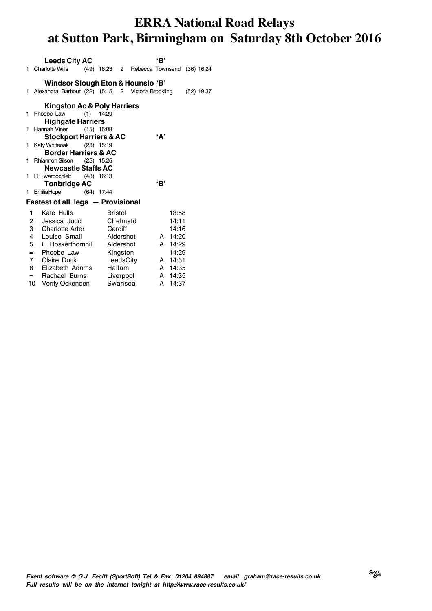|    | <b>Leeds City AC</b>                                       |              |         |           | 'В'        |              |
|----|------------------------------------------------------------|--------------|---------|-----------|------------|--------------|
|    | 1 Charlotte Wills (49) 16:23 2 Rebecca Townsend (36) 16:24 |              |         |           |            |              |
|    | Windsor Slough Eton & Hounslo 'B'                          |              |         |           |            |              |
|    | 1 Alexandra Barbour (22) 15:15 2 Victoria Brookling        |              |         |           |            | $(52)$ 19:37 |
|    |                                                            |              |         |           |            |              |
|    | <b>Kingston Ac &amp; Poly Harriers</b>                     |              |         |           |            |              |
|    | 1 Phoebe Law                                               | $(1)$ 14:29  |         |           |            |              |
|    | <b>Highgate Harriers</b>                                   |              |         |           |            |              |
| 1. | Hannah Viner                                               | $(15)$ 15:08 |         |           |            |              |
|    | <b>Stockport Harriers &amp; AC</b>                         |              |         |           | 'А'        |              |
|    | 1 Katy Whiteoak (23) 15:19                                 |              |         |           |            |              |
|    | <b>Border Harriers &amp; AC</b>                            |              |         |           |            |              |
|    | 1 Rhiannon Silson (25) 15:25                               |              |         |           |            |              |
|    | <b>Newcastle Staffs AC</b>                                 |              |         |           |            |              |
|    | 1 R Twardochleb (48) 16:13                                 |              |         |           |            |              |
|    | <b>Tonbridge AC</b>                                        |              |         |           | 'В'        |              |
| 1. | EmiliaHope (64) 17:44                                      |              |         |           |            |              |
|    | Fastest of all legs - Provisional                          |              |         |           |            |              |
|    | Kate Hulls<br>1                                            |              | Bristol |           | 13:58      |              |
|    | 2<br>Jessica Judd                                          |              |         | Chelmsfd  | 14:11      |              |
|    | 3 Charlotte Arter                                          | Cardiff      |         |           | 14:16      |              |
|    | $4 \quad$<br>Louise Small                                  | Aldershot    |         |           | A 14:20    |              |
|    | 5<br>E Hoskerthornhil Aldershot                            |              |         |           | A 14:29    |              |
|    | $=$ Phoebe Law                                             | Kingston     |         |           | 14:29      |              |
|    | 7 Claire Duck                                              |              |         | LeedsCity | A 14:31    |              |
|    | 8 Elizabeth Adams                                          |              | Hallam  |           | A 14:35    |              |
|    | $=$ Rachael Burns                                          | Liverpool    |         |           | A 14:35    |              |
|    | 10<br>Verity Ockenden                                      |              | Swansea |           | 14:37<br>A |              |
|    |                                                            |              |         |           |            |              |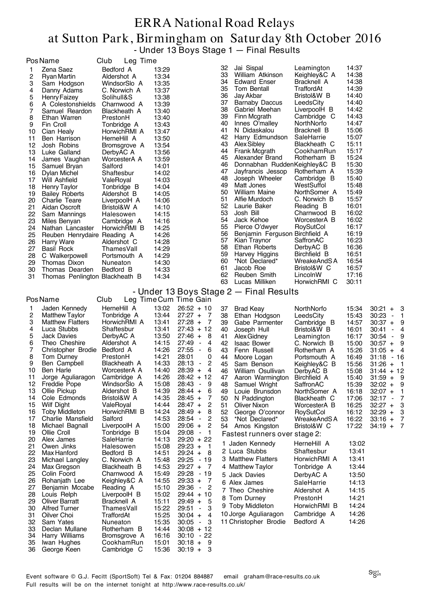#### ERRA National Road Relays at Sutton Park, Birmingham on Saturday 8th October 2016 - Under 13 Boys Stage 1 — Final Results

|          | <b>PosName</b>                                | Club<br>Leg Time            |                |                                           |          |                                         |                             |                |                                        |
|----------|-----------------------------------------------|-----------------------------|----------------|-------------------------------------------|----------|-----------------------------------------|-----------------------------|----------------|----------------------------------------|
| 1        | Zena Saez                                     | Bedford A                   | 13:29          |                                           | 32       | Jai Sispal                              | Leamington                  | 14:37          |                                        |
| 2        | <b>Ryan Martin</b>                            | Aldershot A                 | 13:34          |                                           | 33       | William Atkinson                        | Keighley&C A                | 14:38          |                                        |
| 3        | Sam Hodgson                                   | WindsorSlo A                | 13:35          |                                           | 34       | <b>Edward Enser</b>                     | Bracknell A                 | 14:38          |                                        |
| 4        | Danny Adams                                   | C. Norwich A                | 13:37          |                                           | 35       | Tom Bentall                             | TraffordAt                  | 14:39          |                                        |
| 5        | <b>Henry Faizey</b>                           | Solihull&S                  | 13:38          |                                           | 36       | Jay Akbar                               | Bristol&W B                 | 14:40          |                                        |
| 6        | A Colestonshields                             | Charnwood A                 | 13:39          |                                           | 37<br>38 | <b>Barnaby Daccus</b>                   | LeedsCity                   | 14:40<br>14:42 |                                        |
| 7        | Samuel Reardon                                | Blackheath A                | 13:40          |                                           | 39       | Gabriel Meehan<br>Finn Mcgrath          | LiverpoolH B<br>Cambridge C | 14:43          |                                        |
| 8        | Ethan Warren                                  | PrestonH                    | 13:40          |                                           | 40       | Innes O'malley                          | NorthNorfo                  | 14:47          |                                        |
| 9<br>10  | Fin Croll<br>Cian Healy                       | Tonbridge A<br>HorwichRMI A | 13:43<br>13:47 |                                           | 41       | N Didaskalou                            | Bracknell B                 | 15:06          |                                        |
| 11       | Ben Harrison                                  | HerneHill A                 | 13:50          |                                           | 42       | Harry Edmundson                         | SaleHarrie                  | 15:07          |                                        |
| 12       | Josh Robins                                   | Bromsgrove A                | 13:54          |                                           | 43       | Alex Sibley                             | Blackheath C                | 15:11          |                                        |
| 13       | Luke Galland                                  | DerbyAC A                   | 13:56          |                                           | 44       | Frank Mcgrath                           | CookhamRun                  | 15:17          |                                        |
| 14       | James Vaughan                                 | WorcesterA A                | 13:59          |                                           | 45       | Alexander Brand                         | Rotherham B                 | 15:24          |                                        |
| 15       | Samuel Bryan                                  | Salford                     | 14:01          |                                           | 46       | Donnabhan RuddenKeighley&C B            |                             | 15:30          |                                        |
| 16       | Dylan Michel                                  | Shaftesbur                  | 14:02          |                                           | 47       | Jayfrancis Jessop                       | Rotherham A                 | 15:39<br>15:40 |                                        |
| 17       | Will Ashfield                                 | ValeRoyal                   | 14:03          |                                           | 48<br>49 | Joseph Wheeler<br>Matt Jones            | Cambridge B<br>WestSuffol   | 15:48          |                                        |
| 18<br>19 | <b>Henry Taylor</b><br><b>Bailey Roberts</b>  | Tonbridge B<br>Aldershot B  | 14:04<br>14:05 |                                           | 50       | William Maine                           | NorthSomer A                | 15:49          |                                        |
| 20       | Charlie Teare                                 | LiverpoolH A                | 14:06          |                                           | 51       | Alfie Murdoch                           | C. Norwich B                | 15:57          |                                        |
| 21       | Aidan Oscroft                                 | Bristol&W A                 | 14:10          |                                           | 52       | Laurie Baker                            | Reading B                   | 16:01          |                                        |
| 22       | Sam Mannings                                  | Halesowen                   | 14:15          |                                           | 53       | Josh Bill                               | Charnwood B                 | 16:02          |                                        |
| 23       | Miles Benyan                                  | Cambridge A                 | 14:16          |                                           | 54       | Jack Kehoe                              | WorcesterA B                | 16:02          |                                        |
| 24       | Nathan Lancaster                              | HorwichRMI B                | 14:25          |                                           | 55       | Pierce O'dwyer                          | RoySutCol                   | 16:17          |                                        |
| 25       | Reuben Henrydaire Reading A                   |                             | 14:26          |                                           | 56       | Benjamin Ferguson Birchfield A          |                             | 16:19          |                                        |
| 26       | <b>Harry Ware</b>                             | Aldershot C                 | 14:28          |                                           | 57<br>58 | Kian Traynor<br>Ethan Roberts           | SaffronAC                   | 16:23          |                                        |
| 27       | <b>Basil Rock</b>                             | ThamesVall                  | 14:29          |                                           | 59       | Harvey Higgins                          | DerbyAC B<br>Birchfield B   | 16:36<br>16:51 |                                        |
| 28<br>29 | C Walkerpowell<br>Thomas Dixon                | Portsmouth A<br>Nuneaton    | 14:29<br>14:30 |                                           | 60       | *Not Declared*                          | WreakeAndSA                 | 16:54          |                                        |
| 30       | Thomas Dearden                                | Bedford B                   | 14:33          |                                           | 61       | Jacob Roe                               | Bristol&W C                 | 16:57          |                                        |
| 31       | Thomas Penlington Blackheath B                |                             | 14:34          |                                           | 62       | Reuben Smith                            | LincolnW                    | 17:16          |                                        |
|          |                                               |                             |                |                                           | 63       | Lucas Milliken                          | HorwichRMI C                | 30:11          |                                        |
|          |                                               |                             |                |                                           |          | - Under 13 Boys Stage 2 — Final Results |                             |                |                                        |
|          | <b>PosName</b>                                | Club                        |                | Leg Time Cum Time Gain                    |          |                                         |                             |                |                                        |
| 1        | Jaden Kennedy                                 | HerneHill A                 | 13:02          | $26:52 + 10$                              | 37       | <b>Brad Keay</b>                        | NorthNorfo                  | 15:34          | $30:21 +$<br>3                         |
| 2        | <b>Matthew Taylor</b>                         | Tonbridge A                 | 13:44          | $27:27 +$<br>-7                           | 38       | Ethan Hodgson                           | LeedsCity                   | 15:43          | 30:23<br>$\overline{\phantom{a}}$<br>1 |
| 3        | <b>Matthew Flatters</b>                       | HorwichRMI A                | 13:41          | $27:28 +$<br>7                            | 39       | Gabe Parmenter                          | Cambridge B                 | 14:57          | 9<br>$30:37 +$                         |
| 4        | Luca Stubbs                                   | Shaftesbur                  | 13:41          | $27:43 + 12$                              | 40       | Joseph Hull                             | Bristol&W B                 | 16:01          | 30:41<br>$\blacksquare$<br>4           |
| 5        | <b>Jack Davies</b>                            | DerbyAC A                   | 13:50          | $27:46 +$<br>-8                           | 41       | Alex Gidney                             | Leamington                  | 16:17          | 9<br>$30:54 -$                         |
| 6<br>7   | Theo Cheshire<br>Christopher Brodie Bedford A | Aldershot A                 | 14:15          | 27:49<br>4<br>$\sim$                      | 42       | <b>Isaac Bower</b>                      | C. Norwich B                | 15:00          | $30:57 +$<br>9                         |
| 8        | Tom Durney                                    | PrestonH                    | 14:26<br>14:21 | $27:55 -$<br>6<br>28:01<br>0              | 43<br>44 | Fenn Russell                            | Rotherham A<br>Portsmouth A | 15:26<br>16:49 | $31:05 +$<br>4<br>$31:18 - 16$         |
| 9        | Ben Campbell                                  | Blackheath A                | 14:33          | $28:13 -$<br>2                            | 45       | Moore Logan<br>Sam Benson               | Keighley&C B                | 15:56          | $31:26 +$<br>- 1                       |
| 10       | Ben Harle                                     | WorcesterA A                | 14:40          | $\overline{4}$<br>$28:39 +$               | 46       | William Osullivan                       | DerbyAC B                   | 15:08          | $31:44 + 12$                           |
| 11       | Jorge Aguliaragon                             | Cambridge A                 | 14:26          | $28:42 + 12$                              | 47       | Aaron Warmington                        | Birchfield A                | 15:40          | $31:59 +$<br>9                         |
| 12       | Freddie Pope                                  | WindsorSlo A                | 15:08          | 28:43<br>9<br>$\sim$                      | 48       | Samuel Wright                           | SaffronAC                   | 15:39          | $32:02 +$<br>9                         |
| 13       | Ollie Pickup                                  | Aldershot B                 | 14:39          | $28:44 +$<br>6                            | 49       | Louie Brunsdon                          | NorthSomer A                | 16:18          | $32:07 +$<br>1                         |
| 14       | Cole Edmonds                                  | Bristol&W A                 | 14:35          | $28:45 +$<br>7                            | 50       | N Paddington                            | Blackheath C                | 17:06          | $32:17 -$<br>7                         |
| 15<br>16 | Wilf Dight<br><b>Toby Middleton</b>           | ValeRoyal<br>HorwichRMI B   | 14:44<br>14:24 | $28:47 +$<br>2<br>$28:49 +$<br>8          | 51<br>52 | Oliver Nixon                            | WorcesterA B                | 16:25          | $32:27 +$<br>3                         |
| 17       | Charlie Mansfield                             | Salford                     | 14:53          | 28:54<br>2<br>$\sim$                      | 53       | George O'connor<br>*Not Declared*       | RoySutCol<br>WreakeAndS A   | 16:12<br>16:22 | $32:29 +$<br>3<br>$33:16 +$<br>7       |
| 18       | Michael Bagnall                               | LiverpoolH A                | 15:00          | $29:06 +$<br>2                            | 54       | Amos Kingston                           | Bristol&W C                 | 17:22          | $34:19 +$<br>- 7                       |
| 19       | Ollie Croll                                   | Tonbridge B                 | 15:04          | 29:08<br>-1<br>$\sim$                     |          | Fastest runners over stage 2:           |                             |                |                                        |
| 20       | Alex James                                    | SaleHarrie                  | 14:13          | $29:20 + 22$                              |          |                                         |                             |                |                                        |
| 21       | Owen Jinks                                    | Halesowen                   | 15:08          | $29:23 +$<br>-1                           | 1        | Jaden Kennedy                           | HerneHill A                 | 13:02          |                                        |
| 22       | Max Hanford                                   | Bedford B                   | 14:51          | $29:24 +$<br>-8                           |          | 2 Luca Stubbs                           | Shaftesbur                  | 13:41          |                                        |
| 23       | Michael Langley                               | C. Norwich A                | 15:48          | 29:25 - 19                                |          | 3 Matthew Flatters                      | HorwichRMI A                | 13:41          |                                        |
| 24       | Max Gregson                                   | Blackheath B                | 14:53          | $29:27 +$<br>- 7                          |          | 4 Matthew Taylor                        | Tonbridge A                 | 13:44          |                                        |
| 25<br>26 | Colin Foord<br>Rohanjath Lee                  | Charnwood A<br>Keighley&C A | 15:49<br>14:55 | 29:28 - 19<br>$29:33 +$<br>7              |          | 5 Jack Davies                           | DerbyAC A                   | 13:50          |                                        |
| 27       | Benjamin Mccabe                               | Reading A                   | 15:10          | 29:36<br>$\overline{c}$<br>$\blacksquare$ |          | 6 Alex James                            | SaleHarrie                  | 14:13          |                                        |
| 28       | Louis Relph                                   | LiverpoolH B                | 15:02          | $29:44 + 10$                              |          | 7 Theo Cheshire                         | Aldershot A                 | 14:15          |                                        |
| 29       | Oliver Barratt                                | Bracknell A                 | 15:11          | $29:49 +$<br>5                            | 8        | Tom Durney                              | PrestonH                    | 14:21          |                                        |
| 30       | <b>Alfred Turner</b>                          | ThamesVall                  | 15:22          | 29:51<br>$\sim$<br>3                      |          | 9 Toby Middleton                        | HorwichRMI B                | 14:24          |                                        |
| 31       | Oilver Choi                                   | TraffordAt                  | 15:25          | $30:04 +$<br>4                            |          | 10 Jorge Aguliaragon                    | Cambridge A                 | 14:26          |                                        |
| 32       | Sam Yates                                     | Nuneaton                    | 15:35          | 30:05<br>3<br>$\sim$                      |          | 11 Christopher Brodie                   | Bedford A                   | 14:26          |                                        |
| 33       | Declan Mullane                                | Rotherham B                 | 14:44          | $30:08 + 12$                              |          |                                         |                             |                |                                        |
| 34       | Harry Williams                                | Bromsgrove A                | 16:16          | $30:10 - 22$                              |          |                                         |                             |                |                                        |
| 35<br>36 | Iwan Hughes<br>George Keen                    | CookhamRun<br>Cambridge C   | 15:01<br>15:36 | $30:18 + 9$<br>$30:19 + 3$                |          |                                         |                             |                |                                        |
|          |                                               |                             |                |                                           |          |                                         |                             |                |                                        |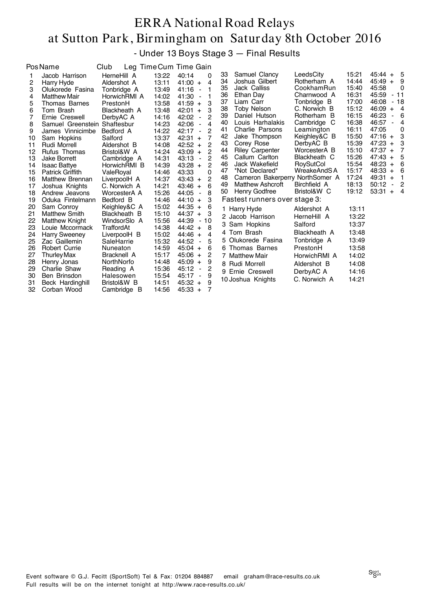- Under 13 Boys Stage 3 — Final Results

|    | <b>PosName</b>               | Club         |       | Leg Time Cum Time Gain                    |    |                                 |              |       |                         |                         |
|----|------------------------------|--------------|-------|-------------------------------------------|----|---------------------------------|--------------|-------|-------------------------|-------------------------|
|    | Jacob Harrison               | HerneHill A  | 13:22 | 40:14<br>0                                | 33 | Samuel Clancy                   | LeedsCity    | 15:21 | $45:44 + 5$             |                         |
| 2  | Harry Hyde                   | Aldershot A  | 13:11 | 41:00<br>4<br>$+$                         | 34 | Joshua Gilbert                  | Rotherham A  | 14:44 | 45:49<br>$+$            | - 9                     |
| 3  | Olukorede Fasina             | Tonbridge A  | 13:49 | 41:16<br>1<br>$\overline{\phantom{a}}$    | 35 | Jack Calliss                    | CookhamRun   | 15:40 | 45:58                   | 0                       |
| 4  | <b>Matthew Mair</b>          | HorwichRMI A | 14:02 | 41:30<br>1<br>$\overline{\phantom{a}}$    | 36 | Ethan Day                       | Charnwood A  | 16:31 | 45:59                   | $-11$                   |
| 5  | Thomas Barnes                | PrestonH     | 13:58 | 3<br>41:59<br>$+$                         | 37 | Liam Carr                       | Tonbridge B  | 17:00 | 46:08                   | $-18$                   |
| 6  | Tom Brash                    | Blackheath A | 13:48 | 42:01<br>3<br>$+$                         | 38 | Toby Nelson                     | C. Norwich B | 15:12 | 46:09<br>$+$            | $\overline{4}$          |
|    | Ernie Creswell               | DerbyAC A    | 14:16 | 2<br>42:02<br>$\blacksquare$              | 39 | Daniel Hutson                   | Rotherham B  | 16:15 | 46:23<br>$\blacksquare$ | - 6                     |
| 8  | Samuel Greenstein Shaftesbur |              | 14:23 | 42:06<br>4<br>$\overline{\phantom{a}}$    | 40 | Louis Harhalakis                | Cambridge C  | 16:38 | 46:57                   | 4                       |
| 9  | James Vinnicimbe             | Bedford A    | 14:22 | $\overline{c}$<br>42:17<br>$\blacksquare$ | 41 | Charlie Parsons                 | Leamington   | 16:11 | 47:05                   | 0                       |
| 10 | Sam Hopkins                  | Salford      | 13:37 | 7<br>42:31<br>$+$                         | 42 | Jake Thompson                   | Keighley&C B | 15:50 | $47:16 +$               | -3                      |
| 11 | Rudi Morrell                 | Aldershot B  | 14:08 | 2<br>42:52<br>$+$                         | 43 | Corey Rose                      | DerbyAC B    | 15:39 | 47:23<br>$+$            | 3                       |
| 12 | Rufus Thomas                 | Bristol&W A  | 14:24 | 2<br>43:09<br>$+$                         | 44 | <b>Riley Carpenter</b>          | WorcesterA B | 15:10 | $47:37 +$               | 7                       |
| 13 | <b>Jake Borrett</b>          | Cambridge A  | 14:31 | $\overline{c}$<br>43:13<br>$\blacksquare$ | 45 | Callum Carlton                  | Blackheath C | 15:26 | 47:43<br>$\ddot{}$      | 5                       |
| 14 | <b>Isaac Battye</b>          | HorwichRMI B | 14:39 | $\overline{c}$<br>43:28<br>$+$            | 46 | Jack Wakefield                  | RoySutCol    | 15:54 | 48:23<br>$+$            | 6                       |
| 15 | <b>Patrick Griffith</b>      | ValeRoyal    | 14:46 | 43:33<br>0                                | 47 | *Not Declared*                  | WreakeAndSA  | 15:17 | $48:33 +$               | 6                       |
| 16 | Matthew Brennan              | LiverpoolH A | 14:37 | 2<br>$43:43 +$                            | 48 | Cameron Bakerperry NorthSomer A |              | 17:24 | 49:31<br>$+$            | $\overline{\mathbf{1}}$ |
| 17 | Joshua Knights               | C. Norwich A | 14:21 | $43:46 +$<br>6                            | 49 | <b>Matthew Ashcroft</b>         | Birchfield A | 18:13 | 50:12                   | $\overline{2}$          |
| 18 | Andrew Jeavons               | WorcesterA A | 15:26 | 44:05<br>8<br>$\blacksquare$              | 50 | Henry Godfree                   | Bristol&W C  | 19:12 | 53:31                   | $+$ 4                   |
| 19 | Oduka Fintelmann             | Bedford B    | 14:46 | $44:10 +$<br>3                            |    | Fastest runners over stage 3:   |              |       |                         |                         |
| 20 | Sam Conroy                   | Keighley&C A | 15:02 | $44:35 +$<br>6                            |    | 1 Harry Hyde                    | Aldershot A  | 13:11 |                         |                         |
| 21 | <b>Matthew Smith</b>         | Blackheath B | 15:10 | $44:37 +$<br>3                            |    | 2 Jacob Harrison                | HerneHill A  | 13:22 |                         |                         |
| 22 | <b>Matthew Knight</b>        | WindsorSlo A | 15:56 | 44:39<br>- 10                             |    | 3 Sam Hopkins                   | Salford      | 13:37 |                         |                         |
| 23 | Louie Mccormack              | TraffordAt   | 14:38 | 44:42<br>8<br>$+$                         |    | 4 Tom Brash                     |              | 13:48 |                         |                         |
| 24 | <b>Harry Sweeney</b>         | LiverpoolH B | 15:02 | 44:46<br>4<br>$+$                         |    |                                 | Blackheath A |       |                         |                         |
| 25 | Zac Gaillemin                | SaleHarrie   | 15:32 | 44:52<br>5<br>$\overline{\phantom{a}}$    |    | 5 Olukorede Fasina              | Tonbridge A  | 13:49 |                         |                         |
| 26 | <b>Robert Currie</b>         | Nuneaton     | 14:59 | $45:04 +$<br>6                            |    | 6 Thomas Barnes                 | PrestonH     | 13:58 |                         |                         |
| 27 | Thurley Max                  | Bracknell A  | 15:17 | 45:06<br>2<br>$+$                         |    | 7 Matthew Mair                  | HorwichRMI A | 14:02 |                         |                         |
| 28 | Henry Jonas                  | NorthNorfo   | 14:48 | 45:09<br>9<br>$+$                         |    | 8 Rudi Morrell                  | Aldershot B  | 14:08 |                         |                         |
| 29 | Charlie Shaw                 | Reading A    | 15:36 | 45:12<br>2<br>$\blacksquare$              |    | 9 Ernie Creswell                | DerbyAC A    | 14:16 |                         |                         |
| 30 | Ben Brinsdon                 | Halesowen    | 15:54 | 45:17<br>9<br>$\overline{\phantom{a}}$    |    | 10 Joshua Knights               | C. Norwich A | 14:21 |                         |                         |
| 31 | Beck Hardinghill             | Bristol&W B  | 14:51 | 9<br>45:32<br>$+$                         |    |                                 |              |       |                         |                         |
| 32 | Corban Wood                  | Cambridge B  | 14:56 | 7<br>$45:33 +$                            |    |                                 |              |       |                         |                         |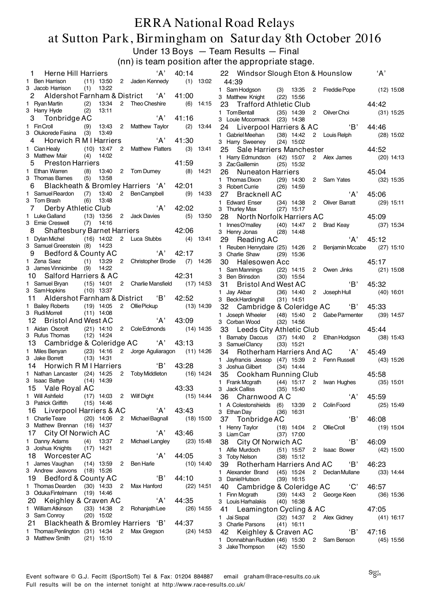#### ERRA National Road Relays at Sutton Park, Birmingham on Saturday 8th October 2016 Under 13 Boys — Team Results — Final

(nn) is team position after the appropriate stage.

| Herne Hill Harriers<br>$\mathbf{1}$                                       |                                             | 'А'                                                | 40:14                 |              | A'<br>22 Windsor Slough Eton & Hounslow                                                                       |
|---------------------------------------------------------------------------|---------------------------------------------|----------------------------------------------------|-----------------------|--------------|---------------------------------------------------------------------------------------------------------------|
| 1 Ben Harrison<br>3 Jacob Harrison                                        | $(1)$ 13:22                                 | $(11)$ 13:50 2 Jaden Kennedy                       |                       | $(1)$ 13:02  | 44:39<br>1 Sam Hodgson (3) 13:35 2 Freddie Pope (12) 15:08                                                    |
| 2                                                                         |                                             | Aldershot Farnham & District 'A' 41:00             |                       |              | 3 Matthew Knight (22) 15:56                                                                                   |
| 1 Ryan Martin<br>3 Harry Hyde                                             | (2)<br>13:34<br>(2)<br>13:11                | 2 Theo Cheshire                                    |                       | $(6)$ 14:15  | 23 Trafford Athletic Club<br>44:42                                                                            |
| 3 Tonbridge AC                                                            |                                             | A'                                                 | 41:16                 |              | 1 Tom Bentall<br>(35) 14:39 2 Oilver Choi<br>$(31)$ 15:25<br>3 Louie Mccormack (23) 14:38                     |
| 1 FinCroll                                                                | (9)                                         | 13:43 2 Matthew Taylor                             |                       | $(2)$ 13:44  | 24 Liverpool Harriers & AC 'B'<br>44:46                                                                       |
| 3 Olukorede Fasina (3)<br>Horwich R M I Harriers<br>4                     | 13:49                                       | A'                                                 | 41:30                 |              | (38) 14:42 2 Louis Relph<br>1 Gabriel Meehan<br>$(28)$ 15:02                                                  |
| 1 Cian Healy                                                              | $(10)$ 13:47                                | 2 Matthew Flatters                                 |                       | $(3)$ 13:41  | 3 Harry Sweeney<br>$(24)$ 15:02<br>25 Sale Harriers Manchester<br>44:52                                       |
| 3 Matthew Mair                                                            | $(4)$ 14:02                                 |                                                    |                       |              | 1 Harry Edmundson (42) 15:07 2 Alex James<br>$(20)$ 14:13                                                     |
| <b>Preston Harriers</b><br>5<br>1 Ethan Warren                            |                                             | (8) 13:40 2 Tom Durney (8) 14:21                   | 41:59                 |              | 3 ZacGaillemin<br>$(25)$ 15:32                                                                                |
| 3 Thomas Barnes                                                           | $(5)$ 13:58                                 |                                                    |                       |              | 45:04<br>26<br><b>Nuneaton Harriers</b><br>1 Thomas Dixon<br>(29) 14:30 2 Sam Yates<br>$(32)$ 15:35           |
| 6                                                                         |                                             | Blackheath & Bromley Harriers 'A' 42:01            |                       |              | 3 Robert Currie<br>$(26)$ 14:59                                                                               |
| 1 Samuel Reardon<br>3 Tom Brash                                           | $(7)$ 13:40 2                               | <b>BenCampbell</b>                                 |                       | $(9)$ 14:33  | 'A'<br>27<br>Bracknell AC<br>45:06                                                                            |
| Derby Athletic Club<br>7                                                  | (6)<br>13:48                                | A'                                                 | 42:02                 |              | 1 Edward Enser<br>(34) 14:38 2 Oliver Barratt<br>$(29)$ 15:11<br>3 Thurley Max<br>$(27)$ 15:17                |
| 1 Luke Galland                                                            | $(13)$ 13:56                                | 2 Jack Davies                                      |                       | $(5)$ 13:50  | 45:09<br>28 North Norfolk Harriers AC                                                                         |
| 3 Ernie Creswell                                                          | $(7)$ 14:16                                 | 42:06                                              |                       |              | 1 InnesO'malley (40) 14:47<br>$2^{\circ}$<br>Brad Keay<br>$(37)$ 15:34                                        |
| 8<br>1 Dylan Michel (16) 14:02 2 Luca Stubbs                              | <b>Shaftesbury Barnet Harriers</b>          |                                                    |                       | $(4)$ 13:41  | 3 Henry Jonas<br>$(28)$ 14:48<br>'A'<br>29<br>45:12                                                           |
| 3 Samuel Greenstein (8) 14:23                                             |                                             |                                                    |                       |              | Reading AC<br>1 Reuben Henrydaire (25) 14:26 2 Benjamin Mccabe<br>$(27)$ 15:10                                |
| Bedford & County AC<br>9                                                  |                                             | A'                                                 | 42:17                 |              | 3 Charlie Shaw<br>$(29)$ 15:36                                                                                |
| 1 Zena Saez<br>3 James Vinnicimbe (9)                                     | (1)<br>14:22                                | 13:29 2 Christopher Brodie (7) 14:26               |                       |              | 30<br>Halesowen Acc<br>45:17                                                                                  |
| 10 Salford Harriers & AC                                                  |                                             | 42:31                                              |                       |              | (22) 14:15 2 Owen Jinks<br>1 Sam Mannings<br>$(21)$ 15:08<br>3 Ben Brinsdon<br>$(30)$ 15:54                   |
| 1 Samuel Bryan                                                            |                                             | (15) 14:01 2 Charlie Mansfield (17) 14:53          |                       |              | $\overline{B}$<br>45:32<br>31<br><b>Bristol And West AC</b>                                                   |
| 3 SamHopkins                                                              | $(10)$ 13:37                                |                                                    |                       |              | 1 Jay Akbar<br>$(36)$ 14:40<br>2 Joseph Hull<br>$(40)$ 16:01                                                  |
| 11<br>1 Bailey Roberts                                                    | $(19)$ 14:05                                | Aldershot Farnham & District 'B'<br>2 Ollie Pickup | 42:52                 | $(13)$ 14:39 | 3 Beck Hardinghill<br>$(31)$ 14:51<br>Cambridge & Coleridge AC 'B'<br>45:33<br>32                             |
| 3 Rudi Morrell                                                            | $(11)$ 14:08                                |                                                    |                       |              | 1 Joseph Wheeler (48) 15:40 2 Gabe Parmenter<br>$(39)$ 14:57                                                  |
| <b>Bristol And West AC</b><br>12.                                         |                                             | A'                                                 | 43:09                 |              | 3 Corban Wood<br>$(32)$ 14:56                                                                                 |
| 1 Aidan Oscroft<br>3 Rufus Thomas                                         | $(21)$ 14:10 2 Cole Edmonds<br>$(12)$ 14:24 |                                                    | $(14)$ 14:35          |              | 33 Leeds City Athletic Club<br>45:44                                                                          |
| 13                                                                        | Cambridge & Coleridge AC 'A'                |                                                    | 43:13                 |              | Barnaby Daccus (37) 14:40 2 Ethan Hodgson<br>$(38)$ 15:43<br>1.<br>3 Samuel Clancy<br>$(33)$ 15:21            |
| 1 Miles Benyan (23) 14:16 2 Jorge Aguliaragon                             |                                             |                                                    |                       | (11) 14:26   | Rotherham Harriers And AC 'A' 45:49<br>34                                                                     |
| 3 Jake Borrett<br>Horwich R M I Harriers<br>14                            | $(13)$ 14:31                                | $\overline{B}$                                     | 43:28                 |              | 2 Fenn Russell (43) 15:26<br>1 Jayfrancis Jessop (47) 15:39                                                   |
| 1 Nathan Lancaster (24) 14:25                                             |                                             | 2 Toby Middleton                                   |                       | (16) 14:24   | 3 Joshua Gilbert<br>$(34)$ 14:44<br>45:58<br>35 Cookham Running Club                                          |
| 3 Isaac Battye (14) 14:39                                                 |                                             |                                                    |                       |              | 1 Frank Mcgrath<br>(44) 15:17 2 Iwan Hughes<br>$(35)$ 15:01                                                   |
| 15 Vale Royal AC                                                          |                                             |                                                    | 43:33<br>$(15)$ 14:44 |              | 3 Jack Calliss<br>$(35)$ 15:40                                                                                |
| 1 Will Ashfield<br>3 Patrick Griffith                                     | (17) 14:03 2 Wilf Dight<br>$(15)$ 14:46     |                                                    |                       |              | 'A'<br>36 Charnwood A C<br>45:59<br>1 A Colestonshields (6) 13:39 2 Colin Foord (25) 15:49                    |
| 16 Liverpool Harriers & AC                                                |                                             | A'                                                 | 43:43                 |              | 3 Ethan Day<br>$(36)$ 16:31                                                                                   |
| 1 Charlie Teare                                                           | $(20)$ 14:06                                | 2 Michael Bagnall (18) 15:00                       |                       |              | 'B'<br>37 Tonbridge AC<br>46:08                                                                               |
| 3 Matthew Brennan (16) 14:37<br>City Of Norwich AC<br>17                  |                                             | 'A'                                                | 43:46                 |              | 1 Henry Taylor<br>(18) 14:04 2 OllieCroll<br>$(19)$ 15:04<br>3 Liam Carr<br>$(37)$ 17:00                      |
| 1 Danny Adams                                                             | (4) 13:37 2 Michael Langley                 |                                                    |                       | $(23)$ 15:48 | 'B'<br>38 City Of Norwich AC<br>46:09                                                                         |
| 3 Joshua Knights                                                          | $(17)$ 14:21                                |                                                    |                       |              | 1 Alfie Murdoch<br>(51) 15:57 2 Isaac Bower<br>$(42)$ 15:00                                                   |
| 18 Worcester AC<br>1 James Vaughan                                        | $(14)$ 13:59 2                              | A'<br>Ben Harle                                    | 44:05                 | $(10)$ 14:40 | 3 Toby Nelson<br>$(38)$ 15:12                                                                                 |
| 3 Andrew Jeavons (18) 15:26                                               |                                             |                                                    |                       |              | 39 Rotherham Harriers And AC<br>'B'<br>46:23<br>1 Alexander Brand (45) 15:24 2 Declan Mullane<br>$(33)$ 14:44 |
| 19 Bedford & County AC                                                    |                                             | 'B'                                                | 44:10                 |              | 3 Daniel Hutson<br>$(39)$ 16:15                                                                               |
| 1 Thomas Dearden (30) 14:33 2 Max Hanford<br>3 OdukaFintelmann (19) 14:46 |                                             |                                                    |                       | $(22)$ 14:51 | 40 Cambridge & Coleridge AC 'C'<br>46:57                                                                      |
| 20 Keighley & Craven AC                                                   |                                             | A'                                                 | 44:35                 |              | 1 Finn Mcgrath<br>(39) 14:43 2 George Keen<br>$(36)$ 15:36<br>3 Louis Harhalakis<br>$(40)$ 16:38              |
| 1 William Atkinson                                                        | (33) 14:38 2 Rohanjath Lee                  |                                                    |                       | $(26)$ 14:55 | 47:05<br>41 Leamington Cycling & AC                                                                           |
| 3 Sam Conroy                                                              | $(20)$ 15:02                                |                                                    |                       |              | 1 Jai Sispal<br>(32) 14:37 2 Alex Gidney<br>$(41)$ 16:17                                                      |
| 21<br>1 Thomas Penlington (31) 14:34 2 Max Gregson                        |                                             | Blackheath & Bromley Harriers 'B'                  | 44:37                 | $(24)$ 14:53 | 3 Charlie Parsons<br>$(41)$ 16:11<br>'B'<br>42 Keighley & Craven AC                                           |
| 3 Matthew Smith                                                           | (21) 15:10                                  |                                                    |                       |              | 47:16<br>1 Donnabhan Rudden (46) 15:30 2 Sam Benson<br>(45) 15:56                                             |
|                                                                           |                                             |                                                    |                       |              | 3 Jake Thompson (42) 15:50                                                                                    |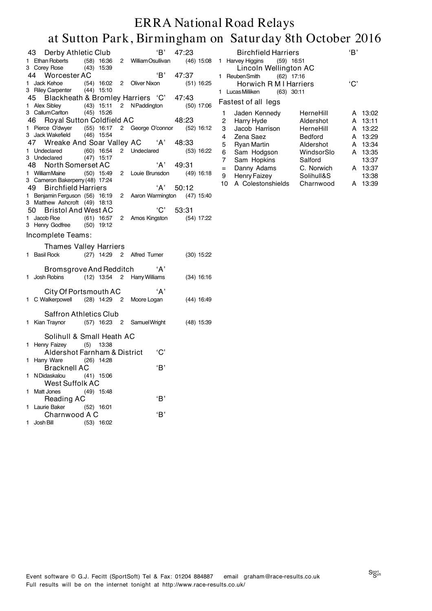| 47:23<br>$(46)$ 15:08<br>47:37<br>$(51)$ 16:25<br>47:43<br>$(50)$ 17:06<br>48:23<br>1 Pierce O'dwyer (55) 16:17 2 George O'connor (52) 16:12<br>3 Jack Wakefield (46) 15:54<br>48:33<br>$(53)$ 16:22<br>49:31<br>$(49)$ 16:18<br>50:12<br>Aaron Warmington (47) 15:40<br>53:31<br>(54) 17:22 |
|----------------------------------------------------------------------------------------------------------------------------------------------------------------------------------------------------------------------------------------------------------------------------------------------|
|                                                                                                                                                                                                                                                                                              |
|                                                                                                                                                                                                                                                                                              |
|                                                                                                                                                                                                                                                                                              |
|                                                                                                                                                                                                                                                                                              |
|                                                                                                                                                                                                                                                                                              |
|                                                                                                                                                                                                                                                                                              |
|                                                                                                                                                                                                                                                                                              |
|                                                                                                                                                                                                                                                                                              |
|                                                                                                                                                                                                                                                                                              |
|                                                                                                                                                                                                                                                                                              |
|                                                                                                                                                                                                                                                                                              |
|                                                                                                                                                                                                                                                                                              |
|                                                                                                                                                                                                                                                                                              |
|                                                                                                                                                                                                                                                                                              |
|                                                                                                                                                                                                                                                                                              |
|                                                                                                                                                                                                                                                                                              |
|                                                                                                                                                                                                                                                                                              |
|                                                                                                                                                                                                                                                                                              |
|                                                                                                                                                                                                                                                                                              |
|                                                                                                                                                                                                                                                                                              |
|                                                                                                                                                                                                                                                                                              |
|                                                                                                                                                                                                                                                                                              |
| $(30)$ 15:22                                                                                                                                                                                                                                                                                 |
|                                                                                                                                                                                                                                                                                              |
| $(34)$ 16:16                                                                                                                                                                                                                                                                                 |
|                                                                                                                                                                                                                                                                                              |
|                                                                                                                                                                                                                                                                                              |
| $(44)$ 16:49                                                                                                                                                                                                                                                                                 |
|                                                                                                                                                                                                                                                                                              |
|                                                                                                                                                                                                                                                                                              |
| $(48)$ 15:39                                                                                                                                                                                                                                                                                 |
|                                                                                                                                                                                                                                                                                              |
|                                                                                                                                                                                                                                                                                              |
|                                                                                                                                                                                                                                                                                              |
|                                                                                                                                                                                                                                                                                              |
|                                                                                                                                                                                                                                                                                              |
|                                                                                                                                                                                                                                                                                              |
|                                                                                                                                                                                                                                                                                              |
|                                                                                                                                                                                                                                                                                              |
|                                                                                                                                                                                                                                                                                              |
|                                                                                                                                                                                                                                                                                              |
|                                                                                                                                                                                                                                                                                              |
|                                                                                                                                                                                                                                                                                              |

|     | <b>Birchfield Harriers</b>    |            | 'B' |       |  |  |  |  |  |  |
|-----|-------------------------------|------------|-----|-------|--|--|--|--|--|--|
| 1   | Harvey Higgins (59) 16:51     |            |     |       |  |  |  |  |  |  |
|     | Lincoln Wellington AC         |            |     |       |  |  |  |  |  |  |
| 1   | (62) 17:16<br>Reuben Smith    |            |     |       |  |  |  |  |  |  |
|     | 'C'<br>Horwich R M I Harriers |            |     |       |  |  |  |  |  |  |
| 1   | Lucas Milliken<br>(63) 30:11  |            |     |       |  |  |  |  |  |  |
|     | Fastest of all legs           |            |     |       |  |  |  |  |  |  |
| 1   | Jaden Kennedy                 | HerneHill  | A   | 13:02 |  |  |  |  |  |  |
| 2   | Harry Hyde                    | Aldershot  | A   | 13:11 |  |  |  |  |  |  |
| 3   | Jacob Harrison                | HerneHill  | A   | 13:22 |  |  |  |  |  |  |
| 4   | Zena Saez                     | Bedford    | A   | 13:29 |  |  |  |  |  |  |
| 5   | <b>Ryan Martin</b>            | Aldershot  | A   | 13:34 |  |  |  |  |  |  |
| 6   | Sam Hodgson                   | WindsorSlo | A   | 13:35 |  |  |  |  |  |  |
| 7   | Sam Hopkins                   | Salford    |     | 13:37 |  |  |  |  |  |  |
| $=$ | Danny Adams                   | C. Norwich | A   | 13:37 |  |  |  |  |  |  |
| 9   | <b>Henry Faizey</b>           | Solihull&S |     | 13:38 |  |  |  |  |  |  |
| 10  | A Colestonshields             | Charnwood  | А   | 13:39 |  |  |  |  |  |  |
|     |                               |            |     |       |  |  |  |  |  |  |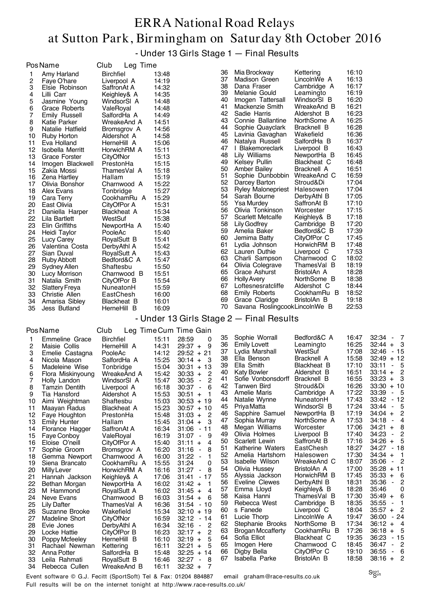- Under 13 Girls Stage 1 — Final Results

|    | Pos Name              | Club<br>Leg Time   |                            |    |                               |             |       |
|----|-----------------------|--------------------|----------------------------|----|-------------------------------|-------------|-------|
| 1  | Amy Harland           | <b>Birchfiel</b>   | 13:48                      | 36 | Mia Brockway                  | Kettering   | 16:10 |
| 2  | Faye O'hare           | Liverpool A        | 14:19                      | 37 | Madison Green                 | LincolnWe A | 16:13 |
| 3  | Elsie Robinson        | SaffronAt A        | 14:32                      | 38 | Dana Fraser                   | Cambridge A | 16:17 |
| 4  | Lilli Carr            | Keighley& A        | 14:35                      | 39 | Melanie Gould                 | Leamingto   | 16:19 |
| 5  | Jasmine Young         | WindsorSI A        | 14:48                      | 40 | Imogen Tattersall             | WindsorSI B | 16:20 |
| 6  | Grace Roberts         | ValeRoyal          | 14:48                      | 41 | Mackenzie Smith               | WreakeAnd B | 16:21 |
| 7  | Emily Russell         | SalfordHa A        | 14:49                      | 42 | Sadie Harris                  | Aldershot B | 16:23 |
| 8  | Katie Parker          | WreakeAnd A        | 14:51                      | 43 | Connie Ballantine             | NorthSome A | 16:25 |
| 9  | Natalie Hatfield      | Bromsgrov A        | 14:56                      | 44 | Sophie Quayclark              | Bracknell B | 16:28 |
| 10 | Ruby Horton           | Aldershot A        | 14:58                      | 45 | Lavinia Gavaghan              | Wakefield   | 16:36 |
| 11 | Eva Holland           | HerneHill A        | 15:06                      | 46 | Natalya Russell               | SalfordHa B | 16:37 |
| 12 | Isobella Merritt      | HorwichRM A        | 15:11                      | 47 | Blakemoreclark                | Liverpool B | 16:43 |
| 13 | Grace Forster         | CityOfNor          | 15:13                      | 48 | Lily Williams                 | NewportHa B | 16:45 |
| 14 | Imogen Blackwell      | PrestonHa          | 15:15                      | 49 | Kelsey Pullin                 | Blackheat C | 16:48 |
| 15 | Zakia Mossi           | ThamesVal A        | 15:18                      | 50 | Amber Bailey                  | Bracknell A | 16:51 |
| 16 | Zena Hartley          | Hallam             | 15:19                      | 51 | Sophie Dunbobbin              | WreakeAnd C | 16:59 |
| 17 | Olivia Bonshor        | Charnwood A        | 15:22                      | 52 | Darcey Barton                 | Stroud&Di   | 17:04 |
| 18 | Alex Evans            | Tonbridge          | 15:27                      | 53 | <b>Ryley Malonepriest</b>     | Halesowen   | 17:04 |
| 19 | Cara Terry            | CookhamRu A        | 15:29                      | 54 | Sarah Bourne                  | DerbyAthl B | 17:05 |
| 20 | East Olivia           | CityOfPor A        | 15:31                      | 55 | <b>Ysa Murdey</b>             | SaffronAt B | 17:10 |
| 21 | Daniella Harper       | <b>Blackheat A</b> | 15:34                      | 56 | Olivia Tonkinson              | Worcester   | 17:15 |
| 22 | Lila Bartlett         | WestSuf            | 15:38                      | 57 | <b>Scarlett Metcalfe</b>      | Keighley& B | 17:18 |
| 23 | Elin Griffiths        | NewportHa A        | 15:40                      | 58 | Lily Godfrey                  | Cambridge B | 17:20 |
| 24 | Heidi Taylor          | PooleAc            | 15:40                      | 59 | Amelia Baker                  | Bedford&C B | 17:39 |
| 25 | Lucy Carey            | RoyalSutt B        | 15:41                      | 60 | Jemima Batty                  | CityOfPor C | 17:45 |
| 26 | Valentina Costa       | DerbyAthl A        | 15:42                      | 61 | Lydia Johnson                 | HorwichRM B | 17:48 |
| 27 | Sian Duval            | RoyalSutt A        | 15:43                      | 62 | Lauren Duthie                 | Liverpool C | 17:53 |
| 28 | <b>Ruby Abbott</b>    | Bedford&C A        | 15:47                      | 63 | Charli Sampson                | Charnwood C | 18:02 |
| 29 | <b>Sydney Allen</b>   | Shaftesbu          | 15:50                      | 64 | Olivia Colegrave              | ThamesVal B | 18:19 |
| 30 | Lucy Morrison         | Charnwood B        | 15:51                      | 65 | Grace Ashurst                 | BristolAn A | 18:28 |
| 31 | Natalia Smith         | CityOfPor B        | 15:54                      | 66 | <b>Holly Avery</b>            | NorthSome B | 18:38 |
| 32 | <b>Slattery Freya</b> | NuneatonH          | 15:59                      | 67 | Loftesnesratcliffe            | Aldershot C | 18:44 |
| 33 | Christie Allen        | EastChesh          | 16:00                      | 68 | <b>Emily Roberts</b>          | CookhamRu B | 18:52 |
| 34 | Amarisa Sibley        | Blackheat B        | 16:01                      | 69 | Grace Claridge                | BristolAn B | 19:18 |
| 35 | Jess Butland          | HerneHill B        | 16:09                      | 70 | Savana RoslingcookLincolnWe B |             | 22:53 |
|    |                       |                    | $I$ Indor 19 Cirlo Ctono 9 |    | Einel Deeulte                 |             |       |

- Under 13 Girls Stage 2 — Final Results

| PosName |  |
|---------|--|
|---------|--|

|                | Pos Name              | Club               |       | Leg Time Cum Time Gain                 |    |                          |                    |       |                                                     |
|----------------|-----------------------|--------------------|-------|----------------------------------------|----|--------------------------|--------------------|-------|-----------------------------------------------------|
| 1              | Emmeline Grace        | <b>Birchfiel</b>   | 15:11 | 28:59<br>0                             | 35 | Sophie Worrall           | Bedford&C A        | 16:47 | 32:34<br>$-7$                                       |
| 2              | Maisie Collis         | HerneHill A        | 14:31 | 9<br>$29:37 +$                         | 36 | Emily Lovett             | Leamingto          | 16:25 | $32:44 +$<br>$\mathbf{3}$                           |
| 3              | Emelie Castagna       | PooleAc            | 14:12 | $29:52 + 21$                           | 37 | Lydia Marshall           | WestSuf            | 17:08 | 32:46<br>$-15$                                      |
| 4              | Nicola Mason          | SalfordHa A        | 15:25 | $30:14 +$<br>-3                        | 38 | Ella Benson              | Bracknell A        | 15:58 | $+12$<br>32:49                                      |
| 5              | Madeleine Wise        | Tonbridge          | 15:04 | $30:31 + 13$                           | 39 | Ella Smith               | <b>Blackheat B</b> | 17:10 | 33:11<br>5<br>$\blacksquare$                        |
| 6              | Flora Miskinyoung     | WreakeAnd A        | 15:42 | 2<br>$30:33 +$                         | 40 | <b>Katy Bowler</b>       | Aldershot B        | 16:51 | $\overline{c}$<br>$33:14 +$                         |
| $\overline{7}$ | Holly Landon          | WindsorSI A        | 15:47 | 2<br>30:35<br>$\blacksquare$           | 41 | Sofie Vonbonsdorff       | Bracknell B        | 16:55 | $33:23 +$<br>3                                      |
| 8              | <b>Tamzin Dentith</b> | Liverpool A        | 16:18 | 30:37<br>6<br>$\blacksquare$           | 42 | <b>Tanwen Bird</b>       | Stroud&Di          | 16:26 | 33:30<br>$+10$                                      |
| 9              | Tia Hansford          | Aldershot A        | 15:53 | $30:51 +$<br>1                         | 43 | Amelie Maris             | Cambridge A        | 17:22 | 33:39<br>- 5<br>$\blacksquare$                      |
| 10             | Aimi Weightman        | Shaftesbu          | 15:03 | $30:53 + 19$                           | 44 | Natalie Wynne            | NuneatonH          | 17:43 | $-12$<br>33:42                                      |
| 11             | Maayan Radus          | <b>Blackheat A</b> | 15:23 | $30:57 + 10$                           | 45 | Priya Matta              | WindsorSI B        | 17:24 | 5<br>33:44<br>$\blacksquare$                        |
| 12             | Faye Houghton         | PrestonHa          | 15:48 | $\overline{2}$<br>$31:03 +$            | 46 | Sapphire Samuel          | NewportHa B        | 17:19 | 2<br>$34:04 +$                                      |
| 13             | <b>Emily Hunter</b>   | Hallam             | 15:45 | 3<br>$31:04 +$                         | 47 | Sophia Murray            | NorthSome A        | 17:53 | $\overline{4}$<br>34:18<br>$\blacksquare$           |
| 14             | Florance Hagger       | SaffronAt A        | 16:34 | 31:06<br>$-11$                         | 48 | Megan Williams           | Worcester          | 17:06 | 8<br>$34:21 +$                                      |
| 15             | Faye Conboy           | ValeRoval          | 16:19 | 31:07<br>9<br>$\sim$                   | 49 | Olivia Holmes            | Liverpool B        | 17:40 | 2<br>34:23<br>$\overline{\phantom{a}}$              |
| 16             | Eloise O'neill        | CityOfPor A        | 15:40 | 4<br>31:11<br>$+$                      | 50 | Scarlett Lewin           | SaffronAt B        | 17:16 | 5<br>34:26<br>$+$                                   |
| 17             | Sophie Groom          | Bromsgrov A        | 16:20 | 31:16<br>8<br>$\blacksquare$           | 51 | Katherine Waters         | EastChesh          | 18:27 | $-18$<br>34:27                                      |
| 18             | Gemma Newport         | Charnwood A        | 16:00 | 31:22<br>1<br>$\overline{\phantom{a}}$ | 52 | Amelia Hartshorn         | Halesowen          | 17:30 | $34:34 +$<br>- 1                                    |
| 19             | Siena Brancato        | CookhamRu A        | 15:55 | 31:24<br>0                             | 53 | Isabelle Wilson          | WreakeAnd C        | 18:07 | $\overline{2}$<br>35:06<br>$\blacksquare$           |
| 20             | Milly Lever           | HorwichRM A        | 16:16 | 31:27<br>8<br>$\blacksquare$           | 54 | Olivia Hussey            | BristolAn A        | 17:00 | 35:28<br>$+11$                                      |
| 21             | Hannah Jackson        | Keighley& A        | 17:06 | 31:41<br>17<br>$\blacksquare$          | 55 | Alyssia Jackson          | HorwichRM B        | 17:45 | 35:33<br>- 6<br>$\ddot{}$                           |
| 22             | Bethan Morgan         | NewportHa A        | 16:02 | $31:42 +$                              | 56 | Eveline Clewes           | DerbyAthl B        | 18:31 | 2<br>35:36<br>$\blacksquare$                        |
| 23             | M Hammond             | RoyalSutt A        | 16:02 | $31:45 +$<br>4                         | 57 | Emma Lloyd               | Keighley& B        | 18:28 | 0<br>35:46                                          |
| 24             | Neve Evans            | Charnwood B        | 16:03 | $31:54 +$<br>6                         | 58 | Kaisa Hanni              | ThamesVal B        | 17:30 | 6<br>$35:49 +$                                      |
| 25             | <b>Lily Dafter</b>    | ThamesVal A        | 16:36 | $31:54 - 10$                           | 59 | Rebecca West             | Cambridge B        | 18:35 | 35:55<br>1<br>$\blacksquare$                        |
| 26             | Suzanne Brooke        | Wakefield          | 15:34 | 32:10<br>$+19$                         | 60 | s Fanede                 | Liverpool C        | 18:04 | - 2<br>$35:57 +$                                    |
| 27             | <b>Madeline Short</b> | CityOfNor          | 16:59 | 32:12<br>14<br>$\blacksquare$          | 61 | Lucie Thorp              | LincolnWe A        | 19:47 | 36:00<br>$-24$                                      |
| 28             | Evie Jones            | DerbyAthl A        | 16:34 | 32:16<br>2<br>$\blacksquare$           | 62 | Stephanie Brooks         | NorthSome B        | 17:34 | $36:12 +$<br>$\overline{4}$                         |
| 29             | Locke Hattie          | CityOfPor B        | 16:23 | 2<br>$32:17 +$                         | 63 | <b>Brogan Mccafferty</b> | CookhamRu B        | 17:26 | - 5<br>36:18<br>$+$                                 |
| 30             | Poppy Mcfeeley        | HerneHill B        | 16:10 | 5<br>$32:19 +$                         | 64 | Sofia Elliot             | Blackheat C        | 19:35 | 36:23<br>$-15$                                      |
| 31             | Rachael Newman        | Kettering          | 16:11 | 5<br>$32:21 +$                         | 65 | Imogen Here              | Charnwood C        | 18:45 | $\overline{2}$<br>36:47<br>$\overline{\phantom{a}}$ |
| 32             | Anna Potter           | SalfordHa B        | 15:48 | $32:25 +$<br>14                        | 66 | Digby Bella              | CityOfPor C        | 19:10 | 36:55<br>6<br>$\overline{\phantom{a}}$              |
| 33             | Leila Rahmati         | RoyalSutt B        | 16:46 | 32:27<br>8<br>$\blacksquare$           | 67 | Isabella Parke           | BristolAn B        | 18:58 | $38:16 +$<br>$\overline{c}$                         |
| 34             | Rebecca Cullen        | WreakeAnd B        | 16:11 | $\overline{7}$<br>$32:32 +$            |    |                          |                    |       |                                                     |

Event software © G.J. Fecitt (SportSoft) Tel & Fax: 01204 884887 email graham@race-results.co.uk Full results will be on the internet tonight at http://www.race-results.co.uk/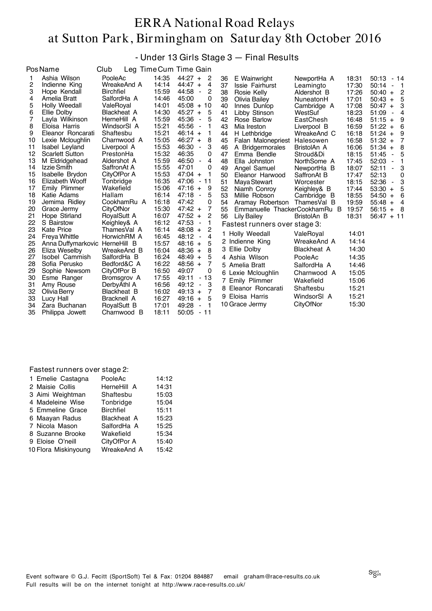#### - Under 13 Girls Stage 3 — Final Results

|    | <b>PosName</b>         | Club             |       | Leg Time Cum Time Gain                     |    |                               |                    |       |                                            |
|----|------------------------|------------------|-------|--------------------------------------------|----|-------------------------------|--------------------|-------|--------------------------------------------|
| 1  | Ashia Wilson           | PooleAc          | 14:35 | $44:27 +$<br>2                             | 36 | E Wainwright                  | NewportHa A        | 18:31 | 50:13<br>- 14                              |
| 2  | Indienne King          | WreakeAnd A      | 14:14 | $44:47 +$<br>4                             | 37 | Issie Fairhurst               | Leamingto          | 17:30 | 50:14<br>- 1<br>$\blacksquare$             |
| 3  | Hope Kendall           | <b>Birchfiel</b> | 15:59 | 44:58<br>2<br>$\overline{\phantom{a}}$     | 38 | Rosie Kelly                   | Aldershot B        | 17:26 | $\overline{c}$<br>50:40<br>$+$             |
| 4  | Amelia Bratt           | SalfordHa A      | 14:46 | 45:00<br>0                                 | 39 | Olivia Bailey                 | NuneatonH          | 17:01 | 50:43<br>5<br>$+$                          |
| 5  | Holly Weedall          | ValeRoyal        | 14:01 | 45:08<br>$+$<br>10                         | 40 | Innes Dunlop                  | Cambridge A        | 17:08 | 3<br>50:47<br>$\ddot{}$                    |
| 6  | Ellie Dolby            | Blackheat A      | 14:30 | 45:27<br>5<br>$\ddot{}$                    | 41 | Libby Stinson                 | WestSuf            | 18:23 | 51:09<br>4                                 |
| 7  | Layla Wilkinson        | HerneHill A      | 15:59 | 45:36<br>$\overline{\phantom{0}}$<br>5     | 42 | Rose Barlow                   | EastChesh          | 16:48 | 51:15<br>9<br>$+$                          |
| 8  | Eloisa Harris          | WindsorSI A      | 15:21 | 45:56<br>$\qquad \qquad \blacksquare$<br>1 | 43 | Mia Ireston                   | Liverpool B        | 16:59 | 51:22<br>6<br>$+$                          |
| 9  | Eleanor Roncarati      | Shaftesbu        | 15:21 | $46:14 +$                                  | 44 | H Lethbridge                  | WreakeAnd C        | 16:18 | $51:24 +$<br>9                             |
| 10 | Lexie Mcloughlin       | Charnwood A      | 15:05 | 46:27<br>8<br>$+$                          | 45 | Falan Malonepriest            | Halesowen          | 16:58 | 7<br>$51:32 +$                             |
| 11 | <b>Isabel Leyland</b>  | Liverpool A      | 15:53 | 46:30<br>3<br>٠                            | 46 | A Bridgermorales              | BristolAn A        | 16:06 | 8<br>51:34<br>$+$                          |
| 12 | <b>Scarlett Sutton</b> | PrestonHa        | 15:32 | 46:35<br>0                                 | 47 | Emma Bendle                   | Stroud&Di          | 18:15 | 51:45<br>5<br>$\blacksquare$               |
| 13 | M Eldridgehead         | Aldershot A      | 15:59 | 46:50<br>4<br>$\overline{\phantom{a}}$     | 48 | Ella Johnston                 | NorthSome A        | 17:45 | 52:03<br>1<br>$\overline{\phantom{a}}$     |
| 14 | Izzie Smith            | SaffronAt A      | 15:55 | 47:01<br>0                                 | 49 | Angel Samuel                  | NewportHa B        | 18:07 | 52:11<br>3<br>$\qquad \qquad \blacksquare$ |
| 15 | Isabelle Brydon        | CityOfPor A      | 15:53 | $47:04 +$                                  | 50 | Eleanor Harwood               | SaffronAt B        | 17:47 | 52:13<br>0                                 |
| 16 | Elizabeth Wooff        | Tonbridge        | 16:35 | 47:06<br>11<br>$\blacksquare$              | 51 | Maya Stewart                  | Worcester          | 18:15 | 52:36<br>3<br>$\blacksquare$               |
| 17 | <b>Emily Plimmer</b>   | Wakefield        | 15:06 | $47:16 +$<br>9                             | 52 | Niamh Conroy                  | Keighley& B        | 17:44 | 53:30<br>5<br>$\ddot{}$                    |
| 18 | Katie Adams            | Hallam           | 16:14 | 47:18<br>5<br>$\overline{\phantom{a}}$     | 53 | Millie Robson                 | Cambridge B        | 18:55 | 54:50<br>6<br>$\ddot{}$                    |
| 19 | Jemima Ridley          | CookhamRu A      | 16:18 | 47:42<br>0                                 | 54 | Aramay Robertson              | ThamesVal B        | 19:59 | 55:48<br>$\overline{4}$<br>$\ddot{}$       |
| 20 | Grace Jermy            | CityOfNor        | 15:30 | $47:42 +$<br>7                             | 55 | Emmanuelle ThackerCookhamRu B |                    | 19:57 | 56:15<br>- 8<br>$+$                        |
| 21 | Hope Stirland          | RoyalSutt A      | 16:07 | $47:52 +$<br>2                             | 56 | <b>Lily Bailey</b>            | BristolAn B        | 18:31 | $56:47 + 11$                               |
| 22 | S Bairstow             | Keighley& A      | 16:12 | 47:53<br>1<br>$\blacksquare$               |    | Fastest runners over stage 3: |                    |       |                                            |
| 23 | <b>Kate Price</b>      | ThamesVal A      | 16:14 | 2<br>48:08<br>$+$                          |    | 1 Holly Weedall               | ValeRoyal          | 14:01 |                                            |
| 24 | <b>Freva Whittle</b>   | HorwichRM A      | 16:45 | 4<br>48:12<br>$\blacksquare$               |    |                               |                    |       |                                            |
| 25 | Anna Duffymarkovic     | HerneHill B      | 15:57 | $48:16 +$<br>5                             |    | 2 Indienne King               | WreakeAnd A        | 14:14 |                                            |
| 26 | Eliza Weselby          | WreakeAnd B      | 16:04 | 48:36<br>$+$<br>8                          |    | 3 Ellie Dolby                 | <b>Blackheat A</b> | 14:30 |                                            |
| 27 | Isobel Cammish         | SalfordHa B      | 16:24 | 5<br>48:49<br>$\overline{+}$               |    | 4 Ashia Wilson                | PooleAc            | 14:35 |                                            |
| 28 | Sofia Perusko          | Bedford&C A      | 16:22 | 48:56 +<br>7                               |    | 5 Amelia Bratt                | SalfordHa A        | 14:46 |                                            |
| 29 | Sophie Newsom          | CityOfPor B      | 16:50 | 49:07<br>0                                 |    | 6 Lexie Mcloughlin            | Charnwood A        | 15:05 |                                            |
| 30 | Esme Ranger            | Bromsgrov A      | 17:55 | 13<br>49:11<br>$\blacksquare$              |    | Emily Plimmer                 | Wakefield          | 15:06 |                                            |
| 31 | Amy Rouse              | DerbyAthl A      | 16:56 | 3<br>49:12<br>$\overline{\phantom{a}}$     |    | 8 Eleanor Roncarati           | Shaftesbu          | 15:21 |                                            |
| 32 | Olivia Berry           | Blackheat B      | 16:02 | 7<br>$49:13 +$                             |    | 9 Eloisa Harris               | WindsorSI A        | 15:21 |                                            |
| 33 | Lucy Hall              | Bracknell A      | 16:27 | 49:16<br>5<br>$+$                          |    |                               |                    |       |                                            |
| 34 | Zara Buchanan          | RoyalSutt B      | 17:01 | 49:28<br>1                                 |    | 10 Grace Jermy                | CityOfNor          | 15:30 |                                            |
| 35 | Philippa Jowett        | Charnwood B      | 18:11 | 50:05<br>$-11$                             |    |                               |                    |       |                                            |

#### Fastest runners over stage 2:

| 1 Emelie Castagna    | PooleAc            | 14:12 |
|----------------------|--------------------|-------|
| 2 Maisie Collis      | HerneHill A        | 14:31 |
| 3 Aimi Weightman     | Shaftesbu          | 15:03 |
| 4 Madeleine Wise     | Tonbridge          | 15:04 |
| 5 Emmeline Grace     | <b>Birchfiel</b>   | 15:11 |
| 6 Maayan Radus       | <b>Blackheat A</b> | 15:23 |
| 7 Nicola Mason       | SalfordHa A        | 15:25 |
| 8 Suzanne Brooke     | Wakefield          | 15:34 |
| 9 Eloise O'neill     | CityOfPor A        | 15:40 |
| 10 Flora Miskinyoung | WreakeAnd A        | 15:42 |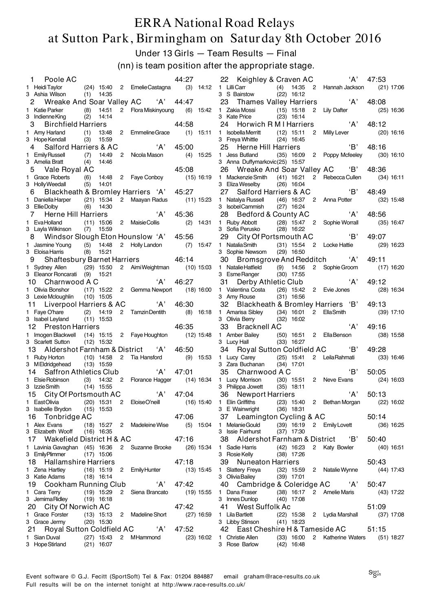Under 13 Girls — Team Results — Final

(nn) is team position after the appropriate stage.

| Poole AC<br>1.                          |              |                              |              |                                            | 44:27      |              | ʻA'<br>22 Keighley & Craven AC<br>47:53                                                                   |              |
|-----------------------------------------|--------------|------------------------------|--------------|--------------------------------------------|------------|--------------|-----------------------------------------------------------------------------------------------------------|--------------|
| 1 Heidi Taylor<br>3 Ashia Wilson        |              | $(1)$ 14:35                  |              | (24) 15:40 2 Emelie Castagna               |            |              | (3) 14:12 1 Lilli Carr<br>(4) 14:35 2 Hannah Jackson<br>3 S Bairstow<br>$(22)$ 16:12                      | $(21)$ 17:06 |
| 2                                       |              |                              |              | Wreake And Soar Valley AC 'A'              | 44:47      |              | ʻA'<br>23<br><b>Thames Valley Harriers</b><br>48:08                                                       |              |
| 1 Katie Parker                          |              | $(8)$ 14:51                  |              | 2 Flora Miskinyoung                        |            | $(6)$ 15:42  | 1 Zakia Mossi<br>(15) 15:18 2 Lily Dafter                                                                 | $(25)$ 16:36 |
| 3 Indienne King                         | (2)          | 14:14                        |              |                                            |            |              | 3 Kate Price<br>$(23)$ 16:14                                                                              |              |
| <b>Birchfield Harriers</b><br>3         |              |                              |              |                                            | 44:58      |              | A'<br>24<br>48:12<br>Horwich R M I Harriers                                                               |              |
| 1 Amy Harland                           | (1)          | 13:48                        | $\mathbf{2}$ | Emmeline Grace                             |            | $(1)$ 15:11  | 1 Isobella Merritt<br>$(12)$ 15:11<br>$\overline{2}$<br>Milly Lever                                       | $(20)$ 16:16 |
| 3 Hope Kendall                          | (3)          | 15:59                        |              |                                            |            |              | 3 Freya Whittle<br>$(24)$ 16:45                                                                           |              |
| Salford Harriers & AC                   |              |                              |              | A'                                         | 45:00      |              | 'B'<br>Herne Hill Harriers<br>48:16<br>25                                                                 |              |
| 1 Emily Russell                         | (7)          | 14:49                        | $2^{\circ}$  | Nicola Mason                               |            | $(4)$ 15:25  | 1 Jess Butland<br>(35) 16:09 2 Poppy Mcfeeley                                                             | $(30)$ 16:10 |
| 3 Amelia Bratt                          | (4)          | 14:46                        |              |                                            |            |              | 3 Anna Duffymarkovic(25) 15:57                                                                            |              |
| Vale Royal AC<br>5.                     |              |                              |              |                                            | 45:08      |              | 'B'<br>Wreake And Soar Valley AC<br>48:36<br>26                                                           |              |
| 1 Grace Roberts                         |              |                              |              | (6) 14:48 2 Faye Conboy                    |            | (15) 16:19   | 1 Mackenzie Smith (41) 16:21 2 Rebecca Cullen                                                             | $(34)$ 16:11 |
| 3 Holly Weedall                         | (5)          | 14:01                        |              |                                            |            |              | $(26)$ 16:04<br>3 Eliza Weselby                                                                           |              |
| 6                                       |              |                              |              | Blackheath & Bromley Harriers 'A'          | 45:27      |              | $\overline{B}$<br>Salford Harriers & AC<br>48:49<br>27                                                    |              |
| 1 Daniella Harper                       |              | $(21)$ 15:34                 | $2^{\circ}$  | Maayan Radus                               |            | $(11)$ 15:23 | 1 Natalya Russell<br>(46) 16:37 2 Anna Potter                                                             | $(32)$ 15:48 |
| 3 Ellie Dolby                           |              | $(6)$ 14:30                  |              |                                            |            |              | 3 Isobel Cammish<br>$(27)$ 16:24                                                                          |              |
| $\overline{7}$<br>Herne Hill Harriers   |              |                              |              | 'A'                                        | 45:36      |              | A'<br>28<br>Bedford & County AC<br>48:56                                                                  |              |
| 1 EvaHolland                            |              | $(11)$ 15:06                 |              | 2 Maisie Collis                            |            | $(2)$ 14:31  | 1 Ruby Abbott<br>(28) 15:47 2 Sophie Worrall                                                              | $(35)$ 16:47 |
| 3 Layla Wilkinson                       |              | $(7)$ 15:59                  |              |                                            |            |              | 3 Sofia Perusko<br>$(28)$ 16:22                                                                           |              |
| 8                                       |              |                              |              | Windsor Slough Eton Hounslow 'A' 45:56     |            |              | $\overline{B}$<br>29 City Of Portsmouth AC<br>49:07                                                       |              |
| 1 Jasmine Young                         |              | $(5)$ 14:48                  |              | 2 Holly Landon                             |            | $(7)$ 15:47  | 1 Natalia Smith<br>(31) 15:54 2 Locke Hattie                                                              | $(29)$ 16:23 |
| 3 Eloisa Harris                         |              | $(8)$ 15:21                  |              |                                            |            |              | $(29)$ 16:50<br>3 Sophie Newsom                                                                           |              |
| 9                                       |              |                              |              | Shaftesbury Barnet Harriers 46:14          |            |              | 30 Bromsgrove And Redditch 'A'<br>49:11                                                                   |              |
| 1 Sydney Allen (29) 15:50               |              |                              |              | 2 AimiWeightman                            |            | $(10)$ 15:03 | 1 Natalie Hatfield<br>$(9)$ 14:56<br>2 Sophie Groom                                                       | $(17)$ 16:20 |
| 3 Eleanor Roncarati (9) 15:21           |              |                              |              |                                            |            |              | 3 Esme Ranger<br>$(30)$ 17:55                                                                             |              |
| Charnwood A C<br>10                     |              |                              |              | ʻA'                                        | 46:27      |              | ʻA'<br>Derby Athletic Club<br>49:12<br>31                                                                 |              |
| 1 Olivia Bonshor                        |              |                              |              | (17) 15:22 2 Gemma Newport                 |            | (18) 16:00   | 1 Valentina Costa<br>(26) 15:42 2 Evie Jones                                                              | $(28)$ 16:34 |
| 3 Lexie Mcloughlin                      | (10) 15:05   |                              |              |                                            |            |              | 3 Amy Rouse<br>$(31)$ 16:56                                                                               |              |
| Liverpool Harriers & AC<br>11           |              |                              |              | A'                                         | 46:30      |              | 32<br>Blackheath & Bromley Harriers 'B'<br>49:13                                                          |              |
| 1 Faye O'hare                           |              | $(2)$ 14:19                  |              | 2 Tamzin Dentith                           |            | $(8)$ 16:18  | 1 Amarisa Sibley<br>(34) 16:01 2 EllaSmith                                                                | $(39)$ 17:10 |
| 3 Isabel Leyland                        |              | $(11)$ 15:53                 |              |                                            |            |              | $(32)$ 16:02<br>3 Olivia Berry<br>A'<br>49:16                                                             |              |
| 12<br><b>Preston Harriers</b>           |              |                              |              |                                            | 46:35      |              | 33<br><b>Bracknell AC</b>                                                                                 |              |
| 1 Imogen Blackwell<br>3 Scarlett Sutton |              | $(12)$ 15:32                 |              | $(14)$ 15:15 2 Faye Houghton               |            | $(12)$ 15:48 | 1 Amber Bailey<br>(50) 16:51 2 Ella Benson<br>3 Lucy Hall<br>$(33)$ 16:27                                 | $(38)$ 15:58 |
| 13                                      |              |                              |              | Aldershot Farnham & District  'A'          | 46:50      |              | 34 Royal Sutton Coldfield AC<br>'B'<br>49:28                                                              |              |
| 1 Ruby Horton                           |              | $(10)$ 14:58                 |              | 2 Tia Hansford                             |            | $(9)$ 15:53  | 1 Lucy Carey<br>$(25)$ 15:41<br>2 Leila Rahmati                                                           | $(33)$ 16:46 |
| 3 MEldridgehead (13) 15:59              |              |                              |              |                                            |            |              | 3 Zara Buchanan<br>$(34)$ 17:01                                                                           |              |
| Saffron Athletics Club<br>14            |              |                              |              | A                                          | 47:01      |              | 'B'<br>35<br>Charnwood A C<br>50:05                                                                       |              |
| 1 Elsie Robinson                        |              | $(3)$ 14:32 2                |              | Florance Hagger                            |            | $(14)$ 16:34 | 1 Lucy Morrison<br>(30) 15:51 2 Neve Evans                                                                | $(24)$ 16:03 |
| 3 Izzie Smith                           |              | $(14)$ 15:55                 |              |                                            |            |              | 3 Philippa Jowett<br>$(35)$ 18:11                                                                         |              |
| City Of Portsmouth AC<br>15             |              |                              |              | A'                                         | 47:04      |              | ʻA'<br>36 Newport Harriers<br>50:13                                                                       |              |
|                                         |              |                              |              |                                            |            |              | 1 EastOlivia (20) 15:31 2 EloiseO'neill (16) 15:40 1 Elin Griffiths (23) 15:40 2 Bethan Morgan (22) 16:02 |              |
| 3 Isabelle Brydon                       |              | $(15)$ 15:53                 |              |                                            |            |              | 3 E Wainwright<br>$(36)$ 18:31                                                                            |              |
| 16 Tonbridge AC                         |              |                              |              |                                            | 47:06      |              | 37 Leamington Cycling & AC<br>50:14                                                                       |              |
| 1 Alex Evans                            |              |                              |              |                                            |            |              | (18) 15:27 2 Madeleine Wise (5) 15:04 1 Melanie Gould<br>(39) 16:19  2  Emily Lovett                      | $(36)$ 16:25 |
| 3 Elizabeth Wooff                       |              |                              |              |                                            |            |              | 3 Issie Fairhurst<br>$(37)$ 17:30                                                                         |              |
| 17 Wakefield District H & AC            | $(16)$ 16:35 |                              |              |                                            |            |              |                                                                                                           |              |
| 1 Lavinia Gavaghan (45) 16:36           |              |                              |              | 47:16                                      |            |              | 38 Aldershot Farnham & District 'B'<br>50:40                                                              |              |
|                                         |              |                              |              | 2 Suzanne Brooke (26) 15:34 1 Sadie Harris |            |              | (42) 16:23 2 Katy Bowler                                                                                  | (40) 16:51   |
| 3 EmilyPlimmer                          | $(17)$ 15:06 |                              |              |                                            |            |              | 3 Rosie Kelly<br>$(38)$ 17:26                                                                             |              |
| 18 Hallamshire Harriers                 |              |                              |              |                                            | 47:18      |              | 50:43<br>39 Nuneaton Harriers                                                                             |              |
| 1 Zena Hartley                          |              |                              |              | (16) 15:19 2 Emily Hunter                  |            | $(13)$ 15:45 | 1 Slattery Freya<br>(32) 15:59 2 Natalie Wynne                                                            | (44) 17:43   |
| 3 Katie Adams                           |              | $(18)$ 16:14                 |              |                                            |            |              | 3 Olivia Bailey<br>$(39)$ 17:01                                                                           |              |
| 19 Cookham Running Club 'A'             |              |                              |              |                                            | 47:42      |              | 40 Cambridge & Coleridge AC 'A'<br>50:47                                                                  |              |
| 1 Cara Terry                            | $(19)$ 15:29 |                              |              | 2 Siena Brancato                           | (19) 15:55 |              | 1 Dana Fraser<br>(38) 16:17 2 Amelie Maris                                                                | (43) 17:22   |
| 3 JemimaRidley                          | (19) 16:18   |                              |              |                                            |            |              | 3 Innes Dunlop<br>$(40)$ 17:08                                                                            |              |
| 20 City Of Norwich AC                   |              |                              |              |                                            | 47:42      |              | 41 West Suffolk Ac<br>51:09                                                                               |              |
| 1 Grace Forster                         |              |                              |              | (13) 15:13 2 Madeline Short                |            | (27) 16:59   | (22) 15:38 2 Lydia Marshall (37) 17:08<br>1 Lila Bartlett                                                 |              |
| 3 Grace Jermy                           |              | $(20)$ 15:30                 |              |                                            |            |              | 3 Libby Stinson<br>$(41)$ 18:23                                                                           |              |
| 21 Royal Sutton Coldfield AC 'A' 47:52  |              |                              |              |                                            |            |              | 42 East Cheshire H & Tameside AC<br>51:15                                                                 |              |
| 1 Sian Duval<br>3 Hope Stirland         |              | $(27)$ 15:43<br>$(21)$ 16:07 |              | 2 MHammond                                 |            |              | (23) 16:02 1 Christie Allen<br>(33) 16:00 2 Katherine Waters (51) 18:27<br>3 Rose Barlow<br>$(42)$ 16:48  |              |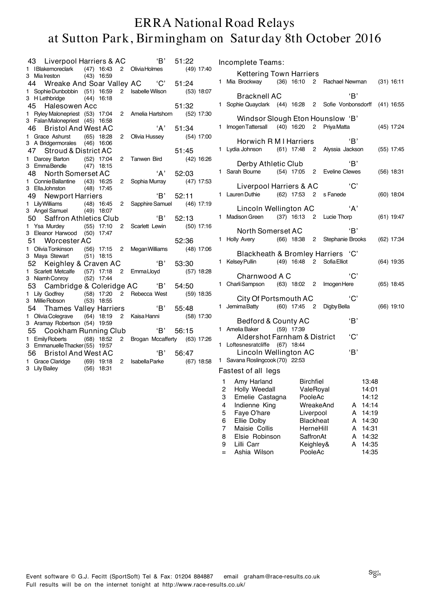|              | 43 Liverpool Harriers & AC      |              |                | 'В'                          | 51:22        |
|--------------|---------------------------------|--------------|----------------|------------------------------|--------------|
|              | 1 IBlakemoreclark (47) 16:43    |              | $\overline{2}$ | Olivia Holmes                | $(49)$ 17:40 |
|              | 3 Mia Ireston                   | $(43)$ 16:59 |                |                              |              |
|              | 44 Wreake And Soar Valley AC    |              |                | ${^{\circ}}$ ${^{\circ}}$    | 51:24        |
| 1.           | Sophie Dunbobbin (51) 16:59     |              | $\overline{2}$ | Isabelle Wilson              | $(53)$ 18:07 |
|              | 3 H Lethbridge                  | $(44)$ 16:18 |                |                              |              |
|              | Halesowen Acc<br>45             |              |                |                              | 51:32        |
| 1.           | Ryley Malonepriest (53) 17:04   |              | $\overline{c}$ | Amelia Hartshorn (52) 17:30  |              |
|              | 3 FalanMalonepriest (45) 16:58  |              |                |                              |              |
|              | 46 Bristol And West AC          |              |                | 'A'                          | 51:34        |
| 1.           | Grace Ashurst                   | $(65)$ 18:28 | 2              | Olivia Hussey                | (54) 17:00   |
|              | 3 A Bridgermorales (46) 16:06   |              |                |                              |              |
|              | 47 Stroud & District AC         |              |                |                              | 51:45        |
| $\mathbf{1}$ | Darcey Barton (52) 17:04        |              | 2              | Tanwen Bird                  | (42) 16:26   |
|              | 3 EmmaBendle                    | $(47)$ 18:15 |                |                              |              |
|              | 48<br><b>North Somerset AC</b>  |              |                | 'A'                          | 52:03        |
| 1.           | Connie Ballantine (43)          | 16:25        | 2              | Sophia Murray                | $(47)$ 17:53 |
|              | 3 EllaJohnston                  | $(48)$ 17:45 |                |                              |              |
|              | 49 Newport Harriers             |              |                | 'B'                          | 52:11        |
|              | 1 Lily Williams (48) 16:45      |              | 2              | Sapphire Samuel (46) 17:19   |              |
|              | 3 Angel Samuel (49) 18:07       |              |                |                              |              |
|              | 50 Saffron Athletics Club       |              |                | 'B'                          | 52:13        |
|              | 1 Ysa Murdey (55) 17:10         |              | $^{2}$         | Scarlett Lewin               | (50) 17:16   |
|              | 3 Eleanor Harwood (50) 17:47    |              |                |                              |              |
|              | 51 Worcester AC                 |              |                |                              | 52:36        |
| 1.           | Olivia Tonkinson (56) 17:15     |              | $\overline{2}$ | <b>Megan Williams</b>        | $(48)$ 17:06 |
|              | 3 Maya Stewart (51) 18:15       |              |                |                              |              |
|              | 52 Keighley & Craven AC         |              |                | 'B'                          | 53:30        |
| 1.           | Scarlett Metcalfe (57) 17:18    |              | $\overline{2}$ | EmmaLloyd                    | $(57)$ 18:28 |
|              | 3 Niamh Conroy                  | $(52)$ 17:44 |                |                              |              |
|              | 53 Cambridge & Coleridge AC 'B' |              |                |                              | 54:50        |
| 1.           | Lily Godfrey $(58)$ 17:20       |              | $2^{\circ}$    | Rebecca West                 | $(59)$ 18:35 |
|              | 3 Millie Robson                 | $(53)$ 18:55 |                |                              |              |
|              | 54 Thames Valley Harriers       |              |                | B'                           | 55:48        |
| 1.           | Olivia Colegrave                | $(64)$ 18:19 |                | 2 Kaisa Hanni (58) 17:30     |              |
|              | 3 Aramay Robertson (54) 19:59   |              |                |                              |              |
|              | 55 Cookham Running Club         |              |                | 'B'                          | 56:15        |
| $\mathbf{1}$ | Emily Roberts (68) 18:52        |              | $\overline{2}$ | Brogan Mccafferty (63) 17:26 |              |
|              | 3 Emmanuelle Thacker (55) 19:57 |              |                |                              |              |
|              | 56 Bristol And West AC          |              |                | 'B'                          | 56:47        |
| 1            | Grace Claridge (69) 19:18       |              |                | 2 Isabella Parke             | $(67)$ 18:58 |
|              | 3 Lily Bailey                   | $(56)$ 18:31 |                |                              |              |

|                                      | Incomplete Teams:                                                                                                                                           |                                                                                              |                          |                            |                                                                               |              |
|--------------------------------------|-------------------------------------------------------------------------------------------------------------------------------------------------------------|----------------------------------------------------------------------------------------------|--------------------------|----------------------------|-------------------------------------------------------------------------------|--------------|
|                                      | <b>Kettering Town Harriers</b><br>1 Mia Brockway (36) 16:10 2 Rachael Newman (31) 16:11                                                                     |                                                                                              |                          |                            |                                                                               |              |
|                                      | <b>Bracknell AC</b><br>1 Sophie Quayclark (44) 16:28 2 Sofie Vonbonsdorff (41) 16:55                                                                        |                                                                                              |                          | 'B'                        |                                                                               |              |
|                                      | Windsor Slough Eton Hounslow 'B'<br>1 Imogen Tattersall (40) 16:20 2 Priya Matta                                                                            |                                                                                              |                          |                            |                                                                               | $(45)$ 17:24 |
|                                      | Horwich R M I Harriers<br>1 Lydia Johnson (61) 17:48 2 Alyssia Jackson                                                                                      |                                                                                              |                          | 'B'                        |                                                                               | $(55)$ 17:45 |
|                                      | Derby Athletic Club<br>1 Sarah Bourne (54) 17:05 2 Eveline Clewes                                                                                           |                                                                                              |                          | 'B'                        |                                                                               | $(56)$ 18:31 |
|                                      | Liverpool Harriers & AC<br>1 Lauren Duthie (62) 17:53 2 s Fanede                                                                                            |                                                                                              |                          | 'C'                        |                                                                               | $(60)$ 18:04 |
|                                      | Lincoln Wellington AC<br>1 Madison Green                                                                                                                    |                                                                                              | (37) 16:13 2 Lucie Thorp | 'A'                        |                                                                               | $(61)$ 19:47 |
|                                      | North Somerset AC<br>1 Holly Avery (66) 18:38 2 Stephanie Brooks                                                                                            |                                                                                              |                          | 'B'                        |                                                                               | $(62)$ 17:34 |
|                                      | Blackheath & Bromley Harriers 'C'<br>1 Kelsey Pullin (49) 16:48 2 Sofia Elliot                                                                              |                                                                                              |                          |                            |                                                                               | $(64)$ 19:35 |
|                                      | Charnwood A C<br>1 Charli Sampson (63) 18:02 2 Imogen Here                                                                                                  |                                                                                              |                          | 'C'                        |                                                                               | $(65)$ 18:45 |
|                                      | City Of Portsmouth AC<br>1 JemimaBatty (60) 17:45 2 DigbyBella                                                                                              |                                                                                              |                          | 'C'                        |                                                                               | $(66)$ 19:10 |
|                                      | Bedford & County AC                                                                                                                                         |                                                                                              |                          | 'B'                        |                                                                               |              |
|                                      | 1 Amelia Baker (59) 17:39                                                                                                                                   |                                                                                              |                          |                            |                                                                               |              |
|                                      | Aldershot Farnham & District<br>1 Loftesnesratcliffe (67) 18:44                                                                                             |                                                                                              |                          | 'C'                        |                                                                               |              |
|                                      | Lincoln Wellington AC                                                                                                                                       |                                                                                              |                          | B                          |                                                                               |              |
|                                      | 1 Savana Roslingcook (70) 22:53<br>Fastest of all legs                                                                                                      |                                                                                              |                          |                            |                                                                               |              |
| 2<br>3<br>4<br>5<br>6<br>7<br>8<br>9 | 1 Amy Harland Birchfiel<br>Holly Weedall<br>Emelie Castagna<br>Indienne King<br>Faye O'hare<br>Ellie Dolby<br>Maisie Collis<br>Elsie Robinson<br>Lilli Carr | ValeRoyal<br>PooleAc<br>Liverpool<br><b>Blackheat</b><br>HerneHill<br>SaffronAt<br>Keighley& | WreakeAnd                | А<br>A<br>A<br>A<br>A<br>A | 13:48<br>14:01<br>14:12<br>14:14<br>14:19<br>14:30<br>14:31<br>14:32<br>14:35 |              |
| $=$                                  | Ashia Wilson                                                                                                                                                | PooleAc                                                                                      |                          |                            | 14:35                                                                         |              |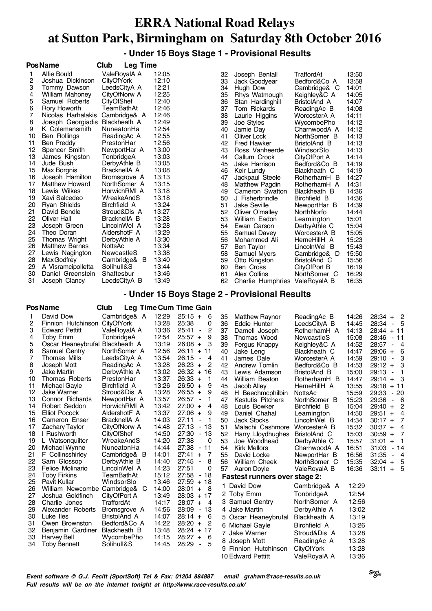**- Under 15 Boys Stage 1 - Provisional Results**

|          | <b>PosName</b>                          | Club                         | <b>Leg Time</b> |                        |                           |                                    |          |                                               |                                               |                |                                                 |
|----------|-----------------------------------------|------------------------------|-----------------|------------------------|---------------------------|------------------------------------|----------|-----------------------------------------------|-----------------------------------------------|----------------|-------------------------------------------------|
| 1        | Alfie Bould                             | ValeRoyalA A                 |                 | 12:05                  |                           |                                    | 32       | Joseph Bentall                                | TraffordAt                                    | 13:50          |                                                 |
| 2        | Joshua Dickinson                        | CityOfYork                   |                 | 12:10                  |                           |                                    | 33       | Jack Goodyear                                 | Bedford&Co A                                  | 13:58          |                                                 |
| 3        | Tommy Dawson                            | LeedsCityA A                 |                 | 12:21                  |                           |                                    | 34       | Hugh Dow                                      | Cambridge& C                                  | 14:01          |                                                 |
| 4        | William Mahoney                         | CityOfNorw A                 |                 | 12:25                  |                           |                                    | 35       | Rhys Watmough                                 | Keighley&C A                                  | 14:05          |                                                 |
| 5        | Samuel Roberts                          | CityOfShef                   |                 | 12:40                  |                           |                                    | 36       | Stan Hardinghill                              | BristolAnd A                                  | 14:07          |                                                 |
| 6<br>7   | Rory Howorth                            | TeamBathAt                   |                 | 12:46                  |                           |                                    | 37       | Tom Rickards                                  | ReadingAc B                                   | 14:08          |                                                 |
| 8        | Nicolas Harhalakis<br>Joesph Georgiadis | Cambridge& A<br>Blackheath A |                 | 12:46<br>12:49         |                           |                                    | 38<br>39 | Laurie Higgins                                | WorcesterA A                                  | 14:11          |                                                 |
| 9        | K Colemansmith                          | NuneatonHa                   |                 | 12:54                  |                           |                                    | 40       | Joe Styles<br>Jamie Day                       | WycombePho<br>CharnwoodA A                    | 14:12<br>14:12 |                                                 |
| 10       | Ben Rollings                            | ReadingAc A                  |                 | 12:55                  |                           |                                    | 41       | Oliver Lock                                   | NorthSomer B                                  | 14:13          |                                                 |
| 11       | Ben Preddy                              | PrestonHar                   |                 | 12:56                  |                           |                                    | 42       | <b>Fred Hawker</b>                            | BristolAnd B                                  | 14:13          |                                                 |
| 12       | Spencer Smith                           | NewportHar A                 |                 | 13:00                  |                           |                                    | 43       | Ross Vanheerde                                | WindsorSlo                                    | 14:13          |                                                 |
| 13       | James Kingston                          | TonbridgeA                   |                 | 13:03                  |                           |                                    | 44       | Callum Crook                                  | CityOfPort A                                  | 14:14          |                                                 |
| 14       | Jude Bush                               | DerbyAthle B                 |                 | 13:05                  |                           |                                    | 45       | Jake Harrison                                 | Bedford&Co B                                  | 14:19          |                                                 |
| 15       | Max Borgnis                             | BracknellA A                 |                 | 13:08                  |                           |                                    | 46       | Keir Lundy                                    | Blackheath C                                  | 14:19          |                                                 |
| 16       | Joseph Hamilton                         | Bromsgrove A                 |                 | 13:13                  |                           |                                    | 47       | Jackpaul Steele                               | RotherhamH B                                  | 14:27          |                                                 |
| 17       | <b>Matthew Howard</b>                   | NorthSomer A                 |                 | 13:15                  |                           |                                    | 48       | <b>Matthew Pagdin</b>                         | RotherhamH A                                  | 14:31          |                                                 |
| 18       | Lewis Wilkes                            | HorwichRMI A                 |                 | 13:18                  |                           |                                    | 49       | Cameron Swatton                               | Blackheath B                                  | 14:36          |                                                 |
| 19       | Xavi Salcedeo                           | WreakeAndS                   |                 | 13:18                  |                           |                                    | 50       | J Fisherbrindle                               | Birchfield B                                  | 14:36          |                                                 |
| 20       | <b>Ryan Shields</b>                     | Birchfield A                 |                 | 13:24<br>13:27         |                           |                                    | 51       | Jake Seville                                  | NewportHar B                                  | 14:39          |                                                 |
| 21<br>22 | David Bendle<br>Oliver Hall             | Stroud&Dis A<br>BracknellA B |                 | 13:28                  |                           |                                    | 52<br>53 | Oliver O'malley                               | NorthNorfo                                    | 14:44<br>15:01 |                                                 |
| 23       | Joseph Green                            | LincolnWel A                 |                 | 13:28                  |                           |                                    | 54       | William Eadon<br>Ewan Carson                  | Leamington<br>DerbyAthle C                    | 15:04          |                                                 |
| 24       | Theo Doran                              | AldershotF A                 |                 | 13:29                  |                           |                                    | 55       | Samuel Davey                                  | WorcesterA B                                  | 15:05          |                                                 |
| 25       | Thomas Wright                           | DerbyAthle A                 |                 | 13:30                  |                           |                                    | 56       | Mohammed Ali                                  | HerneHillH A                                  | 15:23          |                                                 |
| 26       | <b>Matthew Barnes</b>                   | NottsAc                      |                 | 13:34                  |                           |                                    | 57       | <b>Ben Taylor</b>                             | LincolnWel B                                  | 15:43          |                                                 |
| 27       | Lewis Nagington                         | NewcastleS                   |                 | 13:38                  |                           |                                    | 58       | Samuel Myers                                  | Cambridge& D                                  | 15:50          |                                                 |
| 28       | Max Godfrey                             | Cambridge& B                 |                 | 13:40                  |                           |                                    | 59       | Otto Kingston                                 | BristolAnd C                                  | 15:56          |                                                 |
| 29       | A Visramcipolletta                      | Solihull&S                   |                 | 13:44                  |                           |                                    | 60       | Ben Cross                                     | CityOfPort B                                  | 16:19          |                                                 |
| 30       | Daniel Greenstein                       | Shaftesbur                   |                 | 13:46                  |                           |                                    | 61       | Alex Collins                                  | NorthSomer C                                  | 16:29          |                                                 |
| 31       | Joseph Clancy                           | LeedsCityA B                 |                 | 13:49                  |                           |                                    | 62       | Charlie Humphries ValeRoyalA B                |                                               | 16:35          |                                                 |
|          | PosName                                 | Club                         |                 | Leg Time Cum Time Gain |                           |                                    |          | - Under 15 Boys Stage 2 - Provisional Results |                                               |                |                                                 |
| 1        | David Dow                               | Cambridge& A                 |                 | 12:29                  | $25:15 +$                 | 6                                  | 35       | <b>Matthew Raynor</b>                         | ReadingAc B                                   | 14:26          | $28:34 +$<br>$\overline{c}$                     |
| 2        | Finnion Hutchinson CityOfYork           |                              |                 | 13:28                  | 25:38                     | 0                                  | 36       | Eddie Hunter                                  | LeedsCityA B                                  | 14:45          | 28:34<br>5<br>$\sim$                            |
| 3        | <b>Edward Pettitt</b>                   | ValeRoyalA A                 |                 | 13:36                  | 25:41                     | 2<br>$\blacksquare$                | 37       | Darnell Joseph                                | RotherhamH A                                  | 14:13          | 28:44 + 11                                      |
| 4        | Toby Emm                                | TonbridgeA                   |                 | 12:54                  | $25:57 +$                 | 9                                  | 38       | Thomas Wood                                   | NewcastleS                                    | 15:08          | 28:46<br>- 11                                   |
| 5        | Oscar Heaneybrufal Blackheath A         | NorthSomer A                 |                 | 13:19                  | $26:08 +$                 | 3                                  | 39       | Fergus Knappy                                 | Keighley&C A                                  | 14:52          | 28:57<br>- 4                                    |
| 6<br>7   | Samuel Gentry<br>Thomas Mills           | LeedsCityA A                 |                 | 12:56<br>13:54         | $26:11 + 11$<br>26:15     | $\blacksquare$<br>4                | 40       | Jake Leng<br>James Dale                       | Blackheath C                                  | 14:47<br>14:59 | $29:06 +$<br>6<br>29:10                         |
| 8        | Joseph Mott                             | ReadingAc A                  |                 | 13:28                  | $26:23 +$                 | 2                                  | 41<br>42 | Andrew Tomlin                                 | WorcesterA A<br>Bedford&Co B                  | 14:53          | 3<br>$\overline{\phantom{a}}$<br>$29:12 +$<br>3 |
| 9        | Jake Martin                             | DerbyAthle A                 |                 | 13:02                  | $26:32 + 16$              |                                    | 43       | Lewis Adamson                                 | BristolAnd B                                  | 15:00          | 29:13<br>$\blacksquare$<br>1                    |
| 10       | Thomas Roberts                          | PrestonHar                   |                 | 13:37                  | $26:33 +$                 | 1                                  | 44       | <b>William Beaton</b>                         | RotherhamH B                                  | 14:47          | $29:14 +$<br>3                                  |
| 11       | Michael Gayle                           | Birchfield A                 |                 | 13:26                  | $26:50 +$                 | 9                                  | 45       | Jacob Alley                                   | HerneHillH A                                  | 13:55          | $29:18 + 11$                                    |
| 12       | Jake Warner                             | Stroud&Dis A                 |                 | 13:28                  | $26:55 +$                 | 9                                  | 46       | H Beechmcphilbin                              | NottsAc                                       | 15:59          | 29:33<br>- 20                                   |
| 13       | Connor Richards                         | NewportHar A                 |                 | 13:57                  | 26:57                     | $\overline{\phantom{a}}$<br>1      | 47       | <b>Kestutis Pitchers</b>                      | NorthSomer B                                  | 15:23          | 29:36<br>6<br>$\overline{\phantom{a}}$          |
| 14       | Robert Seddon                           | HorwichRMI A                 |                 | 13:42                  | $27:00 +$                 | 4                                  | 48       | Louis Bowker                                  | Birchfield B                                  | 15:04          | $29:40 +$<br>2                                  |
| 15       | <b>Elliot Pocock</b>                    | AldershotF A                 |                 | 13:37                  | $27:06 +$                 | 9                                  | 49       | Daniel Chahal                                 | Leamington                                    | 14:50          | $29:51 +$<br>4                                  |
| 16       | Cameron Enser                           | BracknellA A                 |                 | 14:03                  | 27:11                     | -1<br>$\qquad \qquad \blacksquare$ | 50       | <b>Jack Stocks</b>                            | LincolnWel B                                  | 14:34          | $30:17 +$<br>7                                  |
| 17<br>18 | <b>Zachary Taylor</b><br>I Rushworth    | CityOfNorw A<br>CityOfShef   |                 | 14:48<br>14:50         | 27:13<br>27:30            | - 13                               | 51       | Malachi Cashmore                              | WorcesterA B                                  | 15:32          | $30:37 +$<br>4                                  |
| 19       | L Watsonguilter                         | WreakeAndS                   |                 | 14:20                  | 27:38                     | - 13<br>0                          | 52<br>53 | Harry Lloydhughes<br>Joe Woodhead             | BristolAnd C                                  | 15:03<br>15:57 | $30:59 +$<br>7<br>31:01<br>1                    |
| 20       | Michael Wynne                           | NuneatonHa                   |                 | 14:44                  | 27:38                     | - 11                               | 54       | <b>Kirk Mellors</b>                           | DerbyAthle C<br>CharnwoodA A                  | 16:51          | $\ddot{}$<br>31:03<br>- 14                      |
| 21       | F Collinsshirley                        | Cambridge& B                 |                 | 14:01                  | $27:41 +$                 | -7                                 | 55       | David Locke                                   | NewportHar B                                  | 16:56          | 31:35<br>$\blacksquare$<br>$\overline{4}$       |
| 22       | Sam Glossop                             | DerbyAthle B                 |                 | 14:40                  | 27:45                     | 8<br>$\overline{\phantom{a}}$      | 56       | William Cheek                                 | NorthSomer C                                  | 15:35          | $32:04 +$<br>5                                  |
| 23       | Felice Molinario                        | LincolnWel A                 |                 | 14:23                  | 27:51                     | 0                                  | 57       | Aaron Doyle                                   | ValeRoyalA B                                  | 16:36          | $33:11 + 5$                                     |
| 24       | <b>Toby Firkins</b>                     | TeamBathAt                   |                 | 15:12                  | 27:58                     | - 18                               |          | <b>Fastest runners over stage 2:</b>          |                                               |                |                                                 |
| 25       | Pavit Kullar                            | WindsorSlo                   |                 | 13:46                  | $27:59 + 18$              |                                    |          |                                               |                                               |                |                                                 |
| 26       | William Newcombe Cambridge& C           |                              |                 | 14:00                  | $28:01 +$                 | - 8                                |          | 1 David Dow                                   | Cambridge& A                                  | 12:29          |                                                 |
| 27       | Joshua Goldfinch                        | CityOfPort A                 |                 | 13:49                  | $28:03 + 17$              |                                    |          | 2 Toby Emm                                    | TonbridgeA                                    | 12:54          |                                                 |
| 28       | Charlie Jones                           | TraffordAt                   |                 | 14:17                  | $28:07 +$                 | - 4                                |          | 3 Samuel Gentry                               | NorthSomer A                                  | 12:56          |                                                 |
| 29       |                                         |                              |                 |                        |                           |                                    |          |                                               |                                               |                |                                                 |
|          | Alexander Roberts                       |                              | Bromsgrove A    | 14:56                  | 28:09 - 13                |                                    |          | 4 Jake Martin                                 | DerbyAthle A                                  | 13:02          |                                                 |
| 30       | Luke Iles                               | BristolAnd A                 |                 | 14:07                  | $28:14 +$                 | -6                                 |          | 5 Oscar Heaneybrufal                          | Blackheath A                                  | 13:19          |                                                 |
| 31<br>32 | Owen Brownston<br>Benjamin Gardiner     | Bedford&Co A<br>Blackheath B |                 | 14:22<br>13:48         | $28:20 +$<br>$28:24 + 17$ | $\overline{\phantom{a}}^2$         |          | 6 Michael Gayle<br>7 Joka Warner              | Birchfield A<br>$C$ <sub>troud</sub> $D$ io A | 13:26<br>10.00 |                                                 |

**Event software © G.J. Fecitt (SportSoft) Tel & Fax: 01204 884887 email graham@race-results.co.uk Full results will be on the internet tonight at http://www.race-results.co.uk/** 9 Finnion Hutchinson CityOfYork 13:28<br>10 Edward Pettitt ValeRovalA A 13:36 10 Edward Pettitt ValeRoyalA A

 32 Benjamin Gardiner Blackheath B 13:48 28:24 + 17 33 Harvey Bell WycombePho 14:15 28:27 + 6

Toby Bennett

 7 Jake Warner Stroud&Dis A 13:28 8 Joseph Mott ReadingAc A 13:28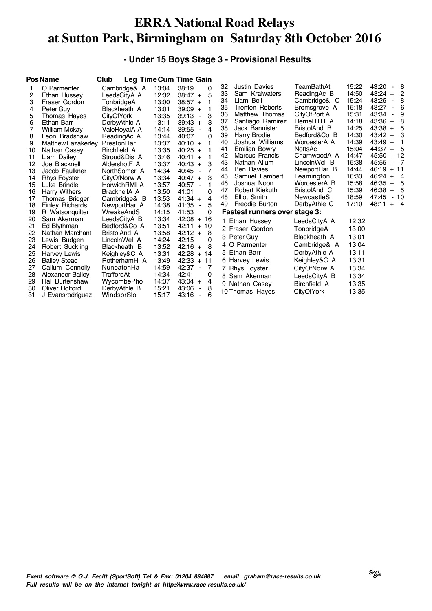#### **- Under 15 Boys Stage 3 - Provisional Results**

|    | <b>PosName</b>            | Club              |       | Leg Time Cum Time Gain                 |    |                                      |                   |       |                                            |
|----|---------------------------|-------------------|-------|----------------------------------------|----|--------------------------------------|-------------------|-------|--------------------------------------------|
|    | O Parmenter               | Cambridge& A      | 13:04 | 38:19<br>0                             | 32 | <b>Justin Davies</b>                 | TeamBathAt        | 15:22 | 43:20<br>- 8                               |
| 2  | Ethan Hussey              | LeedsCityA A      | 12:32 | 5<br>$38:47 +$                         | 33 | Sam Kralwaters                       | ReadingAc B       | 14:50 | 43:24<br>2<br>$+$                          |
| 3  | Fraser Gordon             | TonbridgeA        | 13:00 | $38:57 +$                              | 34 | Liam Bell                            | Cambridge& C      | 15:24 | 43:25<br>8<br>$\blacksquare$               |
| 4  | Peter Guy                 | Blackheath A      | 13:01 | $39:09 +$                              | 35 | Trenten Roberts                      | Bromsgrove A      | 15:18 | 43:27<br>6<br>$\qquad \qquad \blacksquare$ |
| 5  | Thomas Haves              | <b>CityOfYork</b> | 13:35 | 39:13<br>3<br>$\blacksquare$           | 36 | Matthew Thomas                       | CityOfPort A      | 15:31 | 43:34<br>9<br>$\blacksquare$               |
| 6  | Ethan Barr                | DerbyAthle A      | 13:11 | 39:43<br>3<br>$\ddot{+}$               | 37 | Santiago Ramirez                     | HerneHillH A      | 14:18 | $43:36 +$<br>8                             |
|    | <b>William Mckay</b>      | ValeRovalA A      | 14:14 | 39:55<br>4<br>$\blacksquare$           | 38 | Jack Bannister                       | BristolAnd B      | 14:25 | 43:38<br>5<br>$+$                          |
| 8  | Leon Bradshaw             | ReadingAc A       | 13:44 | 40:07<br>0                             | 39 | <b>Harry Brodie</b>                  | Bedford&Co B      | 14:30 | $43:42 +$<br>3                             |
| 9  | <b>Matthew Fazakerley</b> | PrestonHar        | 13:37 | $40:10 +$                              | 40 | Joshua Williams                      | WorcesterA A      | 14:39 | $43:49 +$                                  |
| 10 | Nathan Casey              | Birchfield A      | 13:35 | $40:25 +$                              | 41 | Emilian Bowry                        | NottsAc           | 15:04 | 44:37<br>5<br>$+$                          |
| 11 | Liam Dailey               | Stroud&Dis A      | 13:46 | $40:41 +$                              | 42 | <b>Marcus Francis</b>                | CharnwoodA A      | 14:47 | 45:50<br>$+12$                             |
| 12 | Joe Blacknell             | AldershotF A      | 13:37 | 3<br>40:43<br>$+$                      | 43 | Nathan Allum                         | LincolnWel B      | 15:38 | 45:55<br>$+ 7$                             |
| 13 | Jacob Faulkner            | NorthSomer A      | 14:34 | 40:45<br>7<br>$\overline{\phantom{a}}$ | 44 | <b>Ben Davies</b>                    | NewportHar B      | 14:44 | 46:19<br>$+11$                             |
| 14 | <b>Rhys Foyster</b>       | CityOfNorw A      | 13:34 | 3<br>$40:47 +$                         | 45 | Samuel Lambert                       | Leamington        | 16:33 | 46:24<br>$\overline{4}$<br>$+$             |
| 15 | Luke Brindle              | HorwichRMI A      | 13:57 | 40:57<br>1                             | 46 | Joshua Noon                          | WorcesterA B      | 15:58 | 46:35<br>5<br>$+$                          |
| 16 | <b>Harry Withers</b>      | BracknellA A      | 13:50 | 41:01<br>0                             | 47 | Robert Kiekuth                       | BristolAnd C      | 15:39 | 46:38<br>-5<br>$+$                         |
| 17 | Thomas Bridger            | Cambridge& B      | 13:53 | 41:34<br>4<br>$+$                      | 48 | Elliot Smith                         | NewcastleS        | 18:59 | 47:45<br>- 10                              |
| 18 | <b>Finley Richards</b>    | NewportHar A      | 14:38 | 5<br>41:35<br>ä,                       | 49 | Freddie Burton                       | DerbyAthle C      | 17:10 | 48:11<br>$+$ 4                             |
| 19 | R Watsonguilter           | WreakeAndS        | 14:15 | 41:53<br>0                             |    | <b>Fastest runners over stage 3:</b> |                   |       |                                            |
| 20 | Sam Akerman               | LeedsCityA B      | 13:34 | 42:08<br>$+16$                         |    | 1 Ethan Hussey                       | LeedsCityA A      | 12:32 |                                            |
| 21 | Ed Blythman               | Bedford&Co A      | 13:51 | 42:11<br>$+10$                         |    | 2 Fraser Gordon                      | TonbridgeA        | 13:00 |                                            |
| 22 | Nathan Marchant           | BristolAnd A      | 13:58 | $42:12 +$<br>8                         |    | 3 Peter Guy                          | Blackheath A      | 13:01 |                                            |
| 23 | Lewis Budgen              | LincolnWel A      | 14:24 | 42:15<br>0                             |    | 4 O Parmenter                        | Cambridge& A      | 13:04 |                                            |
| 24 | Robert Suckling           | Blackheath B      | 13:52 | 42:16<br>8<br>$\ddot{}$                |    |                                      |                   |       |                                            |
| 25 | Harvey Lewis              | Keighley&C A      | 13:31 | 42:28<br>$+14$                         |    | 5 Ethan Barr                         | DerbyAthle A      | 13:11 |                                            |
| 26 | <b>Bailey Stead</b>       | RotherhamH A      | 13:49 | 42:33<br>$+11$                         |    | 6 Harvey Lewis                       | Keighlev&C A      | 13:31 |                                            |
| 27 | Callum Connolly           | NuneatonHa        | 14:59 | 42:37<br>7                             |    | 7 Rhys Foyster                       | CityOfNorw A      | 13:34 |                                            |
| 28 | Alexander Bailey          | TraffordAt        | 14:34 | 42:41<br>0                             |    | 8 Sam Akerman                        | LeedsCityA B      | 13:34 |                                            |
| 29 | Hal Burtenshaw            | WycombePho        | 14:37 | $43:04 +$<br>4                         |    | 9 Nathan Casey                       | Birchfield A      | 13:35 |                                            |
| 30 | Oliver Holford            | DerbyAthle B      | 15:21 | 43:06<br>8<br>$\overline{\phantom{a}}$ |    | 10 Thomas Hayes                      | <b>CityOfYork</b> | 13:35 |                                            |
| 31 | J Evansrodriguez          | WindsorSlo        | 15:17 | 43:16<br>6<br>$\overline{\phantom{a}}$ |    |                                      |                   |       |                                            |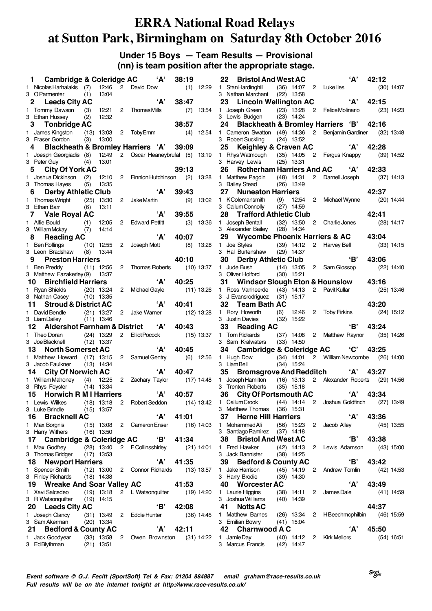#### **Under 15 Boys — Team Results — Provisional (nn) is team position after the appropriate stage.**

|    | <b>Cambridge &amp; Coleridge AC</b><br>1.               |      |              |                | 'А'                                     | 38:19        |              |
|----|---------------------------------------------------------|------|--------------|----------------|-----------------------------------------|--------------|--------------|
|    | 1 Nicolas Harhalakis (7) 12:46                          |      |              |                | 2 David Dow                             | (1)          | 12:29        |
|    | 3 OParmenter                                            | (1)  | 13:04        |                |                                         |              |              |
|    | 2 Leeds City AC                                         |      |              |                | 'А'                                     | 38:47        |              |
|    | 1 Tommy Dawson (3) 12:21 2 Thomas Mills                 |      |              |                |                                         | (7)          | 13:54        |
|    | 3 Ethan Hussey                                          | (2)  | 12:32        |                |                                         |              |              |
|    | 3 Tonbridge AC                                          |      |              |                |                                         | 38:57        |              |
|    | 1 James Kingston (13) 13:03                             |      |              |                | 2 TobyEmm                               | (4)          | 12:54        |
|    | 3 Fraser Gordon                                         | (3)  | 13:00        |                |                                         |              |              |
|    | 4 Blackheath & Bromley Harriers 'A' 39:09               |      |              |                |                                         |              |              |
|    | 1 Joesph Georgiadis (8)                                 |      | 12:49        |                | 2 Oscar Heaneybrufal (5)                |              | 13:19        |
|    | 3 Peter Guy                                             | (4)  | 13:01        |                |                                         |              |              |
|    | <b>City Of York AC</b><br>5                             |      |              |                |                                         | 39:13        |              |
|    | 1 Joshua Dickinson                                      | (2)  | 12:10        |                | 2 Finnion Hutchinson                    | (2)          | 13:28        |
|    | 3 Thomas Hayes                                          | (5)  | 13:35        |                |                                         |              |              |
|    | 6 Derby Athletic Club                                   |      |              |                | 'А'                                     | 39:43        |              |
|    |                                                         |      |              |                | Jake Martin                             |              |              |
|    | 1 Thomas Wright (25) 13:30<br>3 Ethan Barr              |      | 13:11        | $^{2}$         |                                         | (9)          | 13:02        |
|    |                                                         | (6)  |              |                | A'                                      |              |              |
|    | 7 Vale Royal AC                                         |      |              |                |                                         | 39:55        |              |
|    | 1 Alfie Bould                                           |      | $(1)$ 12:05  |                | 2 Edward Pettitt                        | (3)          | 13:36        |
|    | 3 William Mckay (7)                                     |      | 14:14        |                |                                         |              |              |
|    | 8 Reading AC                                            |      |              |                | 'А'                                     | 40:07        |              |
|    | 1 Ben Rollings                                          |      | $(10)$ 12:55 | $\overline{2}$ | Joseph Mott                             | (8)          | 13:28        |
|    | 3 Leon Bradshaw (8)                                     |      | 13:44        |                |                                         |              |              |
|    | 9 Preston Harriers                                      |      |              |                |                                         | 40:10        |              |
|    | 1 Ben Preddy (11) 12:56                                 |      |              | 2              | Thomas Roberts (10) 13:37               |              |              |
|    | 3 Matthew Fazakerley (9)                                |      | 13:37        |                |                                         |              |              |
|    | <b>Birchfield Harriers</b><br>10                        |      |              |                | 'А'                                     | 40:25        |              |
|    | 1 Ryan Shields (20) 13:24<br>3 Nathan Casey (10) 13:35  |      |              | 2              | Michael Gayle                           |              | (11) 13:26   |
|    |                                                         |      |              |                |                                         |              |              |
|    | 11 Stroud & District AC                                 |      |              |                | 'А'                                     | 40:41        |              |
|    |                                                         |      |              | 2              | Jake Warner                             | $(12)$ 13:28 |              |
|    | 1 David Bendle (21) 13:27<br>3 Liam Dailey (11) 13:46   |      |              |                |                                         |              |              |
|    | <b>Aldershot Farnham &amp; District</b><br>12           |      |              |                | A'                                      | 40:43        |              |
|    |                                                         |      |              |                |                                         |              |              |
|    |                                                         |      |              |                |                                         |              |              |
|    | 1 Theo Doran                                            | (24) | 13:29        |                | 2 Elliot Pocock                         |              | $(15)$ 13:37 |
|    | 3 JoeBlacknell (12) 13:37                               |      |              |                |                                         |              |              |
|    | <b>North Somerset AC</b><br>13                          |      |              |                | 'А'                                     | 40:45        |              |
| 1. | Matthew Howard (17) 13:15                               |      |              | 2              | Samuel Gentry                           |              | $(6)$ 12:56  |
|    | 3 Jacob Faulkner                                        |      | $(13)$ 14:34 |                |                                         |              |              |
|    | 14 City Of Norwich AC                                   |      |              |                | 'А'                                     | 40:47        |              |
|    | 1 William Mahoney (4) 12:25                             |      |              | $\mathbf{2}$   | Zachary Taylor                          | $(17)$ 14:48 |              |
|    | 3 Rhys Foyster                                          |      | $(14)$ 13:34 |                |                                         |              |              |
|    | 15 Horwich R M I Harriers                               |      |              |                | 'A'                                     | 40:57        |              |
|    | 1 Lewis Wilkes (18) 13:18 2 Robert Seddon (14) 13:42    |      |              |                |                                         |              |              |
|    | 3 Luke Brindle                                          |      | $(15)$ 13:57 |                |                                         |              |              |
|    | <b>Bracknell AC</b><br>16                               |      |              |                | 'А'                                     | 41:01        |              |
| 1. | <b>Max Borgnis</b>                                      |      |              |                | (15) 13:08 2 Cameron Enser              |              | (16) 14:03   |
|    | $3$ Harry Withers $(16)$ 13:50                          |      |              |                |                                         |              |              |
|    | 17 Cambridge & Coleridge AC 'B' 41:34                   |      |              |                |                                         |              |              |
|    |                                                         |      |              |                |                                         |              | $(21)$ 14:01 |
|    | 1 Max Godfrey (28) 13:40<br>3 Thomas Bridger (17) 13:53 |      |              |                | 2 F Collinsshirley                      |              |              |
|    | 18<br><b>Newport Harriers</b>                           |      |              |                | 'А'                                     | 41:35        |              |
| 1. |                                                         |      |              |                |                                         |              |              |
|    | Spencer Smith                                           |      |              |                | (12) 13:00 2 Connor Richards (13) 13:57 |              |              |
|    | 3 Finley Richards (18) 14:38                            |      |              |                |                                         |              |              |
|    | 19 Wreake And Soar Valley AC                            |      |              |                |                                         | 41:53        |              |
| 1. | Xavi Salcedeo                                           |      | $(19)$ 13:18 |                | 2 L Watsonquilter (19) 14:20            |              |              |
|    | 3 R Watsonquilter (19) 14:15                            |      |              |                |                                         |              |              |
|    | 20 Leeds City AC                                        |      |              |                | 'B'                                     | 42:08        |              |
|    | 1 Joseph Clancy (31) 13:49 2 Eddie Hunter               |      |              |                |                                         |              | $(36)$ 14:45 |
|    | 3 Sam Akerman                                           |      | $(20)$ 13:34 |                |                                         |              |              |
|    | 21 Bedford & County AC                                  |      |              |                | 'А'                                     | 42:11        |              |
|    | 1 Jack Goodyear (33) 13:58<br>3 EdBlythman              |      | $(21)$ 13:51 |                | 2 Owen Brownston (31) 14:22             |              |              |

|    |    | 22 Bristol And West AC                          |                          |        | 'А'                                                                     | 42:12       |              |
|----|----|-------------------------------------------------|--------------------------|--------|-------------------------------------------------------------------------|-------------|--------------|
|    |    | 1 Stan Hardinghill (36) 14:07                   |                          |        | 2 Luke lles                                                             |             | $(30)$ 14:07 |
|    |    | 3 Nathan Marchant (22) 13:58                    |                          |        |                                                                         |             |              |
|    |    | 23 Lincoln Wellington AC                        |                          |        |                                                                         | $'A'$ 42:15 |              |
|    |    | 1 Joseph Green (23) 13:28                       |                          |        | 2 Felice Molinario                                                      | (23) 14:23  |              |
|    |    | 3 Lewis Budgen (23) 14:24                       |                          |        |                                                                         |             |              |
|    |    |                                                 |                          |        | 24 Blackheath & Bromley Harriers 'B' 42:16                              |             |              |
|    |    |                                                 |                          |        | 1 Cameron Swatton (49) 14:36 2 Benjamin Gardiner (32) 13:48             |             |              |
|    |    | 3 Robert Suckling                               | $(24)$ 13:52             |        |                                                                         |             |              |
|    |    | 25 Keighley & Craven AC                         |                          |        | 'А'                                                                     | 42:28       |              |
|    |    |                                                 |                          |        |                                                                         |             | $(39)$ 14:52 |
|    |    | 3 Harvey Lewis                                  | $(25)$ 13:31             |        | 1 Rhys Watmough (35) 14:05 2 Fergus Knappy<br>3 Harvey Lewis (25) 13:31 |             |              |
|    | 26 |                                                 |                          |        | Rotherham Harriers And AC 'A'                                           | 42:33       |              |
|    |    | 1 Matthew Pagdin (48) 14:31                     |                          |        | 2 Darnell Joseph                                                        |             | $(37)$ 14:13 |
|    |    | 3 Bailey Stead                                  | $(26)$ 13:49             |        |                                                                         |             |              |
|    | 27 | <b>Nuneaton Harriers</b>                        |                          |        |                                                                         | 42:37       |              |
|    |    | 1 KColemansmith                                 | $(9)$ 12:54 2            |        | Michael Wynne                                                           |             | $(20)$ 14:44 |
|    |    | 3 Callum Connolly (27) 14:59                    |                          |        |                                                                         |             |              |
|    |    | 28 Trafford Athletic Club                       |                          |        |                                                                         | 42:41       |              |
|    |    | 1 Joseph Bentall                                | $(32)$ 13:50             |        | 2 Charlie Jones                                                         |             | $(28)$ 14:17 |
|    |    | 3 Alexander Bailey (28) 14:34                   |                          |        |                                                                         |             |              |
|    |    | 29 Wycombe Phoenix Harriers & AC                |                          |        |                                                                         | 43:04       |              |
|    |    | 1 Joe Styles (39) 14:12                         |                          |        | 2 Harvey Bell                                                           |             | $(33)$ 14:15 |
|    |    | 3 Hal Burtenshaw (29) 14:37                     |                          |        |                                                                         |             |              |
|    |    | 30 Derby Athletic Club                          |                          |        | 'B'                                                                     | 43:06       |              |
|    |    | 1 Jude Bush                                     | $(14)$ 13:05             |        |                                                                         | (22) 14:40  |              |
|    |    | 3 Oliver Holford (30) 15:21                     |                          |        | 2 Sam Glossop                                                           |             |              |
|    |    |                                                 |                          |        | 31 Windsor Slough Eton & Hounslow 43:16                                 |             |              |
|    |    | 1 Ross Vanheerde (43) 14:13                     |                          |        | 2 Pavit Kullar                                                          |             |              |
|    |    | 3 J Evansrodriguez                              | $(31)$ 15:17             |        |                                                                         |             | $(25)$ 13:46 |
|    |    |                                                 |                          |        |                                                                         | 43:20       |              |
|    |    | 32 Team Bath AC                                 |                          |        |                                                                         |             |              |
|    |    | 1 Rory Howorth                                  | (6)  12:46<br>(32) 15:22 | $^{2}$ | Toby Firkins (24) 15:12                                                 |             |              |
|    |    | 3 Justin Davies                                 |                          |        | <b>'В'</b>                                                              |             |              |
|    | 33 | <b>Reading AC</b>                               |                          |        |                                                                         | - 43:24     |              |
|    |    | 1 Tom Rickards                                  |                          |        | (37) 14:08 2 Matthew Raynor (35) 14:26                                  |             |              |
|    |    | 3 Sam Kralwaters                                | $(33)$ 14:50             |        |                                                                         |             |              |
|    |    | 34 Cambridge & Coleridge AC 'C'                 |                          |        |                                                                         | 43:25       |              |
|    |    | 1 Hugh Dow (34) 14:01<br>3 Liam Bell (34) 15:24 |                          |        | 2 William Newcombe                                                      |             | $(26)$ 14:00 |
|    |    |                                                 |                          |        |                                                                         |             |              |
|    |    | 35 Bromsgrove And Redditch 'A'                  |                          |        |                                                                         | 43:27       |              |
|    |    |                                                 |                          |        | 1 Joseph Hamilton (16) 13:13 2 Alexander Roberts (29) 14:56             |             |              |
|    |    | 3 Trenten Roberts (35) 15:18                    |                          |        |                                                                         |             |              |
|    |    | 36 City Of Portsmouth AC                        |                          |        |                                                                         | $'A'$ 43:34 |              |
|    |    |                                                 |                          |        | 1 Callum Crook (44) 14:14 2 Joshua Goldfinch (27) 13:49                 |             |              |
|    |    | 3 Matthew Thomas (36) 15:31                     |                          |        |                                                                         |             |              |
|    | 37 | <b>Herne Hill Harriers</b>                      |                          |        | 'А'                                                                     | 43:36       |              |
|    |    | 1 Mohammed Ali                                  | $(56)$ 15:23             | 2      | Jacob Alley                                                             |             | $(45)$ 13:55 |
|    |    | 3 Santiago Ramirez (37) 14:18                   |                          |        |                                                                         |             |              |
|    | 38 | <b>Bristol And West AC</b>                      |                          |        | 'B'                                                                     | 43:38       |              |
|    |    | 1 Fred Hawker                                   | $(42)$ 14:13             |        | 2 Lewis Adamson (43) 15:00                                              |             |              |
|    |    | 3 Jack Bannister                                | (38) 14:25               |        |                                                                         |             |              |
|    | 39 | <b>Bedford &amp; County AC</b>                  |                          |        | 'В'                                                                     | 43:42       |              |
|    |    | 1 Jake Harrison                                 | $(45)$ 14:19             |        | 2 Andrew Tomlin                                                         |             | $(42)$ 14:53 |
|    |    | 3 Harry Brodie                                  | $(39)$ 14:30             |        |                                                                         |             |              |
|    |    | 40 Worcester AC                                 |                          |        | 'А'                                                                     | 43:49       |              |
|    |    | 1 Laurie Higgins (38) 14:11                     |                          | 2      | James Dale                                                              |             | $(41)$ 14:59 |
|    |    | 3 Joshua Williams (40) 14:39                    |                          |        |                                                                         |             |              |
|    |    | 41 Notts AC                                     |                          |        |                                                                         | 44:37       |              |
|    |    | 1 Matthew Barnes                                | $(26)$ 13:34             |        | 2 HBeechmcphilbin (46) 15:59                                            |             |              |
|    |    | 3 Emilian Bowry                                 | $(41)$ 15:04             |        |                                                                         |             |              |
|    |    | 42 Charnwood A C                                |                          |        | 'А'                                                                     | 45:50       |              |
| 1. |    | Jamie Day                                       |                          |        | (40) 14:12 2 Kirk Mellors                                               |             | $(54)$ 16:51 |
|    |    | 3 Marcus Francis (42) 14:47                     |                          |        |                                                                         |             |              |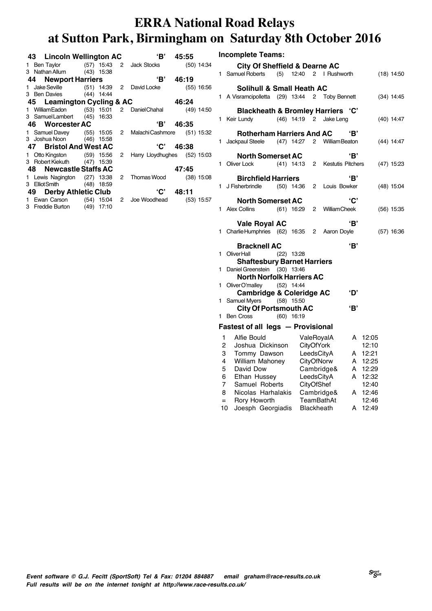**Incomplete Teams:**

| 43 Lincoln Wellington AC                                  |  | $\overline{\mathbf{B}}$ | 45:55 |  |
|-----------------------------------------------------------|--|-------------------------|-------|--|
| 1 Ben Taylor (57) 15:43 2 Jack Stocks (50) 14:34          |  |                         |       |  |
| 3 Nathan Allum (43) 15:38                                 |  |                         |       |  |
| 44 Newport Harriers                                       |  | $\bullet$ 'B' 46:19     |       |  |
| 1 Jake Seville (51) 14:39 2 David Locke (55) 16:56        |  |                         |       |  |
| 3 Ben Davies (44) 14:44                                   |  |                         |       |  |
| 45 Leamington Cycling & AC                                |  | 46:24                   |       |  |
| 1 William Eadon (53) 15:01 2 Daniel Chahal (49) 14:50     |  |                         |       |  |
| 3 SamuelLambert (45) 16:33                                |  |                         |       |  |
| 46 Worcester AC                                           |  | $\sqrt{B'}$ 46:35       |       |  |
| 1 Samuel Davey (55) 15:05 2 Malachi Cashmore (51) 15:32   |  |                         |       |  |
| 3 Joshua Noon (46) 15:58                                  |  |                         |       |  |
| 47 Bristol And West AC                                    |  | $^{\circ}$ C' 46:38     |       |  |
| 1 Otto Kingston (59) 15:56 2 Harry Lloydhughes (52) 15:03 |  |                         |       |  |
| 3 Robert Kiekuth (47) 15:39                               |  |                         |       |  |
| 48 Newcastle Staffs AC                                    |  |                         | 47:45 |  |
| 1 Lewis Nagington (27) 13:38 2 Thomas Wood (38) 15:08     |  |                         |       |  |
| 3 ElliotSmith (48) 18:59                                  |  |                         |       |  |
| 49 Derby Athletic Club                                    |  | ${}^{6}$ C' 48:11       |       |  |
| 1 Ewan Carson (54) 15:04 2 Joe Woodhead (53) 15:57        |  |                         |       |  |
| 3 Freddie Burton (49) 17:10                               |  |                         |       |  |

|     | <b>City Of Sheffield &amp; Dearne AC</b>       |              |              |              |                        |     |         |              |
|-----|------------------------------------------------|--------------|--------------|--------------|------------------------|-----|---------|--------------|
| 1   | Samuel Roberts                                 | (5)          |              |              | 12:40 2 I Rushworth    |     |         | $(18)$ 14:50 |
|     | Solihull & Small Heath AC                      |              |              |              |                        |     |         |              |
|     | 1 A Visramcipolletta (29) 13:44 2 Toby Bennett |              |              |              |                        |     |         | $(34)$ 14:45 |
|     | <b>Blackheath &amp; Bromley Harriers 'C'</b>   |              |              |              |                        |     |         |              |
| 1   | Keir Lundy                                     |              |              |              | (46) 14:19 2 Jake Leng |     |         | $(40)$ 14:47 |
|     | <b>Rotherham Harriers And AC</b>               |              |              |              |                        | 'В' |         |              |
|     | 1 Jackpaul Steele                              |              | $(47)$ 14:27 |              | 2 William Beaton       |     |         | $(44)$ 14:47 |
|     |                                                |              |              |              |                        |     |         |              |
|     | <b>North Somerset AC</b>                       |              |              |              |                        | 'В' |         |              |
| 1   | Oliver Lock                                    |              | $(41)$ 14:13 |              | 2 Kestutis Pitchers    |     |         | $(47)$ 15:23 |
|     | <b>Birchfield Harriers</b>                     |              |              |              |                        | 'В' |         |              |
|     | 1 J Fisherbrindle                              |              | (50) 14:36   | $\mathbf{2}$ | Louis Bowker           |     |         | $(48)$ 15:04 |
|     | <b>North Somerset AC</b>                       |              |              |              |                        | 'C' |         |              |
|     | 1 Alex Collins                                 |              | (61) 16:29   |              | 2 William Cheek        |     |         | $(56)$ 15:35 |
|     |                                                |              |              |              |                        |     |         |              |
|     | <b>Vale Royal AC</b>                           |              |              |              |                        | 'В' |         |              |
|     | 1 Charlie Humphries (62) 16:35 2               |              |              |              | Aaron Doyle            |     |         | $(57)$ 16:36 |
|     | <b>Bracknell AC</b>                            |              |              |              |                        | 'В' |         |              |
| 1   | <b>OliverHall</b>                              | $(22)$ 13:28 |              |              |                        |     |         |              |
|     | <b>Shaftesbury Barnet Harriers</b>             |              |              |              |                        |     |         |              |
| 1   | Daniel Greenstein                              | $(30)$ 13:46 |              |              |                        |     |         |              |
|     | <b>North Norfolk Harriers AC</b>               |              |              |              |                        |     |         |              |
| 1   | Oliver O'malley (52) 14:44                     |              |              |              |                        |     |         |              |
|     | <b>Cambridge &amp; Coleridge AC</b>            |              |              |              |                        | ʻD' |         |              |
| 1   | Samuel Myers                                   | $(58)$ 15:50 |              |              |                        |     |         |              |
|     | <b>City Of Portsmouth AC</b>                   |              |              |              |                        | 'В' |         |              |
| 1   | Ben Cross                                      | $(60)$ 16:19 |              |              |                        |     |         |              |
|     | Fastest of all legs - Provisional              |              |              |              |                        |     |         |              |
| 1   | Alfie Bould                                    |              |              |              | ValeRoyalA             | A   | 12:05   |              |
| 2   | Joshua Dickinson                               |              |              |              | <b>CityOfYork</b>      |     | 12:10   |              |
| 3   | Tommy Dawson                                   |              |              |              | LeedsCityA             | A   | 12:21   |              |
| 4   | William Mahoney                                |              |              |              | CityOfNorw             | A   | 12:25   |              |
| 5   | David Dow                                      |              |              |              | Cambridge&             |     | A 12:29 |              |
| 6   | Ethan Hussey                                   |              |              |              | LeedsCityA             | A   | 12:32   |              |
| 7   | Samuel Roberts                                 |              |              |              | CityOfShef             |     | 12:40   |              |
| 8   | Nicolas Harhalakis                             |              |              |              | Cambridge&             |     | A 12:46 |              |
| $=$ | Rory Howorth                                   |              |              |              | TeamBathAt             |     | 12:46   |              |

10 Joesph Georgiadis Blackheath A 12:49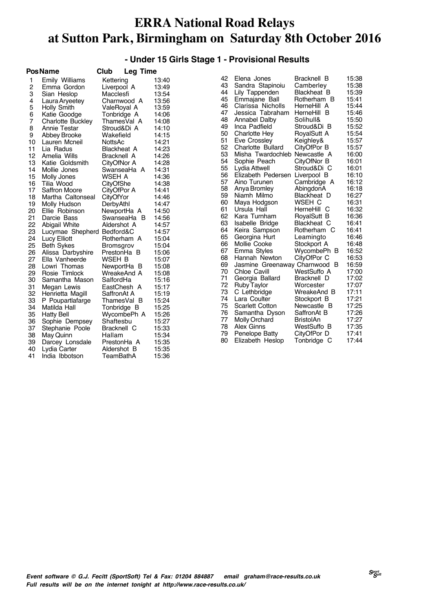#### **- Under 15 Girls Stage 1 - Provisional Results**

|                | <b>PosName</b>           | Club<br>Leg Time   |       |
|----------------|--------------------------|--------------------|-------|
| 1              | Emily Williams           | Kettering          | 13:40 |
| $\overline{c}$ | Emma Gordon              | Liverpool A        | 13:49 |
| 3              | Sian Heslop              | Macclesfi          | 13:54 |
| 4              | Laura Aryeetey           | Charnwood A        | 13:56 |
| 5              | Holly Smith              | ValeRoyal A        | 13:59 |
| 6              | Katie Goodge             | Tonbridge A        | 14:06 |
| 7              | <b>Charlotte Buckley</b> | ThamesVal A        | 14:08 |
| 8              | <b>Annie Testar</b>      | Stroud&Di A        | 14:10 |
| 9              | Abbey Brooke             | Wakefield          | 14:15 |
| 10             | Lauren Mcneil            | <b>NottsAc</b>     | 14:21 |
| 11             | Lia Radus                | <b>Blackheat A</b> | 14:23 |
| 12             | Amelia Wills             | <b>Bracknell A</b> | 14:26 |
| 13             | Katie Goldsmith          | CityOfNor A        | 14:28 |
| 14             | Mollie Jones             | SwanseaHa A        | 14:31 |
| 15             | Molly Jones              | WSEH A             | 14:36 |
| 16             | Tilia Wood               | CityOfShe          | 14:38 |
| 17             | <b>Saffron Moore</b>     | CityOfPor A        | 14:41 |
| 18             | Martha Caltonseal        | <b>CityOfYor</b>   | 14:46 |
| 19             | Molly Hudson             | DerbyAthl          | 14:47 |
| 20             | Ellie Robinson           | NewportHa A        | 14:50 |
| 21             | Darcie Bass              | SwanseaHa B        | 14:56 |
| 22             | Abigail White            | Aldershot A        | 14:57 |
| 23             | Lucymae Shepherd         | Bedford&C          | 14:57 |
| 24             | Lucy Elliott             | Rotherham A        | 15:04 |
| 25             | <b>Beth Sykes</b>        | Bromsgrov          | 15:04 |
| 26             | Alissa Darbyshire        | PrestonHa<br>в     | 15:06 |
| 27             | Ella Vanheerde           | WSEH B             | 15:07 |
| 28             | Lowri Thomas             | NewportHa<br>в     | 15:08 |
| 29             | Rosie Timlock            | WreakeAnd A        | 15:08 |
| 30             | Samantha Mason           | SalfordHa          | 15:16 |
| 31             | Megan Lewis              | EastChesh A        | 15:17 |
| 32             | Henrietta Magill         | SaffronAt A        | 15:19 |
| 33             | P Poupartlafarge         | ThamesVal<br>- B   | 15:24 |
| 34             | Matilda Hall             | Tonbridge B        | 15:25 |
| 35             | <b>Hatty Bell</b>        | WycombePh A        | 15:26 |
| 36             | Sophie Dempsey           | Shaftesbu          | 15:27 |
| 37             | Stephanie Poole          | Bracknell C        | 15:33 |
| 38             | May Quinn                | Hallam             | 15:34 |
| 39             | Darcey Lonsdale          | PrestonHa A        | 15:35 |
| 40             | Lydia Carter             | Aldershot B        | 15:35 |
| 41             | India Ibbotson           | <b>TeamBathA</b>   | 15:36 |

| 42 | Elena Jones                 | Bracknell B        | 15:38 |
|----|-----------------------------|--------------------|-------|
| 43 | Sandra Stapinoiu            | Camberley          | 15:38 |
| 44 | Lily Tappenden              | <b>Blackheat B</b> | 15:39 |
| 45 | Emmajane Ball               | Rotherham B        | 15:41 |
| 46 | Clarissa Nicholls           | HerneHill A        | 15:44 |
| 47 | Jessica Tabraham            | HerneHill B        | 15:46 |
| 48 | Annabel Dalby               | Solihull&          | 15:50 |
| 49 | Inca Padfield               | Stroud&Di B        | 15:52 |
| 50 | <b>Charlotte Hev</b>        | RoyalSutt A        | 15:54 |
| 51 | Eve Crossley                | Keighley&          | 15:57 |
| 52 | <b>Charlotte Bullard</b>    | CityOfPor B        | 15:57 |
| 53 | Misha Twardochleb           | Newcastle A        | 16:00 |
| 54 | Sophie Peach                | CityOfNor B        | 16:01 |
| 55 | Lydia Attwell               | Stroud&Di C        | 16:01 |
| 56 | Elizabeth Pedersen          | Liverpool B        | 16:10 |
| 57 | Aino Turunen                | Cambridge A        | 16:12 |
| 58 | Anya Bromley                | AbingdonA          | 16:18 |
| 59 | Niamh Milmo                 | Blackheat D        | 16:27 |
| 60 | Maya Hodgson                | WSEH C             | 16:31 |
| 61 | Ursula Hall                 | HerneHill C        | 16:32 |
| 62 | Kara Turnham                | RoyalSutt B        | 16:36 |
| 63 | Isabelle Bridge             | Blackheat C        | 16:41 |
| 64 | Keira Sampson               | Rotherham<br>C     | 16:41 |
| 65 | Georgina Hurt               | Leamingto          | 16:46 |
| 66 | Mollie Cooke                | Stockport A        | 16:48 |
| 67 | Emma Styles                 | WycombePh<br>в     | 16:52 |
| 68 | Hannah Newton               | CityOfPor C        | 16:53 |
| 69 | Jasmine Greenaway Charnwood | в                  | 16:59 |
| 70 | <b>Chloe Cavill</b>         | WestSuffo A        | 17:00 |
| 71 | Georgia Ballard             | Bracknell D        | 17:02 |
| 72 | <b>Ruby Taylor</b>          | Worcester          | 17:07 |
| 73 | C Lethbridge                | WreakeAnd B        | 17:11 |
| 74 | Lara Coulter                | Stockport B        | 17:21 |
| 75 | <b>Scarlett Cotton</b>      | Newcastle B        | 17:25 |
| 76 | Samantha Dyson              | SaffronAt B        | 17:26 |
| 77 | Molly Orchard               | BristolAn          | 17:27 |
| 78 | Alex Ginns                  | WestSuffo B        | 17:35 |
| 79 | Penelope Batty              | CityOfPor D        | 17:41 |
| 80 | Elizabeth Heslop            | Tonbridge C        | 17:44 |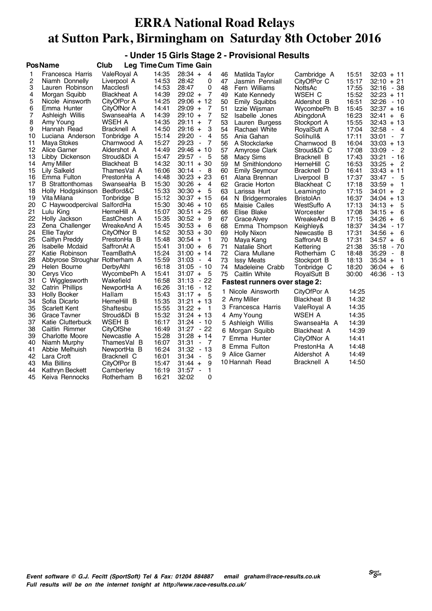**- Under 15 Girls Stage 2 - Provisional Results PosName Club Leg TimeCum Time Gain**

|    | <b>Γυδιναπισ</b>               | vıuu<br>∟cy        | <b>THROUGHT THROUGHT</b> | u<br>aııı                              |    |                                      |                  |       |                                                       |
|----|--------------------------------|--------------------|--------------------------|----------------------------------------|----|--------------------------------------|------------------|-------|-------------------------------------------------------|
| 1  | Francesca Harris               | ValeRoval A        | 14:35                    | $28:34 +$<br>4                         | 46 | Matilda Taylor                       | Cambridge A      | 15:51 | $32:03 + 11$                                          |
| 2  | Niamh Donnelly                 | Liverpool A        | 14:53                    | 28:42<br>0                             | 47 | Jasmin Penniall                      | CityOfPor C      | 15:17 | $32:10 + 21$                                          |
| 3  | Lauren Robinson                | Macclesfi          | 14:53                    | 28:47<br>0                             | 48 | Fern Williams                        | NottsAc          | 17:55 | 32:16 - 38                                            |
| 4  | Morgan Squibb                  | <b>Blackheat A</b> | 14:39                    | $\overline{7}$<br>$29:02 +$            | 49 | Kate Kennedy                         | WSEH C           | 15:52 | $32:23 + 11$                                          |
| 5  | Nicole Ainsworth               | CityOfPor A        | 14:25                    | $29:06 + 12$                           | 50 | <b>Emily Squibbs</b>                 | Aldershot B      | 16:51 | 32:26<br>- 10                                         |
| 6  | Emma Hunter                    | CityOfNor A        | 14:41                    | 29:09 +<br>7                           | 51 | Izzie Wijsman                        | WycombePh B      | 15:45 | $32:37 + 16$                                          |
| 7  | Ashleigh Willis                | SwanseaHa A        | 14:39                    | $\overline{7}$<br>$29:10 +$            | 52 | Isabelle Jones                       | AbingdonA        | 16:23 | 32:41<br>- 6<br>$+$                                   |
| 8  | Amy Young                      | WSEH A             | 14:35                    | $29:11 +$<br>7                         | 53 | Lauren Burgess                       | Stockport A      | 15:55 | $32:43 + 13$                                          |
| 9  | Hannah Read                    | Bracknell A        | 14:50                    | 3<br>$29:16 +$                         | 54 | <b>Rachael White</b>                 | RoyalSutt A      | 17:04 | 32:58<br>- 4                                          |
| 10 | Luciana Anderson               | Tonbridge A        | 15:14                    | 29:20<br>4<br>$\blacksquare$           | 55 | Ania Gahan                           | Solihull&        | 17:11 | 33:01<br>$\overline{7}$<br>$\blacksquare$             |
| 11 | Maya Stokes                    | Charnwood A        | 15:27                    | 29:23<br>7<br>$\blacksquare$           | 56 | A Stockclarke                        | Charnwood B      | 16:04 | $33:03 + 13$                                          |
| 12 | Alice Garner                   | Aldershot A        | 14:49                    | 29:46<br>$+10$                         | 57 | Amyrose Clark                        | Stroud&Di C      | 17:08 | 33:09<br>$\overline{\phantom{0}}^2$<br>$\blacksquare$ |
| 13 | Libby Dickenson                | Stroud&Di A        | 15:47                    | 29:57<br>- 5<br>$\blacksquare$         | 58 | <b>Macy Sims</b>                     | Bracknell B      | 17:43 | 33:21<br>$-16$                                        |
| 14 | Amy Miller                     | Blackheat B        | 14:32                    | $30:11 + 30$                           | 59 | M Smithlondono                       | HerneHill C      | 16:53 | $33:25 +$<br>- 2                                      |
| 15 | <b>Lily Salkeld</b>            | ThamesVal A        | 16:06                    | 30:14<br>- 8<br>$\blacksquare$         | 60 | <b>Emily Seymour</b>                 | Bracknell D      | 16:41 | $33:43 + 11$                                          |
| 16 | Emma Fulton                    | PrestonHa A        | 14:48                    | $30:23 + 23$                           | 61 | Alana Brennan                        | Liverpool B      | 17:37 | 33:47<br>- 5                                          |
| 17 | <b>B</b> Strattonthomas        | SwanseaHa B        | 15:30                    | $30:26 +$<br>4                         | 62 | Gracie Horton                        | Blackheat C      | 17:18 | $33:59 +$<br>$\mathbf{1}$                             |
| 18 | Holly Hodgskinson              | Bedford&C          | 15:33                    | $30:30 +$<br>5                         | 63 | Larissa Hurt                         | Leamingto        | 17:15 | $\overline{c}$<br>$34:01 +$                           |
| 19 | Vita Milana                    | Tonbridge B        | 15:12                    | $30:37 + 15$                           | 64 | N Bridgermorales                     | <b>BristolAn</b> | 16:37 | $34:04 + 13$                                          |
| 20 | C Haywoodpercival SalfordHa    |                    | 15:30                    | $30:46 + 10$                           | 65 | Maisie Cailes                        | WestSuffo A      | 17:13 | 5<br>$34:13 +$                                        |
| 21 | Lulu King                      | HerneHill A        | 15:07                    | $30:51 + 25$                           | 66 | Elise Blake                          | Worcester        | 17:08 | 6<br>$34:15 +$                                        |
| 22 | Holly Jackson                  | EastChesh A        | 15:35                    | $30:52 +$<br>9                         | 67 | Grace Alvey                          | WreakeAnd B      | 17:15 | $34:26 +$<br>6                                        |
| 23 | Zena Challenger                | WreakeAnd A        | 15:45                    | $30:53 +$<br>6                         | 68 | Emma Thompson                        | Keighley&        | 18:37 | $-17$<br>34:34                                        |
| 24 | Ellie Taylor                   | CityOfNor B        | 14:52                    | $30:53 + 30$                           | 69 | <b>Holly Nixon</b>                   | Newcastle B      | 17:31 | $34:56 +$<br>- 6                                      |
| 25 | Caitlyn Preddy                 | PrestonHa B        | 15:48                    | $30:54 +$<br>$\mathbf 1$               | 70 | Maya Kang                            | SaffronAt B      | 17:31 | - 6<br>$34:57 +$                                      |
| 26 | <b>Isabelle Mcdaid</b>         | SaffronAt A        | 15:41                    | 31:00<br>6<br>$+$                      | 71 | Natalie Short                        | Kettering        | 21:38 | 35:18<br>$-70$                                        |
| 27 | Katie Robinson                 | TeamBathA          | 15:24                    | $31:00 + 14$                           | 72 | Ciara Mullane                        | Rotherham C      | 18:48 | 35:29<br>- 8<br>$\blacksquare$                        |
| 28 | Abbyrose Stroughar Rotherham A |                    | 15:59                    | 31:03<br>4<br>$\blacksquare$           | 73 | <b>Issy Meats</b>                    | Stockport B      | 18:13 | $35:34 +$<br>$\overline{1}$                           |
| 29 | Helen Bourne                   | DerbyAthl          | 16:18                    | $31:05 - 10$                           | 74 | Madeleine Crabb                      | Tonbridge C      | 18:20 | - 6<br>$36:04 +$                                      |
| 30 | Cervs Vico                     | WycombePh A        | 15:41                    | $31:07 +$<br>- 5                       | 75 | Caitlin White                        | RoyalSutt B      | 30:00 | 46:36 - 13                                            |
| 31 | C Wigglesworth                 | Wakefield          | 16:58                    | $-22$<br>31:13                         |    | <b>Fastest runners over stage 2:</b> |                  |       |                                                       |
| 32 | Catrin Phillips                | NewportHa A        | 16:26                    | $31:16 - 12$                           |    | 1 Nicole Ainsworth                   | CityOfPor A      | 14:25 |                                                       |
| 33 | <b>Holly Booker</b>            | Hallam             | 15:43                    | $31:17 +$<br>5                         |    | 2 Amy Miller                         | Blackheat B      | 14:32 |                                                       |
| 34 | Sofia Dicarlo                  | HerneHill B        | 15:35                    | $31:21 + 13$                           |    |                                      |                  |       |                                                       |
| 35 | Scarlett Kent                  | Shaftesbu          | 15:55                    | $31:22 +$<br>$\overline{1}$            |    | 3 Francesca Harris                   | ValeRoyal A      | 14:35 |                                                       |
| 36 | <b>Grace Tavner</b>            | Stroud&Di B        | 15:32                    | $31:24 + 13$                           |    | 4 Amy Young                          | WSEH A           | 14:35 |                                                       |
| 37 | Katie Clutterbuck              | WSEH B             | 16:17                    | $31:24 - 10$                           |    | 5 Ashleigh Willis                    | SwanseaHa A      | 14:39 |                                                       |
| 38 | Caitlin Rimmer                 | CityOfShe          | 16:49                    | $31:27 - 22$                           |    | 6 Morgan Squibb                      | Blackheat A      | 14:39 |                                                       |
| 39 | <b>Charlotte Moore</b>         | Newcastle A        | 15:28                    | $31:28 + 14$                           |    | 7 Emma Hunter                        | CityOfNor A      | 14:41 |                                                       |
| 40 | Niamh Murphy                   | ThamesVal B        | 16:07                    | 31:31<br>- 7<br>$\blacksquare$         |    | 8 Emma Fulton                        | PrestonHa A      | 14:48 |                                                       |
| 41 | Abbie Melhuish                 | NewportHa B        | 16:24                    | 31:32<br>- 13                          |    | 9 Alice Garner                       | Aldershot A      | 14:49 |                                                       |
| 42 | Lara Croft                     | Bracknell C        | 16:01                    | 31:34<br>5<br>$\blacksquare$           |    |                                      |                  |       |                                                       |
| 43 | Mia Billins                    | CityOfPor B        | 15:47                    | $31:44 +$<br>9                         |    | 10 Hannah Read                       | Bracknell A      | 14:50 |                                                       |
| 44 | Kathryn Beckett                | Camberley          | 16:19                    | 1<br>31:57<br>$\overline{\phantom{a}}$ |    |                                      |                  |       |                                                       |
| 45 | Keiva Rennocks                 | Rotherham B        | 16:21                    | 32:02<br>0                             |    |                                      |                  |       |                                                       |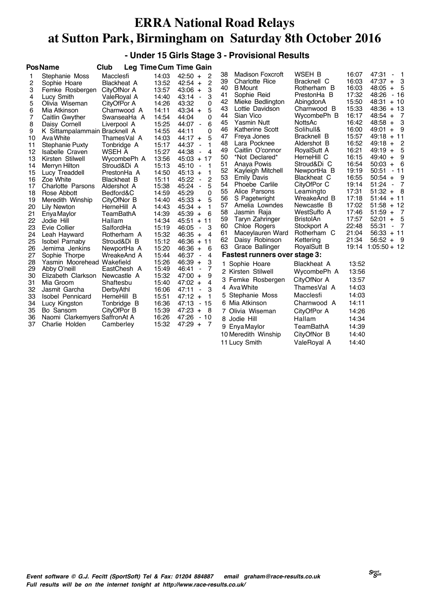#### **- Under 15 Girls Stage 3 - Provisional Results**

|                                                                                                                               | <b>PosName</b>                                                                                                                                                                                                                                                                                                                                                                                                           | Club                                                                                                                                                                                                                                                                                                                               |                                                                                                                                                                                                             | <b>Leg Time Cum Time Gain</b>                                                                                                                                                                                                                                                                                                                                                                                                                                                                                                                       |                                                                                                                                                                                                                                                                                                                                                                                                                                                                                                                                                                                 |                                                                                                                                                                                                                                                                                                                                             |                                                                                                                                                                                                             |                                                                                                                                                                                                                                                                                                                                                                                                                                                                                                                     |
|-------------------------------------------------------------------------------------------------------------------------------|--------------------------------------------------------------------------------------------------------------------------------------------------------------------------------------------------------------------------------------------------------------------------------------------------------------------------------------------------------------------------------------------------------------------------|------------------------------------------------------------------------------------------------------------------------------------------------------------------------------------------------------------------------------------------------------------------------------------------------------------------------------------|-------------------------------------------------------------------------------------------------------------------------------------------------------------------------------------------------------------|-----------------------------------------------------------------------------------------------------------------------------------------------------------------------------------------------------------------------------------------------------------------------------------------------------------------------------------------------------------------------------------------------------------------------------------------------------------------------------------------------------------------------------------------------------|---------------------------------------------------------------------------------------------------------------------------------------------------------------------------------------------------------------------------------------------------------------------------------------------------------------------------------------------------------------------------------------------------------------------------------------------------------------------------------------------------------------------------------------------------------------------------------|---------------------------------------------------------------------------------------------------------------------------------------------------------------------------------------------------------------------------------------------------------------------------------------------------------------------------------------------|-------------------------------------------------------------------------------------------------------------------------------------------------------------------------------------------------------------|---------------------------------------------------------------------------------------------------------------------------------------------------------------------------------------------------------------------------------------------------------------------------------------------------------------------------------------------------------------------------------------------------------------------------------------------------------------------------------------------------------------------|
| 1<br>2<br>3<br>4<br>5<br>6<br>7<br>8<br>9<br>10<br>11<br>12<br>13<br>14<br>15<br>16<br>17<br>18<br>19<br>20<br>21<br>22<br>23 | Stephanie Moss<br>Sophie Hoare<br>Femke Rosbergen<br>Lucy Smith<br>Olivia Wiseman<br>Mia Atkinson<br>Caitlin Gwyther<br>Daisy Cornell<br>K Sittampalammain Bracknell A<br>Ava White<br>Stephanie Puxty<br>Isabelle Craven<br>Kirsten Stilwell<br>Merryn Hilton<br>Lucy Treaddell<br>Zoe White<br><b>Charlotte Parsons</b><br>Rose Abbott<br>Meredith Winship<br>Lily Newton<br>Enya Maylor<br>Jodie Hill<br>Evie Collier | Macclesfi<br><b>Blackheat A</b><br>CityOfNor A<br>ValeRoyal A<br>CityOfPor A<br>Charnwood A<br>SwanseaHa A<br>Liverpool A<br>ThamesVal A<br>Tonbridge A<br>WSEH A<br>WycombePh A<br>Stroud&Di A<br>PrestonHa A<br><b>Blackheat B</b><br>Aldershot A<br>Bedford&C<br>CityOfNor B<br>HerneHill A<br>TeamBathA<br>Hallam<br>SalfordHa | 14:03<br>13:52<br>13:57<br>14:40<br>14:26<br>14:11<br>14:54<br>15:25<br>14:55<br>14:03<br>15:17<br>15:27<br>13:56<br>15:13<br>14:50<br>15:11<br>15:38<br>14:59<br>14:40<br>14:43<br>14:39<br>14:34<br>15:19 | 2<br>$42:50 +$<br>$\overline{2}$<br>$42:54 +$<br>3<br>$43:06 +$<br>3<br>43:14<br>$\blacksquare$<br>43:32<br>0<br>5<br>$43:34 +$<br>44:04<br>0<br>6<br>44:07<br>$\blacksquare$<br>0<br>44:11<br>5<br>$44:17 +$<br>44:37<br>1<br>$\blacksquare$<br>44:38<br>$\overline{4}$<br>$\blacksquare$<br>$45:03 + 17$<br>45:10<br>1<br>$\blacksquare$<br>$45:13 +$<br>1<br>2<br>45:22<br>$\blacksquare$<br>5<br>45:24<br>$\blacksquare$<br>45:29<br>0<br>5<br>$45:33 +$<br>1<br>$45:34 +$<br>6<br>$45:39 +$<br>$+ 11$<br>45:51<br>3<br>46:05<br>$\blacksquare$ | <b>Madison Foxcroft</b><br>38<br>39<br><b>Charlotte Rice</b><br>40<br><b>B</b> Mount<br>41<br>Sophie Reid<br>42<br>Mieke Bedlington<br>43<br>Lottie Davidson<br>Sian Vico<br>44<br>45<br><b>Yasmin Nutt</b><br>46<br>Katherine Scott<br>47<br>Freya Jones<br>48<br>Lara Pocknee<br>49<br>Caitlin O'connor<br>50<br>*Not Declared*<br>51<br>Anaya Powis<br>52<br>Kayleigh Mitchell<br>53<br><b>Emily Davis</b><br>54<br>Phoebe Carlile<br>55<br>Alice Parsons<br>56<br>S Pagetwright<br>57<br>Amelia Lowndes<br>58<br>Jasmin Raja<br>59<br>Taryn Zahringer<br>60<br>Chloe Rogers | WSEH B<br>Bracknell C<br>Rotherham B<br>PrestonHa B<br>AbingdonA<br>Charnwood B<br>WycombePh B<br>NottsAc<br>Solihull&<br>Bracknell B<br>Aldershot B<br>RoyalSutt A<br>HerneHill C<br>Stroud&Di C<br>NewportHa B<br>Blackheat C<br>CityOfPor C<br>Leamingto<br>WreakeAnd B<br>Newcastle B<br>WestSuffo A<br><b>BristolAn</b><br>Stockport A | 16:07<br>16:03<br>16:03<br>17:32<br>15:50<br>15:33<br>16:17<br>16:42<br>16:00<br>15:57<br>16:52<br>16:21<br>16:15<br>16:54<br>19:19<br>16:55<br>19:14<br>17:31<br>17:18<br>17:02<br>17:46<br>17:57<br>22:48 | 47:31<br>$\blacksquare$<br>$\overline{a}$<br>3<br>$47:37 +$<br>$48:05 +$<br>5<br>48:26 - 16<br>$48:31 + 10$<br>$48:36 + 13$<br>$48:54 +$<br>$\overline{7}$<br>3<br>$48:58 +$<br>- 9<br>$49:01 +$<br>$49:18 + 11$<br>$49:18 +$<br>- 2<br>5<br>$49:19 +$<br>9<br>$49:40 +$<br>- 6<br>$50:03 +$<br>$50:51 - 11$<br>$50:54 +$<br>- 9<br>$51:24 -$<br>$\overline{7}$<br>$51:32 +$<br>- 8<br>$51:44 + 11$<br>$51:58 + 12$<br>$51:59 +$<br>$\overline{7}$<br>$52:01 +$<br>- 5<br>55:31<br>$\overline{7}$<br>$\blacksquare$ |
| 24<br>25<br>26                                                                                                                | Leah Hayward<br>Isobel Parnaby<br>Jemima Jenkins                                                                                                                                                                                                                                                                                                                                                                         | Rotherham A<br>Stroud&Di B<br>NewportHa A                                                                                                                                                                                                                                                                                          | 15:32<br>15:12<br>15:20                                                                                                                                                                                     | $46:35 +$<br>$\overline{4}$<br>$46:36 + 11$<br>$46:36 +$<br>6                                                                                                                                                                                                                                                                                                                                                                                                                                                                                       | 61<br>Maceylauren Ward<br>62<br>Daisy Robinson<br>63<br>Grace Ballinger                                                                                                                                                                                                                                                                                                                                                                                                                                                                                                         | Rotherham C<br>Kettering<br>RoyalSutt B                                                                                                                                                                                                                                                                                                     | 21:04<br>21:34<br>19:14                                                                                                                                                                                     | $56:33 + 11$<br>$56:52 +$<br>- 9<br>$1:05:50 + 12$                                                                                                                                                                                                                                                                                                                                                                                                                                                                  |
| 27                                                                                                                            | Sophie Thorpe                                                                                                                                                                                                                                                                                                                                                                                                            | WreakeAnd A                                                                                                                                                                                                                                                                                                                        | 15:44                                                                                                                                                                                                       | 46:37<br>4<br>$\blacksquare$                                                                                                                                                                                                                                                                                                                                                                                                                                                                                                                        | <b>Fastest runners over stage 3:</b>                                                                                                                                                                                                                                                                                                                                                                                                                                                                                                                                            |                                                                                                                                                                                                                                                                                                                                             |                                                                                                                                                                                                             |                                                                                                                                                                                                                                                                                                                                                                                                                                                                                                                     |
| 28<br>29<br>30<br>31<br>32<br>33<br>34<br>35<br>36<br>37                                                                      | Yasmin Moorehead Wakefield<br>Abby O'neill<br>Elizabeth Clarkson<br>Mia Groom<br>Jasmit Garcha<br><b>Isobel Pennicard</b><br>Lucy Kingston<br>Bo Sansom<br>Naomi Clarkemyers SaffronAt A<br>Charlie Holden                                                                                                                                                                                                               | EastChesh A<br>Newcastle A<br>Shaftesbu<br>DerbyAthl<br>HerneHill B<br>Tonbridge B<br>CityOfPor B<br>Camberley                                                                                                                                                                                                                     | 15:26<br>15:49<br>15:32<br>15:40<br>16:06<br>15:51<br>16:36<br>15:39<br>16:26<br>15:32                                                                                                                      | $46:39 +$<br>3<br>7<br>46:41<br>$\blacksquare$<br>$47:00 +$<br>9<br>4<br>$47:02 +$<br>3<br>47:11<br>$\blacksquare$<br>$47:12 +$<br>1<br>47:13<br>$-15$<br>$47:23 +$<br>-8<br>47:26<br>$-10$<br>$47:29 +$<br>$\overline{7}$                                                                                                                                                                                                                                                                                                                          | 1 Sophie Hoare<br>2 Kirsten Stilwell<br>3 Femke Rosbergen<br>4 Ava White<br>5 Stephanie Moss<br>6 Mia Atkinson<br>7 Olivia Wiseman<br>8 Jodie Hill<br>9 Enya Maylor<br>10 Meredith Winship                                                                                                                                                                                                                                                                                                                                                                                      | Blackheat A<br>WycombePh A<br>CityOfNor A<br>ThamesVal A<br>Macclesfi<br>Charnwood A<br>CityOfPor A<br>Hallam<br>TeamBathA<br>CityOfNor B                                                                                                                                                                                                   | 13:52<br>13:56<br>13:57<br>14:03<br>14:03<br>14:11<br>14:26<br>14:34<br>14:39<br>14:40                                                                                                                      |                                                                                                                                                                                                                                                                                                                                                                                                                                                                                                                     |
|                                                                                                                               |                                                                                                                                                                                                                                                                                                                                                                                                                          |                                                                                                                                                                                                                                                                                                                                    |                                                                                                                                                                                                             |                                                                                                                                                                                                                                                                                                                                                                                                                                                                                                                                                     | 11 Lucy Smith                                                                                                                                                                                                                                                                                                                                                                                                                                                                                                                                                                   | ValeRoval A                                                                                                                                                                                                                                                                                                                                 | 14:40                                                                                                                                                                                                       |                                                                                                                                                                                                                                                                                                                                                                                                                                                                                                                     |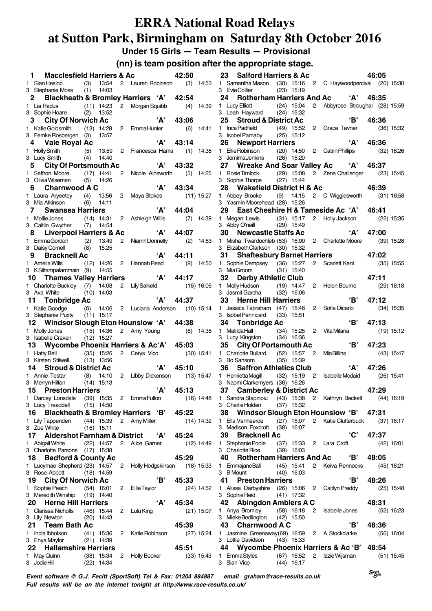**Under 15 Girls — Team Results — Provisional**

**(nn) is team position after the appropriate stage.**

|    | $\mathbf 1$<br><b>Macclesfield Harriers &amp; Ac</b>     |     |                              |                |                                           | 42:50        |              |
|----|----------------------------------------------------------|-----|------------------------------|----------------|-------------------------------------------|--------------|--------------|
|    | 1 Sian Heslop                                            |     | $(3)$ 13:54                  |                | 2 Lauren Robinson                         | (3)          | 14:53        |
|    | 3 Stephanie Moss (1) 14:03                               |     |                              |                |                                           |              |              |
|    | 2 Blackheath & Bromley Harriers 'A' 42:54                |     |                              |                |                                           |              |              |
|    | 1 Lia Radus                                              |     |                              |                | (11) 14:23 2 Morgan Squibb                | (4)          | 14:39        |
|    | 3 Sophie Hoare (2)                                       |     | 13:52                        |                |                                           |              |              |
|    |                                                          |     |                              |                |                                           |              |              |
|    | 3 City Of Norwich Ac                                     |     |                              |                | 'А'                                       | 43:06        |              |
|    | 1 Katie Goldsmith (13) 14:28 2 Emma Hunter               |     |                              |                |                                           | (6)          | 14:41        |
|    | 3 Femke Rosbergen (3)                                    |     | 13:57                        |                |                                           |              |              |
|    | 4 Vale Royal Ac                                          |     |                              |                | 'Д'                                       | 43:14        |              |
|    |                                                          |     |                              | $\mathbf{2}$   | Francesca Harris                          | (1)          | 14:35        |
|    | 1 HollySmith (5) 13:59<br>3 LucySmith (4) 14:40          |     |                              |                |                                           |              |              |
|    | <b>City Of Portsmouth Ac</b><br>5                        |     |                              |                | 'А'                                       | 43:32        |              |
|    |                                                          |     |                              |                |                                           |              |              |
| 1. | Saffron Moore (17) 14:41                                 |     |                              |                | 2 Nicole Ainsworth                        | (5)          | 14:25        |
|    | 3 Olivia Wiseman                                         | (5) | 14:26                        |                |                                           |              |              |
|    | 6 Charnwood A C                                          |     |                              |                | 'А'                                       | 43:34        |              |
|    | 1 Laura Aryeetey (4) 13:56                               |     |                              | 2              | Maya Stokes (11) 15:27                    |              |              |
|    | 3 Mia Atkinson                                           |     | $(6)$ 14:11                  |                |                                           |              |              |
|    | 7<br><b>Swansea Harriers</b>                             |     |                              |                | $^{\circ}$ A'                             | 44:04        |              |
| 1  | Mollie Jones                                             |     | $(14)$ 14:31                 |                | 2 Ashleigh Willis                         | (7)          | 14:39        |
|    | 3 Caitlin Gwyther (7)                                    |     | 14:54                        |                |                                           |              |              |
|    | 8 Liverpool Harriers & Ac                                |     |                              |                | 'А'                                       | 44:07        |              |
|    |                                                          |     |                              |                |                                           |              |              |
|    | 1 EmmaGordon (2) 13:49                                   |     |                              | $\mathbf{2}$   | Niamh Donnelly                            | (2)          | 14:53        |
|    | 3 Daisy Cornell (8)                                      |     | 15:25                        |                |                                           |              |              |
|    | 9 Bracknell Ac                                           |     |                              |                | 'А'                                       | 44:11        |              |
|    | 1 Amelia Wills (12) 14:26 2 Hannah Read                  |     |                              |                |                                           | (9)          | 14:50        |
|    | 3 KSittampalammain (9) 14:55                             |     |                              |                |                                           |              |              |
|    | 10 Thames Valley Harriers                                |     |                              |                | A'                                        | 44:17        |              |
|    |                                                          |     |                              |                | 2 Lily Salkeld                            |              |              |
|    | 1 Charlotte Buckley (7) 14:08                            |     |                              |                |                                           |              | $(15)$ 16:06 |
|    | 3 Ava White                                              |     | $(10)$ 14:03                 |                |                                           |              |              |
|    | 11 Tonbridge Ac                                          |     |                              |                | 'А'                                       | 44:37        |              |
|    | 1 Katie Goodge (6) 14:06<br>3 Stephanie Puxty (11) 15:17 |     |                              |                | 2 Luciana Anderson (10) 15:14             |              |              |
|    |                                                          |     |                              |                |                                           |              |              |
|    |                                                          |     |                              |                |                                           |              |              |
|    |                                                          |     |                              |                |                                           |              |              |
| 1  |                                                          |     |                              |                | 12 Windsor Slough Eton Hounslow 'A' 44:38 |              |              |
|    | Molly Jones                                              |     | $(15)$ 14:36                 |                | 2 Amy Young                               | (8)          | 14:35        |
|    | 3 Isabelle Craven (12) 15:27                             |     |                              |                |                                           |              |              |
|    | 13 Wycombe Phoenix Harriers & Ac'A' 45:03                |     |                              |                |                                           |              |              |
| 1. | Hatty Bell (35) 15:26                                    |     |                              |                | 2 Cerys Vico                              |              | $(30)$ 15:41 |
|    | 3 Kirsten Stilwell (13) 13:56                            |     |                              |                |                                           |              |              |
|    | 14 Stroud & District Ac                                  |     |                              |                | 'А'                                       | 45:10        |              |
|    | 1 Annie Testar (8) 14:10 2 Libby Dickenson (13) 15:47    |     |                              |                |                                           |              |              |
|    | 3 Merryn Hilton (14) 15:13                               |     |                              |                |                                           |              |              |
|    |                                                          |     |                              |                |                                           | $'A'$ 45:13  |              |
|    | 15 Preston Harriers                                      |     |                              |                |                                           |              |              |
|    | 1 Darcey Lonsdale (39) 15:35 2 EmmaFulton                |     |                              |                |                                           | $(16)$ 14:48 |              |
|    | 3 Lucy Treaddell                                         |     | $(15)$ 14:50                 |                |                                           |              |              |
|    | 16 -                                                     |     |                              |                | Blackheath & Bromley Harriers 'B' 45:22   |              |              |
|    | 1 Lily Tappenden                                         |     | $(44)$ 15:39                 |                | 2 Amy Miller                              |              | (14) 14:32   |
|    | 3 Zoe White                                              |     | $(16)$ 15:11                 |                |                                           |              |              |
|    | 17                                                       |     |                              |                | Aldershot Farnham & District <i>'A'</i>   | 45:24        |              |
|    | 1 Abigail White                                          |     | $(22)$ 14:57                 | $\overline{2}$ | Alice Garner                              |              | $(12)$ 14:49 |
|    | 3 Charlotte Parsons (17) 15:38                           |     |                              |                |                                           |              |              |
|    | 18                                                       |     |                              |                |                                           | 45:29        |              |
|    | <b>Bedford &amp; County Ac</b>                           |     |                              |                |                                           |              |              |
|    | 1 Lucymae Shepherd (23) 14:57                            |     |                              | 2              | Holly Hodgskinson (18) 15:33              |              |              |
|    | 3 Rose Abbott                                            |     | $(18)$ 14:59                 |                |                                           |              |              |
|    | 19<br><b>City Of Norwich Ac</b>                          |     |                              |                | 'B'                                       | 45:33        |              |
| 1. | Sophie Peach                                             |     | $(54)$ 16:01                 | 2              | <b>Ellie Taylor</b>                       |              | $(24)$ 14:52 |
|    | 3 Meredith Winship (19) 14:40                            |     |                              |                |                                           |              |              |
|    | 20<br><b>Herne Hill Harriers</b>                         |     |                              |                | 'А'                                       | 45:34        |              |
|    | 1 Clarissa Nicholls (46) 15:44                           |     |                              | $^{2}$         | Lulu King                                 |              | $(21)$ 15:07 |
|    |                                                          |     |                              |                |                                           |              |              |
|    | 3 Lily Newton                                            |     | $(20)$ 14:43                 |                |                                           |              |              |
|    | <b>Team Bath Ac</b><br>21                                |     |                              |                |                                           | 45:39        |              |
|    | 1 India Ibbotson                                         |     | $(41)$ 15:36                 | $^{2}$         | Katie Robinson                            |              | $(27)$ 15:24 |
|    | 3 Enya Maylor                                            |     | $(21)$ 14:39                 |                |                                           |              |              |
|    | <b>Hallamshire Harriers</b><br>22                        |     |                              |                |                                           | 45:51        |              |
|    | 1 May Quinn<br>3 Jodie Hill                              |     | $(38)$ 15:34<br>$(22)$ 14:34 | $2^{\circ}$    | <b>Holly Booker</b>                       |              | $(33)$ 15:43 |

|                                                                                                                                                                                                                   |      |                       |                                |             | 46:05 |              |
|-------------------------------------------------------------------------------------------------------------------------------------------------------------------------------------------------------------------|------|-----------------------|--------------------------------|-------------|-------|--------------|
| 23 Salford Harriers & Ac                                                                                                                                                                                          |      |                       |                                |             |       |              |
| 1 Samantha Mason (30) 15:16 2 C Haywoodpercival (20) 15:30                                                                                                                                                        |      |                       |                                |             |       |              |
| 3 EvieCollier                                                                                                                                                                                                     |      | $(23)$ 15:19          |                                |             |       |              |
| 24 Rotherham Harriers And Ac 'A' 46:35                                                                                                                                                                            |      |                       |                                |             |       |              |
|                                                                                                                                                                                                                   |      |                       |                                |             |       |              |
| 1 Lucy Elliott               (24)  15:04   2   Abbyrose Stroughar   (28) 15:59           3   Leah Hayward       (24)  15:32                                                                                       |      |                       |                                |             |       |              |
| 25 Stroud & District Ac                                                                                                                                                                                           |      |                       |                                | 'B'         | 46:36 |              |
|                                                                                                                                                                                                                   |      |                       |                                |             |       |              |
| 1 Inca Padfield (49) 15:52 2 Grace Tavner                                                                                                                                                                         |      |                       |                                |             |       | $(36)$ 15:32 |
| 3 Isobel Parnaby (25) 15:12                                                                                                                                                                                       |      |                       |                                |             |       |              |
| 26 Newport Harriers                                                                                                                                                                                               |      |                       |                                | A'          | 46:36 |              |
| 1 Ellie Robinson (20) 14:50 2 Catrin Phillips                                                                                                                                                                     |      |                       |                                |             |       | $(32)$ 16:26 |
| 3 JemimaJenkins (26) 15:20                                                                                                                                                                                        |      |                       |                                |             |       |              |
|                                                                                                                                                                                                                   |      |                       |                                |             |       |              |
| 27 Wreake And Soar Valley Ac 'A' 46:37                                                                                                                                                                            |      |                       |                                |             |       |              |
| 1 Rosie Timlock (29) 15:08 2 Zena Challenger (23) 15:45                                                                                                                                                           |      |                       |                                |             |       |              |
| 3 Sophie Thorpe (27) 15:44                                                                                                                                                                                        |      |                       |                                |             |       |              |
| 28 Wakefield District H & Ac                                                                                                                                                                                      |      |                       |                                |             | 46:39 |              |
| 1 Abbey Brooke (9) 14:15 2 C Wigglesworth (31) 16:58                                                                                                                                                              |      |                       |                                |             |       |              |
| 3 Yasmin Moorehead (28) 15:26                                                                                                                                                                                     |      |                       |                                |             |       |              |
|                                                                                                                                                                                                                   |      |                       |                                |             |       |              |
| 29 East Cheshire H & Tameside Ac 'A' 46:41                                                                                                                                                                        |      |                       |                                |             |       |              |
|                                                                                                                                                                                                                   |      |                       |                                |             |       |              |
| 1 Megan Lewis (31) 15:17 2 Holly Jackson (22) 15:35<br>3 Abby O'neill (29) 15:49                                                                                                                                  |      |                       |                                |             |       |              |
| 30 Newcastle Staffs Ac                                                                                                                                                                                            |      |                       |                                | 'A' 47:00   |       |              |
| 1 Misha Twardochleb (53) 16:00 2 Charlotte Moore (39) 15:28                                                                                                                                                       |      |                       |                                |             |       |              |
|                                                                                                                                                                                                                   |      |                       |                                |             |       |              |
| 3 Elizabeth Clarkson (30) 15:32<br>3 Elizabeth Granson (30) 1932<br><b>31 Shaftesbury Barnet Harriers</b> 47<br>1 Sophie Dempsey (36) 15:27 2 Scarlett Kent                                                       |      |                       |                                |             |       |              |
|                                                                                                                                                                                                                   |      |                       |                                |             | 47:02 |              |
|                                                                                                                                                                                                                   |      |                       |                                |             |       | $(35)$ 15:55 |
| 3 MiaGroom (31) 15:40                                                                                                                                                                                             |      |                       |                                |             |       |              |
| 32 Derby Athletic Club                                                                                                                                                                                            |      |                       |                                |             | 47:11 |              |
| 1 Molly Hudson (19) 14:47                                                                                                                                                                                         |      |                       |                                |             |       |              |
|                                                                                                                                                                                                                   |      |                       | 2 Helen Bourne (29) 16:18      |             |       |              |
| 3 Jasmit Garcha (32) 16:06                                                                                                                                                                                        |      |                       |                                |             |       |              |
| 33 Herne Hill Harriers                                                                                                                                                                                            |      |                       |                                | B'          | 47:12 |              |
| 1 Jessica Tabraham (47) 15:46 2 Sofia Dicarlo                                                                                                                                                                     |      |                       |                                |             |       | $(34)$ 15:35 |
| 3 Isobel Pennicard (33) 15:51                                                                                                                                                                                     |      |                       |                                |             |       |              |
|                                                                                                                                                                                                                   |      |                       |                                |             |       |              |
|                                                                                                                                                                                                                   |      |                       |                                |             |       |              |
| 34 Tonbridge Ac                                                                                                                                                                                                   |      |                       |                                | $'B'$ 47:13 |       |              |
|                                                                                                                                                                                                                   |      |                       |                                |             |       |              |
| 1 Matilda.Hall               (34)  15:25     2     Vita.Milana                 (19) 15:12<br>3  Lucy Kingston         (34)  16:36                                                                                 |      |                       |                                |             |       |              |
| 35<br><b>City Of Portsmouth Ac</b>                                                                                                                                                                                |      |                       |                                | 'B' 47:23   |       |              |
|                                                                                                                                                                                                                   |      |                       |                                |             |       |              |
| 1 Charlotte Bullard (52)                                                                                                                                                                                          |      | 15:57                 | 2 Mia Billins                  |             |       | $(43)$ 15:47 |
| 3 Bo Sansom                                                                                                                                                                                                       |      | $(35)$ 15:39          |                                |             |       |              |
| 36 Saffron Athletics Club                                                                                                                                                                                         |      |                       |                                | 'A' 47:26   |       |              |
|                                                                                                                                                                                                                   |      |                       | 2 Isabelle Mcdaid              |             |       | $(26)$ 15:41 |
| 1 Henrietta Magill (32) 15:19<br>3 NaomiClarkemyers (36) 16:26                                                                                                                                                    |      |                       |                                |             |       |              |
|                                                                                                                                                                                                                   |      |                       |                                |             | 47:29 |              |
| 37 Camberley & District Ac                                                                                                                                                                                        |      |                       |                                |             |       |              |
|                                                                                                                                                                                                                   |      |                       |                                |             |       |              |
|                                                                                                                                                                                                                   |      | $(37)$ 15:32          |                                |             |       |              |
| 38 Windsor Slough Eton Hounslow 'B' 47:31                                                                                                                                                                         |      |                       |                                |             |       |              |
|                                                                                                                                                                                                                   |      |                       | (27) 15:07 2 Katie Clutterbuck |             |       | $(37)$ 16:17 |
|                                                                                                                                                                                                                   |      | $(38)$ 16:07          |                                |             |       |              |
|                                                                                                                                                                                                                   |      |                       |                                |             |       |              |
| 39 Bracknell Ac                                                                                                                                                                                                   |      |                       |                                | 'C'         | 47:37 |              |
|                                                                                                                                                                                                                   |      |                       | (37) 15:33 2 Lara Croft        |             |       | $(42)$ 16:01 |
| 1 Sandra Stapinoiu (43) 15:38 2 Kathryn Beckett (44) 16:19<br>3 Charlie Holden<br>1 Ella Vanheerde<br>3 Madison Foxcroft<br>1 Stephanie Poole<br>3 Charlotte Rice                                                 |      | $(39)$ 16:03          |                                |             |       |              |
| <b>Rotherham Harriers And Ac</b><br>40                                                                                                                                                                            |      |                       |                                | 'В'         | 48:05 |              |
|                                                                                                                                                                                                                   |      | $(45)$ 15:41          | 2 Keiva Rennocks               |             |       |              |
|                                                                                                                                                                                                                   |      |                       |                                |             |       | (45) 16:21   |
|                                                                                                                                                                                                                   |      | $(40)$ 16:03          |                                |             |       |              |
| <b>Preston Harriers</b>                                                                                                                                                                                           |      |                       |                                | 'B'         | 48:26 |              |
|                                                                                                                                                                                                                   |      |                       | (26) 15:06 2 Caitlyn Preddy    |             |       | $(25)$ 15:48 |
|                                                                                                                                                                                                                   |      | $(41)$ 17:32          |                                |             |       |              |
|                                                                                                                                                                                                                   |      |                       |                                |             | 48:31 |              |
|                                                                                                                                                                                                                   |      |                       |                                |             |       |              |
|                                                                                                                                                                                                                   |      | $(58)$ 16:18          | 2 Isabelle Jones               |             |       | $(52)$ 16:23 |
|                                                                                                                                                                                                                   |      | $(42)$ 15:50          |                                |             |       |              |
|                                                                                                                                                                                                                   |      |                       |                                | 'B'         | 48:36 |              |
| 1 EmmajaneBall<br>3 B Mount<br>41<br>1 Alissa Darbyshire<br>3 Sophie Reid<br>42 Abingdon Amblers A C<br>1 Anya Bromley<br>3 Mieke Bedlington<br>43 Charnwood A C<br>1 Jasmine Greenaway(69) 16:59 2 A Stockclarke |      |                       |                                |             |       | $(56)$ 16:04 |
|                                                                                                                                                                                                                   |      | $(43)$ 15:33          |                                |             |       |              |
| 3 Lottie Davidson                                                                                                                                                                                                 |      |                       |                                |             |       |              |
|                                                                                                                                                                                                                   |      |                       |                                |             |       |              |
| 44 Wycombe Phoenix Harriers & Ac 'B' 48:54<br>1 EmmaStyles<br>3 Sian Vico                                                                                                                                         | (44) | $(67)$ 16:52<br>16:17 | 2 Izzie Wijsman                |             |       | $(51)$ 15:45 |

 $S_{\text{S}^{opt}}^{port}$ 

**Event software © G.J. Fecitt (SportSoft) Tel & Fax: 01204 884887 email graham@race-results.co.uk Full results will be on the internet tonight at http://www.race-results.co.uk/**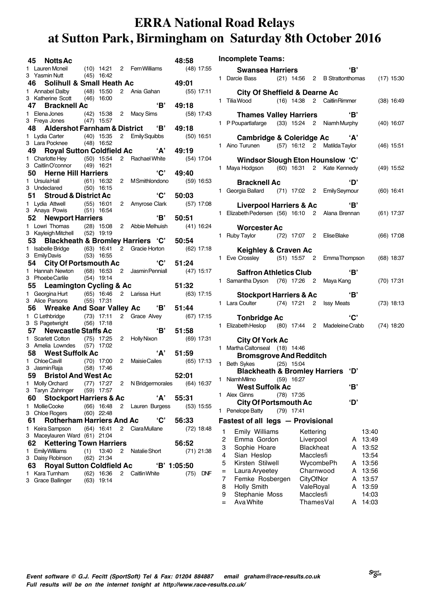|    | 45 Notts Ac                                                               |     |              |                |                               | 48:58              |
|----|---------------------------------------------------------------------------|-----|--------------|----------------|-------------------------------|--------------------|
|    | 1 Lauren Mcneil (10) 14:21 2 Fern Williams                                |     |              |                |                               | $(48)$ 17:55       |
|    | 3 Yasmin Nutt (45) 16:42                                                  |     |              |                |                               |                    |
|    | 46 Solihull & Small Heath Ac                                              |     |              |                |                               | 49:01              |
|    | 1 Annabel Dalby (48) 15:50<br>3 Katherine Scott                           |     | $(46)$ 16:00 |                | 2 Ania Gahan                  | $(55)$ 17:11       |
|    | 47 Bracknell Ac                                                           |     |              |                | 'B'                           | 49:18              |
|    |                                                                           |     |              |                |                               | $(58)$ 17:43       |
|    | 1 ElenaJones (42) 15:38 2 Macy Sims<br>3 Freya Jones (47) 15:57           |     |              |                |                               |                    |
|    | 48 Aldershot Farnham & District 'B'                                       |     |              |                |                               | 49:18              |
|    | 1 Lydia Carter (40) 15:35 2 Emily Squibbs<br>3 Lara Pocknee (48) 16:52    |     |              |                |                               | $(50)$ 16:51       |
|    |                                                                           |     |              |                |                               |                    |
|    | 49 —                                                                      |     |              |                | Royal Sutton Coldfield Ac 'A' | 49:19              |
|    | 1 Charlotte Hey (50) 15:54<br>3 Caitlin O'connor                          |     |              |                | 2 Rachael White               | (54) 17:04         |
|    | 50 Herne Hill Harriers                                                    |     | $(49)$ 16:21 |                | 'C'                           | 49:40              |
|    | 1 Ursula Hall                                                             |     | $(61)$ 16:32 |                | 2 MSmithlondono               | $(59)$ 16:53       |
|    | 3 Undeclared (50) 16:15                                                   |     |              |                |                               |                    |
|    | 51 Stroud & District Ac                                                   |     |              |                | 'C'                           | 50:03              |
|    | 1 Lydia Attwell (55) 16:01                                                |     |              |                | 2 Amyrose Clark               | $(57)$ 17:08       |
|    | 3 Anaya Powis (51) 16:54                                                  |     |              |                |                               |                    |
|    | 52 Newport Harriers                                                       |     |              |                | 'B'                           | 50:51              |
|    | 1 Lowri Thomas (28) 15:08                                                 |     |              |                | 2 Abbie Melhuish              | (41) 16:24         |
|    | 3 Kayleigh Mitchell (52) 19:19                                            |     |              |                |                               |                    |
|    | 53 Blackheath & Bromley Harriers 'C'                                      |     |              |                |                               | 50:54              |
| 1. | Isabelle Bridge (63) 16:41 2 Gracie Horton<br>3 EmilyDavis                |     | $(53)$ 16:55 |                |                               | $(62)$ 17:18       |
|    | 54<br><b>City Of Portsmouth Ac</b>                                        |     |              |                | <b>'C'</b>                    | 51:24              |
| 1. | Hannah Newton (68) 16:53 2 Jasmin Penniall                                |     |              |                |                               | $(47)$ 15:17       |
|    | 3 Phoebe Carlile                                                          |     | $(54)$ 19:14 |                |                               |                    |
|    | 55 Leamington Cycling & Ac                                                |     |              |                |                               | 51:32              |
|    | 1 Georgina Hurt (65) 16:46                                                |     |              |                | 2 Larissa Hurt                | $(63)$ 17:15       |
|    | 3 Alice Parsons                                                           |     | $(55)$ 17:31 |                |                               |                    |
|    | 56 Wreake And Soar Valley Ac 'B'                                          |     |              |                |                               | 51:44              |
|    | 1 C Lethbridge (73) 17:11<br>3 S Pagetwright (56) 17:18                   |     |              |                | 2 Grace Alvey                 | (67) 17:15         |
|    | 57 Newcastle Staffs Ac                                                    |     |              |                | 'B'                           | 51:58              |
|    | 1 Scarlett Cotton                                                         |     | $(75)$ 17:25 |                | 2 Holly Nixon                 | $(69)$ 17:31       |
|    | 3 Amelia Lowndes (57) 17:02                                               |     |              |                |                               |                    |
|    | 58 West Suffolk Ac                                                        |     |              |                | 'А'                           | 51:59              |
|    | 1 ChloeCavill (70) 17:00                                                  |     |              | $\overline{2}$ | Maisie Cailes                 | $(65)$ 17:13       |
|    | 3 Jasmin Raja (58) 17:46                                                  |     |              |                |                               |                    |
|    | 59 Bristol And West Ac                                                    |     |              |                |                               | 52:01              |
|    | 1 Molly Orchard (77) $17:27$ 2 N Bridgermorales (64) 16:37                |     |              |                |                               |                    |
|    | 3 Taryn Zahringer (59) 17:57<br><b>Stockport Harriers &amp; Ac</b><br>60. |     |              |                | 'А'                           | 55:31              |
| 1  | Mollie Cooke                                                              |     | $(66)$ 16:48 |                | 2 Lauren Burgess              | $(53)$ 15:55       |
|    | 3 Chloe Rogers                                                            |     | $(60)$ 22:48 |                |                               |                    |
|    | <b>Rotherham Harriers And Ac</b><br>61.                                   |     |              |                | 'C'                           | 56:33              |
|    | 1 Keira Sampson                                                           |     | $(64)$ 16:41 | 2              | CiaraMullane                  | $(72)$ 18:48       |
|    | 3 Maceylauren Ward (61) 21:04                                             |     |              |                |                               |                    |
|    | <b>Kettering Town Harriers</b><br>62                                      |     |              |                |                               | 56:52              |
| 1. | <b>Emily Williams</b>                                                     | (1) | 13:40        | 2              | Natalie Short                 | $(71)$ 21:38       |
|    | 3 Daisy Robinson                                                          |     | $(62)$ 21:34 |                |                               |                    |
|    | 63 Royal Sutton Coldfield Ac                                              |     |              |                |                               | 'B' 1:05:50        |
| 1. | Kara Turnham<br>3 Grace Ballinger (63) 19:14                              |     | $(62)$ 16:36 |                | 2 Caitlin White               | (75)<br><b>DNF</b> |
|    |                                                                           |     |              |                |                               |                    |

|  |  |  | <b>Incomplete Teams:</b> |
|--|--|--|--------------------------|
|--|--|--|--------------------------|

|        | <b>Swansea Harriers</b>                                                                   |                               | 'В'           |                |
|--------|-------------------------------------------------------------------------------------------|-------------------------------|---------------|----------------|
|        | 1 Darcie Bass (21) 14:56 2 B Strattonthomas (17) 15:30                                    |                               |               |                |
|        | <b>City Of Sheffield &amp; Dearne Ac</b>                                                  |                               |               |                |
|        | 1 Tilia Wood (16) 14:38 2 Caitlin Rimmer                                                  |                               |               | $(38)$ 16:49   |
|        | <b>Thames Valley Harriers</b>                                                             |                               | 'В'           |                |
|        | 1 P Poupartlafarge (33) 15:24 2 Niamh Murphy                                              |                               |               | $(40)$ 16:07   |
|        | Cambridge & Coleridge Ac 'A'                                                              |                               |               |                |
|        | 1 Aino Turunen (57) 16:12 2 Matilda Taylor                                                |                               |               | $(46)$ 15:51   |
|        | Windsor Slough Eton Hounslow 'C'                                                          |                               |               |                |
|        | 1 Maya Hodgson (60) 16:31 2 Kate Kennedy                                                  |                               |               | $(49)$ 15:52   |
|        | <b>Bracknell Ac</b>                                                                       |                               | ʻD'           |                |
|        | 1 Georgia Ballard (71) 17:02 2 Emily Seymour                                              |                               |               | $(60)$ 16:41   |
|        |                                                                                           |                               |               |                |
|        | <b>Liverpool Harriers &amp; Ac</b> (B'<br>1 Elizabeth Pedersen (56) 16:10 2 Alana Brennan |                               | $\mathbf{B}'$ |                |
|        |                                                                                           |                               |               | $(61)$ 17:37   |
|        | <b>Worcester Ac</b>                                                                       |                               |               |                |
|        | 1 Ruby Taylor (72) 17:07 2 Elise Blake                                                    |                               |               | $(66)$ 17:08   |
|        |                                                                                           |                               |               |                |
|        | <b>Keighley &amp; Craven Ac</b>                                                           |                               |               |                |
|        | 1 Eve Crossley (51) 15:57 2 EmmaThompson                                                  |                               |               | $(68)$ 18:37   |
|        | <b>Saffron Athletics Club</b>                                                             |                               | 'B'           |                |
|        | 1 Samantha Dyson (76) 17:26 2 Maya Kang                                                   |                               |               | $(70)$ 17:31   |
|        |                                                                                           |                               |               |                |
|        | <b>Stockport Harriers &amp; Ac</b>                                                        |                               | $\mathbf{B}'$ |                |
|        | 1 Lara Coulter (74) 17:21 2 Issy Meats                                                    |                               |               | $(73)$ 18:13   |
|        | <b>Tonbridge Ac</b>                                                                       |                               | 'C'           |                |
|        | 1 Elizabeth Heslop (80) 17:44 2 Madeleine Crabb (74) 18:20                                |                               |               |                |
|        |                                                                                           |                               |               |                |
|        | <b>City Of York Ac</b><br>1 Martha Caltonseal (18) 14:46                                  |                               |               |                |
|        | <b>Bromsgrove And Redditch</b>                                                            |                               |               |                |
|        | 1 Beth Sykes (25) 15:04                                                                   |                               |               |                |
|        | Blackheath & Bromley Harriers 'D'                                                         |                               |               |                |
|        | 1 Niamh Milmo (59) 16:27                                                                  |                               |               |                |
|        | <b>West Suffolk Ac</b>                                                                    |                               | 'В'           |                |
| 1      | <b>Alex Ginns</b><br>$(78)$ 17:35<br><b>City Of Portsmouth Ac</b>                         |                               | ʻD'           |                |
| 1.     | Penelope Batty<br>(79)                                                                    | 17:41                         |               |                |
|        |                                                                                           |                               |               |                |
|        | Fastest of all legs - Provisional                                                         |                               |               |                |
| 1<br>2 | <b>Emily Williams</b><br>Emma Gordon                                                      | Kettering                     |               | 13:40          |
| 3      | Sophie Hoare                                                                              | Liverpool<br><b>Blackheat</b> | A<br>А        | 13:49<br>13:52 |
| 4      | Sian Heslop                                                                               | Macclesfi                     |               | 13:54          |
| 5      | Kirsten Stilwell                                                                          | WycombePh                     | A             | 13:56          |
| $=$    | Laura Aryeetey                                                                            | Charnwood                     | A             | 13:56          |
| 7      | Femke Rosbergen                                                                           | CityOfNor                     | A             | 13:57          |
| 8      | Holly Smith                                                                               | ValeRoyal                     | А             | 13:59          |
| 9      | Stephanie Moss                                                                            | Macclesfi                     |               | 14:03          |

= Ava White ThamesVal A 14:03

**Event software © G.J. Fecitt (SportSoft) Tel & Fax: 01204 884887 email graham@race-results.co.uk Full results will be on the internet tonight at http://www.race-results.co.uk/**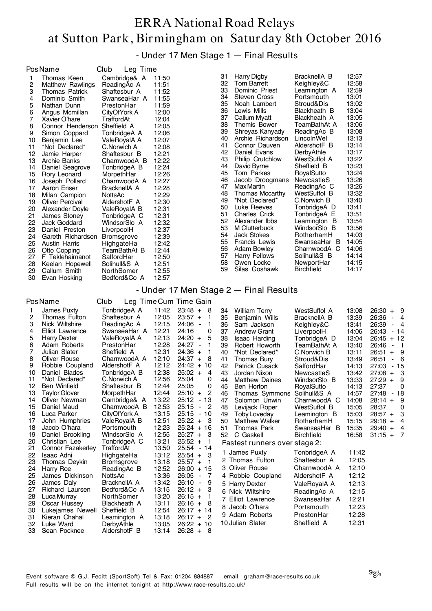- Under 17 Men Stage 1 — Final Results

|                                                                                                                                                       | Pos Name                                                                                                                                                                                                                                                                                                                                                                                                                                                                                                                  | Club<br>Leg Time                                                                                                                                                                                                                                                                                                                                                                                               |                                                                                                                                                                                                                                                 |                                                          |                                                                                                                                                                |                                                                                                                                                                                                                                                                                                                                                                                                                                                                                                          |                                                                                                                                                                                                                                                                                                                                                                                                                          |                                                                                                                                                                                                                                                 |                                                        |
|-------------------------------------------------------------------------------------------------------------------------------------------------------|---------------------------------------------------------------------------------------------------------------------------------------------------------------------------------------------------------------------------------------------------------------------------------------------------------------------------------------------------------------------------------------------------------------------------------------------------------------------------------------------------------------------------|----------------------------------------------------------------------------------------------------------------------------------------------------------------------------------------------------------------------------------------------------------------------------------------------------------------------------------------------------------------------------------------------------------------|-------------------------------------------------------------------------------------------------------------------------------------------------------------------------------------------------------------------------------------------------|----------------------------------------------------------|----------------------------------------------------------------------------------------------------------------------------------------------------------------|----------------------------------------------------------------------------------------------------------------------------------------------------------------------------------------------------------------------------------------------------------------------------------------------------------------------------------------------------------------------------------------------------------------------------------------------------------------------------------------------------------|--------------------------------------------------------------------------------------------------------------------------------------------------------------------------------------------------------------------------------------------------------------------------------------------------------------------------------------------------------------------------------------------------------------------------|-------------------------------------------------------------------------------------------------------------------------------------------------------------------------------------------------------------------------------------------------|--------------------------------------------------------|
| 1<br>2<br>3<br>4<br>5<br>6<br>7<br>8<br>9<br>10<br>11<br>12<br>13<br>14<br>15<br>16<br>17<br>18<br>19<br>20<br>21<br>22<br>23<br>24<br>25<br>26<br>27 | Thomas Keen<br><b>Matthew Rawlings</b><br><b>Thomas Patrick</b><br>Dominic Smith<br>Nathan Dunn<br>Angus Mcmillan<br>Xavier O'hare<br>Connor Henderson Sheffield A<br>Simon Coppard<br>Benjamin Lee<br>*Not Declared*<br>Jamie Harper<br>Archie Banks<br>Daniel Seagrove<br>Rory Leonard<br>Joseph Pollard<br>Aaron Enser<br>Milan Campion<br><b>Oliver Percival</b><br>Alexander Doyle<br>James Stoney<br>Jack Goddard<br>Daniel Preston<br>Gareth Richardson<br><b>Austin Harris</b><br>Otto Copping<br>F Teklehaimanot | Cambridge& A<br>ReadingAc A<br>Shaftesbur A<br>SwanseaHar A<br>PrestonHar<br>CityOfYork A<br>TraffordAt<br>TonbridgeA A<br>ValeRoyalA A<br>C.Norwich A<br>Shaftesbur B<br>CharnwoodA B<br>TonbridgeA B<br>MorpethHar<br>CharnwoodA A<br>BracknellA A<br>NottsAc<br>AldershotF A<br>ValeRoyalA B<br>TonbridgeA C<br>WindsorSlo A<br>LiverpoolH<br><b>Bromsgrove</b><br>HighgateHa<br>TeamBathAt B<br>SalfordHar | 11:50<br>11:51<br>11:52<br>11:55<br>11:59<br>12:00<br>12:04<br>12:05<br>12:06<br>12:07<br>12:08<br>12:21<br>12:22<br>12:24<br>12:26<br>12:27<br>12:28<br>12:29<br>12:30<br>12:31<br>12:31<br>12:32<br>12:37<br>12:39<br>12:42<br>12:44<br>12:50 |                                                          | 31<br>32<br>33<br>34<br>35<br>36<br>37<br>38<br>39<br>40<br>41<br>42<br>43<br>44<br>45<br>46<br>47<br>48<br>49<br>50<br>51<br>52<br>53<br>54<br>55<br>56<br>57 | <b>Harry Digby</b><br><b>Tom Barrett</b><br>Dominic Priest<br>Steven Cross<br>Noah Lambert<br>Lewis Mills<br>Callum Myatt<br>Themis Bower<br>Shreyas Kanyady<br>Archie Richardson<br>Connor Dauven<br>Daniel Evans<br><b>Philip Crutchlow</b><br>David Byrne<br>Tom Parkes<br>Jacob Droogmans<br>Max Martin<br>Thomas Mccarthy<br>*Not Declared*<br>Luke Reeves<br><b>Charles Crick</b><br>Alexander Ibbs<br>M Clutterbuck<br><b>Jack Stokes</b><br>Francis Lewis<br><b>Adam Bowley</b><br>Harry Fellows | BracknellA B<br>Keighley&C<br>Leamington A<br>Portsmouth<br>Stroud&Dis<br>Blackheath B<br>Blackheath A<br>TeamBathAt A<br>ReadingAc B<br>LincolnWel<br>AldershotF B<br>DerbyAthle<br>WestSuffol A<br>Sheffield B<br>RoyalSutto<br>NewcastleS<br>ReadingAc C<br>WestSuffol B<br>C.Norwich B<br>TonbridgeA D<br>TonbridgeA E<br>Leamington B<br>WindsorSlo B<br>RotherhamH<br>SwanseaHar B<br>CharnwoodA C<br>Solihull&S B | 12:57<br>12:58<br>12:59<br>13:01<br>13:02<br>13:04<br>13:05<br>13:06<br>13:08<br>13:13<br>13:14<br>13:17<br>13:22<br>13:23<br>13:24<br>13:26<br>13:26<br>13:32<br>13:40<br>13:41<br>13:51<br>13:54<br>13:56<br>14:03<br>14:05<br>14:06<br>14:14 |                                                        |
| 28                                                                                                                                                    | Keelan Hopewell                                                                                                                                                                                                                                                                                                                                                                                                                                                                                                           | Solihull&S A                                                                                                                                                                                                                                                                                                                                                                                                   | 12:51                                                                                                                                                                                                                                           |                                                          | 58                                                                                                                                                             | Owen Locke                                                                                                                                                                                                                                                                                                                                                                                                                                                                                               | NewportHar                                                                                                                                                                                                                                                                                                                                                                                                               | 14:15                                                                                                                                                                                                                                           |                                                        |
| 29                                                                                                                                                    | Callum Smith                                                                                                                                                                                                                                                                                                                                                                                                                                                                                                              | NorthSomer                                                                                                                                                                                                                                                                                                                                                                                                     | 12:55                                                                                                                                                                                                                                           |                                                          | 59                                                                                                                                                             | Silas Goshawk                                                                                                                                                                                                                                                                                                                                                                                                                                                                                            | Birchfield                                                                                                                                                                                                                                                                                                                                                                                                               | 14:17                                                                                                                                                                                                                                           |                                                        |
| 30                                                                                                                                                    | Evan Hosking                                                                                                                                                                                                                                                                                                                                                                                                                                                                                                              | Bedford&Co A                                                                                                                                                                                                                                                                                                                                                                                                   | 12:57                                                                                                                                                                                                                                           |                                                          |                                                                                                                                                                |                                                                                                                                                                                                                                                                                                                                                                                                                                                                                                          |                                                                                                                                                                                                                                                                                                                                                                                                                          |                                                                                                                                                                                                                                                 |                                                        |
|                                                                                                                                                       | <b>PosName</b>                                                                                                                                                                                                                                                                                                                                                                                                                                                                                                            | Club                                                                                                                                                                                                                                                                                                                                                                                                           |                                                                                                                                                                                                                                                 | Leg Time Cum Time Gain                                   |                                                                                                                                                                | - Under 17 Men Stage 2 – Final Results                                                                                                                                                                                                                                                                                                                                                                                                                                                                   |                                                                                                                                                                                                                                                                                                                                                                                                                          |                                                                                                                                                                                                                                                 |                                                        |
| 1                                                                                                                                                     | James Puxty                                                                                                                                                                                                                                                                                                                                                                                                                                                                                                               | TonbridgeA A                                                                                                                                                                                                                                                                                                                                                                                                   | 11:42                                                                                                                                                                                                                                           | $23:48 +$<br>8                                           | 34                                                                                                                                                             | <b>William Terry</b>                                                                                                                                                                                                                                                                                                                                                                                                                                                                                     | <b>WestSuffol A</b>                                                                                                                                                                                                                                                                                                                                                                                                      | 13:08                                                                                                                                                                                                                                           | $26:30 +$<br>9                                         |
| 2                                                                                                                                                     | Thomas Fulton                                                                                                                                                                                                                                                                                                                                                                                                                                                                                                             | Shaftesbur A                                                                                                                                                                                                                                                                                                                                                                                                   | 12:05                                                                                                                                                                                                                                           | $23:57 +$<br>1                                           | 35                                                                                                                                                             | Benjamin Wills                                                                                                                                                                                                                                                                                                                                                                                                                                                                                           | BracknellA B                                                                                                                                                                                                                                                                                                                                                                                                             | 13:39                                                                                                                                                                                                                                           | 26:36<br>- 4                                           |
| 3                                                                                                                                                     | Nick Wiltshire                                                                                                                                                                                                                                                                                                                                                                                                                                                                                                            | ReadingAc A                                                                                                                                                                                                                                                                                                                                                                                                    | 12:15                                                                                                                                                                                                                                           | 24:06<br>1<br>$\overline{\phantom{a}}$                   | 36                                                                                                                                                             | Sam Jackson                                                                                                                                                                                                                                                                                                                                                                                                                                                                                              | Keighley&C                                                                                                                                                                                                                                                                                                                                                                                                               | 13:41                                                                                                                                                                                                                                           | 26:39<br>$\blacksquare$<br>4                           |
| 4                                                                                                                                                     | <b>Elliot Lawrence</b>                                                                                                                                                                                                                                                                                                                                                                                                                                                                                                    | SwanseaHar A                                                                                                                                                                                                                                                                                                                                                                                                   | 12:21                                                                                                                                                                                                                                           | 0<br>24:16                                               | 37                                                                                                                                                             | <b>Andrew Grant</b>                                                                                                                                                                                                                                                                                                                                                                                                                                                                                      | LiverpoolH                                                                                                                                                                                                                                                                                                                                                                                                               | 14:06                                                                                                                                                                                                                                           | 26:43<br>- 14                                          |
| 5<br>6                                                                                                                                                | <b>Harry Dexter</b><br>Adam Roberts                                                                                                                                                                                                                                                                                                                                                                                                                                                                                       | ValeRoyalA A<br>PrestonHar                                                                                                                                                                                                                                                                                                                                                                                     | 12:13<br>12:28                                                                                                                                                                                                                                  | $24:20 +$<br>5<br>24:27<br>1<br>$\overline{\phantom{a}}$ | 38<br>39                                                                                                                                                       | <b>Isaac Harding</b><br>Robert Howorth                                                                                                                                                                                                                                                                                                                                                                                                                                                                   | TonbridgeA D<br>TeamBathAt A                                                                                                                                                                                                                                                                                                                                                                                             | 13:04<br>13:40                                                                                                                                                                                                                                  | $26:45 + 12$<br>26:46<br>1<br>$\overline{\phantom{a}}$ |
| 7                                                                                                                                                     | Julian Slater                                                                                                                                                                                                                                                                                                                                                                                                                                                                                                             | Sheffield A                                                                                                                                                                                                                                                                                                                                                                                                    | 12:31                                                                                                                                                                                                                                           | $24:36 +$<br>1                                           | 40                                                                                                                                                             | *Not Declared*                                                                                                                                                                                                                                                                                                                                                                                                                                                                                           | C.Norwich B                                                                                                                                                                                                                                                                                                                                                                                                              | 13:11                                                                                                                                                                                                                                           | 9<br>$26:51 +$                                         |
| 8                                                                                                                                                     | <b>Oliver Rouse</b>                                                                                                                                                                                                                                                                                                                                                                                                                                                                                                       | CharnwoodA A                                                                                                                                                                                                                                                                                                                                                                                                   | 12:10                                                                                                                                                                                                                                           | $24:37 +$<br>8                                           | 41                                                                                                                                                             | Thomas Bury                                                                                                                                                                                                                                                                                                                                                                                                                                                                                              | Stroud&Dis                                                                                                                                                                                                                                                                                                                                                                                                               | 13:49                                                                                                                                                                                                                                           | 26:51<br>6<br>$\sim$                                   |
| 9                                                                                                                                                     | Robbie Coupland<br>Daniel Blades                                                                                                                                                                                                                                                                                                                                                                                                                                                                                          | AldershotF A                                                                                                                                                                                                                                                                                                                                                                                                   | 12:12                                                                                                                                                                                                                                           | $24:42 +$<br>10                                          | 42                                                                                                                                                             | <b>Patrick Cusack</b>                                                                                                                                                                                                                                                                                                                                                                                                                                                                                    | SalfordHar                                                                                                                                                                                                                                                                                                                                                                                                               | 14:13                                                                                                                                                                                                                                           | 27:03<br>- 15                                          |
| 10<br>11                                                                                                                                              | *Not Declared*                                                                                                                                                                                                                                                                                                                                                                                                                                                                                                            | TonbridgeA B<br>C.Norwich A                                                                                                                                                                                                                                                                                                                                                                                    | 12:38<br>12:56                                                                                                                                                                                                                                  | $25:02 +$<br>4<br>25:04<br>0                             | 43<br>44                                                                                                                                                       | Jordan Nixon<br><b>Matthew Daines</b>                                                                                                                                                                                                                                                                                                                                                                                                                                                                    | NewcastleS<br>WindsorSlo B                                                                                                                                                                                                                                                                                                                                                                                               | 13:42<br>13:33                                                                                                                                                                                                                                  | 27:08<br>3<br>$\ddot{}$<br>$27:29 +$<br>9              |
| 12                                                                                                                                                    | <b>Ben Winfield</b>                                                                                                                                                                                                                                                                                                                                                                                                                                                                                                       | Shaftesbur B                                                                                                                                                                                                                                                                                                                                                                                                   | 12:44                                                                                                                                                                                                                                           | 25:05<br>0                                               | 45                                                                                                                                                             | Ben Horton                                                                                                                                                                                                                                                                                                                                                                                                                                                                                               | RoyalSutto                                                                                                                                                                                                                                                                                                                                                                                                               | 14:13                                                                                                                                                                                                                                           | 0<br>27:37                                             |
| 13                                                                                                                                                    | Taylor Glover                                                                                                                                                                                                                                                                                                                                                                                                                                                                                                             | MorpethHar                                                                                                                                                                                                                                                                                                                                                                                                     | 12:44                                                                                                                                                                                                                                           | $25:10 +$<br>2                                           | 46                                                                                                                                                             | Thomas Symmons                                                                                                                                                                                                                                                                                                                                                                                                                                                                                           | Solihull&S A                                                                                                                                                                                                                                                                                                                                                                                                             | 14:57                                                                                                                                                                                                                                           | 27:48<br>- 18                                          |
| 14<br>15                                                                                                                                              | Oliver Newman<br>Daniel Maud                                                                                                                                                                                                                                                                                                                                                                                                                                                                                              | Cambridge& A<br>CharnwoodA B                                                                                                                                                                                                                                                                                                                                                                                   | 13:22<br>12:53                                                                                                                                                                                                                                  | $25:12 - 13$<br>25:15<br>- 2                             | 47<br>48                                                                                                                                                       | Solomon Unwin<br>Levijack Roper                                                                                                                                                                                                                                                                                                                                                                                                                                                                          | CharnwoodA C<br>WestSuffol B                                                                                                                                                                                                                                                                                                                                                                                             | 14:08<br>15:05                                                                                                                                                                                                                                  | $28:14 +$<br>9<br>28:37<br>0                           |
| 16                                                                                                                                                    | Luca Parker                                                                                                                                                                                                                                                                                                                                                                                                                                                                                                               | CityOfYork A                                                                                                                                                                                                                                                                                                                                                                                                   | 13:15                                                                                                                                                                                                                                           | $25:15 - 10$                                             | 49                                                                                                                                                             | Toby Loveday                                                                                                                                                                                                                                                                                                                                                                                                                                                                                             | Leamington B                                                                                                                                                                                                                                                                                                                                                                                                             | 15:03                                                                                                                                                                                                                                           | $28:57 +$<br>3                                         |
| 17                                                                                                                                                    | John Humphries                                                                                                                                                                                                                                                                                                                                                                                                                                                                                                            | ValeRoyalA B                                                                                                                                                                                                                                                                                                                                                                                                   | 12:51                                                                                                                                                                                                                                           | $25:22 +$<br>- 3                                         | 50                                                                                                                                                             | <b>Matthew Walker</b>                                                                                                                                                                                                                                                                                                                                                                                                                                                                                    | RotherhamH                                                                                                                                                                                                                                                                                                                                                                                                               | 15:15                                                                                                                                                                                                                                           | 29:18<br>$+$<br>4                                      |
| 18                                                                                                                                                    | Jacob O'hara                                                                                                                                                                                                                                                                                                                                                                                                                                                                                                              | Portsmouth                                                                                                                                                                                                                                                                                                                                                                                                     | 12:23                                                                                                                                                                                                                                           | $25:24 + 16$                                             | 51                                                                                                                                                             | Thomas Park                                                                                                                                                                                                                                                                                                                                                                                                                                                                                              | SwanseaHar B                                                                                                                                                                                                                                                                                                                                                                                                             | 15:35                                                                                                                                                                                                                                           | $29:40 +$<br>4                                         |
| 19<br>20                                                                                                                                              | Daniel Brookling<br>Christian Lee                                                                                                                                                                                                                                                                                                                                                                                                                                                                                         | WindsorSlo A<br>TonbridgeA C                                                                                                                                                                                                                                                                                                                                                                                   | 12:55<br>13:21                                                                                                                                                                                                                                  | $25:27 +$<br>-3<br>$25:52 +$<br>-1                       | 52                                                                                                                                                             | C Gaskell<br>Fastest runners over stage 2:                                                                                                                                                                                                                                                                                                                                                                                                                                                               | Birchfield                                                                                                                                                                                                                                                                                                                                                                                                               | 16:58                                                                                                                                                                                                                                           | - 7<br>$31:15 +$                                       |
| 21                                                                                                                                                    | <b>Connor Fazakerley</b>                                                                                                                                                                                                                                                                                                                                                                                                                                                                                                  | TraffordAt                                                                                                                                                                                                                                                                                                                                                                                                     | 13:50                                                                                                                                                                                                                                           | 25:54 - 14                                               |                                                                                                                                                                |                                                                                                                                                                                                                                                                                                                                                                                                                                                                                                          |                                                                                                                                                                                                                                                                                                                                                                                                                          |                                                                                                                                                                                                                                                 |                                                        |
| 22                                                                                                                                                    | <b>Isaac Adni</b>                                                                                                                                                                                                                                                                                                                                                                                                                                                                                                         | HighgateHa                                                                                                                                                                                                                                                                                                                                                                                                     | 13:12                                                                                                                                                                                                                                           | $25:54 +$<br>-3                                          |                                                                                                                                                                | 1 James Puxty<br>2 Thomas Fulton                                                                                                                                                                                                                                                                                                                                                                                                                                                                         | TonbridgeA A<br>Shaftesbur A                                                                                                                                                                                                                                                                                                                                                                                             | 11:42<br>12:05                                                                                                                                                                                                                                  |                                                        |
| 23<br>24                                                                                                                                              | Thomas Deykin<br>Harry Roe                                                                                                                                                                                                                                                                                                                                                                                                                                                                                                | <b>Bromsgrove</b><br>ReadingAc B                                                                                                                                                                                                                                                                                                                                                                               | 13:18<br>12:52                                                                                                                                                                                                                                  | $25:57 +$<br>-1<br>$26:00 + 15$                          |                                                                                                                                                                | 3 Oliver Rouse                                                                                                                                                                                                                                                                                                                                                                                                                                                                                           | CharnwoodA A                                                                                                                                                                                                                                                                                                                                                                                                             | 12:10                                                                                                                                                                                                                                           |                                                        |
| 25                                                                                                                                                    | James Dickinson                                                                                                                                                                                                                                                                                                                                                                                                                                                                                                           | NottsAc                                                                                                                                                                                                                                                                                                                                                                                                        | 13:36                                                                                                                                                                                                                                           | $26:05 -$<br>-7                                          |                                                                                                                                                                | 4 Robbie Coupland                                                                                                                                                                                                                                                                                                                                                                                                                                                                                        | AldershotF A                                                                                                                                                                                                                                                                                                                                                                                                             | 12:12                                                                                                                                                                                                                                           |                                                        |
| 26                                                                                                                                                    | James Daly                                                                                                                                                                                                                                                                                                                                                                                                                                                                                                                | BracknellA A                                                                                                                                                                                                                                                                                                                                                                                                   | 13:42                                                                                                                                                                                                                                           | 26:10<br>$\blacksquare$<br>9                             |                                                                                                                                                                | 5 Harry Dexter                                                                                                                                                                                                                                                                                                                                                                                                                                                                                           | ValeRoyalA A                                                                                                                                                                                                                                                                                                                                                                                                             | 12:13                                                                                                                                                                                                                                           |                                                        |
| 27                                                                                                                                                    | Richard Laursen                                                                                                                                                                                                                                                                                                                                                                                                                                                                                                           | Bedford&Co A                                                                                                                                                                                                                                                                                                                                                                                                   | 13:15                                                                                                                                                                                                                                           | $26:12 +$<br>3                                           |                                                                                                                                                                | 6 Nick Wiltshire                                                                                                                                                                                                                                                                                                                                                                                                                                                                                         | ReadingAc A                                                                                                                                                                                                                                                                                                                                                                                                              | 12:15                                                                                                                                                                                                                                           |                                                        |
| 28<br>29                                                                                                                                              | Luca Murray<br>Oscar Hussey                                                                                                                                                                                                                                                                                                                                                                                                                                                                                               | NorthSomer<br>Blackheath A                                                                                                                                                                                                                                                                                                                                                                                     | 13:20<br>13:11                                                                                                                                                                                                                                  | $26:15 +$<br>1<br>$26:16 +$<br>-8                        |                                                                                                                                                                | 7 Elliot Lawrence                                                                                                                                                                                                                                                                                                                                                                                                                                                                                        | SwanseaHar A                                                                                                                                                                                                                                                                                                                                                                                                             | 12:21                                                                                                                                                                                                                                           |                                                        |
| 30                                                                                                                                                    | Lukejames Newell                                                                                                                                                                                                                                                                                                                                                                                                                                                                                                          | Sheffield B                                                                                                                                                                                                                                                                                                                                                                                                    | 12:54                                                                                                                                                                                                                                           | $26:17 + 14$                                             |                                                                                                                                                                | 8 Jacob O'hara                                                                                                                                                                                                                                                                                                                                                                                                                                                                                           | Portsmouth                                                                                                                                                                                                                                                                                                                                                                                                               | 12:23                                                                                                                                                                                                                                           |                                                        |
| 31                                                                                                                                                    | Kieran Chahal                                                                                                                                                                                                                                                                                                                                                                                                                                                                                                             | Leamington A                                                                                                                                                                                                                                                                                                                                                                                                   | 13:18                                                                                                                                                                                                                                           | $26:17 +$<br>- 2                                         |                                                                                                                                                                | 9 Adam Roberts                                                                                                                                                                                                                                                                                                                                                                                                                                                                                           | PrestonHar                                                                                                                                                                                                                                                                                                                                                                                                               | 12:28                                                                                                                                                                                                                                           |                                                        |
| 32<br>33                                                                                                                                              | Luke Ward<br>Sean Pocknee                                                                                                                                                                                                                                                                                                                                                                                                                                                                                                 | DerbyAthle<br>AldershotF B                                                                                                                                                                                                                                                                                                                                                                                     | 13:05<br>13:14                                                                                                                                                                                                                                  | $26:22 + 10$<br>$26:28 + 8$                              |                                                                                                                                                                | 10 Julian Slater                                                                                                                                                                                                                                                                                                                                                                                                                                                                                         | Sheffield A                                                                                                                                                                                                                                                                                                                                                                                                              | 12:31                                                                                                                                                                                                                                           |                                                        |
|                                                                                                                                                       |                                                                                                                                                                                                                                                                                                                                                                                                                                                                                                                           |                                                                                                                                                                                                                                                                                                                                                                                                                |                                                                                                                                                                                                                                                 |                                                          |                                                                                                                                                                |                                                                                                                                                                                                                                                                                                                                                                                                                                                                                                          |                                                                                                                                                                                                                                                                                                                                                                                                                          |                                                                                                                                                                                                                                                 |                                                        |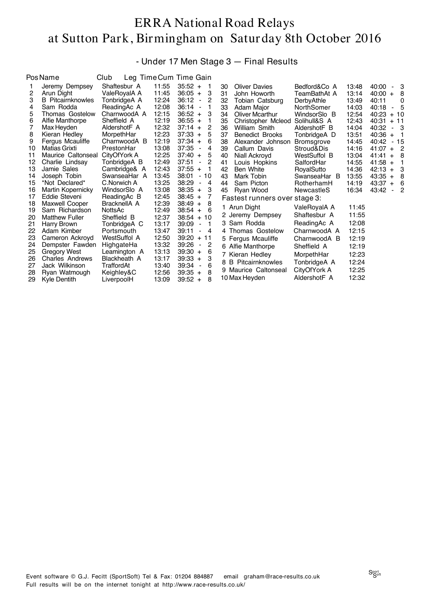- Under 17 Men Stage 3 — Final Results

|    | <b>Pos Name</b>          | Club                |       | Leg Time Cum Time Gain                 |    |                               |                   |       |                     |
|----|--------------------------|---------------------|-------|----------------------------------------|----|-------------------------------|-------------------|-------|---------------------|
|    | Jeremy Dempsey           | Shaftesbur A        | 11:55 | $35:52 +$<br>1                         | 30 | <b>Oliver Davies</b>          | Bedford&Co A      | 13:48 | 40:00<br>- 3        |
| 2  | Arun Dight               | ValeRovalA A        | 11:45 | $36:05 +$<br>З                         | 31 | John Howorth                  | TeamBathAt A      | 13:14 | 40:00<br>-8<br>$+$  |
| 3  | <b>B</b> Pitcairnknowles | TonbridgeA A        | 12:24 | 36:12<br>$\overline{\phantom{a}}$<br>2 | 32 | Tobian Catsburg               | DerbyAthle        | 13:49 | 40:11<br>$\Omega$   |
| 4  | Sam Rodda                | ReadingAc A         | 12:08 | 36:14<br>$\overline{\phantom{a}}$      | 33 | Adam Major                    | NorthSomer        | 14:03 | - 5<br>40:18        |
| 5  | Thomas Gostelow          | CharnwoodA A        | 12:15 | $36:52 +$<br>З                         | 34 | <b>Oliver Mcarthur</b>        | WindsorSlo B      | 12:54 | 40:23<br>$+10$      |
| 6  | Alfie Manthorpe          | Sheffield A         | 12:19 | $36:55 +$                              | 35 | Christopher Mcleod            | Solihull&S A      | 12:43 | 40:31<br>$+11$      |
|    | Max Heyden               | AldershotF A        | 12:32 | $37:14 +$<br>2                         | 36 | William Smith                 | AldershotF B      | 14:04 | 40:32<br>- 3        |
| 8  | Kieran Hedley            | MorpethHar          | 12:23 | $37:33 +$<br>5                         | 37 | <b>Benedict Brooks</b>        | TonbridgeA D      | 13:51 | 40:36<br>$+$<br>- 1 |
| 9  | Fergus Mcauliffe         | CharnwoodA B        | 12:19 | 37:34<br>6<br>$+$                      | 38 | Alexander Johnson             | <b>Bromsgrove</b> | 14:45 | 40:42<br>- 15       |
| 10 | Matias Grixti            | PrestonHar          | 13:08 | 37:35<br>4<br>$\overline{\phantom{a}}$ | 39 | Callum Davis                  | Stroud&Dis        | 14:16 | 41:07<br>- 2<br>$+$ |
| 11 | Maurice Caltonseal       | CityOfYork A        | 12:25 | 37:40<br>5<br>$+$                      | 40 | Niall Ackroyd                 | WestSuffol B      | 13:04 | 41:41<br>- 8<br>$+$ |
| 12 | Charlie Lindsay          | TonbridgeA B        | 12:49 | 37:51<br>2<br>$\blacksquare$           | 41 | Louis Hopkins                 | SalfordHar        | 14:55 | 41:58<br>$+$<br>1   |
| 13 | Jamie Sales              | Cambridge& A        | 12:43 | 37:55<br>$+$                           | 42 | Ben White                     | RoyalSutto        | 14:36 | - 3<br>42:13<br>$+$ |
| 14 | Joseph Tobin             | SwanseaHar A        | 13:45 | 38:01<br>10<br>$\blacksquare$          | 43 | Mark Tobin                    | SwanseaHar B      | 13:55 | 43:35<br>8<br>$+$   |
| 15 | *Not Declared*           | C.Norwich A         | 13:25 | 38:29<br>4<br>$\overline{\phantom{a}}$ | 44 | Sam Picton                    | RotherhamH        | 14:19 | 43:37<br>- 6<br>$+$ |
| 16 | Martin Kopernicky        | WindsorSlo A        | 13:08 | $38:35 +$<br>З                         | 45 | Ryan Wood                     | NewcastleS        | 16:34 | 43:42<br>- 2        |
| 17 | Eddie Steveni            | ReadingAc B         | 12:45 | $38:45 +$<br>7                         |    | Fastest runners over stage 3: |                   |       |                     |
| 18 | Maxwell Cooper           | BracknellA A        | 12:39 | $38:49 +$<br>8                         |    | 1 Arun Dight                  | ValeRoyalA A      | 11:45 |                     |
| 19 | Sam Richardson           | NottsAc             | 12:49 | $38:54 +$<br>6                         |    | 2 Jeremy Dempsey              | Shaftesbur A      | 11:55 |                     |
| 20 | <b>Matthew Fuller</b>    | Sheffield B         | 12:37 | $38:54 + 10$                           |    |                               |                   |       |                     |
| 21 | Harry Brown              | TonbridgeA C        | 13:17 | 39:09<br>$\mathbf 1$<br>$\blacksquare$ |    | 3 Sam Rodda                   | ReadingAc A       | 12:08 |                     |
| 22 | Adam Kimber              | Portsmouth          | 13:47 | 39:11<br>4<br>$\blacksquare$           |    | 4 Thomas Gostelow             | CharnwoodA A      | 12:15 |                     |
| 23 | Cameron Ackroyd          | <b>WestSuffol A</b> | 12:50 | 39:20<br>$+11$                         |    | 5 Fergus Mcauliffe            | CharnwoodA B      | 12:19 |                     |
| 24 | Dempster Fawden          | HighgateHa          | 13:32 | 39:26<br>2<br>$\overline{\phantom{a}}$ |    | 6 Alfie Manthorpe             | Sheffield A       | 12:19 |                     |
| 25 | <b>Gregory West</b>      | Leamington A        | 13:13 | $39:30 +$<br>6                         |    | 7 Kieran Hedley               | MorpethHar        | 12:23 |                     |
| 26 | <b>Charles Andrews</b>   | Blackheath A        | 13:17 | 3<br>39:33<br>$+$                      | 8  | <b>B</b> Pitcairnknowles      | TonbridgeA A      | 12:24 |                     |
| 27 | Jack Wilkinson           | TraffordAt          | 13:40 | 39:34<br>6<br>$\overline{\phantom{a}}$ |    | 9 Maurice Caltonseal          | CityOfYork A      | 12:25 |                     |
| 28 | Ryan Watmough            | Keighley&C          | 12:56 | 39:35<br>8<br>$+$                      |    | 10 Max Heyden                 | AldershotF A      | 12:32 |                     |
| 29 | Kyle Dentith             | LiverpoolH          | 13:09 | $39:52 +$<br>8                         |    |                               |                   |       |                     |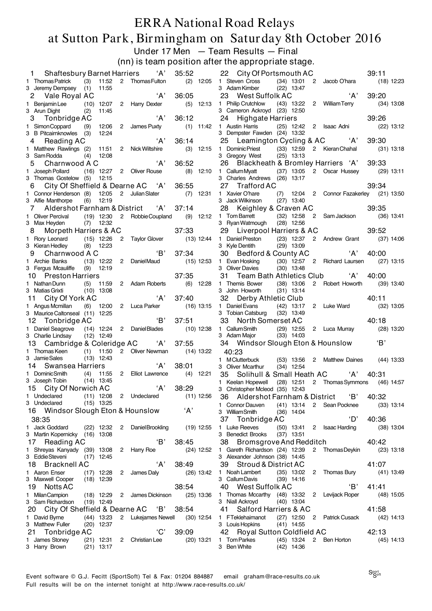#### ERRA National Road Relays at Sutton Park, Birmingham on Saturday 8th October 2016 Under 17 Men — Team Results — Final

(nn) is team position after the appropriate stage.

| 'A'<br>35:52<br><b>Shaftesbury Barnet Harriers</b><br>1                                                          | 22 City Of Portsmouth AC<br>39:11                                                                            |
|------------------------------------------------------------------------------------------------------------------|--------------------------------------------------------------------------------------------------------------|
| 11:52 2 Thomas Fulton<br>1 Thomas Patrick<br>(3)                                                                 | (2) 12:05 1 Steven Cross<br>(34) 13:01 2 Jacob O'hara<br>$(18)$ 12:23                                        |
| 11:55<br>3 Jeremy Dempsey (1)                                                                                    | 3 Adam Kimber<br>$(22)$ 13:47                                                                                |
| A'<br>36:05<br>2 Vale Royal AC                                                                                   | A'<br>39:20<br>23 West Suffolk AC                                                                            |
| 1 Benjamin Lee (10) 12:07 2 Harry Dexter<br>$(5)$ 12:13                                                          | 1 Philip Crutchlow (43) 13:22 2 William Terry<br>$(34)$ 13:08                                                |
| 3 Arun Dight<br>(2)<br>11:45                                                                                     | 3 Cameron Ackroyd (23) 12:50                                                                                 |
| 'A'<br>36:12<br>Tonbridge AC<br>3                                                                                | 39:26<br>24 Highgate Harriers                                                                                |
| 1 Simon Coppard<br>12:06 2 James Puxty<br>(9)<br>3 B Pitcairnknowles (3)<br>12:24                                | $(1)$ 11:42 1 Austin Harris<br>(25) 12:42 2 Isaac Adni<br>$(22)$ 13:12<br>3 Dempster Fawden (24) 13:32       |
| 'A'<br>36:14<br>Reading AC<br>4                                                                                  | 25 Leamington Cycling & AC 'A'<br>39:30                                                                      |
| 1 Matthew Rawlings (2)<br>11:51 2 Nick Wiltshire<br>$(3)$ 12:15                                                  | (33) 12:59 2 Kieran Chahal<br>1 Dominic Priest<br>$(31)$ 13:18                                               |
| 3 Sam Rodda<br>(4)<br>12:08                                                                                      | 3 Gregory West<br>$(25)$ 13:13                                                                               |
| A'<br>36:52<br>Charnwood A C<br>5                                                                                | 26 Blackheath & Bromley Harriers 'A'<br>39:33                                                                |
| 1 Joseph Pollard<br>(16) 12:27 2 Oliver Rouse<br>$(8)$ 12:10                                                     | 1 CallumMyatt (37) 13:05 2 Oscar Hussey<br>$(29)$ 13:11                                                      |
| 3 Thomas Gostelow (5) 12:15<br>City Of Sheffield & Dearne AC 'A'<br>36:55                                        | 3 Charles Andrews (26) 13:17<br>27 Trafford AC<br>39:34                                                      |
| 6<br>1 Connor Henderson (8) 12:05<br>2 Julian Slater<br>$(7)$ 12:31                                              | (7) 12:04 2 Connor Fazakerley (21) 13:50<br>1 Xavier O'hare                                                  |
| 3 Alfie Manthorpe<br>12:19<br>(6)                                                                                | 3 Jack Wilkinson<br>$(27)$ 13:40                                                                             |
| Aldershot Farnham & District 'A'<br>37:14<br>7                                                                   | 28 Keighley & Craven AC<br>39:35                                                                             |
| $(9)$ 12:12<br>1 Oliver Percival<br>$(19)$ 12:30<br>2 Robbie Coupland                                            | (32) 12:58 2 Sam Jackson<br>1 Tom Barrett<br>$(36)$ 13:41                                                    |
| 3 Max Heyden (7) 12:32                                                                                           | 3 Ryan Watmough<br>$(28)$ 12:56                                                                              |
| 37:33<br>Morpeth Harriers & AC<br>8                                                                              | 39:52<br>29 Liverpool Harriers & AC                                                                          |
| 2 Taylor Glover (13) 12:44 1 Daniel Preston<br>1 Rory Leonard (15) 12:26<br>3 Kieran Hedley<br>$(8)$ 12:23       | (23) 12:37 2 Andrew Grant (37) 14:06<br>3 Kyle Dentith<br>$(29)$ 13:09                                       |
| 'B'<br>37:34<br>Charnwood A C<br>9                                                                               | 'A'<br>40:00<br>30 Bedford & County AC                                                                       |
| 1 Archie Banks<br>(13) 12:22 2 DanielMaud<br>$(15)$ 12:53                                                        | 1 Evan Hosking<br>(30) 12:57 2 Richard Laursen<br>$(27)$ 13:15                                               |
| 3 Fergus Mcauliffe (9) 12:19                                                                                     | 3 Oliver Davies<br>$(30)$ 13:48                                                                              |
| 37:35<br>10 Preston Harriers                                                                                     | 31 Team Bath Athletics Club 'A'<br>40:00                                                                     |
| $(6)$ 12:28<br>1 Nathan Dunn<br>$(5)$ 11:59<br>2 Adam Roberts                                                    | 1 Themis Bower<br>$(38)$ 13:06<br>2 Robert Howorth<br>$(39)$ 13:40                                           |
| 3 Matias Grixti<br>$(10)$ 13:08                                                                                  | 3 John Howorth<br>$(31)$ 13:14                                                                               |
| 'A'<br>City Of York AC<br>37:40<br>11                                                                            | 32 Derby Athletic Club<br>40:11                                                                              |
| 1 Angus Mcmillan<br>(6) 12:00 2 Luca Parker<br>$(16)$ 13:15<br>3 Maurice Caltonseal (11) 12:25                   | 2 Luke Ward<br>1 Daniel Evans<br>$(42)$ 13:17<br>$(32)$ 13:05<br>3 Tobian Catsburg<br>$(32)$ 13:49           |
| 'В'<br>37:51<br>Tonbridge AC<br>12                                                                               | 33 North Somerset AC<br>40:18                                                                                |
| 1 Daniel Seagrove<br>$(10)$ 12:38<br>(14) 12:24 2 DanielBlades                                                   | 1 Callum Smith (29) 12:55<br>2 Luca Murray<br>$(28)$ 13:20                                                   |
| 3 Charlie Lindsay<br>$(12)$ 12:49                                                                                | 3 Adam Major (33) 14:03                                                                                      |
| 13 Cambridge & Coleridge AC 'A'<br>37:55                                                                         | 'B'<br>34 Windsor Slough Eton & Hounslow                                                                     |
| 1 Thomas Keen (1) 11:50<br>2 Oliver Newman (14) 13:22                                                            | 40:23                                                                                                        |
| 3 Jamie Sales<br>$(13)$ 12:43<br>'A'<br><b>Swansea Harriers</b><br>38:01                                         | 1 M Clutterbuck<br>(53) 13:56 2 Matthew Daines (44) 13:33                                                    |
| 14<br>1 Dominic Smith<br>(4) 11:55 2 Elliot Lawrence<br>$(4)$ 12:21                                              | 3 Oliver Mcarthur<br>$(34)$ 12:54<br>40:31                                                                   |
| 3 Joseph Tobin (14) 13:45                                                                                        | Solihull & Small Heath AC 'A'<br>35<br>1 Keelan Hopewell (28) 12:51 2 Thomas Symmons (46) 14:57              |
| ʻA'<br>38:29<br>15 City Of Norwich AC                                                                            | 3 Christopher Mcleod (35) 12:43                                                                              |
| $(11)$ 12:08 2 Undeclared<br>1 Undeclared<br>$(11)$ 12:56                                                        | 40:32<br>36 Aldershot Farnham & District<br>'B'                                                              |
| $(15)$ 13:25<br>3 Undeclared                                                                                     | 1 Connor Dauven<br>$(41)$ 13:14 2 Sean Pocknee<br>$(33)$ 13:14                                               |
| ʻA'<br>16 Windsor Slough Eton & Hounslow                                                                         | 3 WilliamSmith<br>$(36)$ 14:04                                                                               |
| 38:35                                                                                                            | $^{\circ}$ D'<br>40:36<br>37<br>Tonbridge AC                                                                 |
| 1 Jack Goddard<br>Daniel Brookling<br>$(19)$ 12:55<br>$(22)$ 12:32 2                                             | 1 Luke Reeves<br>$(50)$ 13:41<br>$\overline{2}$<br><b>Isaac Harding</b><br>$(38)$ 13:04<br>3 Benedict Brooks |
| 3 Martin Kopernicky (16) 13:08<br>'B'<br>17<br>Reading AC<br>38:45                                               | $(37)$ 13:51                                                                                                 |
| 1 Shreyas Kanyady (39) 13:08<br>2 Harry Roe<br>$(24)$ 12:52                                                      |                                                                                                              |
| 3 Eddie Steveni<br>$(17)$ 12:45                                                                                  | 38 Bromsgrove And Redditch<br>40:42                                                                          |
|                                                                                                                  | 1 Gareth Richardson (24) 12:39<br>2 Thomas Deykin<br>$(23)$ 13:18<br>3 Alexander Johnson (38) 14:45          |
| 'A'<br>18 Bracknell AC<br>38:49                                                                                  | 39 Stroud & District AC<br>41:07                                                                             |
| 1 Aaron Enser<br>$(17)$ 12:28<br>$\overline{2}$<br>James Daly<br>$(26)$ 13:42                                    | 1 Noah Lambert<br>$(35)$ 13:02<br>2 Thomas Bury<br>$(41)$ 13:49                                              |
| 3 Maxwell Cooper<br>$(18)$ 12:39                                                                                 | 3 Callum Davis<br>$(39)$ 14:16                                                                               |
| 38:54<br>19 Notts AC                                                                                             | 'В'<br>40 West Suffolk AC<br>41:41                                                                           |
| 1 Milan Campion<br>$(18)$ 12:29<br>2 James Dickinson<br>$(25)$ 13:36                                             | 1 Thomas Mccarthy (48) 13:32 2 Levijack Roper<br>$(48)$ 15:05                                                |
| 3 Sam Richardson<br>$(19)$ 12:49                                                                                 | 3 Niall Ackroyd<br>$(40)$ 13:04                                                                              |
| 20 City Of Sheffield & Dearne AC 'B'<br>38:54<br>1 David Byrne<br>$(44)$ 13:23<br>$(30)$ 12:54                   | Salford Harriers & AC<br>41:58<br>41<br>1 FTeklehaimanot                                                     |
| 2 Lukejames Newell<br>3 Matthew Fuller<br>$(20)$ 12:37                                                           | (27) 12:50 2 Patrick Cusack<br>$(42)$ 14:13<br>3 Louis Hopkins<br>$(41)$ 14:55                               |
| 'C'<br>39:09<br>21 Tonbridge AC                                                                                  | 42:13<br>42 Royal Sutton Coldfield AC                                                                        |
| 1 James Stoney<br>$(21)$ 12:31<br>Christian Lee<br>$(20)$ 13:21<br>$\mathbf{2}$<br>3 Harry Brown<br>$(21)$ 13:17 | 1 Tom Parkes<br>(45) 13:24 2 Ben Horton<br>$(45)$ 14:13<br>3 Ben White<br>$(42)$ 14:36                       |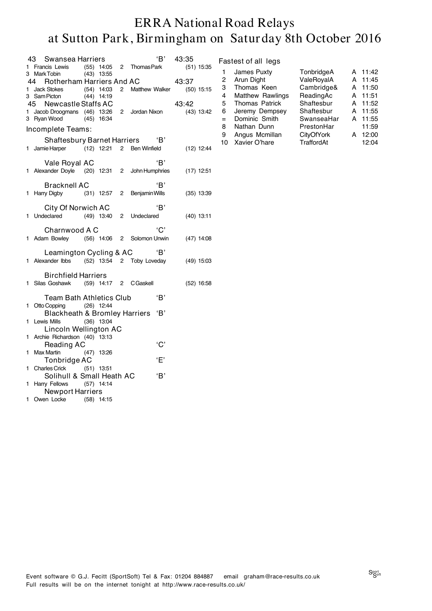|    | 43 Swansea Harriers                                      |              |                             | 'B' 43:35    |       |              |
|----|----------------------------------------------------------|--------------|-----------------------------|--------------|-------|--------------|
|    | 1 Francis Lewis (55) 14:05 2 Thomas Park<br>3 Mark Tobin | $(43)$ 13:55 |                             |              |       | $(51)$ 15:35 |
|    | 44 Rotherham Harriers And AC                             |              |                             |              | 43:37 |              |
|    |                                                          |              | 2 Matthew Walker (50) 15:15 |              |       |              |
|    | 1 Jack Stokes (54) 14:03<br>3 Sam Picton (44) 14:19      |              |                             |              |       |              |
|    | 45 Newcastle Staffs AC                                   |              |                             |              | 43:42 |              |
|    |                                                          |              |                             |              |       |              |
|    | 1 Jacob Droogmans (46) 13:26 2 Jordan Nixon              |              |                             |              |       | (43) 13:42   |
|    | 3 Ryan Wood (45) 16:34                                   |              |                             |              |       |              |
|    | Incomplete Teams:                                        |              |                             |              |       |              |
|    | Shaftesbury Barnet Harriers "B"                          |              |                             |              |       |              |
|    | 1 Jamie Harper (12) 12:21 2 Ben Winfield                 |              |                             |              |       | $(12)$ 12:44 |
|    |                                                          |              |                             |              |       |              |
|    | Vale Royal AC                                            |              |                             | 'R'          |       |              |
|    | 1 Alexander Doyle (20) 12:31 2 John Humphries            |              |                             |              |       | (17) 12:51   |
|    |                                                          |              |                             |              |       |              |
|    | Bracknell AC                                             |              |                             | 'B'          |       |              |
|    | 1 Harry Digby (31) 12:57 2 Benjamin Wills                |              |                             |              |       | $(35)$ 13:39 |
|    |                                                          |              |                             |              |       |              |
|    | City Of Norwich AC                                       |              |                             | 'B'          |       |              |
|    | 1 Undeclared (49) 13:40 2 Undeclared                     |              |                             |              |       | $(40)$ 13:11 |
|    |                                                          |              |                             |              |       |              |
|    | Charnwood A C                                            |              |                             | 'C'          |       |              |
|    | 1 Adam Bowley (56) 14:06 2 Solomon Unwin (47) 14:08      |              |                             |              |       |              |
|    |                                                          |              |                             |              |       |              |
|    | Leamington Cycling & AC 'B'                              |              |                             |              |       |              |
|    |                                                          |              |                             |              |       |              |
|    | 1 Alexander Ibbs (52) 13:54 2 Toby Loveday               |              |                             |              |       | $(49)$ 15:03 |
|    |                                                          |              |                             |              |       |              |
|    | <b>Birchfield Harriers</b>                               |              |                             |              |       |              |
|    | 1 Silas Goshawk (59) 14:17 2 CGaskell                    |              |                             |              |       | $(52)$ 16:58 |
|    |                                                          |              |                             | 'B'          |       |              |
|    | Team Bath Athletics Club                                 |              |                             |              |       |              |
|    | 1 Otto Copping (26) 12:44                                |              |                             |              |       |              |
|    | Blackheath & Bromley Harriers                            |              |                             | 'B'          |       |              |
| 1  | Lewis Mills                                              | $(36)$ 13:04 |                             |              |       |              |
|    | Lincoln Wellington AC                                    |              |                             |              |       |              |
|    | 1 Archie Richardson (40) 13:13                           |              |                             |              |       |              |
|    | Reading AC                                               |              |                             | 'C'          |       |              |
| 1. | Max Martin (47) 13:26                                    |              |                             |              |       |              |
|    | Tonbridge AC                                             |              |                             | $\mathbf{F}$ |       |              |
|    | 1 Charles Crick (51) 13:51                               |              |                             |              |       |              |
|    | Solihull & Small Heath AC                                |              |                             | 'B'          |       |              |
|    |                                                          |              |                             |              |       |              |
|    | 1 Harry Fellows (57) 14:14                               |              |                             |              |       |              |
|    | <b>Newport Harriers</b>                                  |              |                             |              |       |              |
| 1. | Owen Locke (58) 14:15                                    |              |                             |              |       |              |

#### Fastest of all legs

| 1   | James Puxty             | TonbridgeA        | А | 11:42 |
|-----|-------------------------|-------------------|---|-------|
| 2   | Arun Dight              | ValeRoyalA        | А | 11:45 |
| З   | Thomas Keen             | Cambridge&        | А | 11:50 |
| 4   | <b>Matthew Rawlings</b> | ReadingAc         | А | 11:51 |
| 5   | <b>Thomas Patrick</b>   | Shaftesbur        | А | 11:52 |
| 6   | Jeremy Dempsey          | Shaftesbur        | А | 11:55 |
| $=$ | Dominic Smith           | SwanseaHar        | А | 11:55 |
| 8   | Nathan Dunn             | PrestonHar        |   | 11:59 |
| 9   | Angus Mcmillan          | <b>CityOfYork</b> | А | 12:00 |
| 10  | Xavier O'hare           | TraffordAt        |   | 12:04 |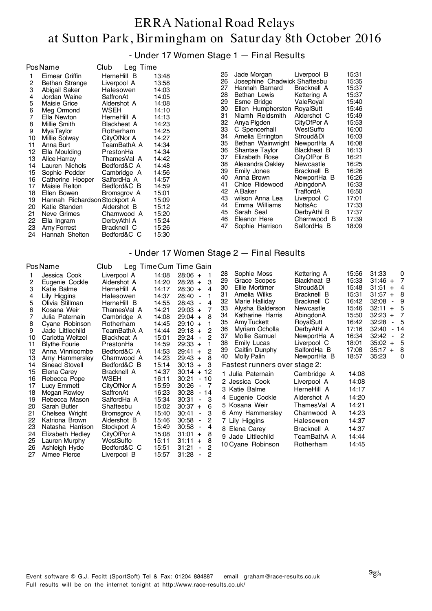- Under 17 Women Stage 1 — Final Results

|                                                                                                                                | <b>PosName</b>                                                                                                                                                                                                                                                                                                                                                                                                      | Club                                                                                                                                                                                                                  | Leg Time                                                                                                             |                                                                                                                                                                                                                      |                                                                                                                                        |                                                                                                                                                                                                                                                                                                                                                                                                                                |                                                                                                                                                                                                                                                                                                         |                                                                                                                                                                                                             |
|--------------------------------------------------------------------------------------------------------------------------------|---------------------------------------------------------------------------------------------------------------------------------------------------------------------------------------------------------------------------------------------------------------------------------------------------------------------------------------------------------------------------------------------------------------------|-----------------------------------------------------------------------------------------------------------------------------------------------------------------------------------------------------------------------|----------------------------------------------------------------------------------------------------------------------|----------------------------------------------------------------------------------------------------------------------------------------------------------------------------------------------------------------------|----------------------------------------------------------------------------------------------------------------------------------------|--------------------------------------------------------------------------------------------------------------------------------------------------------------------------------------------------------------------------------------------------------------------------------------------------------------------------------------------------------------------------------------------------------------------------------|---------------------------------------------------------------------------------------------------------------------------------------------------------------------------------------------------------------------------------------------------------------------------------------------------------|-------------------------------------------------------------------------------------------------------------------------------------------------------------------------------------------------------------|
| 2<br>3<br>4<br>5<br>6<br>7<br>8<br>9<br>10<br>11<br>12<br>13<br>14<br>15<br>16<br>17<br>18<br>19<br>20<br>21<br>22<br>23<br>24 | Eimear Griffin<br>Bethan Strange<br>Abigail Saker<br>Jordan Waine<br>Maisie Grice<br>Meg Ormond<br>Ella Newton<br>Millie Smith<br>Mya Taylor<br>Millie Solway<br>Anna Burt<br>Ella Moulding<br>Alice Harray<br>Lauren Nichols<br>Sophie Pedder<br>Catherine Hooper<br>Maisie Relton<br>Ellen Bowen<br>Hannah Richardson Stockport A<br>Katie Standen<br>Neve Grimes<br>Ella Ingram<br>Amy Forrest<br>Hannah Shelton | HerneHill B<br>Liverpool A<br>Halesowen<br>SaffronAt<br>Aldershot A<br>WSEH<br>HerneHill A<br><b>Blackheat A</b><br>Rotherham<br>CityOfNor A<br>PrestonHa<br>SalfordHa A<br>Aldershot B<br>DerbyAthl A<br>Bracknell C | TeamBathA A<br>ThamesVal A<br>Bedford&C A<br>Cambridge A<br>Bedford&C B<br>Bromsgrov A<br>Charnwood A<br>Bedford&C C | 13:48<br>13:58<br>14:03<br>14:05<br>14:08<br>14:10<br>14:13<br>14:23<br>14:25<br>14:27<br>14:34<br>14:34<br>14:42<br>14:48<br>14:56<br>14:57<br>14:59<br>15:01<br>15:09<br>15:12<br>15:20<br>15:24<br>15:26<br>15:30 | 25<br>26<br>27<br>28<br>29<br>30<br>31<br>32<br>33<br>34<br>35<br>36<br>37<br>38<br>39<br>40<br>41<br>42<br>43<br>44<br>45<br>46<br>47 | Jade Morgan<br>Josephine Chadwick Shaftesbu<br>Hannah Barnard<br>Bethan Lewis<br>Esme Bridge<br>Ellen Humpherston RoyalSutt<br>Niamh Reidsmith<br>Anya Pigden<br>C Spencerhall<br>Amelia Errington<br>Bethan Wainwright<br>Shantae Taylor<br>Elizabeth Rose<br>Alexandra Oakley<br>Emily Jones<br>Anna Brown<br>Chloe Ridewood<br>A Baker<br>wilson Anna Lea<br>Emma Williams<br>Sarah Seal<br>Eleanor Here<br>Sophie Harrison | Liverpool B<br>Bracknell A<br>Kettering A<br>ValeRoyal<br>Aldershot C<br>CityOfPor A<br>WestSuffo<br>Stroud&Di<br>NewportHa A<br>Blackheat B<br>CityOfPor B<br>Newcastle<br>Bracknell B<br>NewportHa B<br>AbingdonA<br>TraffordA<br>Liverpool C<br>NottsAc<br>DerbyAthl B<br>Charnwood B<br>SalfordHa B | 15:31<br>15:35<br>15:37<br>15:37<br>15:40<br>15:46<br>15:49<br>15:53<br>16:00<br>16:03<br>16:08<br>16:13<br>16:21<br>16:25<br>16:26<br>16:26<br>16:33<br>16:50<br>17:01<br>17:33<br>17:37<br>17:39<br>18:09 |
|                                                                                                                                |                                                                                                                                                                                                                                                                                                                                                                                                                     |                                                                                                                                                                                                                       |                                                                                                                      |                                                                                                                                                                                                                      |                                                                                                                                        |                                                                                                                                                                                                                                                                                                                                                                                                                                |                                                                                                                                                                                                                                                                                                         |                                                                                                                                                                                                             |

#### - Under 17 Women Stage 2 — Final Results

| Pos Name                                                                         |                                                                                                                                                                                                                                             | Club                                                                                                                                                                                              |                                                                                                                            | Leg Time Cum Time Gain                                                                                                                                                                                                                                                                                                                                                              |                                                                                                                                                                                                                                                                                                                |                                                                                                                                                                                         |                                                                                                                   |                                                                                                                                                                                                                                                                                                                                      |
|----------------------------------------------------------------------------------|---------------------------------------------------------------------------------------------------------------------------------------------------------------------------------------------------------------------------------------------|---------------------------------------------------------------------------------------------------------------------------------------------------------------------------------------------------|----------------------------------------------------------------------------------------------------------------------------|-------------------------------------------------------------------------------------------------------------------------------------------------------------------------------------------------------------------------------------------------------------------------------------------------------------------------------------------------------------------------------------|----------------------------------------------------------------------------------------------------------------------------------------------------------------------------------------------------------------------------------------------------------------------------------------------------------------|-----------------------------------------------------------------------------------------------------------------------------------------------------------------------------------------|-------------------------------------------------------------------------------------------------------------------|--------------------------------------------------------------------------------------------------------------------------------------------------------------------------------------------------------------------------------------------------------------------------------------------------------------------------------------|
| 2<br>3<br>4<br>5<br>6<br>8<br>9<br>10<br>11<br>12<br>13                          | Jessica Cook<br>Eugenie Cockle<br>Katie Balme<br>Lily Higgins<br>Olivia Stillman<br>Kosana Weir<br>Julia Paternain<br>Cyane Robinson<br>Jade Littlechild<br>Carlotta Weitzel<br><b>Blythe Fourie</b><br>Anna Vinnicombe<br>Amy Hammersley   | Liverpool A<br>Aldershot A<br>HerneHill A<br>Halesowen<br>HerneHill B<br>ThamesVal A<br>Cambridge A<br>Rotherham<br>TeamBathA A<br><b>Blackheat A</b><br>PrestonHa<br>Bedford&C A<br>Charnwood A  | 14:08<br>14:20<br>14:17<br>14:37<br>14:55<br>14:21<br>14:08<br>14:45<br>14:44<br>15:01<br>14:59<br>14:53<br>14:23          | $28:06 +$<br>$\overline{\mathbf{1}}$<br>3<br>$28:28 +$<br>28:30<br>4<br>$+$<br>28:40<br>$\blacksquare$<br>28:43<br>4<br>$\blacksquare$<br>7<br>$29:03 +$<br>8<br>$29:04 +$<br>$29:10 +$<br>2<br>29:18<br>$+$<br>2<br>29:24<br>$\blacksquare$<br>$29:33 +$<br>$\overline{c}$<br>29:41<br>$+$<br>8<br>$29:43 +$                                                                       | 28<br>Sophie Moss<br>29<br>Grace Scopes<br>Ellie Mortimer<br>30<br>Amelia Wilks<br>31<br>32<br>Marie Halliday<br>33<br>Alysha Balderson<br>34<br>Katharine Harris<br>Amy Tuckett<br>35<br>36<br>Myriam Ocholla<br>37<br>Mollie Samuel<br><b>Emily Lucas</b><br>38<br>39<br>Caitlin Dunphy<br>40<br>Molly Palin | Kettering A<br>Blackheat B<br>Stroud&Di<br>Bracknell B<br>Bracknell C<br>Newcastle<br>AbingdonA<br>RoyalSutt<br>DerbyAthl A<br>NewportHa A<br>Liverpool C<br>SalfordHa B<br>NewportHa B | 15:56<br>15:33<br>15:48<br>15:31<br>16:42<br>15:46<br>15:50<br>16:42<br>17:16<br>16:34<br>18:01<br>17:08<br>18:57 | 31:33<br>0<br>$\overline{7}$<br>$31:46 +$<br>$31:51 +$<br>$\overline{4}$<br>31:57<br>8<br>$+$<br>32:08<br>9<br>Ξ.<br>32:11<br>- 5<br>$+$<br>32:23<br>$\overline{7}$<br>$+$<br>32:28<br>- 5<br>$\blacksquare$<br>32:40<br>$-14$<br>32:42<br>$\overline{c}$<br>$\blacksquare$<br>35:02<br>-5<br>$+$<br>35:17<br>8<br>$+$<br>35:23<br>0 |
| 14<br>15<br>16<br>17<br>18<br>19<br>20<br>21<br>22<br>23<br>24<br>25<br>26<br>27 | Sinead Stovell<br>Elena Carey<br>Rebecca Pope<br>Lucy Emmett<br>Megan Rowley<br>Rebecca Mason<br>Sarah Butler<br>Chelsea Wright<br>Katriona Brown<br>Natasha Harrison<br>Elizabeth Hedley<br>Lauren Murphy<br>Ashleigh Hyde<br>Aimee Pierce | Bedford&C B<br>Bracknell A<br>WSEH<br>CityOfNor A<br>SaffronAt<br>SalfordHa A<br>Shaftesbu<br>Bromsgrov A<br>Aldershot B<br>Stockport A<br>CityOfPor A<br>WestSuffo<br>Bedford&C C<br>Liverpool B | 15:14<br>14:37<br>16:11<br>15:59<br>16:23<br>15:34<br>15:02<br>15:40<br>15:46<br>15:49<br>15:08<br>15:11<br>15:51<br>15:57 | $30:13 +$<br>3<br>$30:14 + 12$<br>30:21<br>- 10<br>30:26<br>- 7<br>$\overline{\phantom{a}}$<br>30:28<br>$-14$<br>3<br>30:31<br>$\blacksquare$<br>30:37<br>6<br>$+$<br>3<br>30:41<br>$\blacksquare$<br>30:58<br>2<br>$\blacksquare$<br>30:58<br>4<br>$\blacksquare$<br>$31:01 +$<br>8<br>31:11<br>8<br>$+$<br>2<br>31:21<br>$\overline{\phantom{a}}$<br>2<br>31:28<br>$\blacksquare$ | Fastest runners over stage 2:<br>1 Julia Paternain<br>2 Jessica Cook<br>3 Katie Balme<br>4 Eugenie Cockle<br>5 Kosana Weir<br>6 Amy Hammersley<br>7 Lily Higgins<br>8 Elena Carey<br>9 Jade Littlechild<br>10 Cyane Robinson                                                                                   | Cambridge A<br>Liverpool A<br>HerneHill A<br>Aldershot A<br>ThamesVal A<br>Charnwood A<br>Halesowen<br>Bracknell A<br>TeamBathA A<br>Rotherham                                          | 14:08<br>14:08<br>14:17<br>14:20<br>14:21<br>14:23<br>14:37<br>14:37<br>14:44<br>14:45                            |                                                                                                                                                                                                                                                                                                                                      |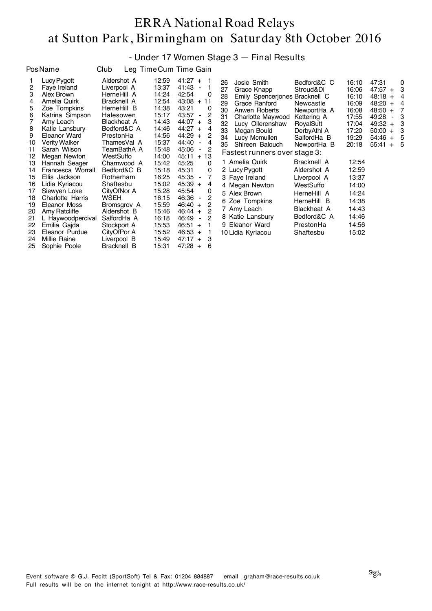#### - Under 17 Women Stage 3 — Final Results

| <b>Pos Name</b>                                                                                                                                                                                                                                                                                                                                                                                                                                                                                                                                                                                    | Club                                                                                                                                                                                                                                                                                                                                                                      |                                                                                                                                                                                                                               | Leg Time Cum Time Gain                                                                                                                                                                                                                                                                                                                                                                                                                                                                                                                                      |                                                                                                                                                                                                                                                                                                                                               |
|----------------------------------------------------------------------------------------------------------------------------------------------------------------------------------------------------------------------------------------------------------------------------------------------------------------------------------------------------------------------------------------------------------------------------------------------------------------------------------------------------------------------------------------------------------------------------------------------------|---------------------------------------------------------------------------------------------------------------------------------------------------------------------------------------------------------------------------------------------------------------------------------------------------------------------------------------------------------------------------|-------------------------------------------------------------------------------------------------------------------------------------------------------------------------------------------------------------------------------|-------------------------------------------------------------------------------------------------------------------------------------------------------------------------------------------------------------------------------------------------------------------------------------------------------------------------------------------------------------------------------------------------------------------------------------------------------------------------------------------------------------------------------------------------------------|-----------------------------------------------------------------------------------------------------------------------------------------------------------------------------------------------------------------------------------------------------------------------------------------------------------------------------------------------|
| Lucy Pygott<br>1<br>2<br>Faye Ireland<br>3<br>Alex Brown<br>4<br>Amelia Quirk<br>5<br>Zoe Tompkins<br>6<br>Katrina Simpson<br>$\overline{7}$<br>Amy Leach<br>8<br>Katie Lansbury<br>9<br>Eleanor Ward<br><b>Verity Walker</b><br>10<br>11<br>Sarah Wilson<br>12<br>Megan Newton<br>13<br>Hannah Seager<br>14<br>Francesca Worrall<br>15<br>Ellis Jackson<br>16<br>Lidia Kyriacou<br>17<br>Siewyen Loke<br>18<br>Charlotte Harris<br>19<br>Eleanor Moss<br>Amy Ratcliffe<br>20<br>21<br>L Haywoodpercival<br>22<br>Emilia Gajda<br>23<br>Eleanor Purdue<br>Millie Raine<br>24<br>25<br>Sophie Poole | Aldershot A<br>Liverpool A<br>HerneHill A<br>Bracknell A<br>HerneHill B<br>Halesowen<br><b>Blackheat A</b><br>Bedford&C A<br>PrestonHa<br>ThamesVal A<br>TeamBathA A<br>WestSuffo<br>Charnwood A<br>Bedford&C B<br>Rotherham<br>Shaftesbu<br>CityOfNor A<br>WSEH<br>Bromsgrov A<br>Aldershot B<br>SalfordHa A<br>Stockport A<br>CityOfPor A<br>Liverpool B<br>Bracknell B | 12:59<br>13:37<br>14:24<br>12:54<br>14:38<br>15:17<br>14:43<br>14:46<br>14:56<br>15:37<br>15:48<br>14:00<br>15:42<br>15:18<br>16:25<br>15:02<br>15:28<br>16:15<br>15:59<br>15:46<br>16:18<br>15:53<br>15:52<br>15:49<br>15:31 | $41:27 +$<br>1<br>41:43<br>1<br>42:54<br>0<br>$43:08 + 11$<br>43:21<br>0<br>$\overline{c}$<br>43:57<br>$\overline{\phantom{a}}$<br>3<br>$44:07 +$<br>$44:27 +$<br>4<br>$44:29 +$<br>2<br>44:40<br>4<br>$\blacksquare$<br>2<br>45:06<br>13<br>45:11<br>$+$<br>45:25<br>0<br>45:31<br>0<br>7<br>45:35<br>$\overline{\phantom{a}}$<br>$45:39 +$<br>4<br>45:54<br>0<br>2<br>46:36<br>$\overline{\phantom{0}}$<br>2<br>$46:40 +$<br>2<br>46:44<br>$+$<br>2<br>46:49<br>$\blacksquare$<br>46:51<br>1<br>$+$<br>$46:53 +$<br>1<br>$47:17 +$<br>3<br>$47:28 +$<br>6 | Josie S<br>26<br>27<br>Grace <i>r</i><br>Emily S<br>28<br>29<br>Grace F<br>30<br>Anwen<br>31<br>Charlott<br>32<br>Lucy O<br>33<br>Megan<br>34<br>Lucy Me<br>35<br>Shireen<br>Fastest ru<br>1 Amelia Q<br>2 Lucy Pygo<br>3 Faye Irela<br>4 Megan N<br>5 Alex Brov<br>Zoe Tom<br>6<br>7 Amy Lead<br>8 Katie Lar<br>9 Eleanor \<br>10 Lidia Kyri |

| 26<br>27<br>28<br>29<br>30<br>31<br>32<br>33<br>34<br>35 | Josie Smith<br>Grace Knapp<br>Emily Spencerjones Bracknell C<br>Grace Ranford<br>Anwen Roberts<br>Charlotte Maywood<br>Lucy Ollerenshaw<br>Megan Bould<br>Lucy Mcmullen<br>Shireen Balouch | Bedford&C C<br>Stroud&Di<br>Newcastle<br>NewportHa A<br>Kettering A<br>RoyalSutt<br>DerbyAthl A<br>SalfordHa B<br>NewportHa B | 16:10<br>16:06<br>16:10<br>16:09<br>16:08<br>17:55<br>17:04<br>17:20<br>19:29<br>20:18 | 47:31<br>$47:57 +$<br>48:18<br>$+$<br>48:20<br>$+$<br>48:50<br>$+$<br>49:28<br>$\overline{a}$<br>$49:32 +$<br>50:00<br>$+$<br>$54:46 +$<br>55:41<br>$+$ | 0<br>3<br>4<br>4<br>7<br>3<br>3<br>3<br>5<br>5 |
|----------------------------------------------------------|--------------------------------------------------------------------------------------------------------------------------------------------------------------------------------------------|-------------------------------------------------------------------------------------------------------------------------------|----------------------------------------------------------------------------------------|---------------------------------------------------------------------------------------------------------------------------------------------------------|------------------------------------------------|
|                                                          | Fastest runners over stage 3:                                                                                                                                                              |                                                                                                                               |                                                                                        |                                                                                                                                                         |                                                |
|                                                          | 1 Amelia Quirk<br>2 Lucy Pygott<br>3 Faye Ireland                                                                                                                                          | Bracknell A<br>Aldershot A<br>Liverpool A                                                                                     | 12:54<br>12:59<br>13:37                                                                |                                                                                                                                                         |                                                |
|                                                          | 4 Megan Newton<br>5 Alex Brown                                                                                                                                                             | WestSuffo<br>HerneHill A                                                                                                      | 14:00<br>14:24                                                                         |                                                                                                                                                         |                                                |
|                                                          | 6 Zoe Tompkins                                                                                                                                                                             | HerneHill B                                                                                                                   | 14:38                                                                                  |                                                                                                                                                         |                                                |
|                                                          | 7 Amy Leach                                                                                                                                                                                | <b>Blackheat A</b>                                                                                                            | 14:43                                                                                  |                                                                                                                                                         |                                                |
|                                                          | 8 Katie Lansbury                                                                                                                                                                           | Bedford&C A                                                                                                                   | 14:46                                                                                  |                                                                                                                                                         |                                                |
|                                                          | 9 Eleanor Ward                                                                                                                                                                             | PrestonHa                                                                                                                     | 14:56                                                                                  |                                                                                                                                                         |                                                |
|                                                          | 10 Lidia Kyriacou                                                                                                                                                                          | Shaftesbu                                                                                                                     | 15:02                                                                                  |                                                                                                                                                         |                                                |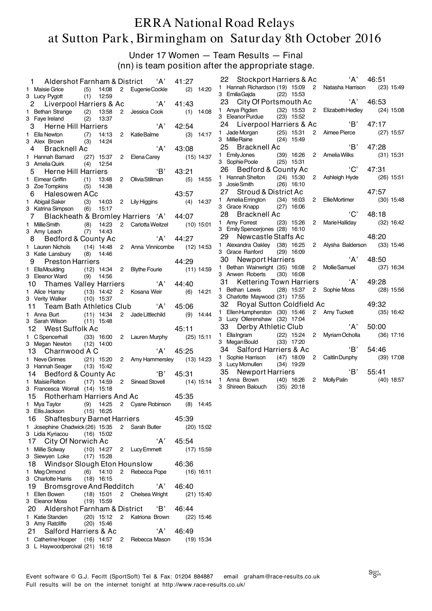Under 17 Women — Team Results — Final (nn) is team position after the appropriate stage.

| Aldershot Farnham & District<br>1.                                              |                              |       | 'A'                               | 41:27 |              | 22                                                          | Stockport Harriers & Ac   |              |              | ʻA'                                               | 46:51 |       |              |
|---------------------------------------------------------------------------------|------------------------------|-------|-----------------------------------|-------|--------------|-------------------------------------------------------------|---------------------------|--------------|--------------|---------------------------------------------------|-------|-------|--------------|
| 1 Maisie Grice                                                                  | $(5)$ 14:08                  |       | 2 Eugenie Cockle                  |       | $(2)$ 14:20  |                                                             |                           |              |              | 1 Hannah Richardson (19) 15:09 2 Natasha Harrison |       |       | $(23)$ 15:49 |
| 3 Lucy Pygott                                                                   | $(1)$ 12:59                  |       |                                   |       |              | 3 Emilia Gajda (22) 15:53                                   |                           |              |              |                                                   |       |       |              |
| Liverpool Harriers & Ac<br>2                                                    |                              |       | A'                                | 41:43 |              | 23 City Of Portsmouth Ac<br>1 Anya Pigden                   |                           |              |              | 'A'                                               | 46:53 |       |              |
| 1 Bethan Strange                                                                | 13:58<br>(2)                 | 2     | Jessica Cook                      |       | $(1)$ 14:08  | 3 Eleanor Purdue                                            |                           | $(23)$ 15:52 |              | (32) 15:53 2 Elizabeth Hedley                     |       |       | $(24)$ 15:08 |
| 3 Faye Ireland<br>Herne Hill Harriers<br>3                                      | (2)                          | 13:37 | ʻA'                               | 42:54 |              | 24 Liverpool Harriers & Ac                                  |                           |              |              | 'B'                                               | 47:17 |       |              |
| 1 Ella Newton                                                                   | (7)                          | 14:13 | 2 KatieBalme                      |       | $(3)$ 14:17  | 1 Jade Morgan                                               |                           | $(25)$ 15:31 |              | 2 Aimee Pierce                                    |       |       | $(27)$ 15:57 |
| 3 Alex Brown                                                                    | (3)                          | 14:24 |                                   |       |              | 3 Millie Raine                                              |                           | $(24)$ 15:49 |              |                                                   |       |       |              |
| Bracknell Ac<br>4                                                               |                              |       | A'                                | 43:08 |              | 25                                                          | Bracknell Ac              |              |              | B                                                 | 47:28 |       |              |
| 1 Hannah Barnard                                                                |                              |       | (27) 15:37 2 Elena Carey          |       | $(15)$ 14:37 | 1 Emily Jones                                               |                           |              |              | (39) 16:26 2 Amelia Wilks                         |       |       | $(31)$ 15:31 |
| 3 Amelia Quirk                                                                  | $(4)$ 12:54                  |       |                                   |       |              | 3 Sophie Poole                                              |                           | $(25)$ 15:31 |              | 'C'                                               | 47:31 |       |              |
| <b>Herne Hill Harriers</b><br>5                                                 |                              |       | 'B'                               | 43:21 |              | 26 Bedford & County Ac<br>1 Hannah Shelton                  |                           | $(24)$ 15:30 |              | 2 Ashleigh Hyde                                   |       |       | $(26)$ 15:51 |
| 1 Eimear Griffin<br>3 Zoe Tompkins                                              | (1)<br>13:48<br>$(5)$ 14:38  |       | 2 Olivia Stillman                 |       | $(5)$ 14:55  | 3 Josie Smith                                               |                           | $(26)$ 16:10 |              |                                                   |       |       |              |
| Halesowen ACc<br>6                                                              |                              |       |                                   | 43:57 |              | 27                                                          | Stroud & District Ac      |              |              |                                                   | 47:57 |       |              |
| 1 Abigail Saker                                                                 | $(3)$ 14:03                  |       | 2 Lily Higgins                    |       | $(4)$ 14:37  | 1 Amelia Errington                                          |                           | $(34)$ 16:03 |              | 2 EllieMortimer                                   |       |       | $(30)$ 15:48 |
| 3 Katrina Simpson                                                               | $(6)$ 15:17                  |       |                                   |       |              | 3 Grace Knapp                                               |                           | $(27)$ 16:06 |              |                                                   |       |       |              |
| 7                                                                               |                              |       | Blackheath & Bromley Harriers 'A' | 44:07 |              | 28                                                          | Bracknell Ac              |              |              | $^{\prime}$ C'                                    |       | 48:18 |              |
| 1 Millie Smith                                                                  | $(8)$ 14:23                  |       | 2 Carlotta Weitzel                |       | $(10)$ 15:01 | 1 Amy Forrest                                               |                           | $(23)$ 15:26 | $\mathbf{2}$ | Marie Halliday                                    |       |       | $(32)$ 16:42 |
| 3 Amy Leach                                                                     | (7)<br>14:43                 |       |                                   |       |              | 3 Emily Spencerjones (28) 16:10<br>29 -                     | Newcastle Staffs Ac       |              |              |                                                   | 48:20 |       |              |
| Bedford & County Ac                                                             |                              |       | ʻA'                               | 44:27 |              | 1 Alexandra Oakley (38) 16:25                               |                           |              |              | 2 Alysha Balderson                                |       |       | $(33)$ 15:46 |
| 1 Lauren Nichols<br>3 Katie Lansbury                                            | $(8)$ 14:46                  |       | $(14)$ 14:48 2 Anna Vinnicombe    |       | $(12)$ 14:53 | 3 Grace Ranford                                             |                           | $(29)$ 16:09 |              |                                                   |       |       |              |
| 9<br><b>Preston Harriers</b>                                                    |                              |       |                                   | 44:29 |              | 30                                                          | Newport Harriers          |              |              | ʻA'                                               | 48:50 |       |              |
| 1 EllaMoulding                                                                  |                              |       | (12) 14:34 2 Blythe Fourie        |       | (11) 14:59   | 1 Bethan Wainwright (35) 16:08                              |                           |              |              | 2 Mollie Samuel                                   |       |       | $(37)$ 16:34 |
| 3 Eleanor Ward                                                                  | $(9)$ 14:56                  |       |                                   |       |              | 3 Anwen Roberts                                             |                           | $(30)$ 16:08 |              |                                                   |       |       |              |
| 10                                                                              |                              |       | Thames Valley Harriers 'A'        | 44:40 |              | 31.                                                         |                           |              |              | A<br>Kettering Town Harriers                      | 49:28 |       |              |
| 1 Alice Harray                                                                  | $(13)$ 14:42                 |       | 2 Kosana Weir                     |       | $(6)$ 14:21  | 1 Bethan Lewis (28) 15:37<br>3 Charlotte Maywood (31) 17:55 |                           |              |              | 2 Sophie Moss                                     |       |       | $(28)$ 15:56 |
| 3 Verity Walker                                                                 | $(10)$ 15:37                 |       |                                   |       |              | 32                                                          | Royal Sutton Coldfield Ac |              |              |                                                   | 49:32 |       |              |
| Team Bath Athletics Club<br>11                                                  |                              |       | 'A'                               | 45:06 |              |                                                             |                           |              |              | 1 Ellen Humpherston (30) 15:46 2 Amy Tuckett      |       |       | $(35)$ 16:42 |
| 1 Anna Burt<br>3 Sarah Wilson                                                   | $(11)$ 14:34<br>$(11)$ 15:48 |       | 2 Jade Littlechild                |       | $(9)$ 14:44  | 3 Lucy Ollerenshaw (32) 17:04                               |                           |              |              |                                                   |       |       |              |
| 12 West Suffolk Ac                                                              |                              |       |                                   | 45:11 |              | 33 Derby Athletic Club                                      |                           |              |              | 'A'                                               | 50:00 |       |              |
| 1 C Spencerhall                                                                 | $(33)$ 16:00                 |       | 2 Lauren Murphy                   |       | $(25)$ 15:11 | 1 Ella Ingram                                               |                           | (22) 15:24   | $\mathbf{2}$ | Myriam Ocholla                                    |       |       | $(36)$ 17:16 |
| 3 Megan Newton (12) 14:00                                                       |                              |       |                                   |       |              | 3 Megan Bould                                               |                           | $(33)$ 17:20 |              |                                                   |       |       |              |
| 13 Charnwood A C                                                                |                              |       | 'A'                               | 45:25 |              | 34<br>1 Sophie Harrison                                     | Salford Harriers & Ac     |              |              | 'B'                                               | 54:46 |       |              |
| 1 Neve Grimes                                                                   | (21) 15:20                   |       | 2 Amy Hammersley                  |       | $(13)$ 14:23 | 3 Lucy Mcmullen                                             |                           | $(34)$ 19:29 |              | (47) 18:09 2 Caitlin Dunphy                       |       |       | $(39)$ 17:08 |
| 3 Hannah Seager<br>Bedford & County Ac<br>14                                    | $(13)$ 15:42                 |       | B                                 | 45:31 |              | 35                                                          | Newport Harriers          |              |              | $\overline{B}$                                    | 55:41 |       |              |
| 1 Maisie Relton                                                                 |                              |       | $(17)$ 14:59 2 Sinead Stovell     |       | $(14)$ 15:14 | 1 Anna Brown                                                |                           | $(40)$ 16:26 |              | 2 Molly Palin                                     |       |       | $(40)$ 18:57 |
| 3 Francesca Worrall (14) 15:18                                                  |                              |       |                                   |       |              | 3 Shireen Balouch                                           |                           | $(35)$ 20:18 |              |                                                   |       |       |              |
| 15 Rotherham Harriers And Ac                                                    |                              |       |                                   | 45:35 |              |                                                             |                           |              |              |                                                   |       |       |              |
| Mya Taylor<br>1                                                                 | 14:25<br>(9)                 |       | 2 Cyane Robinson                  |       | $(8)$ 14:45  |                                                             |                           |              |              |                                                   |       |       |              |
| 3 Ellis Jackson                                                                 | $(15)$ 16:25                 |       |                                   |       |              |                                                             |                           |              |              |                                                   |       |       |              |
| <b>Shaftesbury Barnet Harriers</b><br>16                                        |                              |       |                                   | 45:39 |              |                                                             |                           |              |              |                                                   |       |       |              |
| 1 Josephine Chadwick (26) 15:35<br>3 Lidia Kyriacou                             | $(16)$ 15:02                 |       | 2 Sarah Butler                    |       | $(20)$ 15:02 |                                                             |                           |              |              |                                                   |       |       |              |
| 17 City Of Norwich Ac                                                           |                              |       | ʻA'                               | 45:54 |              |                                                             |                           |              |              |                                                   |       |       |              |
| 1 Millie Solway                                                                 | $(10)$ 14:27                 |       | 2 Lucy Emmett                     |       | $(17)$ 15:59 |                                                             |                           |              |              |                                                   |       |       |              |
| 3 Siewyen Loke                                                                  | $(17)$ 15:28                 |       |                                   |       |              |                                                             |                           |              |              |                                                   |       |       |              |
| 18 Windsor Slough Eton Hounslow                                                 |                              |       |                                   | 46:36 |              |                                                             |                           |              |              |                                                   |       |       |              |
| 1 Meg Ormond                                                                    | $(6)$ 14:10                  |       | 2 Rebecca Pope                    |       | $(16)$ 16:11 |                                                             |                           |              |              |                                                   |       |       |              |
| 3 Charlotte Harris                                                              | $(18)$ 16:15                 |       |                                   |       |              |                                                             |                           |              |              |                                                   |       |       |              |
| 19 Bromsgrove And Redditch<br>1 Ellen Bowen                                     | $(18)$ 15:01                 |       | ʻA'                               | 46:40 |              |                                                             |                           |              |              |                                                   |       |       |              |
| 3 Eleanor Moss                                                                  | $(19)$ 15:59                 |       | 2 Chelsea Wright                  |       | $(21)$ 15:40 |                                                             |                           |              |              |                                                   |       |       |              |
| 20 Aldershot Farnham & District                                                 |                              |       | 'В'                               | 46:44 |              |                                                             |                           |              |              |                                                   |       |       |              |
| 1 Katie Standen                                                                 |                              |       | (20) 15:12 2 Katriona Brown       |       | $(22)$ 15:46 |                                                             |                           |              |              |                                                   |       |       |              |
| 3 Amy Ratcliffe                                                                 | $(20)$ 15:46                 |       |                                   |       |              |                                                             |                           |              |              |                                                   |       |       |              |
| Salford Harriers & Ac<br>21                                                     |                              |       | ʻA'                               | 46:49 |              |                                                             |                           |              |              |                                                   |       |       |              |
| 1 Catherine Hooper (16) 14:57 2 Rebecca Mason<br>3 L Haywoodpercival (21) 16:18 |                              |       |                                   |       | $(19)$ 15:34 |                                                             |                           |              |              |                                                   |       |       |              |
|                                                                                 |                              |       |                                   |       |              |                                                             |                           |              |              |                                                   |       |       |              |